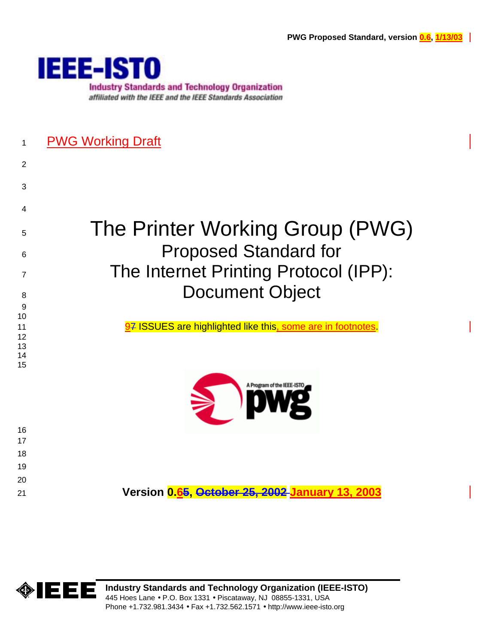

## 1 PWG Working Draft

2

3

4

9 10

13 14 15

# 5 The Printer Working Group (PWG) 6 Proposed Standard for 7 The Internet Printing Protocol (IPP): 8 Document Object

11 97 ISSUES are highlighted like this, some are in footnotes. 12



## 21 **Version 0.65, October 25, 2002 January 13, 2003**

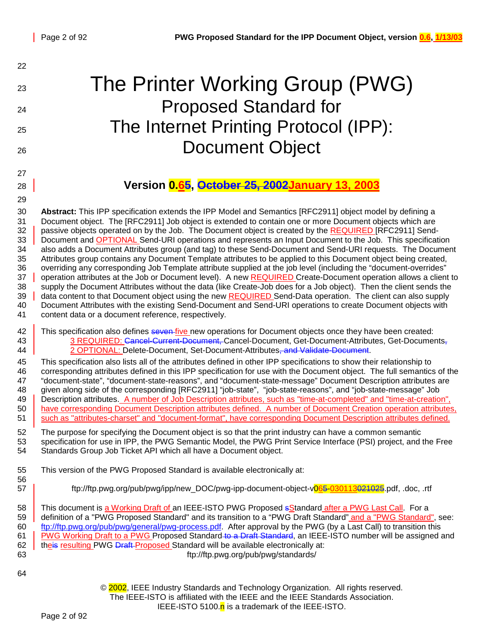| 22                                                                   |                                                                                                                                                                                                                                                                                                                                                                                                                                                                                                                                                                                                                                                                                                                                                                                                                                                                                                                                                                                                                                                                                                                                                                                                                                                                                                                                 |
|----------------------------------------------------------------------|---------------------------------------------------------------------------------------------------------------------------------------------------------------------------------------------------------------------------------------------------------------------------------------------------------------------------------------------------------------------------------------------------------------------------------------------------------------------------------------------------------------------------------------------------------------------------------------------------------------------------------------------------------------------------------------------------------------------------------------------------------------------------------------------------------------------------------------------------------------------------------------------------------------------------------------------------------------------------------------------------------------------------------------------------------------------------------------------------------------------------------------------------------------------------------------------------------------------------------------------------------------------------------------------------------------------------------|
| 23                                                                   | The Printer Working Group (PWG)                                                                                                                                                                                                                                                                                                                                                                                                                                                                                                                                                                                                                                                                                                                                                                                                                                                                                                                                                                                                                                                                                                                                                                                                                                                                                                 |
| 24                                                                   | <b>Proposed Standard for</b>                                                                                                                                                                                                                                                                                                                                                                                                                                                                                                                                                                                                                                                                                                                                                                                                                                                                                                                                                                                                                                                                                                                                                                                                                                                                                                    |
|                                                                      | The Internet Printing Protocol (IPP):                                                                                                                                                                                                                                                                                                                                                                                                                                                                                                                                                                                                                                                                                                                                                                                                                                                                                                                                                                                                                                                                                                                                                                                                                                                                                           |
| 25                                                                   |                                                                                                                                                                                                                                                                                                                                                                                                                                                                                                                                                                                                                                                                                                                                                                                                                                                                                                                                                                                                                                                                                                                                                                                                                                                                                                                                 |
| 26                                                                   | <b>Document Object</b>                                                                                                                                                                                                                                                                                                                                                                                                                                                                                                                                                                                                                                                                                                                                                                                                                                                                                                                                                                                                                                                                                                                                                                                                                                                                                                          |
| 27                                                                   |                                                                                                                                                                                                                                                                                                                                                                                                                                                                                                                                                                                                                                                                                                                                                                                                                                                                                                                                                                                                                                                                                                                                                                                                                                                                                                                                 |
| 28                                                                   | Version 0.65, October 25, 2002January 13, 2003                                                                                                                                                                                                                                                                                                                                                                                                                                                                                                                                                                                                                                                                                                                                                                                                                                                                                                                                                                                                                                                                                                                                                                                                                                                                                  |
| 29                                                                   |                                                                                                                                                                                                                                                                                                                                                                                                                                                                                                                                                                                                                                                                                                                                                                                                                                                                                                                                                                                                                                                                                                                                                                                                                                                                                                                                 |
| 30<br>31<br>32<br>33<br>34<br>35<br>36<br>37<br>38<br>39<br>40<br>41 | Abstract: This IPP specification extends the IPP Model and Semantics [RFC2911] object model by defining a<br>Document object. The [RFC2911] Job object is extended to contain one or more Document objects which are<br>passive objects operated on by the Job. The Document object is created by the REQUIRED [RFC2911] Send-<br>Document and OPTIONAL Send-URI operations and represents an Input Document to the Job. This specification<br>also adds a Document Attributes group (and tag) to these Send-Document and Send-URI requests. The Document<br>Attributes group contains any Document Template attributes to be applied to this Document object being created,<br>overriding any corresponding Job Template attribute supplied at the job level (including the "document-overrides"<br>operation attributes at the Job or Document level). A new REQUIRED Create-Document operation allows a client to<br>supply the Document Attributes without the data (like Create-Job does for a Job object). Then the client sends the<br>data content to that Document object using the new REQUIRED Send-Data operation. The client can also supply<br>Document Attributes with the existing Send-Document and Send-URI operations to create Document objects with<br>content data or a document reference, respectively. |
| 42<br>43<br>44                                                       | This specification also defines seven five new operations for Document objects once they have been created:<br>3 REQUIRED: Cancel-Current-Document, Cancel-Document, Get-Document-Attributes, Get-Documents,<br>2 OPTIONAL: Delete-Document, Set-Document-Attributes, and Validate-Document.                                                                                                                                                                                                                                                                                                                                                                                                                                                                                                                                                                                                                                                                                                                                                                                                                                                                                                                                                                                                                                    |
| 45<br>46<br>47<br>48<br>49<br>50<br>51                               | This specification also lists all of the attributes defined in other IPP specifications to show their relationship to<br>corresponding attributes defined in this IPP specification for use with the Document object. The full semantics of the<br>"document-state", "document-state-reasons", and "document-state-message" Document Description attributes are<br>given along side of the corresponding [RFC2911] "job-state", "job-state-reasons", and "job-state-message" Job<br>Description attributes. A number of Job Description attributes, such as "time-at-completed" and "time-at-creation",<br>have corresponding Document Description attributes defined. A number of Document Creation operation attributes,<br>such as "attributes-charset" and "document-format", have corresponding Document Description attributes defined.                                                                                                                                                                                                                                                                                                                                                                                                                                                                                   |
| 52<br>53<br>54                                                       | The purpose for specifying the Document object is so that the print industry can have a common semantic<br>specification for use in IPP, the PWG Semantic Model, the PWG Print Service Interface (PSI) project, and the Free<br>Standards Group Job Ticket API which all have a Document object.                                                                                                                                                                                                                                                                                                                                                                                                                                                                                                                                                                                                                                                                                                                                                                                                                                                                                                                                                                                                                                |
| 55<br>56                                                             | This version of the PWG Proposed Standard is available electronically at:                                                                                                                                                                                                                                                                                                                                                                                                                                                                                                                                                                                                                                                                                                                                                                                                                                                                                                                                                                                                                                                                                                                                                                                                                                                       |
| 57                                                                   | ftp://ftp.pwg.org/pub/pwg/ipp/new_DOC/pwg-ipp-document-object-v065-030113021025.pdf, .doc, .rtf                                                                                                                                                                                                                                                                                                                                                                                                                                                                                                                                                                                                                                                                                                                                                                                                                                                                                                                                                                                                                                                                                                                                                                                                                                 |
| 58<br>59<br>60<br>61<br>62<br>63                                     | This document is a Working Draft of an IEEE-ISTO PWG Proposed sStandard after a PWG Last Call. For a<br>definition of a "PWG Proposed Standard" and its transition to a "PWG Draft Standard" and a "PWG Standard", see:<br>ftp://ftp.pwg.org/pub/pwg/general/pwg-process.pdf. After approval by the PWG (by a Last Call) to transition this<br>PWG Working Draft to a PWG Proposed Standard to a Draft Standard, an IEEE-ISTO number will be assigned and<br>theis resulting PWG Draft-Proposed Standard will be available electronically at:<br>ftp://ftp.pwg.org/pub/pwg/standards/                                                                                                                                                                                                                                                                                                                                                                                                                                                                                                                                                                                                                                                                                                                                           |
| 64                                                                   |                                                                                                                                                                                                                                                                                                                                                                                                                                                                                                                                                                                                                                                                                                                                                                                                                                                                                                                                                                                                                                                                                                                                                                                                                                                                                                                                 |
|                                                                      | © 2002, IEEE Industry Standards and Technology Organization. All rights reserved.<br>The IEEE-ISTO is affiliated with the IEEE and the IEEE Standards Association.<br>IEEE-ISTO 5100.n is a trademark of the IEEE-ISTO.                                                                                                                                                                                                                                                                                                                                                                                                                                                                                                                                                                                                                                                                                                                                                                                                                                                                                                                                                                                                                                                                                                         |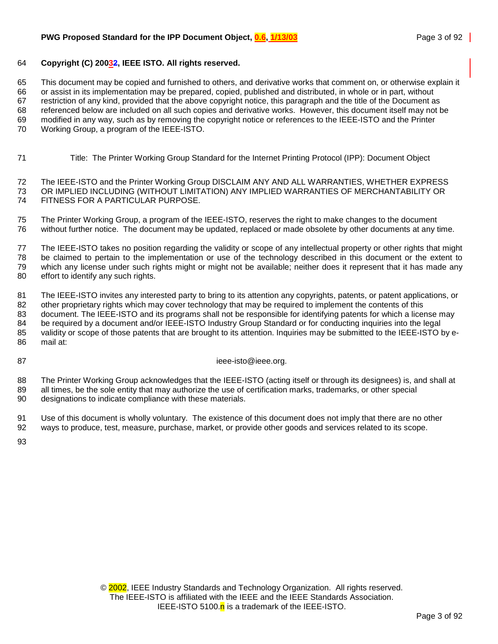#### 64 **Copyright (C) 20032, IEEE ISTO. All rights reserved.**

65 This document may be copied and furnished to others, and derivative works that comment on, or otherwise explain it 66 or assist in its implementation may be prepared, copied, published and distributed, in whole or in part, without 67 restriction of any kind, provided that the above copyright notice, this paragraph and the title of the Document as 68 referenced below are included on all such copies and derivative works. However, this document itself may not be 69 modified in any way, such as by removing the copyright notice or references to the IEEE-ISTO and the Printer 70 Working Group, a program of the IEEE-ISTO.

71 Title: The Printer Working Group Standard for the Internet Printing Protocol (IPP): Document Object

72 The IEEE-ISTO and the Printer Working Group DISCLAIM ANY AND ALL WARRANTIES, WHETHER EXPRESS 73 OR IMPLIED INCLUDING (WITHOUT LIMITATION) ANY IMPLIED WARRANTIES OF MERCHANTABILITY OR 74 FITNESS FOR A PARTICULAR PURPOSE.

75 The Printer Working Group, a program of the IEEE-ISTO, reserves the right to make changes to the document 76 without further notice. The document may be updated, replaced or made obsolete by other documents at any time.

77 The IEEE-ISTO takes no position regarding the validity or scope of any intellectual property or other rights that might 78 be claimed to pertain to the implementation or use of the technology described in this document or the extent to 79 which any license under such rights might or might not be available; neither does it represent that it has made any 80 effort to identify any such rights.

81 The IEEE-ISTO invites any interested party to bring to its attention any copyrights, patents, or patent applications, or 82 other proprietary rights which may cover technology that may be required to implement the contents of this 83 document. The IEEE-ISTO and its programs shall not be responsible for identifying patents for which a license may 84 be required by a document and/or IEEE-ISTO Industry Group Standard or for conducting inquiries into the legal 85 validity or scope of those patents that are brought to its attention. Inquiries may be submitted to the IEEE-ISTO by e-86 mail at:

87 ieee-isto@ieee.org.

88 The Printer Working Group acknowledges that the IEEE-ISTO (acting itself or through its designees) is, and shall at 89 all times, be the sole entity that may authorize the use of certification marks, trademarks, or other special 90 designations to indicate compliance with these materials.

91 Use of this document is wholly voluntary. The existence of this document does not imply that there are no other 92 ways to produce, test, measure, purchase, market, or provide other goods and services related to its scope.

93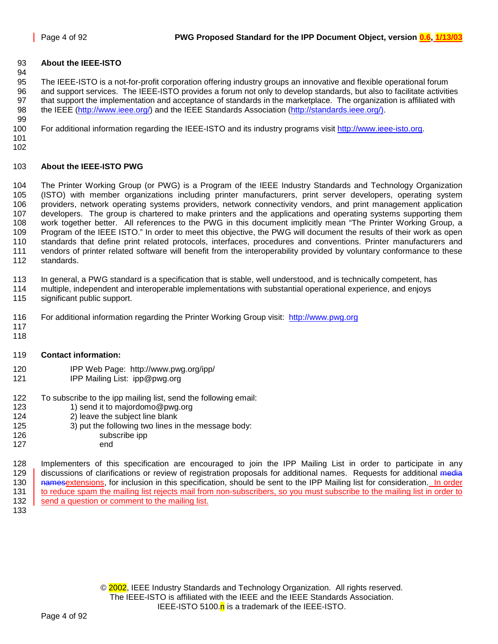### 93 **About the IEEE-ISTO**

95 The IEEE-ISTO is a not-for-profit corporation offering industry groups an innovative and flexible operational forum 96 and support services. The IEEE-ISTO provides a forum not only to develop standards, but also to facilitate activities 97 that support the implementation and acceptance of standards in the marketplace. The organization is affiliated with 98 the IEEE [\(http://www.ieee.org/\)](http://www.ieee.org/) and the IEEE Standards Association [\(http://standards.ieee.org/\).](http://standards.ieee.org/)) 99

100 For additional information regarding the IEEE-ISTO and its industry programs visit [http://www.ieee-isto.org.](http://www.ieee-isto.org/)

101 102

94

#### 103 **About the IEEE-ISTO PWG**

104 The Printer Working Group (or PWG) is a Program of the IEEE Industry Standards and Technology Organization 105 (ISTO) with member organizations including printer manufacturers, print server developers, operating system 106 providers, network operating systems providers, network connectivity vendors, and print management application 107 developers. The group is chartered to make printers and the applications and operating systems supporting them 108 work together better. All references to the PWG in this document implicitly mean "The Printer Working Group, a 109 Program of the IEEE ISTO." In order to meet this objective, the PWG will document the results of their work as open 110 standards that define print related protocols, interfaces, procedures and conventions. Printer manufacturers and 111 vendors of printer related software will benefit from the interoperability provided by voluntary conformance to these 112 standards.

113 In general, a PWG standard is a specification that is stable, well understood, and is technically competent, has

- 114 multiple, independent and interoperable implementations with substantial operational experience, and enjoys
- 115 significant public support.
- 116 For additional information regarding the Printer Working Group visit: http://www.pwg.org
- 117 118

#### 119 **Contact information:**

- 120 IPP Web Page: http://www.pwg.org/ipp/
- 121 IPP Mailing List: ipp@pwg.org
- 122 To subscribe to the ipp mailing list, send the following email:<br>123 1) send it to maiordomo@pwg.org
	- 1) send it to majordomo@pwg.org
- 124 2) leave the subject line blank
- 125 3) put the following two lines in the message body:
- 126 subscribe ipp
- 127 end

128 Implementers of this specification are encouraged to join the IPP Mailing List in order to participate in any 129 discussions of clarifications or review of registration proposals for additional names. Requests for additional media 130 namesextensions, for inclusion in this specification, should be sent to the IPP Mailing list for consideration. In order 131 to reduce spam the mailing list rejects mail from non-subscribers, so you must subscribe to the mailing list in order to 132 send a question or comment to the mailing list.

133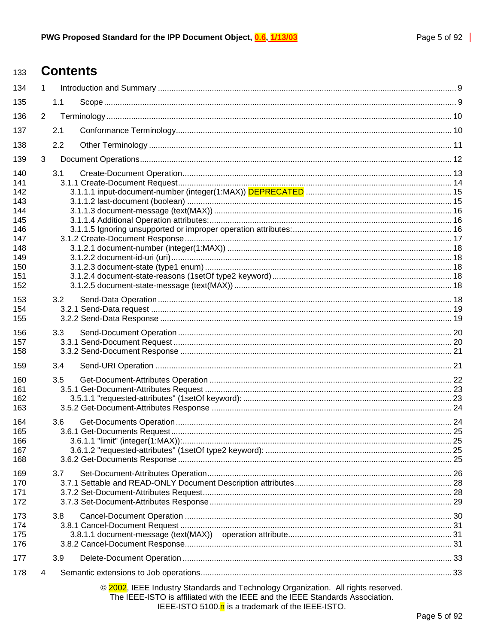#### **Contents** 133

| 134                                                                       | $\mathbf{1}$   |     |                                                                                                                                                                                                                         |  |
|---------------------------------------------------------------------------|----------------|-----|-------------------------------------------------------------------------------------------------------------------------------------------------------------------------------------------------------------------------|--|
| 135                                                                       |                | 1.1 |                                                                                                                                                                                                                         |  |
| 136                                                                       | $\overline{2}$ |     |                                                                                                                                                                                                                         |  |
| 137                                                                       |                | 2.1 |                                                                                                                                                                                                                         |  |
| 138                                                                       |                | 2.2 |                                                                                                                                                                                                                         |  |
| 139                                                                       | 3              |     |                                                                                                                                                                                                                         |  |
| 140<br>141<br>142<br>143<br>144<br>145<br>146<br>147<br>148<br>149<br>150 |                | 3.1 |                                                                                                                                                                                                                         |  |
| 151<br>152<br>153<br>154<br>155                                           |                | 3.2 |                                                                                                                                                                                                                         |  |
| 156<br>157<br>158                                                         |                | 3.3 |                                                                                                                                                                                                                         |  |
| 159                                                                       |                | 3.4 |                                                                                                                                                                                                                         |  |
| 160<br>161<br>162<br>163                                                  |                | 3.5 |                                                                                                                                                                                                                         |  |
| 164<br>165<br>166<br>167<br>168                                           |                | 3.6 |                                                                                                                                                                                                                         |  |
| 169<br>170<br>171<br>172                                                  |                | 3.7 |                                                                                                                                                                                                                         |  |
| 173<br>174<br>175<br>176                                                  |                | 3.8 |                                                                                                                                                                                                                         |  |
| 177                                                                       |                | 3.9 |                                                                                                                                                                                                                         |  |
| 178                                                                       | 4              |     |                                                                                                                                                                                                                         |  |
|                                                                           |                |     | © 2002, IEEE Industry Standards and Technology Organization. All rights reserved.<br>The IEEE-ISTO is affiliated with the IEEE and the IEEE Standards Association.<br>IEEE-ISTO 5100.n is a trademark of the IEEE-ISTO. |  |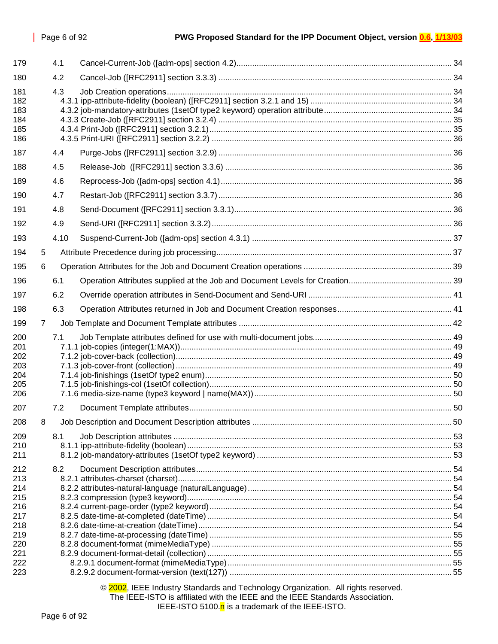| 179                                                                       |   | 4.1  |  |
|---------------------------------------------------------------------------|---|------|--|
| 180                                                                       |   | 4.2  |  |
| 181<br>182<br>183<br>184<br>185<br>186                                    |   | 4.3  |  |
| 187                                                                       |   | 4.4  |  |
| 188                                                                       |   | 4.5  |  |
| 189                                                                       |   | 4.6  |  |
| 190                                                                       |   | 4.7  |  |
| 191                                                                       |   | 4.8  |  |
| 192                                                                       |   | 4.9  |  |
| 193                                                                       |   | 4.10 |  |
| 194                                                                       | 5 |      |  |
| 195                                                                       | 6 |      |  |
| 196                                                                       |   | 6.1  |  |
| 197                                                                       |   | 6.2  |  |
| 198                                                                       |   | 6.3  |  |
| 199                                                                       | 7 |      |  |
| 200<br>201<br>202<br>203<br>204<br>205<br>206                             |   | 7.1  |  |
| 207                                                                       |   | 7.2  |  |
| 208                                                                       |   |      |  |
| 209<br>210<br>211                                                         |   | 8.1  |  |
| 212<br>213<br>214<br>215<br>216<br>217<br>218<br>219<br>220<br>221<br>222 |   | 8.2  |  |
| 223                                                                       |   |      |  |

© 2002, IEEE Industry Standards and Technology Organization. All rights reserved. The IEEE-ISTO is affiliated with the IEEE and the IEEE Standards Association. IEEE-ISTO 5100. $n$  is a trademark of the IEEE-ISTO.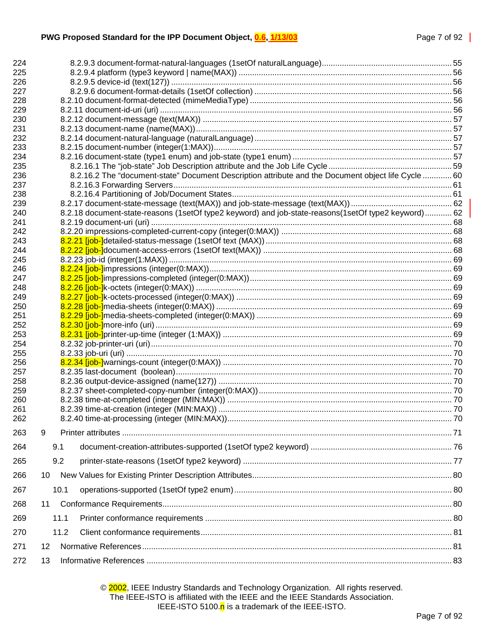| 224        |      |                                                                                                      |  |
|------------|------|------------------------------------------------------------------------------------------------------|--|
| 225        |      |                                                                                                      |  |
| 226        |      |                                                                                                      |  |
| 227        |      |                                                                                                      |  |
| 228        |      |                                                                                                      |  |
| 229        |      |                                                                                                      |  |
| 230        |      |                                                                                                      |  |
| 231        |      |                                                                                                      |  |
| 232        |      |                                                                                                      |  |
| 233        |      |                                                                                                      |  |
| 234        |      |                                                                                                      |  |
| 235        |      |                                                                                                      |  |
| 236        |      | 8.2.16.2 The "document-state" Document Description attribute and the Document object life Cycle  60  |  |
| 237        |      |                                                                                                      |  |
| 238        |      |                                                                                                      |  |
| 239        |      |                                                                                                      |  |
| 240        |      | 8.2.18 document-state-reasons (1setOf type2 keyword) and job-state-reasons (1setOf type2 keyword) 62 |  |
| 241        |      |                                                                                                      |  |
| 242        |      |                                                                                                      |  |
| 243        |      |                                                                                                      |  |
| 244        |      |                                                                                                      |  |
| 245        |      |                                                                                                      |  |
| 246        |      |                                                                                                      |  |
| 247        |      |                                                                                                      |  |
| 248        |      |                                                                                                      |  |
| 249        |      |                                                                                                      |  |
| 250        |      |                                                                                                      |  |
| 251        |      |                                                                                                      |  |
| 252        |      |                                                                                                      |  |
| 253<br>254 |      |                                                                                                      |  |
| 255        |      |                                                                                                      |  |
| 256        |      |                                                                                                      |  |
| 257        |      |                                                                                                      |  |
| 258        |      |                                                                                                      |  |
| 259        |      |                                                                                                      |  |
| 260        |      |                                                                                                      |  |
| 261        |      |                                                                                                      |  |
| 262        |      |                                                                                                      |  |
|            |      |                                                                                                      |  |
| 263        | 9    |                                                                                                      |  |
| 264        | 9.1  |                                                                                                      |  |
| 265        | 9.2  |                                                                                                      |  |
| 266        | 10   |                                                                                                      |  |
| 267        | 10.1 |                                                                                                      |  |
|            |      |                                                                                                      |  |
| 268        | 11   |                                                                                                      |  |
| 269        | 11.1 |                                                                                                      |  |
| 270        |      | 11.2                                                                                                 |  |
| 271        | 12   |                                                                                                      |  |
| 272        | 13   |                                                                                                      |  |

© 2002, IEEE Industry Standards and Technology Organization. All rights reserved. The IEEE-ISTO is affiliated with the IEEE and the IEEE Standards Association. IEEE-ISTO 5100.n is a trademark of the IEEE-ISTO.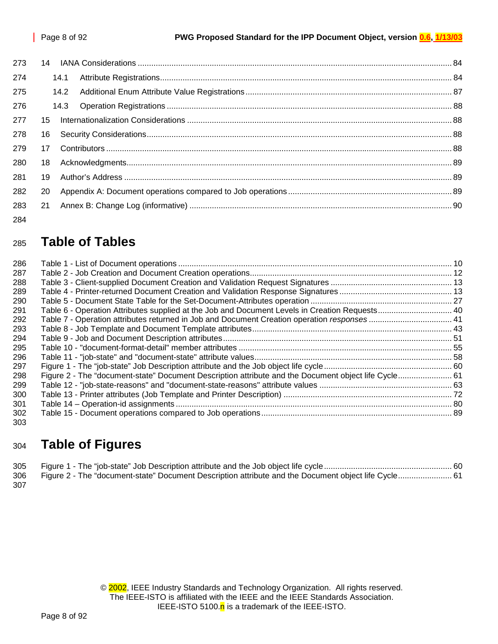| 273 |    |      |  |
|-----|----|------|--|
| 274 |    | 14.1 |  |
| 275 |    | 14.2 |  |
| 276 |    |      |  |
| 277 | 15 |      |  |
| 278 | 16 |      |  |
| 279 | 17 |      |  |
| 280 | 18 |      |  |
| 281 | 19 |      |  |
| 282 | 20 |      |  |
| 283 | 21 |      |  |
| 284 |    |      |  |

## <sup>285</sup>**Table of Tables**

| 286 |                                                                                                      |  |
|-----|------------------------------------------------------------------------------------------------------|--|
| 287 |                                                                                                      |  |
| 288 |                                                                                                      |  |
| 289 |                                                                                                      |  |
| 290 |                                                                                                      |  |
| 291 |                                                                                                      |  |
| 292 | Table 7 - Operation attributes returned in Job and Document Creation operation responses 41          |  |
| 293 |                                                                                                      |  |
| 294 |                                                                                                      |  |
| 295 |                                                                                                      |  |
| 296 |                                                                                                      |  |
| 297 |                                                                                                      |  |
| 298 | Figure 2 - The "document-state" Document Description attribute and the Document object life Cycle 61 |  |
| 299 |                                                                                                      |  |
| 300 |                                                                                                      |  |
| 301 |                                                                                                      |  |
| 302 |                                                                                                      |  |
| 303 |                                                                                                      |  |

## <sup>304</sup>**Table of Figures**

|     | 306 Figure 2 - The "document-state" Document Description attribute and the Document object life Cycle 61 |  |
|-----|----------------------------------------------------------------------------------------------------------|--|
| 307 |                                                                                                          |  |

© 2002, IEEE Industry Standards and Technology Organization. All rights reserved. The IEEE-ISTO is affiliated with the IEEE and the IEEE Standards Association. IEEE-ISTO 5100. $n$  is a trademark of the IEEE-ISTO.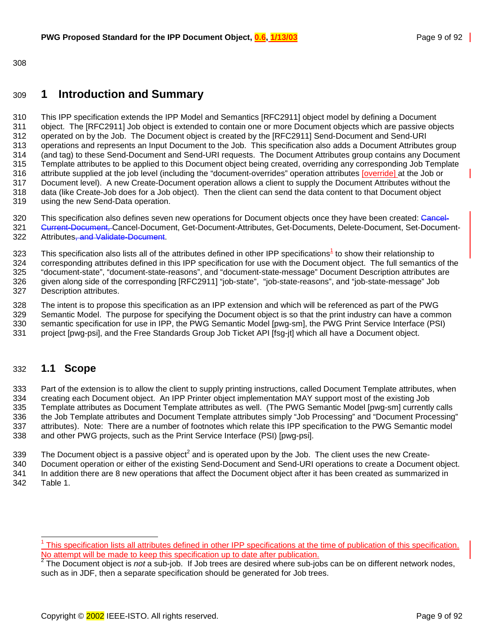<span id="page-8-0"></span>308

## 309 **1 Introduction and Summary**

310 This IPP specification extends the IPP Model and Semantics [RFC2911] object model by defining a Document 311 object. The [RFC2911] Job object is extended to contain one or more Document objects which are passive objects 312 operated on by the Job. The Document object is created by the [RFC2911] Send-Document and Send-URI 313 operations and represents an Input Document to the Job. This specification also adds a Document Attributes group 314 (and tag) to these Send-Document and Send-URI requests. The Document Attributes group contains any Document 315 Template attributes to be applied to this Document object being created, overriding any corresponding Job Template 316 attribute supplied at the job level (including the "document-overrides" operation attributes [override] at the Job or 317 Document level). A new Create-Document operation allows a client to supply the Document Attributes without the 318 data (like Create-Job does for a Job object). Then the client can send the data content to that Document object 319 using the new Send-Data operation.

- 320 This specification also defines seven new operations for Document objects once they have been created: Cancel-321 <del>Current-Document, C</del>ancel-Document, Get-Document-Attributes, Get-Documents, Delete-Document, Set-Document-322 Attributes, and Validate-Document.
- $323$  This specification also lists all of the attributes defined in other IPP specifications<sup>1</sup> to show their relationship to 324 corresponding attributes defined in this IPP specification for use with the Document object. The full semantics of the 325 "document-state", "document-state-reasons", and "document-state-message" Document Description attributes are 326 given along side of the corresponding [RFC2911] "job-state", "job-state-reasons", and "job-state-message" Job 327 Description attributes.
- 328 The intent is to propose this specification as an IPP extension and which will be referenced as part of the PWG 329 Semantic Model. The purpose for specifying the Document object is so that the print industry can have a common 330 semantic specification for use in IPP, the PWG Semantic Model [pwg-sm], the PWG Print Service Interface (PSI) 331 project [pwg-psi], and the Free Standards Group Job Ticket API [fsg-jt] which all have a Document object.

## 332 **1.1 Scope**

l

333 Part of the extension is to allow the client to supply printing instructions, called Document Template attributes, when 334 creating each Document object. An IPP Printer object implementation MAY support most of the existing Job 335 Template attributes as Document Template attributes as well. (The PWG Semantic Model [pwg-sm] currently calls 336 the Job Template attributes and Document Template attributes simply "Job Processing" and "Document Processing" 337 attributes). Note: There are a number of footnotes which relate this IPP specification to the PWG Semantic model 338 and other PWG projects, such as the Print Service Interface (PSI) [pwg-psi].

- 339 The Document object is a passive object<sup>2</sup> and is operated upon by the Job. The client uses the new Create-
- 340 Document operation or either of the existing Send-Document and Send-URI operations to create a Document object. 341 In addition there are 8 new operations that affect the Document object after it has been created as summarized in 342 [Table 1.](#page-9-0)

<sup>&</sup>lt;sup>1</sup> This specification lists all attributes defined in other IPP specifications at the time of publication of this specification. No attempt will be made to keep this specification up to date after publication.<br><sup>2</sup> The Desument shiest is not a sub job. If Job trees are desired where sub jo

The Document object is *not* a sub-job. If Job trees are desired where sub-jobs can be on different network nodes, such as in JDF, then a separate specification should be generated for Job trees.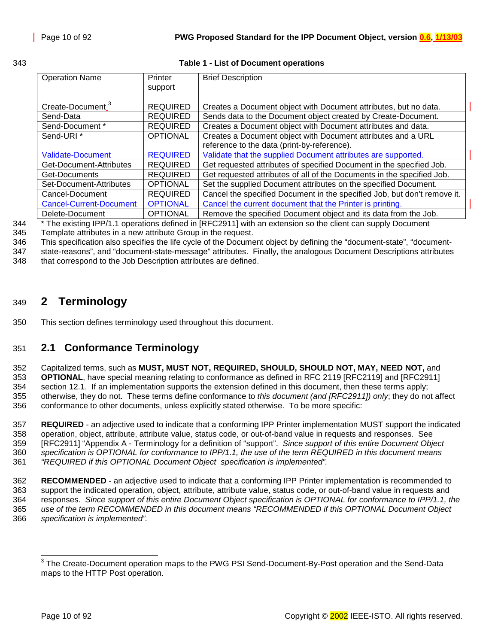#### <span id="page-9-0"></span>343 **Table 1 - List of Document operations**

| <b>Operation Name</b>        | Printer<br>support | <b>Brief Description</b>                                                 |
|------------------------------|--------------------|--------------------------------------------------------------------------|
| Create-Document <sup>3</sup> | <b>REQUIRED</b>    | Creates a Document object with Document attributes, but no data.         |
|                              |                    |                                                                          |
| Send-Data                    | <b>REQUIRED</b>    | Sends data to the Document object created by Create-Document.            |
| Send-Document *              | <b>REQUIRED</b>    | Creates a Document object with Document attributes and data.             |
| Send-URI <sup>*</sup>        | <b>OPTIONAL</b>    | Creates a Document object with Document attributes and a URL             |
|                              |                    | reference to the data (print-by-reference).                              |
| Validate-Document            | <b>REQUIRED</b>    | Validate that the supplied Document attributes are supported.            |
| Get-Document-Attributes      | <b>REQUIRED</b>    | Get requested attributes of specified Document in the specified Job.     |
| Get-Documents                | <b>REQUIRED</b>    | Get requested attributes of all of the Documents in the specified Job.   |
| Set-Document-Attributes      | <b>OPTIONAL</b>    | Set the supplied Document attributes on the specified Document.          |
| Cancel-Document              | <b>REQUIRED</b>    | Cancel the specified Document in the specified Job, but don't remove it. |
| Cancel-Current-Document      | <b>OPTIONAL</b>    | Cancel the current document that the Printer is printing.                |
| Delete-Document              | <b>OPTIONAL</b>    | Remove the specified Document object and its data from the Job.          |

<sup>344</sup> <sup>\*</sup> The existing IPP/1.1 operations defined in [RFC2911] with an extension so the client can supply Document

345 Template attributes in a new attribute Group in the request.

346 This specification also specifies the life cycle of the Document object by defining the "document-state", "document-

347 state-reasons", and "document-state-message" attributes. Finally, the analogous Document Descriptions attributes 348 that correspond to the Job Description attributes are defined.

## 349 **2 Terminology**

350 This section defines terminology used throughout this document.

## 351 **2.1 Conformance Terminology**

352 Capitalized terms, such as **MUST, MUST NOT, REQUIRED, SHOULD, SHOULD NOT, MAY, NEED NOT,** and

353 **OPTIONAL**, have special meaning relating to conformance as defined in RFC 2119 [RFC2119] and [RFC2911] 354 section 12.1. If an implementation supports the extension defined in this document, then these terms apply; 355 otherwise, they do not. These terms define conformance to *this document (and [RFC2911]) only*; they do not affect 356 conformance to other documents, unless explicitly stated otherwise. To be more specific:

357 **REQUIRED** - an adjective used to indicate that a conforming IPP Printer implementation MUST support the indicated 358 operation, object, attribute, attribute value, status code, or out-of-band value in requests and responses. See 359 [RFC2911] "Appendix A - Terminology for a definition of "support". *Since support of this entire Document Object*  360 *specification is OPTIONAL for conformance to IPP/1.1, the use of the term REQUIRED in this document means*  361 *"REQUIRED if this OPTIONAL Document Object specification is implemented".*

362 **RECOMMENDED** - an adjective used to indicate that a conforming IPP Printer implementation is recommended to 363 support the indicated operation, object, attribute, attribute value, status code, or out-of-band value in requests and 364 responses. *Since support of this entire Document Object specification is OPTIONAL for conformance to IPP/1.1, the*  365 *use of the term RECOMMENDED in this document means "RECOMMENDED if this OPTIONAL Document Object*  366 *specification is implemented".*

 3 The Create-Document operation maps to the PWG PSI Send-Document-By-Post operation and the Send-Data maps to the HTTP Post operation.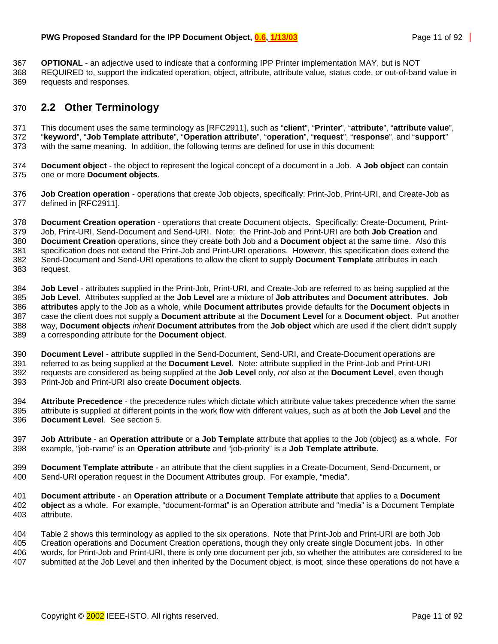<span id="page-10-0"></span>367 **OPTIONAL** - an adjective used to indicate that a conforming IPP Printer implementation MAY, but is NOT

368 REQUIRED to, support the indicated operation, object, attribute, attribute value, status code, or out-of-band value in 369 requests and responses.

## 370 **2.2 Other Terminology**

371 This document uses the same terminology as [RFC2911], such as "**client**", "**Printer**", "**attribute**", "**attribute value**", 372 "**keyword**", "**Job Template attribute**", "**Operation attribute**", "**operation**", "**request**", "**response**", and "**support**" 373 with the same meaning. In addition, the following terms are defined for use in this document:

- 374 **Document object** the object to represent the logical concept of a document in a Job. A **Job object** can contain 375 one or more **Document objects**.
- 376 **Job Creation operation** operations that create Job objects, specifically: Print-Job, Print-URI, and Create-Job as 377 defined in [RFC2911].

378 **Document Creation operation** - operations that create Document objects. Specifically: Create-Document, Print-379 Job, Print-URI, Send-Document and Send-URI. Note: the Print-Job and Print-URI are both **Job Creation** and 380 **Document Creation** operations, since they create both Job and a **Document object** at the same time. Also this 381 specification does not extend the Print-Job and Print-URI operations. However, this specification does extend the 382 Send-Document and Send-URI operations to allow the client to supply **Document Template** attributes in each 383 request.

384 **Job Level** - attributes supplied in the Print-Job, Print-URI, and Create-Job are referred to as being supplied at the 385 **Job Level**. Attributes supplied at the **Job Level** are a mixture of **Job attributes** and **Document attributes**. **Job**  386 **attributes** apply to the Job as a whole, while **Document attributes** provide defaults for the **Document objects** in 387 case the client does not supply a **Document attribute** at the **Document Level** for a **Document object**. Put another 388 way, **Document objects** *inherit* **Document attributes** from the **Job object** which are used if the client didn't supply 389 a corresponding attribute for the **Document object**.

390 **Document Level** - attribute supplied in the Send-Document, Send-URI, and Create-Document operations are 391 referred to as being supplied at the **Document Level**. Note: attribute supplied in the Print-Job and Print-URI 392 requests are considered as being supplied at the **Job Level** only, *not* also at the **Document Level**, even though 393 Print-Job and Print-URI also create **Document objects**.

394 **Attribute Precedence** - the precedence rules which dictate which attribute value takes precedence when the same 395 attribute is supplied at different points in the work flow with different values, such as at both the **Job Level** and the 396 **Document Level**. See section [5.](#page-36-0)

- 397 **Job Attribute** an **Operation attribute** or a **Job Templat**e attribute that applies to the Job (object) as a whole. For 398 example, "job-name" is an **Operation attribute** and "job-priority" is a **Job Template attribute**.
- 399 **Document Template attribute**  an attribute that the client supplies in a Create-Document, Send-Document, or 400 Send-URI operation request in the Document Attributes group. For example, "media".
- 401 **Document attribute** an **Operation attribute** or a **Document Template attribute** that applies to a **Document**  402 **object** as a whole. For example, "document-format" is an Operation attribute and "media" is a Document Template 403 attribute.

404 [Table 2](#page-11-0) shows this terminology as applied to the six operations. Note that Print-Job and Print-URI are both Job 405 Creation operations and Document Creation operations, though they only create single Document jobs. In other 406 words, for Print-Job and Print-URI, there is only one document per job, so whether the attributes are considered to be 407 submitted at the Job Level and then inherited by the Document object, is moot, since these operations do not have a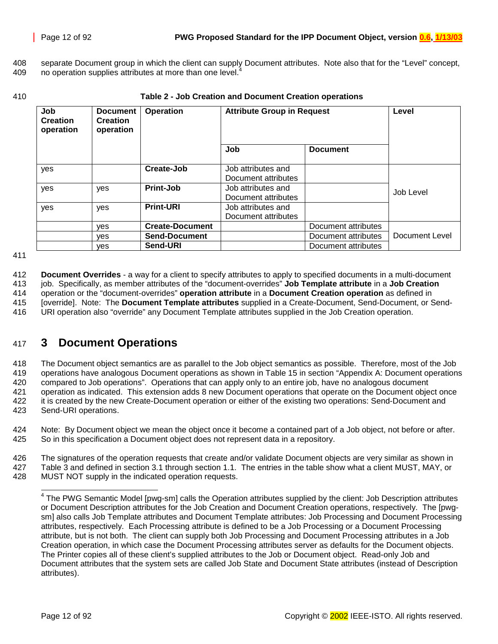<span id="page-11-0"></span>408 separate Document group in which the client can supply Document attributes. Note also that for the "Level" concept, 409 no operation supplies attributes at more than one level.

410 **Table 2 - Job Creation and Document Creation operations** 

| Job<br><b>Document</b><br><b>Creation</b><br><b>Creation</b><br>operation<br>operation |     | <b>Operation</b>       | <b>Attribute Group in Request</b>         |                     | Level          |
|----------------------------------------------------------------------------------------|-----|------------------------|-------------------------------------------|---------------------|----------------|
|                                                                                        |     |                        | Job                                       | <b>Document</b>     |                |
| yes                                                                                    |     | Create-Job             | Job attributes and<br>Document attributes |                     |                |
| yes                                                                                    | yes | Print-Job              | Job attributes and<br>Document attributes |                     | Job Level      |
| yes                                                                                    | yes | <b>Print-URI</b>       | Job attributes and<br>Document attributes |                     |                |
|                                                                                        | ves | <b>Create-Document</b> |                                           | Document attributes |                |
|                                                                                        | ves | <b>Send-Document</b>   |                                           | Document attributes | Document Level |
|                                                                                        | ves | Send-URI               |                                           | Document attributes |                |

411

412 **Document Overrides** - a way for a client to specify attributes to apply to specified documents in a multi-document 413 job. Specifically, as member attributes of the "document-overrides" **Job Template attribute** in a **Job Creation** 414 operation or the "document-overrides" **operation attribute** in a **Document Creation operation** as defined in 415 [override]. Note: The **Document Template attributes** supplied in a Create-Document, Send-Document, or Send-416 URI operation also "override" any Document Template attributes supplied in the Job Creation operation.

## 417 **3 Document Operations**

418 The Document object semantics are as parallel to the Job object semantics as possible. Therefore, most of the Job 419 operations have analogous Document operations as shown in [Table 15](#page-88-0) in section ["Appendix A: Document operations](#page-88-0)  420 [compared to Job operations"](#page-88-0). Operations that can apply only to an entire job, have no analogous document 421 operation as indicated. This extension adds 8 new Document operations that operate on the Document object once 422 it is created by the new Create-Document operation or either of the existing two operations: Send-Document and 423 Send-URI operations.

424 Note: By Document object we mean the object once it become a contained part of a Job object, not before or after. 425 So in this specification a Document object does not represent data in a repository.

426 The signatures of the operation requests that create and/or validate Document objects are very similar as shown in 427 [Table 3](#page-12-0) and defined in section [3.1](#page-12-0) through section [1.1.](#page-21-0) The entries in the table show what a client MUST, MAY, or 428 MUST NOT supply in the indicated operation requests.

 $\overline{\phantom{a}}$ 

<sup>&</sup>lt;sup>4</sup> The PWG Semantic Model [pwg-sm] calls the Operation attributes supplied by the client: Job Description attributes or Document Description attributes for the Job Creation and Document Creation operations, respectively. The [pwgsm] also calls Job Template attributes and Document Template attributes: Job Processing and Document Processing attributes, respectively. Each Processing attribute is defined to be a Job Processing or a Document Processing attribute, but is not both. The client can supply both Job Processing and Document Processing attributes in a Job Creation operation, in which case the Document Processing attributes server as defaults for the Document objects. The Printer copies all of these client's supplied attributes to the Job or Document object. Read-only Job and Document attributes that the system sets are called Job State and Document State attributes (instead of Description attributes).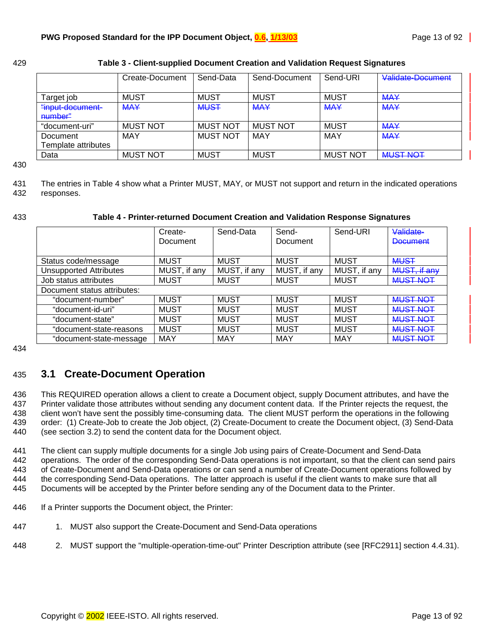<span id="page-12-0"></span>

| 429 | Table 3 - Client-supplied Document Creation and Validation Request Signatures |  |
|-----|-------------------------------------------------------------------------------|--|
|     |                                                                               |  |

|                             | Create-Document | Send-Data       | Send-Document   | Send-URI        | Validate-Document                          |
|-----------------------------|-----------------|-----------------|-----------------|-----------------|--------------------------------------------|
| Target job                  | <b>MUST</b>     | <b>MUST</b>     | <b>MUST</b>     | <b>MUST</b>     | <b>MAY</b>                                 |
| "input-document-<br>number" | <b>MAY</b>      | <b>MUST</b>     | <b>MAY</b>      | <b>MAY</b>      | <b>MAY</b>                                 |
| "document-uri"              | <b>MUST NOT</b> | <b>MUST NOT</b> | <b>MUST NOT</b> | <b>MUST</b>     | <b>MAY</b>                                 |
| Document                    | MAY             | <b>MUST NOT</b> | MAY             | <b>MAY</b>      | <b>MAY</b>                                 |
| Template attributes         |                 |                 |                 |                 |                                            |
| Data                        | <b>MUST NOT</b> | <b>MUST</b>     | <b>MUST</b>     | <b>MUST NOT</b> | <u>MLIST NOT</u><br><del>ivius nuu i</del> |

430

431 The entries in Table 4 show what a Printer MUST, MAY, or MUST not support and return in the indicated operations 432 responses.

#### 433 **Table 4 - Printer-returned Document Creation and Validation Response Signatures**

|                             | Create-<br>Document | Send-Data    | Send-<br>Document | Send-URI     | Validate-<br><b>Document</b> |
|-----------------------------|---------------------|--------------|-------------------|--------------|------------------------------|
|                             |                     |              |                   |              |                              |
| Status code/message         | <b>MUST</b>         | <b>MUST</b>  | <b>MUST</b>       | <b>MUST</b>  | <b>MUST</b>                  |
| Unsupported Attributes      | MUST, if any        | MUST, if any | MUST, if any      | MUST, if any | MUST, if any                 |
| Job status attributes       | <b>MUST</b>         | <b>MUST</b>  | <b>MUST</b>       | <b>MUST</b>  | <b>MUST NOT</b>              |
| Document status attributes: |                     |              |                   |              |                              |
| "document-number"           | <b>MUST</b>         | <b>MUST</b>  | <b>MUST</b>       | <b>MUST</b>  | <b>MUST NOT</b>              |
| "document-id-uri"           | <b>MUST</b>         | <b>MUST</b>  | <b>MUST</b>       | <b>MUST</b>  | <b>MUST NOT</b>              |
| "document-state"            | <b>MUST</b>         | <b>MUST</b>  | <b>MUST</b>       | <b>MUST</b>  | <b>MUST NOT</b>              |
| "document-state-reasons     | <b>MUST</b>         | <b>MUST</b>  | <b>MUST</b>       | <b>MUST</b>  | <b>MUST NOT</b>              |
| "document-state-message     | MAY                 | MAY          | <b>MAY</b>        | <b>MAY</b>   | <b>MUST NOT</b>              |

434

## 435 **3.1 Create-Document Operation**

436 This REQUIRED operation allows a client to create a Document object, supply Document attributes, and have the 437 Printer validate those attributes without sending any document content data. If the Printer rejects the request, the 438 client won't have sent the possibly time-consuming data. The client MUST perform the operations in the following 439 order: (1) Create-Job to create the Job object, (2) Create-Document to create the Document object, (3) Send-Data 440 (see section [3.2\)](#page-17-0) to send the content data for the Document object.

441 The client can supply multiple documents for a single Job using pairs of Create-Document and Send-Data 442 operations. The order of the corresponding Send-Data operations is not important, so that the client can send pairs 443 of Create-Document and Send-Data operations or can send a number of Create-Document operations followed by 444 the corresponding Send-Data operations. The latter approach is useful if the client wants to make sure that all 445 Documents will be accepted by the Printer before sending any of the Document data to the Printer.

- 446 If a Printer supports the Document object, the Printer:
- 447 1. MUST also support the Create-Document and Send-Data operations
- 448 2. MUST support the "multiple-operation-time-out" Printer Description attribute (see [RFC2911] section 4.4.31).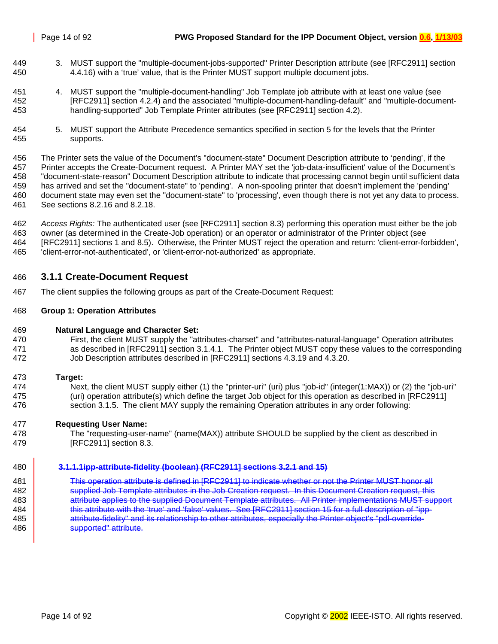- <span id="page-13-0"></span>449 3. MUST support the "multiple-document-jobs-supported" Printer Description attribute (see [RFC2911] section 450 4.4.16) with a 'true' value, that is the Printer MUST support multiple document jobs.
- 451 4. MUST support the "multiple-document-handling" Job Template job attribute with at least one value (see 452 [RFC2911] section 4.2.4) and the associated "multiple-document-handling-default" and "multiple-document-453 handling-supported" Job Template Printer attributes (see [RFC2911] section 4.2).
- 454 5. MUST support the Attribute Precedence semantics specified in section [5](#page-36-0) for the levels that the Printer 455 supports.

456 The Printer sets the value of the Document's "document-state" Document Description attribute to 'pending', if the 457 Printer accepts the Create-Document request. A Printer MAY set the 'job-data-insufficient' value of the Document's 458 "document-state-reason" Document Description attribute to indicate that processing cannot begin until sufficient data 459 has arrived and set the "document-state" to 'pending'. A non-spooling printer that doesn't implement the 'pending' 460 document state may even set the "document-state" to 'processing', even though there is not yet any data to process. 461 See sections [8.2.16](#page-56-0) and [8.2.18.](#page-61-0)

462 *Access Rights:* The authenticated user (see [RFC2911] section 8.3) performing this operation must either be the job 463 owner (as determined in the Create-Job operation) or an operator or administrator of the Printer object (see 464 [RFC2911] sections 1 and 8.5). Otherwise, the Printer MUST reject the operation and return: 'client-error-forbidden', 465 'client-error-not-authenticated', or 'client-error-not-authorized' as appropriate.

## 466 **3.1.1 Create-Document Request**

467 The client supplies the following groups as part of the Create-Document Request:

#### 468 **Group 1: Operation Attributes**

- 469 **Natural Language and Character Set:**
- 470 First, the client MUST supply the "attributes-charset" and "attributes-natural-language" Operation attributes 471 as described in [RFC2911] section 3.1.4.1. The Printer object MUST copy these values to the corresponding 472 Job Description attributes described in [RFC2911] sections 4.3.19 and 4.3.20.
- 473 **Target:**
- 474 Next, the client MUST supply either (1) the "printer-uri" (uri) plus "job-id" (integer(1:MAX)) or (2) the "job-uri" 475 (uri) operation attribute(s) which define the target Job object for this operation as described in [RFC2911] 476 section 3.1.5. The client MAY supply the remaining Operation attributes in any order following:
- 477 **Requesting User Name:**
- 478 The "requesting-user-name" (name(MAX)) attribute SHOULD be supplied by the client as described in 479 [RFC2911] section 8.3.

#### 480 **3.1.1.1ipp-attribute-fidelity (boolean) (RFC2911] sections 3.2.1 and 15)**

481 This operation attribute is defined in [RFC2911] to indicate whether or not the Printer MUST honor all 482 supplied Job Template attributes in the Job Creation request. In this Document Creation request, this **attribute applies to the supplied Document Template attributes. All Printer implementations MUST support this attribute with the 'true' and 'false' values. See [RFC2911] section 15 for a full description of "ipp-4** attribute-fidelity" and its relationship to other attributes, especially the Printer object's "pdl-override-**Supported** attribute.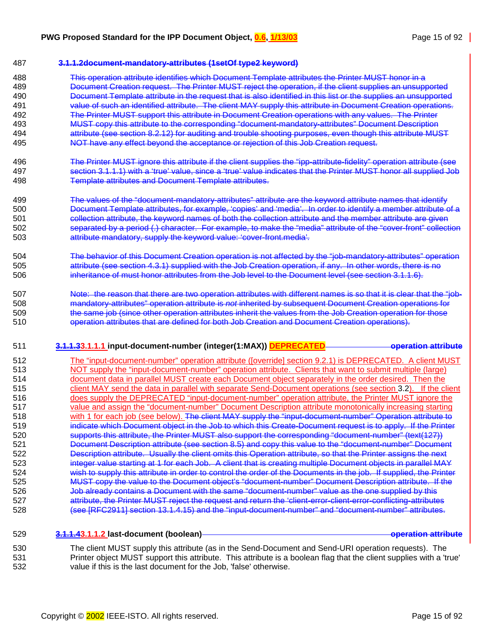#### <span id="page-14-0"></span>487 **3.1.1.2document-mandatory-attributes (1setOf type2 keyword)**

- 488 This operation attribute identifies which Document Template attributes the Printer MUST honor in a 489 **Document Creation request.** The Printer MUST reject the operation, if the client supplies an unsupported 490 Document Template attribute in the request that is also identified in this list or the supplies an unsupported 491 value of such an identified attribute. The client MAY supply this attribute in Document Creation operations. 492 The Printer MUST support this attribute in Document Creation operations with any values. The Printer 493 MUST copy this attribute to the corresponding "document-mandatory-attributes" Document Description 494 attribute (see section [8.2.12\)](#page-55-0) for auditing and trouble shooting purposes, even though this attribute MUST
- 495 NOT have any effect beyond the acceptance or rejection of this Job Creation request.
- 496 The Printer MUST ignore this attribute if the client supplies the "ipp-attribute-fidelity" operation attribute (see 497 section [3.1.1.1\)](#page-13-0) with a 'true' value, since a 'true' value indicates that the Printer MUST honor all supplied Job 498 Template attributes and Document Template attributes.
- 499 The values of the "document-mandatory-attributes" attribute are the keyword attribute names that identify 500 Document Template attributes, for example, 'copies' and 'media'. In order to identify a member attribute of a 501 collection attribute, the keyword names of both the collection attribute and the member attribute are given 502 separated by a period (.) character. For example, to make the "media" attribute of the "cover-front" collection 503 attribute mandatory, supply the keyword value: 'cover-front.media'.
- 504 The behavior of this Document Creation operation is not affected by the "job-mandatory-attributes" operation 505 attribute (see section [4.3.1\)](#page-33-0) supplied with the Job Creation operation, if any. In other words, there is no 506 inheritance of must honor attributes from the Job level to the Document level (see section [3.1.1.6\)](#page-15-0).
- 507 Note: the reason that there are two operation attributes with different names is so that it is clear that the "job-508 mandatory-attributes" operation attribute is *not* inherited by subsequent Document Creation operations for 509 the same job (since other operation attributes inherit the values from the Job Creation operation for those 510 operation attributes that are defined for both Job Creation and Document Creation operations).
- 511 **3.1.1.33.1.1.1 input-document-number (integer(1:MAX)) DEPRECATED operation attribute**
- 512 The "input-document-number" operation attribute ([override] section 9.2.1) is DEPRECATED. A client MUST 513 NOT supply the "input-document-number" operation attribute. Clients that want to submit multiple (large) 514 document data in parallel MUST create each Document object separately in the order desired. Then the 515 client MAY send the data in parallel with separate Send-Document operations (see section [3.2\)](#page-17-0). If the client 516 does supply the DEPRECATED "input-document-number" operation attribute, the Printer MUST ignore the 517 value and assign the "document-number" Document Description attribute monotonically increasing starting 518 with 1 for each job (see below). The client MAY supply the "input-document-number" Operation attribute to 519 indicate which Document object in the Job to which this Create-Document request is to apply. If the Printer 520 supports this attribute, the Printer MUST also support the corresponding "document-number" (text(127)) 521 Document Description attribute (see section [8.5\)](#page-56-0) and copy this value to the "document-number" Document 522<br>522 Description attribute. Usually the client omits this Operation attribute, so that the Printer assigns the n Description attribute. Usually the client omits this Operation attribute, so that the Printer assigns the next 523 integer value starting at 1 for each Job. A client that is creating multiple Document objects in parallel MAY 524 wish to supply this attribute in order to control the order of the Documents in the job. If supplied, the Printer 525 MUST copy the value to the Document object's "document-number" Document Description attribute. If the 526 Job already contains a Document with the same "document-number" value as the one supplied by this 527 attribute, the Printer MUST reject the request and return the 'client-error-client-error-conflicting-attributes 528 (see [RFC2911] section 13.1.4.15) and the "input-document-number" and "document-number" attributes.
- 529 **3.1.1.43.1.1.2 last-document (boolean) operation attribute**

530 The client MUST supply this attribute (as in the Send-Document and Send-URI operation requests). The 531 Printer object MUST support this attribute. This attribute is a boolean flag that the client supplies with a 'true' 532 value if this is the last document for the Job, 'false' otherwise.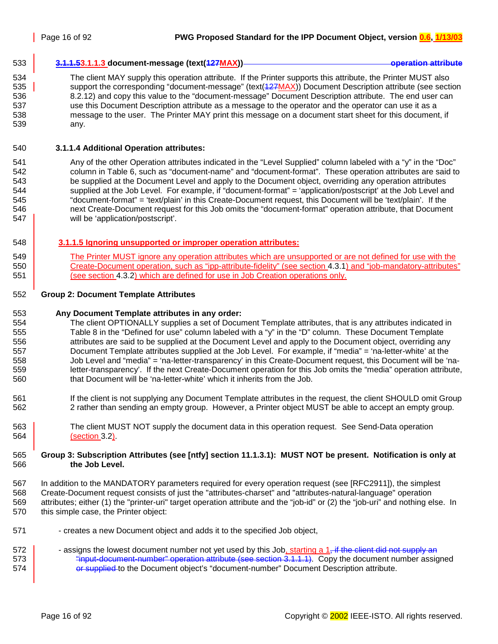#### <span id="page-15-0"></span>533 **3.1.1.53.1.1.3 document-message (text(127MAX)) operation attribute**

534 The client MAY supply this operation attribute. If the Printer supports this attribute, the Printer MUST also 535 support the corresponding "document-message" (text(427MAX)) Document Description attribute (see section 536 [8.2.12\)](#page-56-0) and copy this value to the "document-message" Document Description attribute. The end user can 537 use this Document Description attribute as a message to the operator and the operator can use it as a 538 message to the user. The Printer MAY print this message on a document start sheet for this document, if 539 any.

#### 540 **3.1.1.4 Additional Operation attributes:**

541 Any of the other Operation attributes indicated in the "Level Supplied" column labeled with a "y" in the "Doc" 542 column in [Table 6,](#page-39-0) such as "document-name" and "document-format". These operation attributes are said to 543 be supplied at the Document Level and apply to the Document object, overriding any operation attributes 544 supplied at the Job Level. For example, if "document-format" = 'application/postscript' at the Job Level and 545 "document-format" = 'text/plain' in this Create-Document request, this Document will be 'text/plain'. If the 546 next Create-Document request for this Job omits the "document-format" operation attribute, that Document 547 | will be 'application/postscript'.

#### 548 **3.1.1.5 Ignoring unsupported or improper operation attributes:**

549 The Printer MUST ignore any operation attributes which are unsupported or are not defined for use with the 550 Create-Document operation, such as "ipp-attribute-fidelity" (see section [4.3.1\)](#page-33-0) and "job-mandatory-attributes" 551 (see section [4.3.2\)](#page-33-0) which are defined for use in Job Creation operations only.

#### 552 **Group 2: Document Template Attributes**

#### 553 **Any Document Template attributes in any order:**

- 554 The client OPTIONALLY supplies a set of Document Template attributes, that is any attributes indicated in 555 [Table 8](#page-42-0) in the "Defined for use" column labeled with a "y" in the "D" column. These Document Template 556 attributes are said to be supplied at the Document Level and apply to the Document object, overriding any 557 Document Template attributes supplied at the Job Level. For example, if "media" = 'na-letter-white' at the 558 Job Level and "media" = 'na-letter-transparency' in this Create-Document request, this Document will be 'na-559 letter-transparency'. If the next Create-Document operation for this Job omits the "media" operation attribute, 560 that Document will be 'na-letter-white' which it inherits from the Job.
- 561 If the client is not supplying any Document Template attributes in the request, the client SHOULD omit Group 562 2 rather than sending an empty group. However, a Printer object MUST be able to accept an empty group.
- 563 The client MUST NOT supply the document data in this operation request. See Send-Data operation 564 (section [3.2\)](#page-17-0).

#### 565 **Group 3: Subscription Attributes (see [ntfy] section 11.1.3.1): MUST NOT be present. Notification is only at**  566 **the Job Level.**

- 567 In addition to the MANDATORY parameters required for every operation request (see [RFC2911]), the simplest 568 Create-Document request consists of just the "attributes-charset" and "attributes-natural-language" operation 569 attributes; either (1) the "printer-uri" target operation attribute and the "job-id" or (2) the "job-uri" and nothing else. In 570 this simple case, the Printer object:
- 571 creates a new Document object and adds it to the specified Job object,
- 572  $\blacksquare$  assigns the lowest document number not yet used by this Job, starting a 1, if the client did not supply an 573 **The Studies of the Universe** "input-document-number" operation attribute (see section [3.1.1.1\)](#page-14-0). Copy the document number assigned 574 **or supplied** to the Document object's "document-number" Document Description attribute.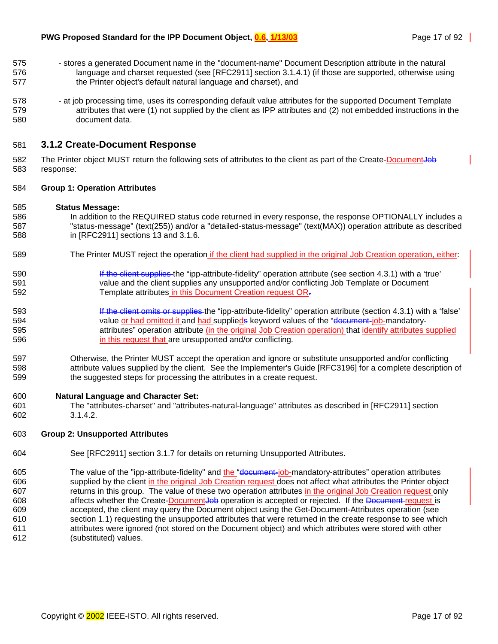- <span id="page-16-0"></span>575 - stores a generated Document name in the "document-name" Document Description attribute in the natural 576 language and charset requested (see [RFC2911] section 3.1.4.1) (if those are supported, otherwise using 577 the Printer object's default natural language and charset), and
- 578 at job processing time, uses its corresponding default value attributes for the supported Document Template 579 attributes that were (1) not supplied by the client as IPP attributes and (2) not embedded instructions in the 580 document data.

#### 581 **3.1.2 Create-Document Response**

582 The Printer object MUST return the following sets of attributes to the client as part of the Create-Document Job 583 response:

#### 584 **Group 1: Operation Attributes**

#### 585 **Status Message:**

- 586 In addition to the REQUIRED status code returned in every response, the response OPTIONALLY includes a 587 "status-message" (text(255)) and/or a "detailed-status-message" (text(MAX)) operation attribute as described 588 in [RFC2911] sections 13 and 3.1.6.
- 589 The Printer MUST reject the operation if the client had supplied in the original Job Creation operation, either:
- 590 **If the client supplies the "ipp-attribute-fidelity" operation attribute (see section [4.3.1\)](#page-33-0) with a 'true'** 591 value and the client supplies any unsupported and/or conflicting Job Template or Document 592 Template attributes in this Document Creation request OR.
- 593 **If the client omits or supplies the "ipp-attribute-fidelity" operation attribute (section [4.3.1\)](#page-33-0) with a 'false'** 594 value or had omitted it and had supplieds keyword values of the "document-job-mandatory-595 **195 attributes** operation attribute (in the original Job Creation operation) that identify attributes supplied 596 in this request that are unsupported and/or conflicting.
- 597 Otherwise, the Printer MUST accept the operation and ignore or substitute unsupported and/or conflicting 598 attribute values supplied by the client. See the Implementer's Guide [RFC3196] for a complete description of 599 the suggested steps for processing the attributes in a create request.

#### 600 **Natural Language and Character Set:**

601 The "attributes-charset" and "attributes-natural-language" attributes as described in [RFC2911] section 602 3.1.4.2.

#### 603 **Group 2: Unsupported Attributes**

- 604 See [RFC2911] section 3.1.7 for details on returning Unsupported Attributes.
- 605 The value of the "ipp-attribute-fidelity" and the "decument-job-mandatory-attributes" operation attributes 606 supplied by the client in the original Job Creation request does not affect what attributes the Printer object 607 returns in this group. The value of these two operation attributes in the original Job Creation request only 608 affects whether the Create-DocumentJob operation is accepted or rejected. If the Document-request is 609 accepted, the client may query the Document object using the Get-Document-Attributes operation (see 610 section [1.1\)](#page-21-0) requesting the unsupported attributes that were returned in the create response to see which 611 attributes were ignored (not stored on the Document object) and which attributes were stored with other 612 (substituted) values.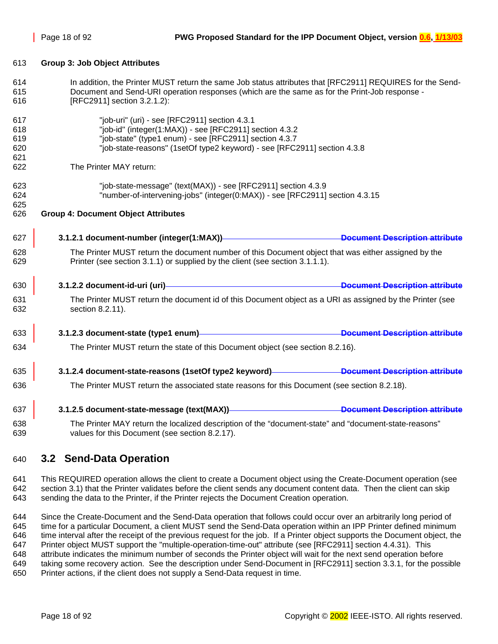#### <span id="page-17-0"></span>613 **Group 3: Job Object Attributes**

- 614 In addition, the Printer MUST return the same Job status attributes that [RFC2911] REQUIRES for the Send-615 Document and Send-URI operation responses (which are the same as for the Print-Job response - 616 [RFC2911] section 3.2.1.2):
- 617 "job-uri" (uri) see [RFC2911] section 4.3.1 618 "job-id" (integer(1:MAX)) - see [RFC2911] section 4.3.2 619 "job-state" (type1 enum) - see [RFC2911] section 4.3.7 620 "job-state-reasons" (1setOf type2 keyword) - see [RFC2911] section 4.3.8 621 622 The Printer MAY return: 623 "job-state-message" (text(MAX)) - see [RFC2911] section 4.3.9 624 "number-of-intervening-jobs" (integer(0:MAX)) - see [RFC2911] section 4.3.15 625 626 **Group 4: Document Object Attributes**  627 **3.1.2.1 document-number (integer(1:MAX)) Document Description attribute** 628 The Printer MUST return the document number of this Document object that was either assigned by the 629 Printer (see section [3.1.1\)](#page-13-0) or supplied by the client (see section [3.1.1.1\)](#page-14-0). 630 **3.1.2.2 document-id-uri (uri) Document Description attribute** 631 The Printer MUST return the document id of this Document object as a URI as assigned by the Printer (see 632 section [8.2.11\)](#page-55-0). 633 **3.1.2.3 document-state (type1 enum) Document Description attribute** 634 The Printer MUST return the state of this Document object (see section [8.2.16\)](#page-56-0). 635 **3.1.2.4 document-state-reasons (1setOf type2 keyword) Document Description attribute** 636 The Printer MUST return the associated state reasons for this Document (see section [8.2.18\)](#page-61-0). 637 **3.1.2.5 document-state-message (text(MAX)) Document Description attribute**
- 638 The Printer MAY return the localized description of the "document-state" and "document-state-reasons" 639 values for this Document (see section [8.2.17\)](#page-61-0).

## 640 **3.2 Send-Data Operation**

641 This REQUIRED operation allows the client to create a Document object using the Create-Document operation (see 642 section [3.1\)](#page-12-0) that the Printer validates before the client sends any document content data. Then the client can skip 643 sending the data to the Printer, if the Printer rejects the Document Creation operation.

644 Since the Create-Document and the Send-Data operation that follows could occur over an arbitrarily long period of 645 time for a particular Document, a client MUST send the Send-Data operation within an IPP Printer defined minimum 646 time interval after the receipt of the previous request for the job. If a Printer object supports the Document object, the 647 Printer object MUST support the "multiple-operation-time-out" attribute (see [RFC2911] section 4.4.31). This 648 attribute indicates the minimum number of seconds the Printer object will wait for the next send operation before 649 taking some recovery action. See the description under Send-Document in [RFC2911] section 3.3.1, for the possible 650 Printer actions, if the client does not supply a Send-Data request in time.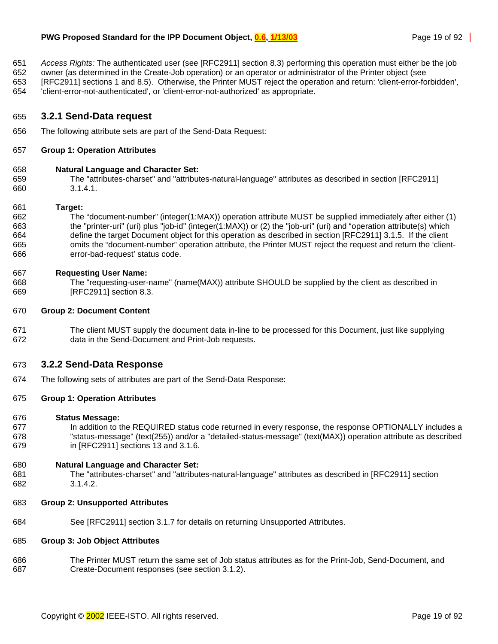- <span id="page-18-0"></span>651 *Access Rights:* The authenticated user (see [RFC2911] section 8.3) performing this operation must either be the job
- 652 owner (as determined in the Create-Job operation) or an operator or administrator of the Printer object (see
- 653 [RFC2911] sections 1 and 8.5). Otherwise, the Printer MUST reject the operation and return: 'client-error-forbidden',
- 654 'client-error-not-authenticated', or 'client-error-not-authorized' as appropriate.

#### 655 **3.2.1 Send-Data request**

656 The following attribute sets are part of the Send-Data Request:

#### 657 **Group 1: Operation Attributes**

#### 658 **Natural Language and Character Set:**

659 The "attributes-charset" and "attributes-natural-language" attributes as described in section [RFC2911] 660 3.1.4.1.

#### 661 **Target:**

662 The "document-number" (integer(1:MAX)) operation attribute MUST be supplied immediately after either (1) 663 the "printer-uri" (uri) plus "job-id" (integer(1:MAX)) or (2) the "job-uri" (uri) and "operation attribute(s) which 664 define the target Document object for this operation as described in section [RFC2911] 3.1.5. If the client 665 omits the "document-number" operation attribute, the Printer MUST reject the request and return the 'client-666 error-bad-request' status code.

#### 667 **Requesting User Name:**

668 The "requesting-user-name" (name(MAX)) attribute SHOULD be supplied by the client as described in 669 [RFC2911] section 8.3.

#### 670 **Group 2: Document Content**

671 The client MUST supply the document data in-line to be processed for this Document, just like supplying 672 data in the Send-Document and Print-Job requests.

#### 673 **3.2.2 Send-Data Response**

674 The following sets of attributes are part of the Send-Data Response:

#### 675 **Group 1: Operation Attributes**

#### 676 **Status Message:**

677 In addition to the REQUIRED status code returned in every response, the response OPTIONALLY includes a 678 "status-message" (text(255)) and/or a "detailed-status-message" (text(MAX)) operation attribute as described 679 in [RFC2911] sections 13 and 3.1.6.

#### 680 **Natural Language and Character Set:**

- 681 The "attributes-charset" and "attributes-natural-language" attributes as described in [RFC2911] section 682 3.1.4.2.
- 683 **Group 2: Unsupported Attributes**
- 684 See [RFC2911] section 3.1.7 for details on returning Unsupported Attributes.

#### 685 **Group 3: Job Object Attributes**

686 The Printer MUST return the same set of Job status attributes as for the Print-Job, Send-Document, and 687 Create-Document responses (see section [3.1.2\)](#page-16-0).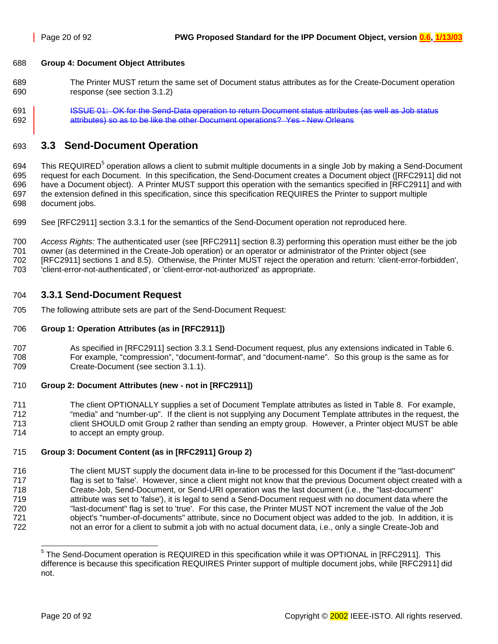#### <span id="page-19-0"></span>688 **Group 4: Document Object Attributes**

- 689 The Printer MUST return the same set of Document status attributes as for the Create-Document operation 690 response (see section [3.1.2\)](#page-16-0)
- 691 **ISSUE 01: OK for the Send-Data operation to return Document status attributes (as well as Job status** 692 **attributes)** so as to be like the other Document operations? Yes - New Orleans

## 693 **3.3 Send-Document Operation**

694 This REQUIRED<sup>5</sup> operation allows a client to submit multiple documents in a single Job by making a Send-Document 695 request for each Document. In this specification, the Send-Document creates a Document object ([RFC2911] did not 696 have a Document object). A Printer MUST support this operation with the semantics specified in [RFC2911] and with 697 the extension defined in this specification, since this specification REQUIRES the Printer to support multiple 698 document jobs.

699 See [RFC2911] section 3.3.1 for the semantics of the Send-Document operation not reproduced here.

700 *Access Rights:* The authenticated user (see [RFC2911] section 8.3) performing this operation must either be the job 701 owner (as determined in the Create-Job operation) or an operator or administrator of the Printer object (see 702 [RFC2911] sections 1 and 8.5). Otherwise, the Printer MUST reject the operation and return: 'client-error-forbidden', 703 'client-error-not-authenticated', or 'client-error-not-authorized' as appropriate.

### 704 **3.3.1 Send-Document Request**

705 The following attribute sets are part of the Send-Document Request:

#### 706 **Group 1: Operation Attributes (as in [RFC2911])**

707 As specified in [RFC2911] section 3.3.1 Send-Document request, plus any extensions indicated in [Table 6.](#page-39-0) 708 For example, "compression", "document-format", and "document-name". So this group is the same as for 709 Create-Document (see section [3.1.1\)](#page-13-0).

#### 710 **Group 2: Document Attributes (new - not in [RFC2911])**

711 The client OPTIONALLY supplies a set of Document Template attributes as listed in [Table 8.](#page-42-0) For example, 712 "media" and "number-up". If the client is not supplying any Document Template attributes in the request, the 713 client SHOULD omit Group 2 rather than sending an empty group. However, a Printer object MUST be able 714 to accept an empty group.

#### 715 **Group 3: Document Content (as in [RFC2911] Group 2)**

716 The client MUST supply the document data in-line to be processed for this Document if the "last-document" 717 flag is set to 'false'. However, since a client might not know that the previous Document object created with a 718 Create-Job, Send-Document, or Send-URI operation was the last document (i.e., the "last-document" 719 attribute was set to 'false'), it is legal to send a Send-Document request with no document data where the 720 "last-document" flag is set to 'true'. For this case, the Printer MUST NOT increment the value of the Job 721 object's "number-of-documents" attribute, since no Document object was added to the job. In addition, it is 722 not an error for a client to submit a job with no actual document data, i.e., only a single Create-Job and

l <sup>5</sup> The Send-Document operation is REQUIRED in this specification while it was OPTIONAL in [RFC2911]. This difference is because this specification REQUIRES Printer support of multiple document jobs, while [RFC2911] did not.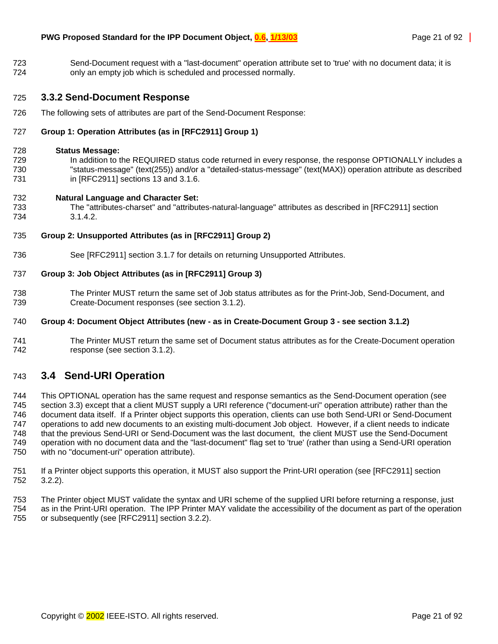<span id="page-20-0"></span>723 Send-Document request with a "last-document" operation attribute set to 'true' with no document data; it is 724 only an empty job which is scheduled and processed normally.

### 725 **3.3.2 Send-Document Response**

726 The following sets of attributes are part of the Send-Document Response:

#### 727 **Group 1: Operation Attributes (as in [RFC2911] Group 1)**

#### 728 **Status Message:**

729 In addition to the REQUIRED status code returned in every response, the response OPTIONALLY includes a 730 "status-message" (text(255)) and/or a "detailed-status-message" (text(MAX)) operation attribute as described 731 in [RFC2911] sections 13 and 3.1.6.

#### 732 **Natural Language and Character Set:**

733 The "attributes-charset" and "attributes-natural-language" attributes as described in [RFC2911] section 734 3.1.4.2.

#### 735 **Group 2: Unsupported Attributes (as in [RFC2911] Group 2)**

736 See [RFC2911] section 3.1.7 for details on returning Unsupported Attributes.

#### 737 **Group 3: Job Object Attributes (as in [RFC2911] Group 3)**

738 The Printer MUST return the same set of Job status attributes as for the Print-Job, Send-Document, and 739 Create-Document responses (see section [3.1.2\)](#page-16-0).

#### 740 **Group 4: Document Object Attributes (new - as in Create-Document Group 3 - see section [3.1.2\)](#page-16-0)**

741 The Printer MUST return the same set of Document status attributes as for the Create-Document operation 742 response (see section [3.1.2\)](#page-16-0).

## 743 **3.4 Send-URI Operation**

744 This OPTIONAL operation has the same request and response semantics as the Send-Document operation (see 745 section [3.3\)](#page-19-0) except that a client MUST supply a URI reference ("document-uri" operation attribute) rather than the 746 document data itself. If a Printer object supports this operation, clients can use both Send-URI or Send-Document 747 operations to add new documents to an existing multi-document Job object. However, if a client needs to indicate 748 that the previous Send-URI or Send-Document was the last document, the client MUST use the Send-Document 749 operation with no document data and the "last-document" flag set to 'true' (rather than using a Send-URI operation 750 with no "document-uri" operation attribute).

- 751 If a Printer object supports this operation, it MUST also support the Print-URI operation (see [RFC2911] section 752 3.2.2).
- 753 The Printer object MUST validate the syntax and URI scheme of the supplied URI before returning a response, just 754 as in the Print-URI operation. The IPP Printer MAY validate the accessibility of the document as part of the operation 755 or subsequently (see [RFC2911] section 3.2.2).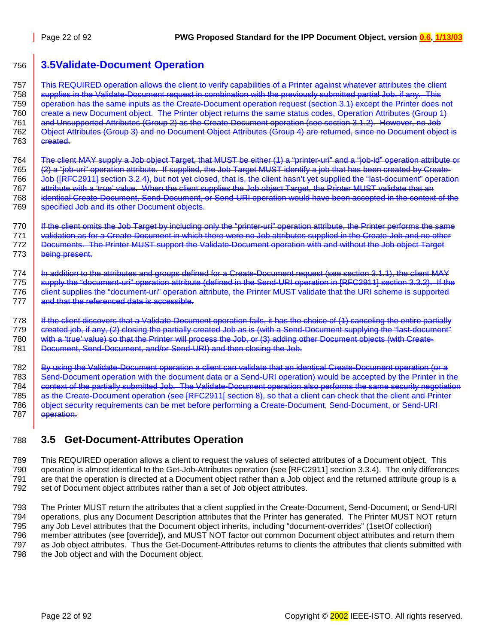## <span id="page-21-0"></span>756 **3.5Validate-Document Operation**

757 This REQUIRED operation allows the client to verify capabilities of a Printer against whatever attributes the client 758 Supplies in the Validate-Document request in combination with the previously submitted partial Job, if any. This 759 operation has the same inputs as the Create-Document operation request (section [3.1\)](#page-12-0) except the Printer does not 760 create a new Document object. The Printer object returns the same status codes, Operation Attributes (Group 1) 761 and Unsupported Attributes (Group 2) as the Create-Document operation (see section [3.1.2\)](#page-16-0). However, no Job 762 **Object Attributes (Group 3) and no Document Object Attributes (Group 4) are returned, since no Document object is**  $763$  created.

764 The client MAY supply a Job object Target, that MUST be either (1) a "printer-uri" and a "job-id" operation attribute or 765 (2) a "job-uri" operation attribute. If supplied, the Job Target MUST identify a job that has been created by Create-766 Job ([RFC2911] section 3.2.4), but not yet closed, that is, the client hasn't yet supplied the "last-document" operation 767 attribute with a 'true' value. When the client supplies the Job object Target, the Printer MUST validate that an 768 | identical Create-Document, Send-Document, or Send-URI operation would have been accepted in the context of the 769 specified Job and its other Document objects.

770 If the client omits the Job Target by including only the "printer-uri" operation attribute, the Printer performs the same 771 validation as for a Create-Document in which there were no Job attributes supplied in the Create-Job and no other 772 Documents. The Printer MUST support the Validate-Document operation with and without the Job object Target 773 | being present.

774 | In addition to the attributes and groups defined for a Create-Document request (see section [3.1.1\)](#page-13-0), the client MAY 775 Supply the "document-uri" operation attribute (defined in the Send-URI operation in [RFC2911] section 3.3.2). If the 776 **client supplies the "document-uri" operation attribute, the Printer MUST validate that the URI scheme is supported** 777 and that the referenced data is accessible.

778 | If the client discovers that a Validate-Document operation fails, it has the choice of (1) canceling the entire partially 779  $\parallel$  created job, if any, (2) closing the partially created Job as is (with a Send-Document supplying the "last-document" 780 with a 'true' value) so that the Printer will process the Job, or (3) adding other Document objects (with Create-781 **Document, Send-Document, and/or Send-URI) and then closing the Job.** 

782 By using the Validate-Document operation a client can validate that an identical Create-Document operation (or a 783 Send-Document operation with the document data or a Send-URI operation) would be accepted by the Printer in the 784 context of the partially submitted Job. The Validate-Document operation also performs the same security negotiation 785 as the Create-Document operation (see [RFC2911] section 8), so that a client can check that the client and Printer 786 **object security requirements can be met before performing a Create-Document, Send-Document, or Send-URI** 787 **operation.** 

## 788 **3.5 Get-Document-Attributes Operation**

789 This REQUIRED operation allows a client to request the values of selected attributes of a Document object. This 790 operation is almost identical to the Get-Job-Attributes operation (see [RFC2911] section 3.3.4). The only differences 791 are that the operation is directed at a Document object rather than a Job object and the returned attribute group is a 792 set of Document object attributes rather than a set of Job object attributes.

793 The Printer MUST return the attributes that a client supplied in the Create-Document, Send-Document, or Send-URI 794 operations, plus any Document Description attributes that the Printer has generated. The Printer MUST NOT return 795 any Job Level attributes that the Document object inherits, including "document-overrides" (1setOf collection) 796 member attributes (see [override]), and MUST NOT factor out common Document object attributes and return them 797 as Job object attributes. Thus the Get-Document-Attributes returns to clients the attributes that clients submitted with 798 the Job object and with the Document object.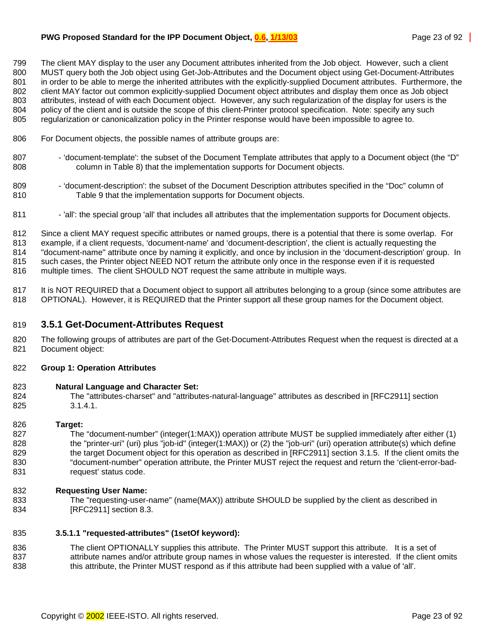#### <span id="page-22-0"></span>**PWG Proposed Standard for the IPP Document Object, 0.6, 1/13/03** Page 23 of 92 Page 23 of 92

799 The client MAY display to the user any Document attributes inherited from the Job object. However, such a client 800 MUST query both the Job object using Get-Job-Attributes and the Document object using Get-Document-Attributes 801 in order to be able to merge the inherited attributes with the explicitly-supplied Document attributes. Furthermore, the 802 client MAY factor out common explicitly-supplied Document object attributes and display them once as Job object 803 attributes, instead of with each Document object. However, any such regularization of the display for users is the 804 policy of the client and is outside the scope of this client-Printer protocol specification. Note: specify any such 805 regularization or canonicalization policy in the Printer response would have been impossible to agree to.

- 806 For Document objects, the possible names of attribute groups are:
- 807 'document-template': the subset of the Document Template attributes that apply to a Document object (the "D" 808 column in [Table 8\)](#page-42-0) that the implementation supports for Document objects.
- 809 'document-description': the subset of the Document Description attributes specified in the "Doc" column of 810 [Table 9](#page-50-0) that the implementation supports for Document objects.
- 811 'all': the special group 'all' that includes all attributes that the implementation supports for Document objects.

812 Since a client MAY request specific attributes or named groups, there is a potential that there is some overlap. For 813 example, if a client requests, 'document-name' and 'document-description', the client is actually requesting the 814 "document-name" attribute once by naming it explicitly, and once by inclusion in the 'document-description' group. In 815 such cases, the Printer object NEED NOT return the attribute only once in the response even if it is requested 816 multiple times. The client SHOULD NOT request the same attribute in multiple ways.

817 It is NOT REQUIRED that a Document object to support all attributes belonging to a group (since some attributes are 818 OPTIONAL). However, it is REQUIRED that the Printer support all these group names for the Document object.

#### 819 **3.5.1 Get-Document-Attributes Request**

820 The following groups of attributes are part of the Get-Document-Attributes Request when the request is directed at a 821 Document object:

#### 822 **Group 1: Operation Attributes**

#### 823 **Natural Language and Character Set:**

824 The "attributes-charset" and "attributes-natural-language" attributes as described in [RFC2911] section 825 3.1.4.1.

#### 826 **Target:**

827 The "document-number" (integer(1:MAX)) operation attribute MUST be supplied immediately after either (1) 828 the "printer-uri" (uri) plus "job-id" (integer(1:MAX)) or (2) the "job-uri" (uri) operation attribute(s) which define 829 the target Document object for this operation as described in [RFC2911] section 3.1.5. If the client omits the 830 "document-number" operation attribute, the Printer MUST reject the request and return the 'client-error-bad-831 request' status code.

#### 832 **Requesting User Name:**

833 The "requesting-user-name" (name(MAX)) attribute SHOULD be supplied by the client as described in 834 [RFC2911] section 8.3.

#### 835 **3.5.1.1 "requested-attributes" (1setOf keyword):**

836 The client OPTIONALLY supplies this attribute. The Printer MUST support this attribute. It is a set of 837 attribute names and/or attribute group names in whose values the requester is interested. If the client omits 838 this attribute, the Printer MUST respond as if this attribute had been supplied with a value of 'all'.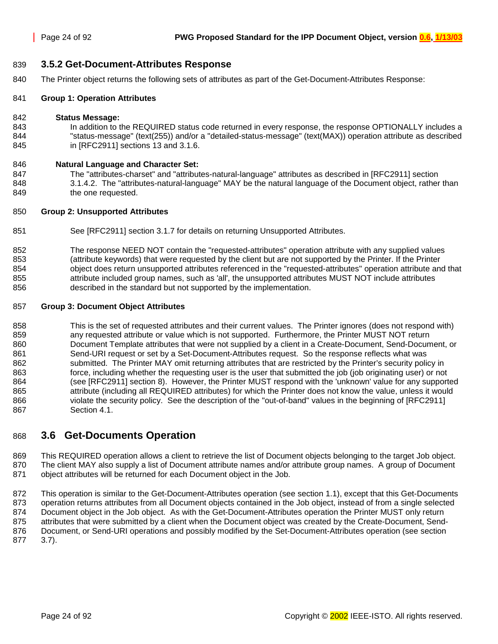#### <span id="page-23-0"></span>839 **3.5.2 Get-Document-Attributes Response**

840 The Printer object returns the following sets of attributes as part of the Get-Document-Attributes Response:

#### 841 **Group 1: Operation Attributes**

#### 842 **Status Message:**

843 In addition to the REQUIRED status code returned in every response, the response OPTIONALLY includes a 844 "status-message" (text(255)) and/or a "detailed-status-message" (text(MAX)) operation attribute as described 845 in [RFC2911] sections 13 and 3.1.6.

#### 846 **Natural Language and Character Set:**

847 The "attributes-charset" and "attributes-natural-language" attributes as described in [RFC2911] section 848 3.1.4.2. The "attributes-natural-language" MAY be the natural language of the Document object, rather than 849 **the one requested.** 

#### 850 **Group 2: Unsupported Attributes**

851 See [RFC2911] section 3.1.7 for details on returning Unsupported Attributes.

852 The response NEED NOT contain the "requested-attributes" operation attribute with any supplied values 853 (attribute keywords) that were requested by the client but are not supported by the Printer. If the Printer 854 object does return unsupported attributes referenced in the "requested-attributes" operation attribute and that 855 attribute included group names, such as 'all', the unsupported attributes MUST NOT include attributes 856 described in the standard but not supported by the implementation.

#### 857 **Group 3: Document Object Attributes**

858 This is the set of requested attributes and their current values. The Printer ignores (does not respond with) 859 any requested attribute or value which is not supported. Furthermore, the Printer MUST NOT return 860 Document Template attributes that were not supplied by a client in a Create-Document, Send-Document, or 861 Send-URI request or set by a Set-Document-Attributes request. So the response reflects what was 862 submitted. The Printer MAY omit returning attributes that are restricted by the Printer's security policy in 863 force, including whether the requesting user is the user that submitted the job (job originating user) or not 864 (see [RFC2911] section 8). However, the Printer MUST respond with the 'unknown' value for any supported 865 attribute (including all REQUIRED attributes) for which the Printer does not know the value, unless it would 866 violate the security policy. See the description of the "out-of-band" values in the beginning of [RFC2911] 867 Section 4.1.

## 868 **3.6 Get-Documents Operation**

869 This REQUIRED operation allows a client to retrieve the list of Document objects belonging to the target Job object. 870 The client MAY also supply a list of Document attribute names and/or attribute group names. A group of Document 871 object attributes will be returned for each Document object in the Job.

872 This operation is similar to the Get-Document-Attributes operation (see section [1.1\)](#page-21-0), except that this Get-Documents 873 operation returns attributes from all Document objects contained in the Job object, instead of from a single selected 874 Document object in the Job object. As with the Get-Document-Attributes operation the Printer MUST only return 875 attributes that were submitted by a client when the Document object was created by the Create-Document, Send-876 Document, or Send-URI operations and possibly modified by the Set-Document-Attributes operation (see section 877 [3.7\)](#page-25-0).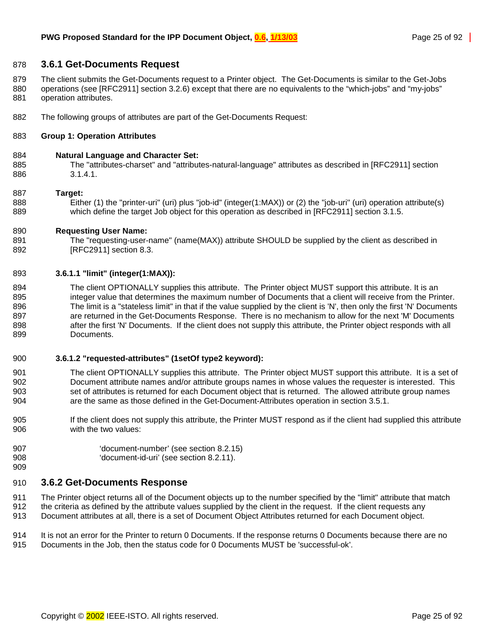#### <span id="page-24-0"></span>878 **3.6.1 Get-Documents Request**

879 The client submits the Get-Documents request to a Printer object. The Get-Documents is similar to the Get-Jobs 880 operations (see [RFC2911] section 3.2.6) except that there are no equivalents to the "which-jobs" and "my-jobs"

- 881 operation attributes.
- 882 The following groups of attributes are part of the Get-Documents Request:

#### 883 **Group 1: Operation Attributes**

#### 884 **Natural Language and Character Set:**

885 The "attributes-charset" and "attributes-natural-language" attributes as described in [RFC2911] section 886 3.1.4.1.

#### 887 **Target:**

888 Either (1) the "printer-uri" (uri) plus "job-id" (integer(1:MAX)) or (2) the "job-uri" (uri) operation attribute(s) 889 which define the target Job object for this operation as described in [RFC2911] section 3.1.5.

#### 890 **Requesting User Name:**

891 The "requesting-user-name" (name(MAX)) attribute SHOULD be supplied by the client as described in 892 [RFC2911] section 8.3.

#### 893 **3.6.1.1 "limit" (integer(1:MAX)):**

894 The client OPTIONALLY supplies this attribute. The Printer object MUST support this attribute. It is an 895 integer value that determines the maximum number of Documents that a client will receive from the Printer. 896 The limit is a "stateless limit" in that if the value supplied by the client is 'N', then only the first 'N' Documents 897 are returned in the Get-Documents Response. There is no mechanism to allow for the next 'M' Documents 898 after the first 'N' Documents. If the client does not supply this attribute, the Printer object responds with all 899 Documents.

#### 900 **3.6.1.2 "requested-attributes" (1setOf type2 keyword):**

- 901 The client OPTIONALLY supplies this attribute. The Printer object MUST support this attribute. It is a set of 902 Document attribute names and/or attribute groups names in whose values the requester is interested. This 903 set of attributes is returned for each Document object that is returned. The allowed attribute group names 904 are the same as those defined in the Get-Document-Attributes operation in section [3.5.1.](#page-22-0)
- 905 If the client does not supply this attribute, the Printer MUST respond as if the client had supplied this attribute 906 with the two values:
- 907 'document-number' (see section [8.2.15\)](#page-56-0)
- 909

908 'document-id-uri' (see section [8.2.11\)](#page-55-0).

#### 910 **3.6.2 Get-Documents Response**

- 911 The Printer object returns all of the Document objects up to the number specified by the "limit" attribute that match 912 the criteria as defined by the attribute values supplied by the client in the request. If the client requests any
- 913 Document attributes at all, there is a set of Document Object Attributes returned for each Document object.
- 914 It is not an error for the Printer to return 0 Documents. If the response returns 0 Documents because there are no 915 Documents in the Job, then the status code for 0 Documents MUST be 'successful-ok'.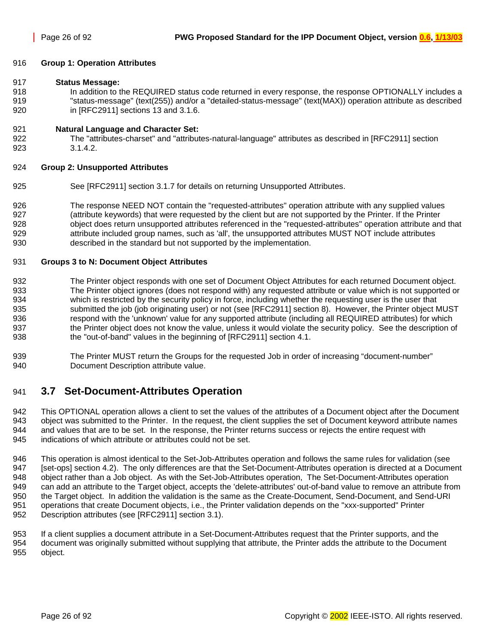#### <span id="page-25-0"></span>916 **Group 1: Operation Attributes**

#### 917 **Status Message:**

918 In addition to the REQUIRED status code returned in every response, the response OPTIONALLY includes a 919 "status-message" (text(255)) and/or a "detailed-status-message" (text(MAX)) operation attribute as described 920 in [RFC2911] sections 13 and 3.1.6.

#### 921 **Natural Language and Character Set:**

922 The "attributes-charset" and "attributes-natural-language" attributes as described in [RFC2911] section 923 3.1.4.2.

#### 924 **Group 2: Unsupported Attributes**

- 925 See [RFC2911] section 3.1.7 for details on returning Unsupported Attributes.
- 926 The response NEED NOT contain the "requested-attributes" operation attribute with any supplied values 927 (attribute keywords) that were requested by the client but are not supported by the Printer. If the Printer 928 object does return unsupported attributes referenced in the "requested-attributes" operation attribute and that 929 **attribute included group names, such as 'all', the unsupported attributes MUST NOT include attributes** 930 described in the standard but not supported by the implementation.

#### 931 **Groups 3 to N: Document Object Attributes**

- 932 The Printer object responds with one set of Document Object Attributes for each returned Document object. 933 The Printer object ignores (does not respond with) any requested attribute or value which is not supported or 934 which is restricted by the security policy in force, including whether the requesting user is the user that 935 submitted the job (job originating user) or not (see [RFC2911] section 8). However, the Printer object MUST 936 respond with the 'unknown' value for any supported attribute (including all REQUIRED attributes) for which 937 the Printer object does not know the value, unless it would violate the security policy. See the description of 938 the "out-of-band" values in the beginning of [RFC2911] section 4.1.
- 939 The Printer MUST return the Groups for the requested Job in order of increasing "document-number" 940 Document Description attribute value.

## 941 **3.7 Set-Document-Attributes Operation**

942 This OPTIONAL operation allows a client to set the values of the attributes of a Document object after the Document 943 object was submitted to the Printer. In the request, the client supplies the set of Document keyword attribute names 944 and values that are to be set. In the response, the Printer returns success or rejects the entire request with 945 indications of which attribute or attributes could not be set.

946 This operation is almost identical to the Set-Job-Attributes operation and follows the same rules for validation (see 947 [set-ops] section 4.2). The only differences are that the Set-Document-Attributes operation is directed at a Document 948 object rather than a Job object. As with the Set-Job-Attributes operation, The Set-Document-Attributes operation 949 can add an attribute to the Target object, accepts the 'delete-attributes' out-of-band value to remove an attribute from 950 the Target object. In addition the validation is the same as the Create-Document, Send-Document, and Send-URI 951 operations that create Document objects, i.e., the Printer validation depends on the "xxx-supported" Printer 952 Description attributes (see [RFC2911] section 3.1).

953 If a client supplies a document attribute in a Set-Document-Attributes request that the Printer supports, and the 954 document was originally submitted without supplying that attribute, the Printer adds the attribute to the Document 955 object.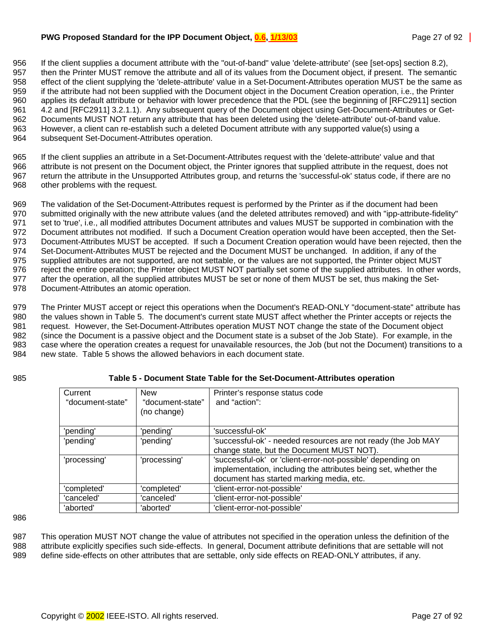#### <span id="page-26-0"></span>**PWG Proposed Standard for the IPP Document Object, 0.6, 1/13/03** Page 27 of 92 Page 27 of 92

956 If the client supplies a document attribute with the "out-of-band" value 'delete-attribute' (see [set-ops] section 8.2), 957 then the Printer MUST remove the attribute and all of its values from the Document object, if present. The semantic 958 effect of the client supplying the 'delete-attribute' value in a Set-Document-Attributes operation MUST be the same as 959 if the attribute had not been supplied with the Document object in the Document Creation operation, i.e., the Printer 960 applies its default attribute or behavior with lower precedence that the PDL (see the beginning of [RFC2911] section 961 4.2 and [RFC2911] 3.2.1.1). Any subsequent query of the Document object using Get-Document-Attributes or Get-962 Documents MUST NOT return any attribute that has been deleted using the 'delete-attribute' out-of-band value. 963 However, a client can re-establish such a deleted Document attribute with any supported value(s) using a 964 subsequent Set-Document-Attributes operation.

965 If the client supplies an attribute in a Set-Document-Attributes request with the 'delete-attribute' value and that 966 attribute is not present on the Document object, the Printer ignores that supplied attribute in the request, does not 967 return the attribute in the Unsupported Attributes group, and returns the 'successful-ok' status code, if there are no 968 other problems with the request.

969 The validation of the Set-Document-Attributes request is performed by the Printer as if the document had been 970 submitted originally with the new attribute values (and the deleted attributes removed) and with "ipp-attribute-fidelity" 971 set to 'true', i.e., all modified attributes Document attributes and values MUST be supported in combination with the 972 Document attributes not modified. If such a Document Creation operation would have been accepted, then the Set-973 Document-Attributes MUST be accepted. If such a Document Creation operation would have been rejected, then the 974 Set-Document-Attributes MUST be rejected and the Document MUST be unchanged. In addition, if any of the 975 supplied attributes are not supported, are not settable, or the values are not supported, the Printer object MUST 976 reject the entire operation; the Printer object MUST NOT partially set some of the supplied attributes. In other words, 977 after the operation, all the supplied attributes MUST be set or none of them MUST be set, thus making the Set-978 Document-Attributes an atomic operation.

979 The Printer MUST accept or reject this operations when the Document's READ-ONLY "document-state" attribute has 980 the values shown in Table 5. The document's current state MUST affect whether the Printer accepts or rejects the 981 request. However, the Set-Document-Attributes operation MUST NOT change the state of the Document object 982 (since the Document is a passive object and the Document state is a subset of the Job State). For example, in the 983 case where the operation creates a request for unavailable resources, the Job (but not the Document) transitions to a 984 new state. Table 5 shows the allowed behaviors in each document state.

### 985 **Table 5 - Document State Table for the Set-Document-Attributes operation**

| Current<br>"document-state" | <b>New</b><br>"document-state"<br>(no change) | Printer's response status code<br>and "action":                 |
|-----------------------------|-----------------------------------------------|-----------------------------------------------------------------|
|                             |                                               |                                                                 |
| 'pending'                   | 'pending'                                     | 'successful-ok'                                                 |
| 'pending'                   | 'pending'                                     | 'successful-ok' - needed resources are not ready (the Job MAY   |
|                             |                                               | change state, but the Document MUST NOT).                       |
| 'processing'                | 'processing'                                  | 'successful-ok' or 'client-error-not-possible' depending on     |
|                             |                                               | implementation, including the attributes being set, whether the |
|                             |                                               | document has started marking media, etc.                        |
| 'completed'                 | 'completed'                                   | 'client-error-not-possible'                                     |
| 'canceled'                  | 'canceled'                                    | 'client-error-not-possible'                                     |
| 'aborted'                   | 'aborted'                                     | 'client-error-not-possible'                                     |

986

987 This operation MUST NOT change the value of attributes not specified in the operation unless the definition of the 988 attribute explicitly specifies such side-effects. In general, Document attribute definitions that are settable will not 989 define side-effects on other attributes that are settable, only side effects on READ-ONLY attributes, if any.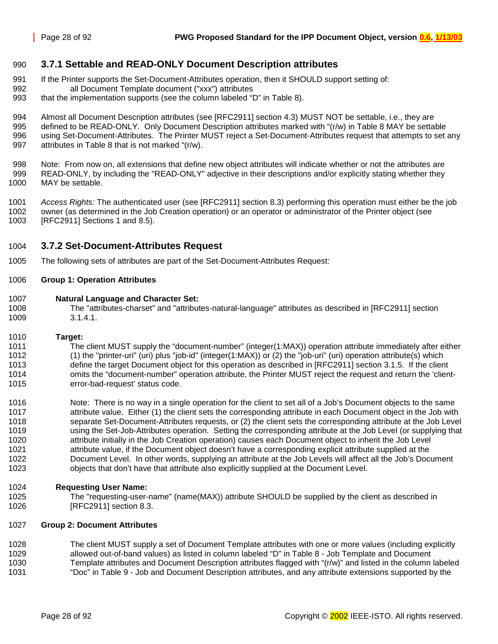### <span id="page-27-0"></span>990 **3.7.1 Settable and READ-ONLY Document Description attributes**

- 991 If the Printer supports the Set-Document-Attributes operation, then it SHOULD support setting of:
- 992 all Document Template document ("xxx") attributes
- 993 that the implementation supports (see the column labeled "D" in [Table 8\)](#page-42-0).

994 Almost all Document Description attributes (see [RFC2911] section 4.3) MUST NOT be settable, i.e., they are 995 defined to be READ-ONLY. Only Document Description attributes marked with "(r/w) in [Table 8](#page-42-0) MAY be settable 996 using Set-Document-Attributes. The Printer MUST reject a Set-Document-Attributes request that attempts to set any 997 attributes in [Table 8](#page-42-0) that is not marked "(r/w).

998 Note: From now on, all extensions that define new object attributes will indicate whether or not the attributes are 999 READ-ONLY, by including the "READ-ONLY" adjective in their descriptions and/or explicitly stating whether they 1000 MAY be settable.

1001 *Access Rights:* The authenticated user (see [RFC2911] section 8.3) performing this operation must either be the job 1002 owner (as determined in the Job Creation operation) or an operator or administrator of the Printer object (see 1003 [RFC2911] Sections 1 and 8.5).

### 1004 **3.7.2 Set-Document-Attributes Request**

1005 The following sets of attributes are part of the Set-Document-Attributes Request:

#### 1006 **Group 1: Operation Attributes**

- 1007 **Natural Language and Character Set:**
- The "attributes-charset" and "attributes-natural-language" attributes as described in [RFC2911] section 1009 3.1.4.1.
- 1010 **Target:**

1011 The client MUST supply the "document-number" (integer(1:MAX)) operation attribute immediately after either 1012 (1) the "printer-uri" (uri) plus "job-id" (integer(1:MAX)) or (2) the "job-uri" (uri) operation attribute(s) which 1013 define the target Document object for this operation as described in [RFC2911] section 3.1.5. If the client 1014 omits the "document-number" operation attribute, the Printer MUST reject the request and return the 'client-1015 error-bad-request' status code.

1016 Note: There is no way in a single operation for the client to set all of a Job's Document objects to the same 1017 attribute value. Either (1) the client sets the corresponding attribute in each Document object in the Job with 1018 separate Set-Document-Attributes requests, or (2) the client sets the corresponding attribute at the Job Level 1019 using the Set-Job-Attributes operation. Setting the corresponding attribute at the Job Level (or supplying that 1020 attribute initially in the Job Creation operation) causes each Document object to inherit the Job Level 1021 attribute value, if the Document object doesn't have a corresponding explicit attribute supplied at the 1022 Document Level. In other words, supplying an attribute at the Job Levels will affect all the Job's Document 1023 objects that don't have that attribute also explicitly supplied at the Document Level.

#### 1024 **Requesting User Name:**

1025 The "requesting-user-name" (name(MAX)) attribute SHOULD be supplied by the client as described in 1026 [RFC2911] section 8.3.

#### 1027 **Group 2: Document Attributes**

1028 The client MUST supply a set of Document Template attributes with one or more values (including explicitly 1029 allowed out-of-band values) as listed in column labeled "D" in [Table 8 - Job Template and Document](#page-42-0)  1030 [Template attributes](#page-42-0) and Document Description attributes flagged with "(r/w)" and listed in the column labeled 1031 "Doc" in [Table 9 - Job and Document Description attributes,](#page-50-0) and any attribute extensions supported by the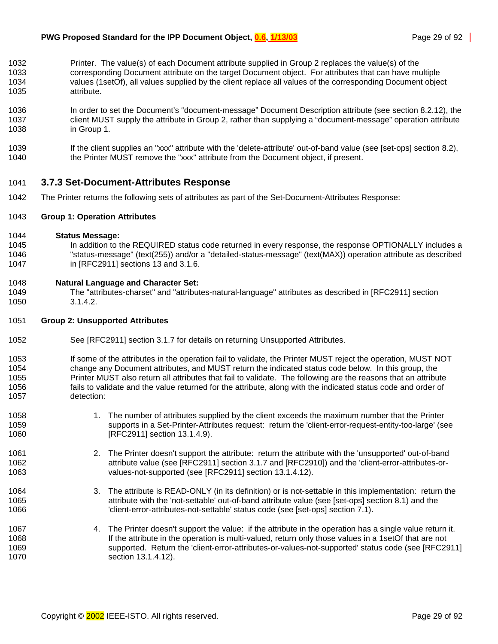- <span id="page-28-0"></span>1032 Printer. The value(s) of each Document attribute supplied in Group 2 replaces the value(s) of the 1033 corresponding Document attribute on the target Document object. For attributes that can have multiple 1034 values (1setOf), all values supplied by the client replace all values of the corresponding Document object 1035 attribute.
- 1036 In order to set the Document's "document-message" Document Description attribute (see section [8.2.12\)](#page-56-0), the 1037 client MUST supply the attribute in Group 2, rather than supplying a "document-message" operation attribute 1038 in Group 1.
- 1039 If the client supplies an "xxx" attribute with the 'delete-attribute' out-of-band value (see [set-ops] section 8.2), 1040 the Printer MUST remove the "xxx" attribute from the Document object, if present.

### 1041 **3.7.3 Set-Document-Attributes Response**

1042 The Printer returns the following sets of attributes as part of the Set-Document-Attributes Response:

#### 1043 **Group 1: Operation Attributes**

#### 1044 **Status Message:**

1045 In addition to the REQUIRED status code returned in every response, the response OPTIONALLY includes a 1046 "status-message" (text(255)) and/or a "detailed-status-message" (text(MAX)) operation attribute as described 1047 in [RFC2911] sections 13 and 3.1.6.

#### 1048 **Natural Language and Character Set:**

1049 The "attributes-charset" and "attributes-natural-language" attributes as described in [RFC2911] section 1050 3.1.4.2.

#### 1051 **Group 2: Unsupported Attributes**

- 1052 See [RFC2911] section 3.1.7 for details on returning Unsupported Attributes.
- 1053 If some of the attributes in the operation fail to validate, the Printer MUST reject the operation, MUST NOT 1054 change any Document attributes, and MUST return the indicated status code below. In this group, the 1055 Printer MUST also return all attributes that fail to validate. The following are the reasons that an attribute 1056 fails to validate and the value returned for the attribute, along with the indicated status code and order of 1057 detection:
- 1058 1. The number of attributes supplied by the client exceeds the maximum number that the Printer 1059 supports in a Set-Printer-Attributes request: return the 'client-error-request-entity-too-large' (see 1060 **[RFC2911]** section 13.1.4.9).
- 1061 2. The Printer doesn't support the attribute: return the attribute with the 'unsupported' out-of-band 1062 attribute value (see [RFC2911] section 3.1.7 and [RFC2910]) and the 'client-error-attributes-or-1063 values-not-supported (see [RFC2911] section 13.1.4.12).
- 1064 3. The attribute is READ-ONLY (in its definition) or is not-settable in this implementation: return the 1065 attribute with the 'not-settable' out-of-band attribute value (see [set-ops] section 8.1) and the 1066 'client-error-attributes-not-settable' status code (see [set-ops] section 7.1).
- 1067 4. The Printer doesn't support the value: if the attribute in the operation has a single value return it. 1068 If the attribute in the operation is multi-valued, return only those values in a 1setOf that are not 1069 supported. Return the 'client-error-attributes-or-values-not-supported' status code (see [RFC2911] 1070 section 13.1.4.12).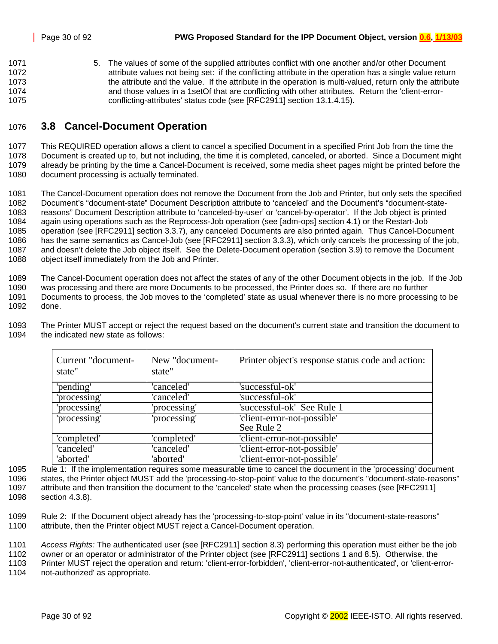<span id="page-29-0"></span>1071 5. The values of some of the supplied attributes conflict with one another and/or other Document 1072 **attribute values not being set:** if the conflicting attribute in the operation has a single value return 1073 the attribute and the value. If the attribute in the operation is multi-valued, return only the attribute 1074 and those values in a 1setOf that are conflicting with other attributes. Return the 'client-error-1075 conflicting-attributes' status code (see [RFC2911] section 13.1.4.15).

## 1076 **3.8 Cancel-Document Operation**

1077 This REQUIRED operation allows a client to cancel a specified Document in a specified Print Job from the time the 1078 Document is created up to, but not including, the time it is completed, canceled, or aborted. Since a Document might 1079 already be printing by the time a Cancel-Document is received, some media sheet pages might be printed before the 1080 document processing is actually terminated.

1081 The Cancel-Document operation does not remove the Document from the Job and Printer, but only sets the specified 1082 Document's "document-state" Document Description attribute to 'canceled' and the Document's "document-state-1083 reasons" Document Description attribute to 'canceled-by-user' or 'cancel-by-operator'. If the Job object is printed 1084 again using operations such as the Reprocess-Job operation (see [adm-ops] section 4.1) or the Restart-Job 1085 operation (see [RFC2911] section 3.3.7), any canceled Documents are also printed again. Thus Cancel-Document 1086 has the same semantics as Cancel-Job (see [RFC2911] section 3.3.3), which only cancels the processing of the job, 1087 and doesn't delete the Job object itself. See the Delete-Document operation (section [3.9\)](#page-32-0) to remove the Document 1088 object itself immediately from the Job and Printer.

1089 The Cancel-Document operation does not affect the states of any of the other Document objects in the job. If the Job

1090 was processing and there are more Documents to be processed, the Printer does so. If there are no further 1091 Documents to process, the Job moves to the 'completed' state as usual whenever there is no more processing to be 1092 done.

1093 The Printer MUST accept or reject the request based on the document's current state and transition the document to 1094 the indicated new state as follows:

| Current "document-<br>state" | New "document-<br>state" | Printer object's response status code and action: |
|------------------------------|--------------------------|---------------------------------------------------|
| 'pending'                    | 'canceled'               | 'successful-ok'                                   |
| 'processing'                 | 'canceled'               | 'successful-ok'                                   |
| 'processing'                 | 'processing'             | 'successful-ok' See Rule 1                        |
| 'processing'                 | 'processing'             | 'client-error-not-possible'                       |
|                              |                          | See Rule 2                                        |
| 'completed'                  | 'completed'              | 'client-error-not-possible'                       |
| 'canceled'                   | 'canceled'               | 'client-error-not-possible'                       |
| 'aborted'                    | 'aborted'                | 'client-error-not-possible'                       |

1095 Rule 1: If the implementation requires some measurable time to cancel the document in the 'processing' document 1096 states, the Printer object MUST add the 'processing-to-stop-point' value to the document's "document-state-reasons" 1097 attribute and then transition the document to the 'canceled' state when the processing ceases (see [RFC2911] 1098 section 4.3.8).

1099 Rule 2: If the Document object already has the 'processing-to-stop-point' value in its "document-state-reasons" 1100 attribute, then the Printer object MUST reject a Cancel-Document operation.

1101 *Access Rights:* The authenticated user (see [RFC2911] section 8.3) performing this operation must either be the job

1102 owner or an operator or administrator of the Printer object (see [RFC2911] sections 1 and 8.5). Otherwise, the

1103 Printer MUST reject the operation and return: 'client-error-forbidden', 'client-error-not-authenticated', or 'client-error-

1104 not-authorized' as appropriate.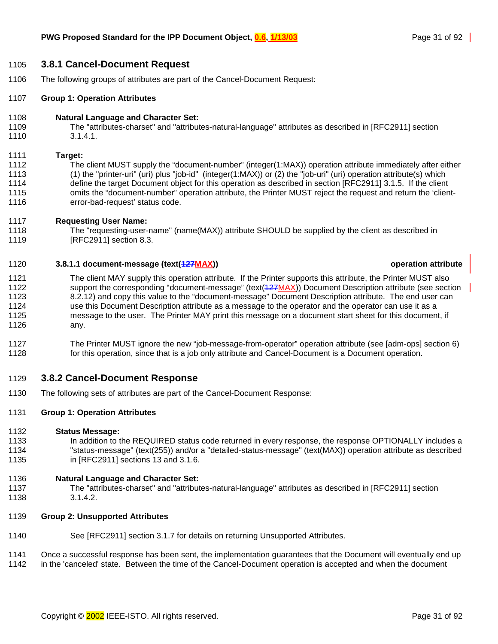#### <span id="page-30-0"></span>1105 **3.8.1 Cancel-Document Request**

1106 The following groups of attributes are part of the Cancel-Document Request:

#### 1107 **Group 1: Operation Attributes**

- 1108 **Natural Language and Character Set:**
- 1109 The "attributes-charset" and "attributes-natural-language" attributes as described in [RFC2911] section 1110 3.1.4.1.

#### 1111 **Target:**

- 1112 The client MUST supply the "document-number" (integer(1:MAX)) operation attribute immediately after either 1113 (1) the "printer-uri" (uri) plus "job-id" (integer(1:MAX)) or (2) the "job-uri" (uri) operation attribute(s) which 1114 define the target Document object for this operation as described in section [RFC2911] 3.1.5. If the client 1115 omits the "document-number" operation attribute, the Printer MUST reject the request and return the 'client-1116 error-bad-request' status code.
- 1117 **Requesting User Name:**
- 1118 The "requesting-user-name" (name(MAX)) attribute SHOULD be supplied by the client as described in 1119 **[RFC2911]** section 8.3.

#### 1120 **3.8.1.1 document-message (text(127MAX)) operation attribute**

- 1121 The client MAY supply this operation attribute. If the Printer supports this attribute, the Printer MUST also 1122 support the corresponding "document-message" (text(427MAX)) Document Description attribute (see section 1123 [8.2.12\)](#page-56-0) and copy this value to the "document-message" Document Description attribute. The end user can 1124 use this Document Description attribute as a message to the operator and the operator can use it as a 1125 message to the user. The Printer MAY print this message on a document start sheet for this document, if 1126 any.
- 1127 The Printer MUST ignore the new "job-message-from-operator" operation attribute (see [adm-ops] section 6) 1128 for this operation, since that is a job only attribute and Cancel-Document is a Document operation.

### 1129 **3.8.2 Cancel-Document Response**

1130 The following sets of attributes are part of the Cancel-Document Response:

#### 1131 **Group 1: Operation Attributes**

#### 1132 **Status Message:**

1133 In addition to the REQUIRED status code returned in every response, the response OPTIONALLY includes a 1134 "status-message" (text(255)) and/or a "detailed-status-message" (text(MAX)) operation attribute as described 1135 in [RFC2911] sections 13 and 3.1.6.

#### 1136 **Natural Language and Character Set:**

- 1137 The "attributes-charset" and "attributes-natural-language" attributes as described in [RFC2911] section 1138 3.1.4.2.
- 1139 **Group 2: Unsupported Attributes**
- 1140 See [RFC2911] section 3.1.7 for details on returning Unsupported Attributes.

1141 Once a successful response has been sent, the implementation guarantees that the Document will eventually end up

1142 in the 'canceled' state. Between the time of the Cancel-Document operation is accepted and when the document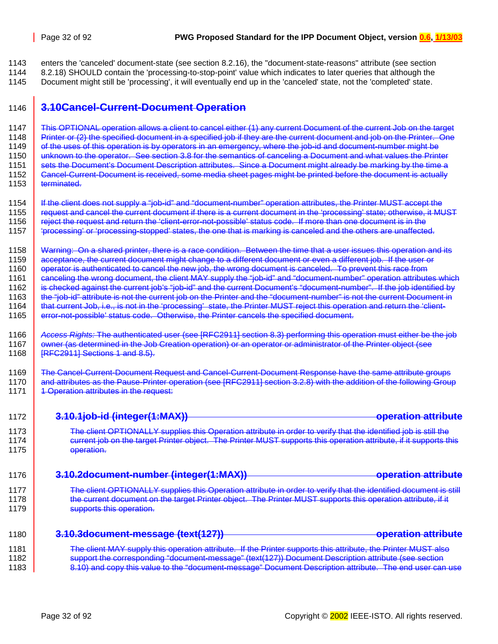1143 enters the 'canceled' document-state (see section [8.2.16\)](#page-56-0), the "document-state-reasons" attribute (see section 1144 [8.2.18\)](#page-61-0) SHOULD contain the 'processing-to-stop-point' value which indicates to later queries that although the

1145 Document might still be 'processing', it will eventually end up in the 'canceled' state, not the 'completed' state.

## 1146 **3.10Cancel-Current-Document Operation**

1147 This OPTIONAL operation allows a client to cancel either (1) any current Document of the current Job on the target 1148 Printer or (2) the specified document in a specified job if they are the current document and job on the Printer. One 1149 of the uses of this operation is by operators in an emergency, where the job-id and document-number might be 1150 unknown to the operator. See section [3.8](#page-29-0) for the semantics of canceling a Document and what values the Printer 1151 sets the Document's Document Description attributes. Since a Document might already be marking by the time a 1152 Cancel-Current-Document is received, some media sheet pages might be printed before the document is actually<br>1153 terminated. terminated.

1154 If the client does not supply a "job-id" and "document-number" operation attributes, the Printer MUST accept the 1155 | request and cancel the current document if there is a current document in the 'processing' state; otherwise, it MUST 1156 <u>reject the request and return the 'client-error-not-possible' status code. If more than one document is in the</u> 1157 'processing' or 'processing-stopped' states, the one that is marking is canceled and the others are unaffected.

1158 Warning: On a shared printer, there is a race condition. Between the time that a user issues this operation and its 1159 acceptance, the current document might change to a different document or even a different job. If the user or 1160 operator is authenticated to cancel the new job, the wrong document is canceled. To prevent this race from<br>1161 canceling the wrong document, the client MAY supply the "iob-id" and "document-number" operation attribut canceling the wrong document, the client MAY supply the "job-id" and "document-number" operation attributes which

1162 is checked against the current job's "job-id" and the current Document's "document-number". If the job identified by

1163 the "job-id" attribute is not the current job on the Printer and the "document-number" is not the current Document in

1164 **that current Job, i.e., is not in the 'processing' state, the Printer MUST reject this operation and return the 'client-**

1165 error-not-possible' status code. Otherwise, the Printer cancels the specified document.

1169 The Cancel-Current-Document Request and Cancel-Current-Document Response have the same attribute groups 1170 and attributes as the Pause-Printer operation (see [RFC2911] section 3.2.8) with the addition of the following Group 1171 **4** Operation attributes in the request:

| 1172 | 3.10.1job-id (integer(1:MAX))<br><b>operation attribute</b>                                                                                                 |
|------|-------------------------------------------------------------------------------------------------------------------------------------------------------------|
| 1173 | The client OPTIONALLY supplies this Operation attribute in order to verify that the identified job is still the                                             |
| 1174 | current job on the target Printer object. The Printer MUST supports this operation attribute, if it supports this                                           |
| 1175 | operation.                                                                                                                                                  |
| 1176 | <u> 10 Jdoeumant-numbar (intonor/1.MAY))</u><br>anaratian attributa<br><del>J. IV.ZUUCUMCNL*HUMIDCI_{INCYCI{T.IVIAA}</del><br><u> VIVIVIERININ ERINEIYI</u> |
| 1177 | The client OPTIONALLY supplies this Operation attribute in order to verify that the identified document is still                                            |
| 1178 | the current document on the target Printer object. The Printer MUST supports this operation attribute, if it                                                |
| 1179 | supports this operation.                                                                                                                                    |
| 1180 | 3.10.3document-message (text(127))<br><u>anaratian attributa</u><br><del>opolation attno</del>                                                              |
| 1181 | The client MAY supply this operation attribute. If the Printer supports this attribute, the Printer MUST also                                               |
| 1182 | support the corresponding "document-message" (text(127)) Document Description attribute (see section                                                        |
| 1183 | 8.10) and copy this value to the "document message" Document Description attribute. The end user can use                                                    |

<sup>1166</sup> *Access Rights:* The authenticated user (see [RFC2911] section 8.3) performing this operation must either be the job 1167 owner (as determined in the Job Creation operation) or an operator or administrator of the Printer object (see<br>1168 FRFC29111 Sections 1 and 8.5).  $IRFC2911$  Sections 1 and 8.5).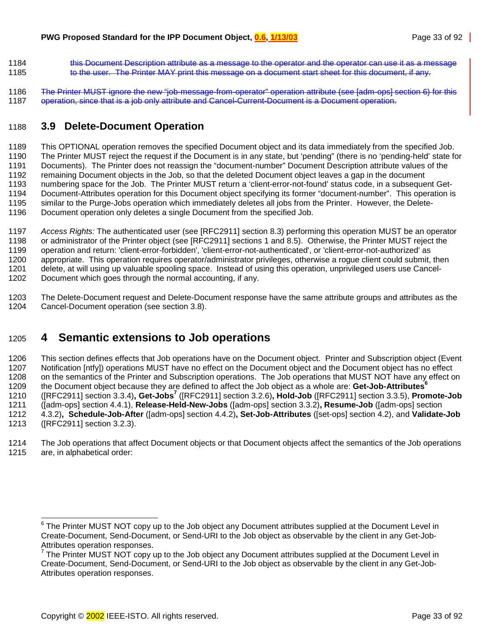- <span id="page-32-0"></span>1184 this Document Description attribute as a message to the operator and the operator can use it as a message 1185 to the user. The Printer MAY print this message on a document start sheet for this document, if any.
- 1186 The Printer MUST ignore the new "job-message-from-operator" operation attribute (see [adm-ops] section 6) for this 1187 operation, since that is a job only attribute and Cancel-Current-Document is a Document operation.

## 1188 **3.9 Delete-Document Operation**

1189 This OPTIONAL operation removes the specified Document object and its data immediately from the specified Job. 1190 The Printer MUST reject the request if the Document is in any state, but 'pending" (there is no 'pending-held' state for 1191 Documents). The Printer does not reassign the "document-number" Document Description attribute values of the 1192 remaining Document objects in the Job, so that the deleted Document object leaves a gap in the document 1193 numbering space for the Job. The Printer MUST return a 'client-error-not-found' status code, in a subsequent Get-1194 Document-Attributes operation for this Document object specifying its former "document-number". This operation is 1195 similar to the Purge-Jobs operation which immediately deletes all jobs from the Printer. However, the Delete-1196 Document operation only deletes a single Document from the specified Job.

1197 *Access Rights:* The authenticated user (see [RFC2911] section 8.3) performing this operation MUST be an operator 1198 or administrator of the Printer object (see [RFC2911] sections 1 and 8.5). Otherwise, the Printer MUST reject the 1199 operation and return: 'client-error-forbidden', 'client-error-not-authenticated', or 'client-error-not-authorized' as 1200 appropriate. This operation requires operator/administrator privileges, otherwise a rogue client could submit, then 1201 delete, at will using up valuable spooling space. Instead of using this operation, unprivileged users use Cancel-1202 Document which goes through the normal accounting, if any.

1203 The Delete-Document request and Delete-Document response have the same attribute groups and attributes as the 1204 Cancel-Document operation (see section [3.8\)](#page-29-0).

## 1205 **4 Semantic extensions to Job operations**

1206 This section defines effects that Job operations have on the Document object. Printer and Subscription object (Event 1207 Notification [ntfy]) operations MUST have no effect on the Document object and the Document object has no effect 1208 on the semantics of the Printer and Subscription operations. The Job operations that MUST NOT have any effect on the Document object because they are defined to affect the Job object as a whole are: **Get-Job-Attributes<sup>6</sup>** 1209 ([RFC2911] section 3.3.4)**, Get-Jobs7** 1210 ([RFC2911] section 3.2.6)**, Hold-Job** ([RFC2911] section 3.3.5), **Promote-Job** 1211 ([adm-ops] section 4.4.1), **Release-Held-New-Jobs** ([adm-ops] section 3.3.2)**, Resume-Job** ([adm-ops] section 1212 4.3.2)**, Schedule-Job-After** ([adm-ops] section 4.4.2)**, Set-Job-Attributes** ([set-ops] section 4.2), and **Validate-Job**  1213 ([RFC2911] section 3.2.3).

1214 The Job operations that affect Document objects or that Document objects affect the semantics of the Job operations 1215 are, in alphabetical order:

l

 $6$  The Printer MUST NOT copy up to the Job object any Document attributes supplied at the Document Level in Create-Document, Send-Document, or Send-URI to the Job object as observable by the client in any Get-Job-Attributes operation responses.

 $7$  The Printer MUST NOT copy up to the Job object any Document attributes supplied at the Document Level in Create-Document, Send-Document, or Send-URI to the Job object as observable by the client in any Get-Job-Attributes operation responses.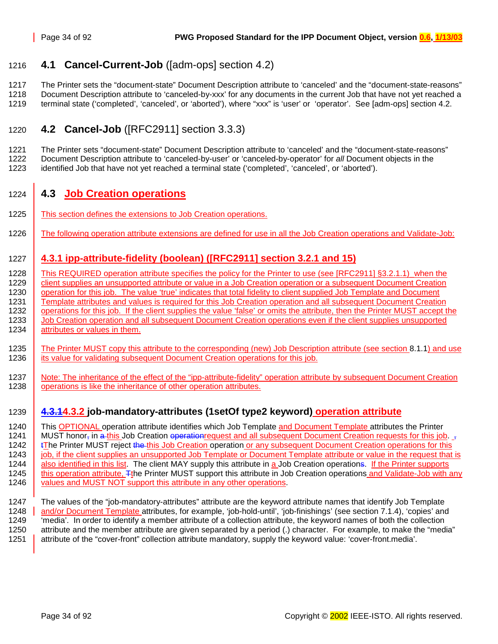## <span id="page-33-0"></span>1216 **4.1 Cancel-Current-Job** ([adm-ops] section 4.2)

1217 The Printer sets the "document-state" Document Description attribute to 'canceled' and the "document-state-reasons" 1218 Document Description attribute to 'canceled-by-xxx' for any documents in the current Job that have not yet reached a 1219 terminal state ('completed', 'canceled', or 'aborted'), where "xxx" is 'user' or 'operator'. See [adm-ops] section 4.2.

## 1220 **4.2 Cancel-Job** ([RFC2911] section 3.3.3)

1221 The Printer sets "document-state" Document Description attribute to 'canceled' and the "document-state-reasons" 1222 Document Description attribute to 'canceled-by-user' or 'canceled-by-operator' for *all* Document objects in the 1223 identified Job that have not yet reached a terminal state ('completed', 'canceled', or 'aborted').

## 1224 **4.3 Job Creation operations**

- 1225 This section defines the extensions to Job Creation operations.
- 1226 The following operation attribute extensions are defined for use in all the Job Creation operations and Validate-Job:

## 1227 **4.3.1 ipp-attribute-fidelity (boolean) ([RFC2911] section 3.2.1 and 15)**

1228 This REQUIRED operation attribute specifies the policy for the Printer to use (see [RFC2911] §3.2.1.1)\_when the<br>1229 Client supplies an unsupported attribute or value in a Job Creation operation or a subsequent Docume client supplies an unsupported attribute or value in a Job Creation operation or a subsequent Document Creation 1230 operation for this job. The value 'true' indicates that total fidelity to client supplied Job Template and Document 1231 Template attributes and values is required for this Job Creation operation and all subsequent Document Creation 1232 operations for this job. If the client supplies the value 'false' or omits the attribute, then the Printer MUST accept the 1233 Job Creation operation and all subsequent Document Creation operations even if the client supplies unsupported 1234 attributes or values in them.

1235 The Printer MUST copy this attribute to the corresponding (new) Job Description attribute (see section [8.1.1\)](#page-52-0) and use 1236 its value for validating subsequent Document Creation operations for this job.

1237 Note: The inheritance of the effect of the "ipp-attribute-fidelity" operation attribute by subsequent Document Creation 1238 operations is like the inheritance of other operation attributes.

## 1239 **4.3.14.3.2 job-mandatory-attributes (1setOf type2 keyword) operation attribute**

1240 This OPTIONAL operation attribute identifies which Job Template and Document Template attributes the Printer 1241 MUST honor<sub>r</sub> in a this Job Creation operation request and all subsequent Document Creation requests for this job. 1242 **tThe Printer MUST reject the this Job Creation operation or any subsequent Document Creation operations for this** 1243 job, if the client supplies an unsupported Job Template or Document Template attribute or value in the request that is 1244 also identified in this list. The client MAY supply this attribute in a Job Creation operations. If the Printer supports 1245 | this operation attribute, Tthe Printer MUST support this attribute in Job Creation operations and Validate-Job with any 1246 values and MUST NOT support this attribute in any other operations.

1247 The values of the "job-mandatory-attributes" attribute are the keyword attribute names that identify Job Template 1248 and/or Document Template attributes, for example, 'job-hold-until', 'job-finishings' (see section [7.1.4\)](#page-49-0), 'copies' and 1249 'media'. In order to identify a member attribute of a collection attribute, the keyword names of both the collection 1250 attribute and the member attribute are given separated by a period (.) character. For example, to make the "media" 1251 attribute of the "cover-front" collection attribute mandatory, supply the keyword value: 'cover-front.media'.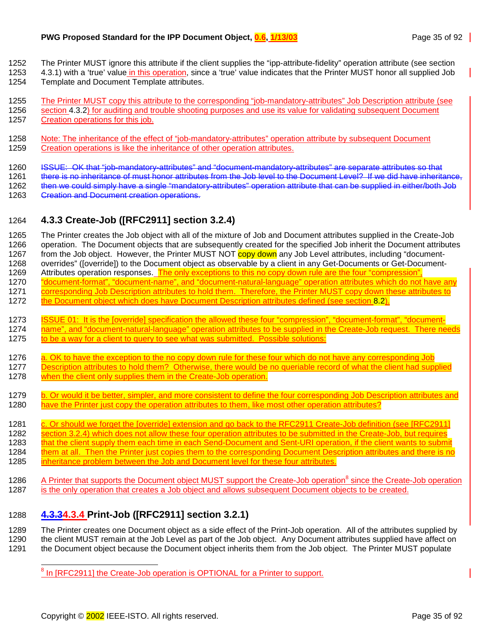<span id="page-34-0"></span>1252 The Printer MUST ignore this attribute if the client supplies the "ipp-attribute-fidelity" operation attribute (see section

- 1253 [4.3.1\)](#page-33-0) with a 'true' value in this operation, since a 'true' value indicates that the Printer MUST honor all supplied Job
	- 1254 Template and Document Template attributes.
	- 1255 The Printer MUST copy this attribute to the corresponding "job-mandatory-attributes" Job Description attribute (see 1256 section [4.3.2\)](#page-33-0) for auditing and trouble shooting purposes and use its value for validating subsequent Document
	- 1257 Creation operations for this job.
	- 1258 Note: The inheritance of the effect of "job-mandatory-attributes" operation attribute by subsequent Document 1259 Creation operations is like the inheritance of other operation attributes.
	- 1260 ISSUE: OK that "job-mandatory-attributes" and "document-mandatory-attributes" are separate attributes so that

1261 there is no inheritance of must honor attributes from the Job level to the Document Level? If we did have inheritance,

- 1262 then we could simply have a single "mandatory-attributes" operation attribute that can be supplied in either/both Job 1263 Greation and Document creation operations.
- 1264 **4.3.3 Create-Job ([RFC2911] section 3.2.4)**

1265 The Printer creates the Job object with all of the mixture of Job and Document attributes supplied in the Create-Job 1266 operation. The Document objects that are subsequently created for the specified Job inherit the Document attributes 1267 from the Job object. However, the Printer MUST NOT copy down any Job Level attributes, including "document-1268 overrides" ([override]) to the Document object as observable by a client in any Get-Documents or Get-Document-1269 Attributes operation responses. The only exceptions to this no copy down rule are the four "compression" 1270 "document-format", "document-name", and "document-natural-language" operation attributes which do not have any 1271 corresponding Job Description attributes to hold them. Therefore, the Printer MUST copy down these attributes to 1272 the Document object which does have Document Description attributes defined (see section [8.2\)](#page-53-0).

- 1273 ISSUE 01: It is the [override] specification the allowed these four "compression", "document-format", "document-1274 name", and "document-natural-language" operation attributes to be supplied in the Create-Job request. There needs
- 1275 to be a way for a client to query to see what was submitted. Possible solutions:
- 1276 a. OK to have the exception to the no copy down rule for these four which do not have any corresponding Job
- 1277 Description attributes to hold them? Otherwise, there would be no queriable record of what the client had supplied 1278 when the client only supplies them in the Create-Job operation.
- 1279 b. Or would it be better, simpler, and more consistent to define the four corresponding Job Description attributes and 1280 have the Printer just copy the operation attributes to them, like most other operation attributes?
- 1281 c. Or should we forget the [override] extension and go back to the RFC2911 Create-Job definition (see [RFC2911]
- 1282 section 3.2.4) which does not allow these four operation attributes to be submitted in the Create-Job, but requires
- 1283 that the client supply them each time in each Send-Document and Sent-URI operation, if the client wants to submit<br>1284 them at all. Then the Printer just copies them to the corresponding Document Description attribute
- them at all. Then the Printer just copies them to the corresponding Document Description attributes and there is no
- 1285 inheritance problem between the Job and Document level for these four attributes.
- 1286 A Printer that supports the Document object MUST support the Create-Job operation<sup>8</sup> since the Create-Job operation 1287 is the only operation that creates a Job object and allows subsequent Document objects to be created.

## 1288 **4.3.34.3.4 Print-Job ([RFC2911] section 3.2.1)**

1289 The Printer creates one Document object as a side effect of the Print-Job operation. All of the attributes supplied by 1290 the client MUST remain at the Job Level as part of the Job object. Any Document attributes supplied have affect on 1291 the Document object because the Document object inherits them from the Job object. The Printer MUST populate

and The Create-Job operation is OPTIONAL for a Printer to support.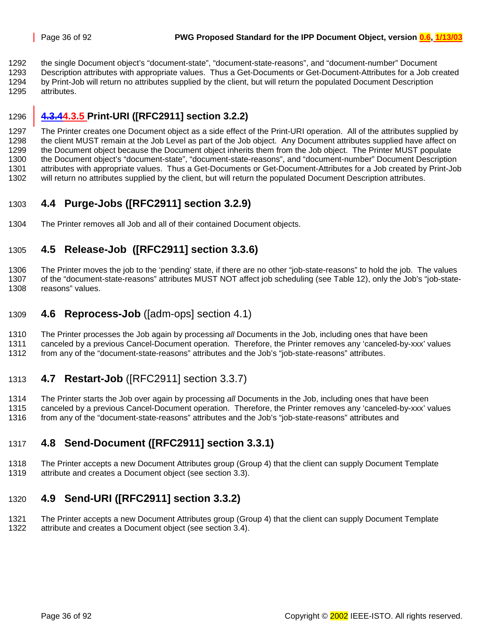<span id="page-35-0"></span>1292 the single Document object's "document-state", "document-state-reasons", and "document-number" Document 1293 Description attributes with appropriate values. Thus a Get-Documents or Get-Document-Attributes for a Job created 1294 by Print-Job will return no attributes supplied by the client, but will return the populated Document Description 1295 attributes.

## 1296 **4.3.44.3.5 Print-URI ([RFC2911] section 3.2.2)**

1297 The Printer creates one Document object as a side effect of the Print-URI operation. All of the attributes supplied by 1298 the client MUST remain at the Job Level as part of the Job object. Any Document attributes supplied have affect on 1299 the Document object because the Document object inherits them from the Job object. The Printer MUST populate 1300 the Document object's "document-state", "document-state-reasons", and "document-number" Document Description 1301 attributes with appropriate values. Thus a Get-Documents or Get-Document-Attributes for a Job created by Print-Job 1302 will return no attributes supplied by the client, but will return the populated Document Description attributes.

## 1303 **4.4 Purge-Jobs ([RFC2911] section 3.2.9)**

1304 The Printer removes all Job and all of their contained Document objects.

## 1305 **4.5 Release-Job ([RFC2911] section 3.3.6)**

1306 The Printer moves the job to the 'pending' state, if there are no other "job-state-reasons" to hold the job. The values 1307 of the "document-state-reasons" attributes MUST NOT affect job scheduling (see [Table 12\)](#page-62-0), only the Job's "job-state-1308 reasons" values.

## 1309 **4.6 Reprocess-Job** ([adm-ops] section 4.1)

1310 The Printer processes the Job again by processing *all* Documents in the Job, including ones that have been

1311 canceled by a previous Cancel-Document operation. Therefore, the Printer removes any 'canceled-by-xxx' values 1312 from any of the "document-state-reasons" attributes and the Job's "job-state-reasons" attributes.

## 1313 **4.7 Restart-Job** ([RFC2911] section 3.3.7)

1314 The Printer starts the Job over again by processing *all* Documents in the Job, including ones that have been 1315 canceled by a previous Cancel-Document operation. Therefore, the Printer removes any 'canceled-by-xxx' values

1316 from any of the "document-state-reasons" attributes and the Job's "job-state-reasons" attributes and

## 1317 **4.8 Send-Document ([RFC2911] section 3.3.1)**

1318 The Printer accepts a new Document Attributes group (Group 4) that the client can supply Document Template 1319 attribute and creates a Document object (see section [3.3\)](#page-19-0).

## 1320 **4.9 Send-URI ([RFC2911] section 3.3.2)**

1321 The Printer accepts a new Document Attributes group (Group 4) that the client can supply Document Template 1322 attribute and creates a Document object (see section [3.4\)](#page-20-0).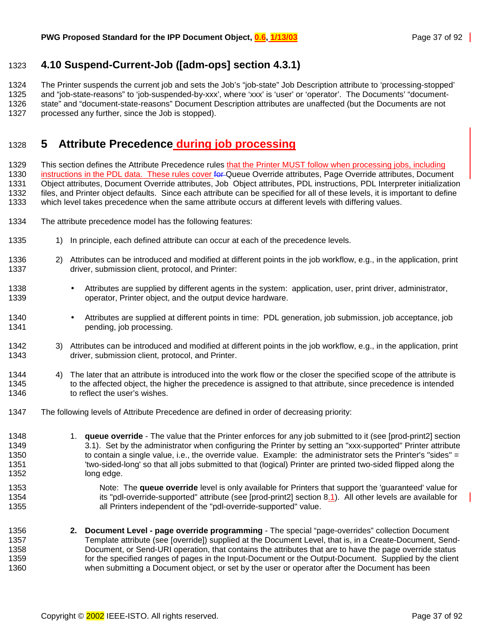## <span id="page-36-0"></span>1323 **4.10 Suspend-Current-Job ([adm-ops] section 4.3.1)**

1324 The Printer suspends the current job and sets the Job's "job-state" Job Description attribute to 'processing-stopped' 1325 and "job-state-reasons" to 'job-suspended-by-xxx', where 'xxx' is 'user' or 'operator'. The Documents' "document-1326 state" and "document-state-reasons" Document Description attributes are unaffected (but the Documents are not 1327 processed any further, since the Job is stopped).

# 1328 **5 Attribute Precedence during job processing**

1329 This section defines the Attribute Precedence rules that the Printer MUST follow when processing jobs, including 1330 instructions in the PDL data. These rules cover for Queue Override attributes, Page Override attributes, Document 1331 Object attributes, Document Override attributes, Job Object attributes, PDL instructions, PDL Interpreter initialization 1332 files, and Printer object defaults. Since each attribute can be specified for all of these levels, it is important to define 1333 which level takes precedence when the same attribute occurs at different levels with differing values.

- 1334 The attribute precedence model has the following features:
- 1335 1) In principle, each defined attribute can occur at each of the precedence levels.
- 1336 2) Attributes can be introduced and modified at different points in the job workflow, e.g., in the application, print 1337 driver, submission client, protocol, and Printer:
- 1338 Attributes are supplied by different agents in the system: application, user, print driver, administrator, 1339 operator, Printer object, and the output device hardware.
- 1340 Attributes are supplied at different points in time: PDL generation, job submission, job acceptance, job 1341 **pending, job processing.**
- 1342 3) Attributes can be introduced and modified at different points in the job workflow, e.g., in the application, print 1343 driver, submission client, protocol, and Printer.
- 1344 4) The later that an attribute is introduced into the work flow or the closer the specified scope of the attribute is 1345 to the affected object, the higher the precedence is assigned to that attribute, since precedence is intended 1346 to reflect the user's wishes.
- 1347 The following levels of Attribute Precedence are defined in order of decreasing priority:
- 1348 1. **queue override** The value that the Printer enforces for any job submitted to it (see [prod-print2] section 1349 3.1). Set by the administrator when configuring the Printer by setting an "xxx-supported" Printer attribute 1350 to contain a single value, i.e., the override value. Example: the administrator sets the Printer's "sides" = 1351 'two-sided-long' so that all jobs submitted to that (logical) Printer are printed two-sided flipped along the 1352 long edge.
- 1353 **Note: The queue override** level is only available for Printers that support the 'guaranteed' value for 1354 its "pdl-override-supported" attribute (see [prod-print2] section 8.1). All other levels are available for 1355 all Printers independent of the "pdl-override-supported" value.
- 1356 **2. Document Level page override programming** The special "page-overrides" collection Document 1357 Template attribute (see [override]) supplied at the Document Level, that is, in a Create-Document, Send-1358 Document, or Send-URI operation, that contains the attributes that are to have the page override status 1359 for the specified ranges of pages in the Input-Document or the Output-Document. Supplied by the client 1360 when submitting a Document object, or set by the user or operator after the Document has been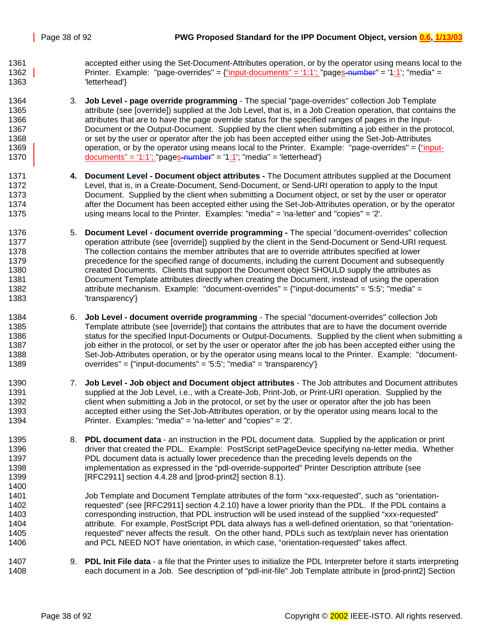1361 accepted either using the Set-Document-Attributes operation, or by the operator using means local to the 1362 Printer. Example: "page-overrides" = {"input-documents" = '1:1'; "pages-number" = '1:1'; "media" = 1363 'letterhead'}

- 1364 3. **Job Level page override programming** The special "page-overrides" collection Job Template 1365 attribute (see [override]) supplied at the Job Level, that is, in a Job Creation operation, that contains the 1366 attributes that are to have the page override status for the specified ranges of pages in the Input-1367 Document or the Output-Document. Supplied by the client when submitting a job either in the protocol, 1368 or set by the user or operator after the job has been accepted either using the Set-Job-Attributes 1369 operation, or by the operator using means local to the Printer. Example: "page-overrides" =  $\{\text{``input--}\}$ 1370 documents" = '1:1'; "pages-number" = '1:1'; "media" = 'letterhead'}
- 1371 **4. Document Level Document object attributes** The Document attributes supplied at the Document 1372 Level, that is, in a Create-Document, Send-Document, or Send-URI operation to apply to the Input 1373 Document. Supplied by the client when submitting a Document object, or set by the user or operator 1374 after the Document has been accepted either using the Set-Job-Attributes operation, or by the operator 1375 using means local to the Printer. Examples: "media" = 'na-letter' and "copies" = '2'.
- 1376 5. **Document Level document override programming** The special "document-overrides" collection 1377 operation attribute (see [override]) supplied by the client in the Send-Document or Send-URI request. 1378 The collection contains the member attributes that are to override attributes specified at lower 1379 precedence for the specified range of documents, including the current Document and subsequently 1380 created Documents. Clients that support the Document object SHOULD supply the attributes as 1381 Document Template attributes directly when creating the Document, instead of using the operation 1382 attribute mechanism. Example: "document-overrides" = {"input-documents" = '5:5'; "media" = 1383 'transparency'}
- 1384 6. **Job Level document override programming** The special "document-overrides" collection Job 1385 Template attribute (see [override]) that contains the attributes that are to have the document override 1386 status for the specified Input-Documents or Output-Documents. Supplied by the client when submitting a 1387 job either in the protocol, or set by the user or operator after the job has been accepted either using the 1388 Set-Job-Attributes operation, or by the operator using means local to the Printer. Example: "document-1389 overrides" = {"input-documents" = '5:5'; "media" = 'transparency'}
- 1390 7. **Job Level Job object and Document object attributes -** The Job attributes and Document attributes 1391 supplied at the Job Level, i.e., with a Create-Job, Print-Job, or Print-URI operation. Supplied by the 1392 client when submitting a Job in the protocol, or set by the user or operator after the job has been 1393 accepted either using the Set-Job-Attributes operation, or by the operator using means local to the 1394 Printer. Examples: "media" = 'na-letter' and "copies" = '2'.
- 1395 8. **PDL document data**  an instruction in the PDL document data. Supplied by the application or print 1396 driver that created the PDL. Example: PostScript setPageDevice specifying na-letter media. Whether 1397 PDL document data is actually lower precedence than the preceding levels depends on the 1398 implementation as expressed in the "pdl-override-supported" Printer Description attribute (see 1399 [RFC2911] section 4.4.28 and [prod-print2] section 8.1). 1400
- 1401 Job Template and Document Template attributes of the form "xxx-requested", such as "orientation-1402 requested" (see [RFC2911] section 4.2.10) have a lower priority than the PDL. If the PDL contains a 1403 corresponding instruction, that PDL instruction will be used instead of the supplied "xxx-requested" 1404 attribute. For example, PostScript PDL data always has a well-defined orientation, so that "orientation-1405 requested" never affects the result. On the other hand, PDLs such as text/plain never has orientation 1406 and PCL NEED NOT have orientation, in which case, "orientation-requested" takes affect.
- 1407 9. **PDL Init File data**  a file that the Printer uses to initialize the PDL Interpreter before it starts interpreting 1408 each document in a Job. See description of "pdl-init-file" Job Template attribute in [prod-print2] Section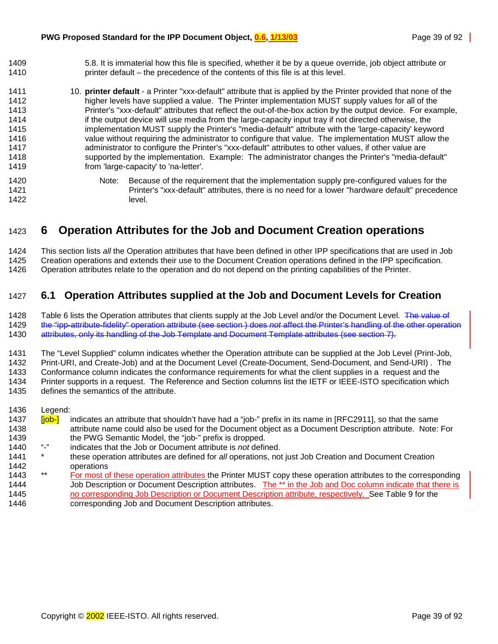- 1409 5.8. It is immaterial how this file is specified, whether it be by a queue override, job object attribute or 1410 printer default – the precedence of the contents of this file is at this level.
- 1411 10. **printer default**  a Printer "xxx-default" attribute that is applied by the Printer provided that none of the 1412 higher levels have supplied a value. The Printer implementation MUST supply values for all of the 1413 Printer's "xxx-default" attributes that reflect the out-of-the-box action by the output device. For example, 1414 if the output device will use media from the large-capacity input tray if not directed otherwise, the 1415 implementation MUST supply the Printer's "media-default" attribute with the 'large-capacity' keyword 1416 value without requiring the administrator to configure that value. The implementation MUST allow the 1417 administrator to configure the Printer's "xxx-default" attributes to other values, if other value are 1418 supported by the implementation. Example: The administrator changes the Printer's "media-default" 1419 from 'large-capacity' to 'na-letter'.

1420 Note: Because of the requirement that the implementation supply pre-configured values for the 1421 Printer's "xxx-default" attributes, there is no need for a lower "hardware default" precedence 1422 level.

# 1423 **6 Operation Attributes for the Job and Document Creation operations**

1424 This section lists *all* the Operation attributes that have been defined in other IPP specifications that are used in Job 1425 Creation operations and extends their use to the Document Creation operations defined in the IPP specification. 1426 Operation attributes relate to the operation and do not depend on the printing capabilities of the Printer.

## 1427 **6.1 Operation Attributes supplied at the Job and Document Levels for Creation**

1428 [Table 6](#page-39-0) lists the Operation attributes that clients supply at the Job Level and/or the Document Level. The value of 1429 the "ipp-attribute-fidelity" operation attribute (see section [\)](#page-41-0) does *not* affect the Printer's handling of the other operation 1430 attributes, only its handling of the Job Template and Document Template attributes (see section [7\)](#page-41-0).

1431 The "Level Supplied" column indicates whether the Operation attribute can be supplied at the Job Level (Print-Job, 1432 Print-URI, and Create-Job) and at the Document Level (Create-Document, Send-Document, and Send-URI) . The 1433 Conformance column indicates the conformance requirements for what the client supplies in a request and the 1434 Printer supports in a request. The Reference and Section columns list the IETF or IEEE-ISTO specification which 1435 defines the semantics of the attribute.

1436 Legend:

- 1437 **[job-]** indicates an attribute that shouldn't have had a "job-" prefix in its name in [RFC2911], so that the same 1438 attribute name could also be used for the Document object as a Document Description attribute. Note: For 1439 the PWG Semantic Model, the "job-" prefix is dropped.<br>1440  $\frac{u}{2}$  indicates that the Job or Document attribute is not defined.
- 1440 "-" indicates that the Job or Document attribute is *not* defined.
- 1441 \* these operation attributes are defined for *all* operations, not just Job Creation and Document Creation 1442 operations
- 1443 \*\* For most of these operation attributes the Printer MUST copy these operation attributes to the corresponding 1444 Job Description or Document Description attributes. The \*\* in the Job and Doc column indicate that there is 1445 *no* corresponding Job Description or Document Description attribute, respectively. See [Table 9](#page-50-0) for the 1446 corresponding Job and Document Description attributes.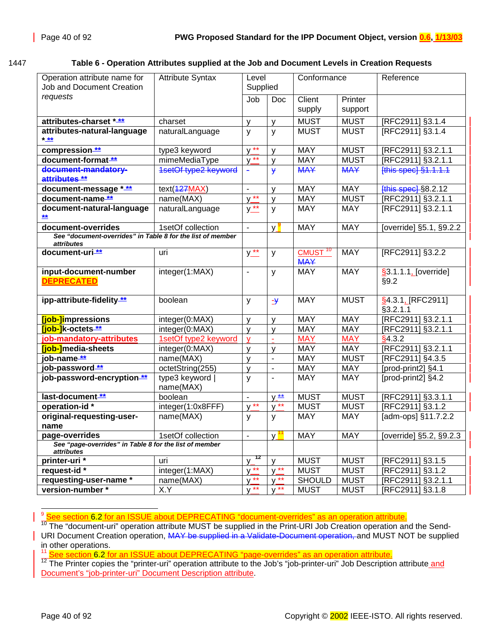#### <span id="page-39-0"></span>1447 **Table 6 - Operation Attributes supplied at the Job and Document Levels in Creation Requests**

| Operation attribute name for<br>Job and Document Creation                | <b>Attribute Syntax</b>    | Level<br>Supplied                       |                          | Conformance                       |                    | Reference                           |
|--------------------------------------------------------------------------|----------------------------|-----------------------------------------|--------------------------|-----------------------------------|--------------------|-------------------------------------|
| requests                                                                 |                            | Job                                     | Doc                      | Client<br>supply                  | Printer<br>support |                                     |
| attributes-charset ***                                                   | charset                    | y                                       | $\mathsf{y}$             | <b>MUST</b>                       | <b>MUST</b>        | [RFC2911] §3.1.4                    |
| attributes-natural-language<br>$* x$                                     | naturalLanguage            | $\mathsf{y}$                            | y                        | <b>MUST</b>                       | <b>MUST</b>        | [RFC2911] §3.1.4                    |
| compression-**                                                           | type3 keyword              | $V^{\star\star}$                        | $\mathsf{v}$             | <b>MAY</b>                        | <b>MUST</b>        | [RFC2911] §3.2.1.1                  |
| document-format <sup>**</sup>                                            | mimeMediaType              | $y^{\frac{1}{***}}$                     | $\mathsf{V}$             | <b>MAY</b>                        | <b>MUST</b>        | [RFC2911] §3.2.1.1                  |
| document-mandatory-<br>attributes **                                     | 1setOf type2 keyword       |                                         | ¥                        | <b>MAY</b>                        | <b>MAY</b>         | [this spec] §1.1.1.1                |
| document-message ***                                                     | text(427MAX)               | $\overline{\phantom{a}}$                | $\mathsf{v}$             | <b>MAY</b>                        | <b>MAY</b>         | [this spec] §8.2.12                 |
| document-name **                                                         | name(MAX)                  | $y^{\star\star}$                        | $\mathsf{V}$             | <b>MAY</b>                        | <b>MUST</b>        | [RFC2911] §3.2.1.1                  |
| document-natural-language<br>丝                                           | naturalLanguage            | $y^{\star\star}$                        | y                        | <b>MAY</b>                        | <b>MAY</b>         | [RFC2911] §3.2.1.1                  |
| document-overrides                                                       | 1setOf collection          | $\blacksquare$                          | y <mark>y</mark>         | <b>MAY</b>                        | <b>MAY</b>         | [override] §5.1, §9.2.2             |
| See "document-overrides" in Table 8 for the list of member<br>attributes |                            |                                         |                          |                                   |                    |                                     |
| document-uri <sup>**</sup>                                               | uri                        | $y_{\cdot\cdot\cdot}^{\cdot\cdot\cdot}$ | y                        | CMUST <sup>10</sup><br><b>MAY</b> | <b>MAY</b>         | [RFC2911] §3.2.2                    |
| input-document-number<br><b>DEPRECATED</b>                               | integer(1:MAX)             | $\blacksquare$                          | у                        | <b>MAY</b>                        | <b>MAY</b>         | $\sqrt{3.1.1.1}$ [override]<br>§9.2 |
| ipp-attribute-fidelity **                                                | boolean                    | y                                       | $-\frac{y}{x}$           | <b>MAY</b>                        | <b>MUST</b>        | §4.3.1, [RFC2911]<br>§3.2.1.1       |
| [job-]impressions                                                        | integer(0:MAX)             | $\mathsf{V}$                            | $\mathsf{V}$             | <b>MAY</b>                        | <b>MAY</b>         | [RFC2911] §3.2.1.1                  |
| [job-]k-octets **                                                        | integer(0:MAX)             | $\mathsf{V}$                            | $\mathsf{y}$             | <b>MAY</b>                        | MAY                | [RFC2911] §3.2.1.1                  |
| job-mandatory-attributes                                                 | 1setOf type2 keyword       | v                                       | ÷                        | <b>MAY</b>                        | <b>MAY</b>         | §4.3.2                              |
| [job-]media-sheets                                                       | integer(0:MAX)             | $\mathsf{V}$                            | $\mathsf{V}$             | <b>MAY</b>                        | <b>MAY</b>         | [RFC2911] §3.2.1.1                  |
| job-name **                                                              | name(MAX)                  | $\mathsf{V}$                            | $\overline{\phantom{a}}$ | <b>MAY</b>                        | <b>MUST</b>        | [RFC2911] §4.3.5                    |
| job-password **                                                          | octetString(255)           | V                                       | $\blacksquare$           | <b>MAY</b>                        | <b>MAY</b>         | [prod-print2] §4.1                  |
| job-password-encryption **                                               | type3 keyword<br>name(MAX) | y                                       |                          | <b>MAY</b>                        | <b>MAY</b>         | [prod-print2] §4.2                  |
| last-document **                                                         | boolean                    | $\overline{\phantom{a}}$                | $y \stackrel{**}{-}$     | <b>MUST</b>                       | <b>MUST</b>        | [RFC2911] §3.3.1.1                  |
| operation-id*                                                            | integer(1:0x8FFF)          | $y^{\star\star}$                        | $y^{\star\star}$         | <b>MUST</b>                       | <b>MUST</b>        | [RFC2911] §3.1.2                    |
| original-requesting-user-<br>name                                        | name(MAX)                  | У                                       | У                        | <b>MAY</b>                        | <b>MAY</b>         | [adm-ops] §11.7.2.2                 |
| page-overrides                                                           | 1setOf collection          | $\overline{\phantom{a}}$                | v.                       | <b>MAY</b>                        | <b>MAY</b>         | [override] §5.2, §9.2.3             |
| See "page-overrides" in Table 8 for the list of member<br>attributes     |                            |                                         |                          |                                   |                    |                                     |
| printer-uri *                                                            | uri                        | 12<br>v                                 | y                        | <b>MUST</b>                       | <b>MUST</b>        | [RFC2911] §3.1.5                    |
| request-id*                                                              | integer(1:MAX)             | $V^{\ast\ast}$                          | $y^{\star\star}$         | <b>MUST</b>                       | <b>MUST</b>        | [RFC2911] §3.1.2                    |
| requesting-user-name *                                                   | name(MAX)                  | $y^{\star\star}$                        | $y^{\star\star}$         | <b>SHOULD</b>                     | <b>MUST</b>        | [RFC2911] §3.2.1.1                  |
| version-number*                                                          | X.Y                        | $y^{\star\star}$                        | $y^{\star\star}$         | <b>MUST</b>                       | <b>MUST</b>        | [RFC2911] §3.1.8                    |

į <sup>9</sup> See section 6.2 for an ISSUE about DEPRECATING "document-overrides" as an operation attribute.

To The "document-uri" operation attribute MUST be supplied in the Print-URI Job Creation operation and the Send-URI Document Creation operation, MAY be supplied in a Validate-Document operation, and MUST NOT be supplied

in other operations.<br><sup>11</sup> See section 6.2 for an ISSUE about DEPRECATING "page-overrides" as an operation attribute.

<sup>12</sup> The Printer copies the "printer-uri" operation attribute to the Job's "job-printer-uri" Job Description attribute and Document's "job-printer-uri" Document Description attribute.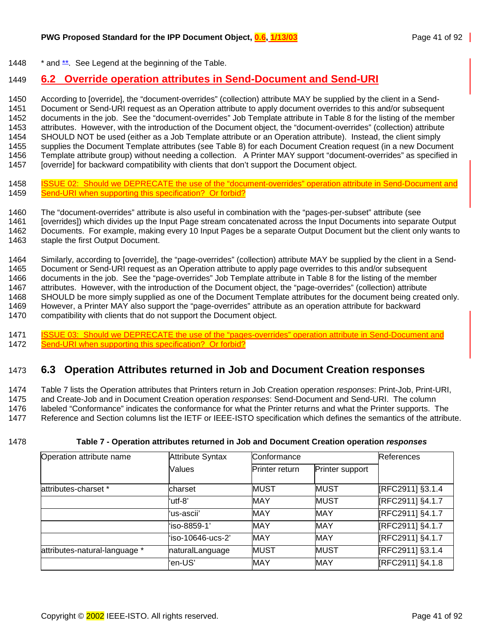1448  $*$  and  $**$ . See Legend at the beginning of the Table.

#### 1449 **6.2 Override operation attributes in Send-Document and Send-URI**

1450 According to [override], the "document-overrides" (collection) attribute MAY be supplied by the client in a Send-<br>1451 Document or Send-URI request as an Operation attribute to apply document overrides to this and/or Document or Send-URI request as an Operation attribute to apply document overrides to this and/or subsequent 1452 documents in the job. See the "document-overrides" Job Template attribute in [Table 8](#page-42-0) for the listing of the member 1453 attributes. However, with the introduction of the Document object, the "document-overrides" (collection) attribute 1454 SHOULD NOT be used (either as a Job Template attribute or an Operation attribute). Instead, the client simply 1455 supplies the Document Template attributes (see [Table 8\)](#page-42-0) for each Document Creation request (in a new Document 1456 Template attribute group) without needing a collection. A Printer MAY support "document-overrides" as specified in 1457 [override] for backward compatibility with clients that don't support the Document object.

- 1458 ISSUE 02: Should we DEPRECATE the use of the "document-overrides" operation attribute in Send-Document and 1459 Send-URI when supporting this specification? Or forbid?
- 1460 The "document-overrides" attribute is also useful in combination with the "pages-per-subset" attribute (see
- 1461 [overrides]) which divides up the Input Page stream concatenated across the Input Documents into separate Output 1462 Documents. For example, making every 10 Input Pages be a separate Output Document but the client only wants to 1463 staple the first Output Document.
- 1464 Similarly, according to [override], the "page-overrides" (collection) attribute MAY be supplied by the client in a Send-1465 Document or Send-URI request as an Operation attribute to apply page overrides to this and/or subsequent 1466 documents in the job. See the "page-overrides" Job Template attribute in [Table 8](#page-42-0) for the listing of the member 1467 attributes. However, with the introduction of the Document object, the "page-overrides" (collection) attribute 1468 SHOULD be more simply supplied as one of the Document Template attributes for the document being created only. 1469 However, a Printer MAY also support the "page-overrides" attribute as an operation attribute for backward 1470 compatibility with clients that do not support the Document object.
- 1471 ISSUE 03: Should we DEPRECATE the use of the "pages-overrides" operation attribute in Send-Document and 1472 Send-URI when supporting this specification? Or forbid?

#### 1473 **6.3 Operation Attributes returned in Job and Document Creation responses**

1474 Table 7 lists the Operation attributes that Printers return in Job Creation operation *responses*: Print-Job, Print-URI, 1475 and Create-Job and in Document Creation operation *responses*: Send-Document and Send-URI. The column 1476 labeled "Conformance" indicates the conformance for what the Printer returns and what the Printer supports. The 1477 Reference and Section columns list the IETF or IEEE-ISTO specification which defines the semantics of the attribute.

#### 1478 **Table 7 - Operation attributes returned in Job and Document Creation operation** *responses*

| Operation attribute name      | <b>Attribute Syntax</b> | Conformance    | <b>References</b> |                  |  |  |  |
|-------------------------------|-------------------------|----------------|-------------------|------------------|--|--|--|
|                               | Values                  | Printer return | Printer support   |                  |  |  |  |
| attributes-charset *          | lcharset                | <b>MUST</b>    | <b>MUST</b>       | [RFC2911] §3.1.4 |  |  |  |
|                               | 'utf-8'                 | <b>MAY</b>     | <b>MUST</b>       | [RFC2911] §4.1.7 |  |  |  |
|                               | ʻus-ascii'              | <b>MAY</b>     | <b>MAY</b>        | [RFC2911] §4.1.7 |  |  |  |
|                               | ʻiso-8859-1'            | <b>MAY</b>     | <b>MAY</b>        | [RFC2911] §4.1.7 |  |  |  |
|                               | 'iso-10646-ucs-2'       | MAY            | MAY               | [RFC2911] §4.1.7 |  |  |  |
| attributes-natural-language * | naturalLanguage         | <b>MUST</b>    | <b>MUST</b>       | [RFC2911] §3.1.4 |  |  |  |
|                               | 'en-US'                 | <b>MAY</b>     | <b>MAY</b>        | [RFC2911] §4.1.8 |  |  |  |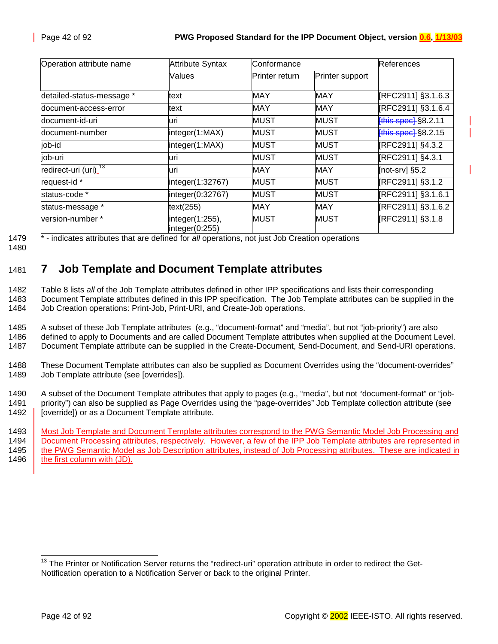<span id="page-41-0"></span>

| <b>Attribute Syntax</b><br>Operation attribute name |                                   | Conformance    |                 |                           |  |  |  |
|-----------------------------------------------------|-----------------------------------|----------------|-----------------|---------------------------|--|--|--|
|                                                     | Values                            | Printer return | Printer support |                           |  |  |  |
| detailed-status-message *                           | text                              | <b>MAY</b>     | <b>MAY</b>      | [RFC2911] §3.1.6.3        |  |  |  |
| document-access-error                               | text                              | <b>MAY</b>     | <b>MAY</b>      | [RFC2911] §3.1.6.4        |  |  |  |
| ldocument-id-uri                                    | luri                              | <b>MUST</b>    | <b>MUST</b>     | <b>this spect</b> §8.2.11 |  |  |  |
| document-number                                     | integer(1:MAX)                    | <b>MUST</b>    | <b>MUST</b>     | <b>this spect</b> §8.2.15 |  |  |  |
| job-id                                              | integer(1:MAX)                    | <b>MUST</b>    | <b>MUST</b>     | [RFC2911] §4.3.2          |  |  |  |
| job-uri                                             | luri                              | <b>MUST</b>    | <b>MUST</b>     | [RFC2911] §4.3.1          |  |  |  |
| redirect-uri (uri) <sup>73</sup>                    | luri                              | <b>MAY</b>     | <b>MAY</b>      | [not-srv] $§5.2$          |  |  |  |
| request-id *                                        | integer(1:32767)                  | <b>MUST</b>    | <b>MUST</b>     | [RFC2911] §3.1.2          |  |  |  |
| status-code *                                       | integer(0:32767)                  | <b>MUST</b>    | <b>MUST</b>     | [RFC2911] §3.1.6.1        |  |  |  |
| status-message *                                    | text(255)                         | <b>MAY</b>     | <b>MAY</b>      | [RFC2911] §3.1.6.2        |  |  |  |
| version-number *                                    | integer(1:255),<br>integer(0:255) | <b>MUST</b>    | <b>MUST</b>     | [RFC2911] §3.1.8          |  |  |  |

1479 \* - indicates attributes that are defined for *all* operations, not just Job Creation operations

1480

# 1481 **7 Job Template and Document Template attributes**

1482 [Table 8](#page-42-0) lists *all* of the Job Template attributes defined in other IPP specifications and lists their corresponding 1483 Document Template attributes defined in this IPP specification. The Job Template attributes can be supplied in the 1484 Job Creation operations: Print-Job. Print-URI, and Create-Job operations. Job Creation operations: Print-Job, Print-URI, and Create-Job operations.

1485 A subset of these Job Template attributes (e.g., "document-format" and "media", but not "job-priority") are also 1486 defined to apply to Documents and are called Document Template attributes when supplied at the Document Level.

1487 Document Template attribute can be supplied in the Create-Document, Send-Document, and Send-URI operations.

1488 These Document Template attributes can also be supplied as Document Overrides using the "document-overrides" 1489 Job Template attribute (see [overrides]).

1490 A subset of the Document Template attributes that apply to pages (e.g., "media", but not "document-format" or "job-1491 priority") can also be supplied as Page Overrides using the "page-overrides" Job Template collection attribute (see 1492 | [override]) or as a Document Template attribute.

1493 Most Job Template and Document Template attributes correspond to the PWG Semantic Model Job Processing and

1494 Document Processing attributes, respectively. However, a few of the IPP Job Template attributes are represented in 1495 the PWG Semantic Model as Job Description attributes, instead of Job Processing attributes. These are indicated in

1496 | the first column with (JD).

l

 $13$  The Printer or Notification Server returns the "redirect-uri" operation attribute in order to redirect the Get-Notification operation to a Notification Server or back to the original Printer.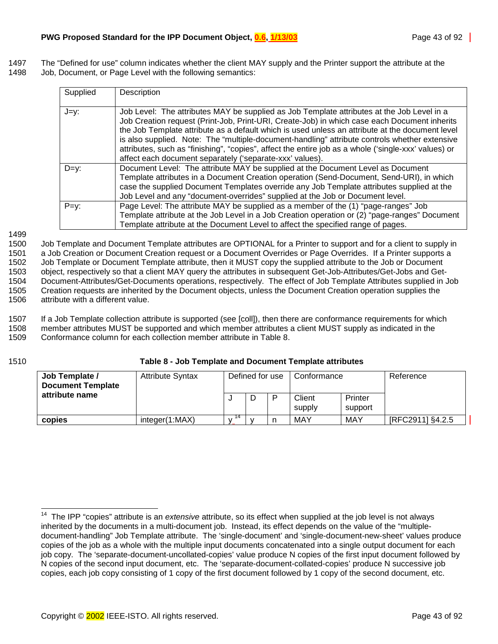<span id="page-42-0"></span>1497 The "Defined for use" column indicates whether the client MAY supply and the Printer support the attribute at the 1498 Job, Document, or Page Level with the following semantics:

| Supplied | Description                                                                                                                                                                                                                                                                                                                                                                                                                                                                                                                                                        |
|----------|--------------------------------------------------------------------------------------------------------------------------------------------------------------------------------------------------------------------------------------------------------------------------------------------------------------------------------------------------------------------------------------------------------------------------------------------------------------------------------------------------------------------------------------------------------------------|
| J=y:     | Job Level: The attributes MAY be supplied as Job Template attributes at the Job Level in a<br>Job Creation request (Print-Job, Print-URI, Create-Job) in which case each Document inherits<br>the Job Template attribute as a default which is used unless an attribute at the document level<br>is also supplied. Note: The "multiple-document-handling" attribute controls whether extensive<br>attributes, such as "finishing", "copies", affect the entire job as a whole ('single-xxx' values) or<br>affect each document separately ('separate-xxx' values). |
| $D=y$ :  | Document Level: The attribute MAY be supplied at the Document Level as Document<br>Template attributes in a Document Creation operation (Send-Document, Send-URI), in which<br>case the supplied Document Templates override any Job Template attributes supplied at the<br>Job Level and any "document-overrides" supplied at the Job or Document level.                                                                                                                                                                                                          |
| $P=y$ :  | Page Level: The attribute MAY be supplied as a member of the (1) "page-ranges" Job<br>Template attribute at the Job Level in a Job Creation operation or (2) "page-ranges" Document<br>Template attribute at the Document Level to affect the specified range of pages.                                                                                                                                                                                                                                                                                            |

1499

1500 Job Template and Document Template attributes are OPTIONAL for a Printer to support and for a client to supply in 1501 a Job Creation or Document Creation request or a Document Overrides or Page Overrides. If a Printer supports a 1502 Job Template or Document Template attribute, then it MUST copy the supplied attribute to the Job or Document 1503 object, respectively so that a client MAY query the attributes in subsequent Get-Job-Attributes/Get-Jobs and Get-1504 Document-Attributes/Get-Documents operations, respectively. The effect of Job Template Attributes supplied in Job 1505 Creation requests are inherited by the Document objects, unless the Document Creation operation supplies the 1506 attribute with a different value.

1507 If a Job Template collection attribute is supported (see [coll]), then there are conformance requirements for which 1508 member attributes MUST be supported and which member attributes a client MUST supply as indicated in the 1509 Conformance column for each collection member attribute in Table 8.

 $\overline{a}$ 

1510 **Table 8 - Job Template and Document Template attributes** 

| Job Template /<br><b>Document Template</b> | <b>Attribute Syntax</b> | Defined for use |   | Conformance |                  | Reference          |                  |
|--------------------------------------------|-------------------------|-----------------|---|-------------|------------------|--------------------|------------------|
| attribute name                             |                         |                 | ◡ |             | Client<br>supply | Printer<br>support |                  |
| copies                                     | integer(1:MAX)          |                 |   |             | MAY              | MAY                | [RFC2911] §4.2.5 |

<sup>&</sup>lt;sup>14</sup> The IPP "copies" attribute is an *extensive* attribute, so its effect when supplied at the job level is not always inherited by the documents in a multi-document job. Instead, its effect depends on the value of the "multipledocument-handling" Job Template attribute. The 'single-document' and 'single-document-new-sheet' values produce copies of the job as a whole with the multiple input documents concatenated into a single output document for each job copy. The 'separate-document-uncollated-copies' value produce N copies of the first input document followed by N copies of the second input document, etc. The 'separate-document-collated-copies' produce N successive job copies, each job copy consisting of 1 copy of the first document followed by 1 copy of the second document, etc.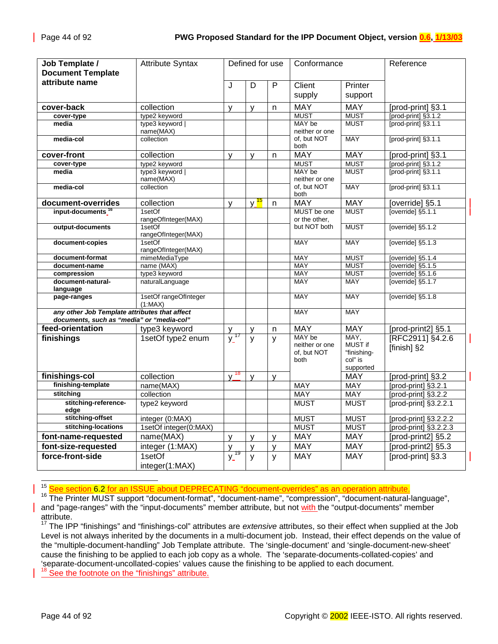| Job Template /<br><b>Document Template</b>    | <b>Attribute Syntax</b>          |                             | Defined for use   |   | Conformance              |                        | Reference                           |
|-----------------------------------------------|----------------------------------|-----------------------------|-------------------|---|--------------------------|------------------------|-------------------------------------|
| attribute name                                |                                  | J                           | D                 | P | Client                   | Printer                |                                     |
|                                               |                                  |                             |                   |   | supply                   | support                |                                     |
|                                               |                                  |                             |                   |   |                          |                        |                                     |
| cover-back                                    | collection                       | $\mathsf{V}$                | V                 | n | <b>MAY</b>               | <b>MAY</b>             | [prod-print] §3.1                   |
| cover-type                                    | type2 keyword                    |                             |                   |   | <b>MUST</b>              | <b>MUST</b>            | $[prod-print]$ §3.1.2               |
| media                                         | type3 keyword                    |                             |                   |   | MAY be<br>neither or one | <b>MUST</b>            | $[prod-print]$ §3.1.1               |
| media-col                                     | name(MAX)<br>collection          |                             |                   |   | of, but NOT              | <b>MAY</b>             | [prod-print] §3.1.1                 |
|                                               |                                  |                             |                   |   | both                     |                        |                                     |
| cover-front                                   | collection                       | $\mathsf{y}$                | y                 | n | <b>MAY</b>               | <b>MAY</b>             | [prod-print] §3.1                   |
| cover-type                                    | type2 keyword                    |                             |                   |   | <b>MUST</b>              | <b>MUST</b>            | $[prod-print]$ §3.1.2               |
| media                                         | type3 keyword<br>name(MAX)       |                             |                   |   | MAY be<br>neither or one | <b>MUST</b>            | $[prod-print]$ $§$ 3.1.1            |
| media-col                                     | collection                       |                             |                   |   | of, but NOT<br>both      | <b>MAY</b>             | [prod-print] §3.1.1                 |
| document-overrides                            | collection                       | y                           | v <mark>15</mark> | n | <b>MAY</b>               | <b>MAY</b>             | [override] §5.1                     |
| input-documents <sup>1</sup>                  | 1setOf                           |                             |                   |   | MUST be one              | <b>MUST</b>            | $\frac{1}{2}$ [override] $\S$ 5.1.1 |
|                                               | rangeOfInteger(MAX)              |                             |                   |   | or the other,            |                        |                                     |
| output-documents                              | 1setOf                           |                             |                   |   | but NOT both             | <b>MUST</b>            | [override] §5.1.2                   |
| document-copies                               | rangeOfInteger(MAX)<br>1setOf    |                             |                   |   | MAY                      | <b>MAY</b>             | [override] §5.1.3                   |
|                                               | rangeOfInteger(MAX)              |                             |                   |   |                          |                        |                                     |
| document-format                               | mimeMediaType                    |                             |                   |   | <b>MAY</b>               | <b>MUST</b>            | [override] §5.1.4                   |
| document-name                                 | name (MAX)                       |                             |                   |   | <b>MAY</b>               | <b>MUST</b>            | [override] $§5.1.5$                 |
| compression                                   | type3 keyword                    |                             |                   |   | <b>MAY</b>               | <b>MUST</b>            | [override] $§5.1.6$                 |
| document-natural-<br>language                 | naturalLanguage                  |                             |                   |   | <b>MAY</b>               | <b>MAY</b>             | [override] §5.1.7                   |
| page-ranges                                   | 1setOf rangeOfInteger<br>(1:MAX) |                             |                   |   | <b>MAY</b>               | <b>MAY</b>             | [override] §5.1.8                   |
| any other Job Template attributes that affect |                                  |                             |                   |   | <b>MAY</b>               | <b>MAY</b>             |                                     |
| documents, such as "media" or "media-col"     |                                  |                             |                   |   |                          |                        |                                     |
| feed-orientation                              | type3 keyword                    | у                           | y                 | n | <b>MAY</b>               | <b>MAY</b>             | [prod-print2] §5.1                  |
| finishings                                    | 1setOf type2 enum                | $\frac{1}{\mathsf{y}}$ 17   | y                 | y | MAY be<br>neither or one | MAY,<br>MUST if        | [RFC2911] §4.2.6<br>[finish] §2     |
|                                               |                                  |                             |                   |   | of, but NOT<br>both      | "finishing-<br>col" is |                                     |
|                                               |                                  |                             |                   |   |                          | supported              |                                     |
| finishings-col                                | collection                       | $\frac{1}{y}$ <sup>18</sup> | $\mathsf{V}$      | y |                          | <b>MAY</b>             | [prod-print] §3.2                   |
| finishing-template                            | name(MAX)                        |                             |                   |   | <b>MAY</b>               | <b>MAY</b>             | [prod-print] §3.2.1                 |
| stitching                                     | collection                       |                             |                   |   | <b>MAY</b>               | <b>MAY</b>             | [prod-print] §3.2.2                 |
| stitching-reference-                          | type2 keyword                    |                             |                   |   | <b>MUST</b>              | <b>MUST</b>            | [prod-print] §3.2.2.1               |
| edge                                          |                                  |                             |                   |   |                          |                        |                                     |
| stitching-offset                              | integer (0:MAX)                  |                             |                   |   | <b>MUST</b>              | <b>MUST</b>            | [prod-print] §3.2.2.2               |
| stitching-locations                           | 1setOf integer(0:MAX)            |                             |                   |   | <b>MUST</b>              | <b>MUST</b>            | [prod-print] §3.2.2.3               |
| font-name-requested                           | name(MAX)                        | y                           | y                 | y | <b>MAY</b>               | <b>MAY</b>             | [prod-print2] §5.2                  |
| font-size-requested                           | integer (1:MAX)                  | y                           | $\mathsf{V}$      | y | <b>MAY</b>               | <b>MAY</b>             | [prod-print2] §5.3                  |
| force-front-side                              | 1setOf                           | $y^{19}$                    | y                 | y | <b>MAY</b>               | <b>MAY</b>             | [prod-print] §3.3                   |
|                                               | integer(1:MAX)                   |                             |                   |   |                          |                        |                                     |

<sup>15</sup> See section 6.2 for an ISSUE about DEPRECATING "document-overrides" as an operation attribute.

16 The Printer MUST support "document-format", "document-name", "compression", "document-natural-language", and "page-ranges" with the "input-documents" member attribute, but not with the "output-documents" member attribute.

<sup>17</sup> The IPP "finishings" and "finishings-col" attributes are *extensive* attributes, so their effect when supplied at the Job Level is not always inherited by the documents in a multi-document job. Instead, their effect depends on the value of the "multiple-document-handling" Job Template attribute. The 'single-document' and 'single-document-new-sheet' cause the finishing to be applied to each job copy as a whole. The 'separate-documents-collated-copies' and 'separate-document-uncollated-copies' values cause the finishing to be applied to each document.

<sup>18</sup> See the footnote on the "finishings" attribute.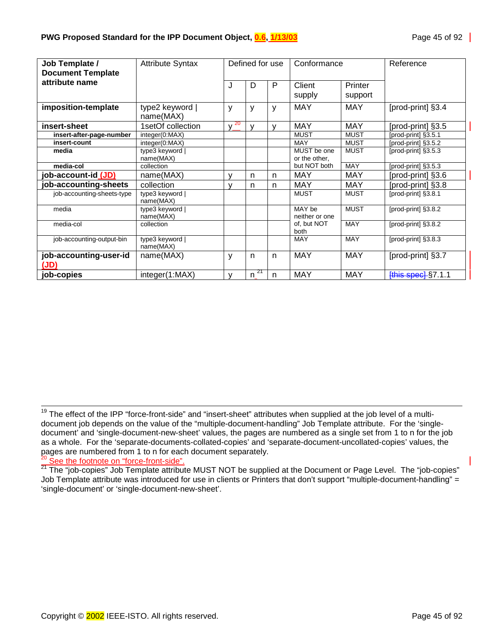| Job Template /                             | <b>Attribute Syntax</b>      |          | Defined for use |   | Conformance                  |                    | Reference           |
|--------------------------------------------|------------------------------|----------|-----------------|---|------------------------------|--------------------|---------------------|
| <b>Document Template</b><br>attribute name |                              |          |                 |   |                              |                    |                     |
|                                            |                              | J        | D               | P | Client<br>supply             | Printer<br>support |                     |
| imposition-template                        | type2 keyword  <br>name(MAX) | ٧        | y               | y | <b>MAY</b>                   | <b>MAY</b>         | [prod-print] §3.4   |
| insert-sheet                               | 1setOf collection            | -20<br>v | v               | v | <b>MAY</b>                   | <b>MAY</b>         | [prod-print] §3.5   |
| insert-after-page-number                   | integer(0:MAX)               |          |                 |   | <b>MUST</b>                  | <b>MUST</b>        | [prod-print] §3.5.1 |
| insert-count                               | integer(0:MAX)               |          |                 |   | MAY                          | <b>MUST</b>        | [prod-print] §3.5.2 |
| media                                      | type3 keyword  <br>name(MAX) |          |                 |   | MUST be one<br>or the other, | <b>MUST</b>        | [prod-print] §3.5.3 |
| media-col                                  | collection                   |          |                 |   | but NOT both                 | <b>MAY</b>         | [prod-print] §3.5.3 |
| job-account-id (JD)                        | name(MAX)                    | v        | n               | n | <b>MAY</b>                   | MAY                | [prod-print] §3.6   |
| job-accounting-sheets                      | collection                   | v        | n               | n | <b>MAY</b>                   | <b>MAY</b>         | [prod-print] §3.8   |
| job-accounting-sheets-type                 | type3 keyword  <br>name(MAX) |          |                 |   | <b>MUST</b>                  | <b>MUST</b>        | [prod-print] §3.8.1 |
| media                                      | type3 keyword  <br>name(MAX) |          |                 |   | MAY be<br>neither or one     | <b>MUST</b>        | [prod-print] §3.8.2 |
| media-col                                  | collection                   |          |                 |   | of, but NOT<br>both          | <b>MAY</b>         | [prod-print] §3.8.2 |
| job-accounting-output-bin                  | type3 keyword  <br>name(MAX) |          |                 |   | <b>MAY</b>                   | <b>MAY</b>         | [prod-print] §3.8.3 |
| job-accounting-user-id<br>(JD)             | name(MAX)                    | У        | n               | n | <b>MAY</b>                   | <b>MAY</b>         | [prod-print] §3.7   |
| job-copies                                 | integer(1:MAX)               | v        | $^{21}$<br>n.   | n | <b>MAY</b>                   | <b>MAY</b>         | [this spec] §7.1.1  |

<sup>&</sup>lt;sup>19</sup> The effect of the IPP "force-front-side" and "insert-sheet" attributes when supplied at the job level of a multidocument job depends on the value of the "multiple-document-handling" Job Template attribute. For the 'singledocument' and 'single-document-new-sheet' values, the pages are numbered as a single set from 1 to n for the job as a whole. For the 'separate-documents-collated-copies' and 'separate-document-uncollated-copies' values, the pages are numbered from 1 to n for each document separately. <sup>20</sup> See the footnote on "force-front-side".

 $21$  The "job-copies" Job Template attribute MUST NOT be supplied at the Document or Page Level. The "job-copies" Job Template attribute was introduced for use in clients or Printers that don't support "multiple-document-handling" = 'single-document' or 'single-document-new-sheet'.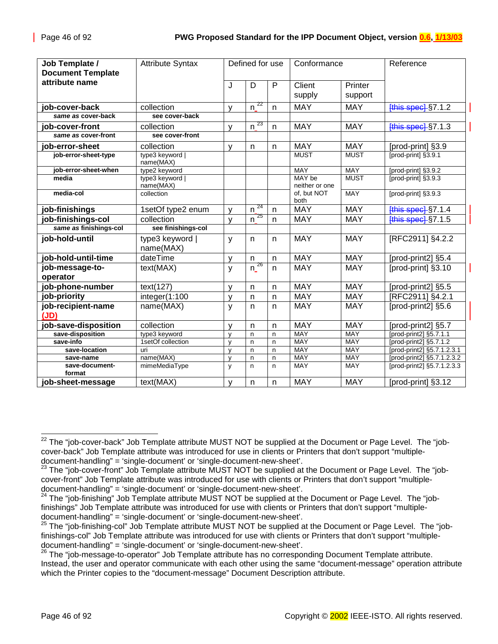| Job Template /              | <b>Attribute Syntax</b>      |              | Defined for use    |              | Conformance              |             | Reference                  |
|-----------------------------|------------------------------|--------------|--------------------|--------------|--------------------------|-------------|----------------------------|
| <b>Document Template</b>    |                              |              |                    |              |                          |             |                            |
| attribute name              |                              | J            | D                  | P            | Client                   | Printer     |                            |
|                             |                              |              |                    |              | supply                   | support     |                            |
|                             |                              |              |                    |              |                          |             |                            |
| job-cover-back              | collection                   | v            | 22<br>n            | n            | <b>MAY</b>               | <b>MAY</b>  | $[this speed]$ §7.1.2      |
| same as cover-back          | see cover-back               |              |                    |              |                          |             |                            |
| job-cover-front             | collection                   | v            | 23<br>n            | $\mathsf{n}$ | <b>MAY</b>               | <b>MAY</b>  | $[this speed]$ $§$ 7.1.3   |
| same as cover-front         | see cover-front              |              |                    |              |                          |             |                            |
| job-error-sheet             | collection                   | V            | $\mathsf{n}$       | n            | <b>MAY</b>               | <b>MAY</b>  | [prod-print] §3.9          |
| job-error-sheet-type        | type3 keyword  <br>name(MAX) |              |                    |              | <b>MUST</b>              | <b>MUST</b> | [prod-print] §3.9.1        |
| job-error-sheet-when        | type2 keyword                |              |                    |              | MAY                      | <b>MAY</b>  | [prod-print] §3.9.2        |
| media                       | type3 keyword  <br>name(MAX) |              |                    |              | MAY be<br>neither or one | <b>MUST</b> | [prod-print] §3.9.3        |
| media-col                   | collection                   |              |                    |              | of, but NOT<br>both      | <b>MAY</b>  | [prod-print] §3.9.3        |
| job-finishings              | 1setOf type2 enum            | v            | 24<br>$\mathsf{n}$ | n            | <b>MAY</b>               | <b>MAY</b>  | [this spec] §7.1.4         |
| job-finishings-col          | collection                   | $\vee$       | 25<br>$\mathsf{n}$ | $\mathsf{n}$ | <b>MAY</b>               | <b>MAY</b>  | <b>[this spec] §7.1.5</b>  |
| same as finishings-col      | see finishings-col           |              |                    |              |                          |             |                            |
| job-hold-until              | type3 keyword  <br>name(MAX) | y            | $\mathsf{n}$       | n.           | <b>MAY</b>               | <b>MAY</b>  | [RFC2911] §4.2.2           |
| job-hold-until-time         | dateTime                     | y            | n                  | n            | <b>MAY</b>               | <b>MAY</b>  | [prod-print2] §5.4         |
| job-message-to-<br>operator | text(MAX)                    | y            | $n^{26}$           | n.           | <b>MAY</b>               | <b>MAY</b>  | [prod-print] §3.10         |
| job-phone-number            | text(127)                    | v            | n                  | n            | <b>MAY</b>               | <b>MAY</b>  | [prod-print2] §5.5         |
| job-priority                | integer(1:100                | y            | $\mathsf{n}$       | $\mathsf{n}$ | <b>MAY</b>               | <b>MAY</b>  | [RFC2911] §4.2.1           |
| job-recipient-name<br>(JD)  | name(MAX)                    | y            | n                  | n.           | <b>MAY</b>               | <b>MAY</b>  | [prod-print2] §5.6         |
| job-save-disposition        | collection                   | $\mathsf{v}$ | $\mathsf{n}$       | n            | <b>MAY</b>               | <b>MAY</b>  | [prod-print2] §5.7         |
| save-disposition            | type3 keyword                | $\mathsf{v}$ | n                  | n            | <b>MAY</b>               | <b>MAY</b>  | [prod-print2] §5.7.1.1     |
| save-info                   | 1setOf collection            | y            | n                  | n            | <b>MAY</b>               | <b>MAY</b>  | [prod-print2] §5.7.1.2     |
| save-location               | uri                          | $\mathsf{v}$ | n                  | n            | <b>MAY</b>               | <b>MAY</b>  | [prod-print2] §5.7.1.2.3.1 |
| save-name                   | name(MAX)                    | $\mathsf{V}$ | n                  | n            | <b>MAY</b>               | <b>MAY</b>  | [prod-print2] §5.7.1.2.3.2 |
| save-document-<br>format    | mimeMediaType                | y            | $\mathsf{n}$       | n            | <b>MAY</b>               | <b>MAY</b>  | [prod-print2] §5.7.1.2.3.3 |
| job-sheet-message           | text(MAX)                    | V            | $\mathsf{n}$       | n.           | <b>MAY</b>               | <b>MAY</b>  | [prod-print] §3.12         |

 $\overline{\phantom{a}}$  $^{22}$  The "job-cover-back" Job Template attribute MUST NOT be supplied at the Document or Page Level. The "jobcover-back" Job Template attribute was introduced for use in clients or Printers that don't support "multipledocument-handling" = 'single-document' or 'single-document-new-sheet'.

<sup>&</sup>lt;sup>23</sup> The "iob-cover-front" Job Template attribute MUST NOT be supplied at the Document or Page Level. The "jobcover-front" Job Template attribute was introduced for use with clients or Printers that don't support "multipledocument-handling" = 'single-document' or 'single-document-new-sheet'.

<sup>&</sup>lt;sup>24</sup> The "job-finishing" Job Template attribute MUST NOT be supplied at the Document or Page Level. The "jobfinishings" Job Template attribute was introduced for use with clients or Printers that don't support "multipledocument-handling" = 'single-document' or 'single-document-new-sheet'.

<sup>&</sup>lt;sup>25</sup> The "job-finishing-col" Job Template attribute MUST NOT be supplied at the Document or Page Level. The "jobfinishings-col" Job Template attribute was introduced for use with clients or Printers that don't support "multipledocument-handling" = 'single-document' or 'single-document-new-sheet'.

<sup>&</sup>lt;sup>26</sup> The "job-message-to-operator" Job Template attribute has no corresponding Document Template attribute. Instead, the user and operator communicate with each other using the same "document-message" operation attribute which the Printer copies to the "document-message" Document Description attribute.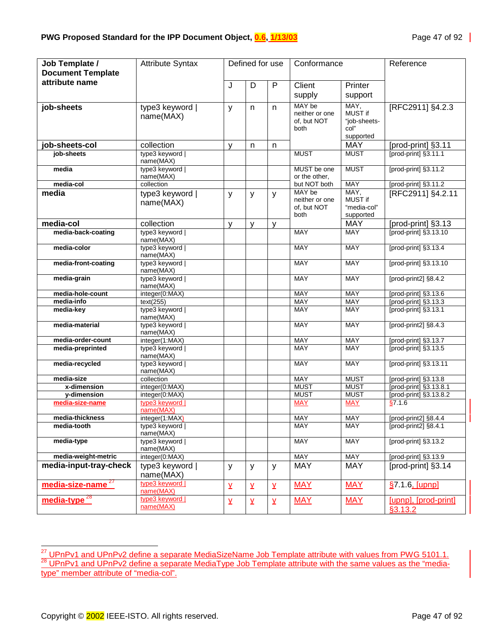| Job Template /                | <b>Attribute Syntax</b>      |                         | Defined for use         |              | Conformance                   |                               | Reference                  |
|-------------------------------|------------------------------|-------------------------|-------------------------|--------------|-------------------------------|-------------------------------|----------------------------|
| <b>Document Template</b>      |                              |                         |                         |              |                               |                               |                            |
| attribute name                |                              | J                       | D                       | $\mathsf{P}$ | Client                        | Printer                       |                            |
|                               |                              |                         |                         |              |                               |                               |                            |
|                               |                              |                         |                         |              | supply                        | support                       |                            |
| job-sheets                    | type3 keyword                | y                       | n                       | n            | MAY be                        | MAY,                          | [RFC2911] §4.2.3           |
|                               | name(MAX)                    |                         |                         |              | neither or one                | MUST if                       |                            |
|                               |                              |                         |                         |              | of, but NOT                   | "job-sheets-                  |                            |
|                               |                              |                         |                         |              | both                          | col"<br>supported             |                            |
| job-sheets-col                | collection                   | $\mathsf{V}$            | n                       | n            |                               | <b>MAY</b>                    | [prod-print] §3.11         |
| job-sheets                    | type3 keyword                |                         |                         |              | <b>MUST</b>                   | <b>MUST</b>                   | [prod-print] §3.11.1       |
|                               | name(MAX)                    |                         |                         |              |                               |                               |                            |
| media                         | type3 keyword                |                         |                         |              | MUST be one                   | <b>MUST</b>                   | [prod-print] §3.11.2       |
|                               | name(MAX)                    |                         |                         |              | or the other.                 |                               |                            |
| media-col                     | collection                   |                         |                         |              | but NOT both                  | <b>MAY</b>                    | [prod-print] §3.11.2       |
| media                         | type3 keyword                | y                       | y                       | y            | MAY be                        | MAY,                          | [RFC2911] §4.2.11          |
|                               | name(MAX)                    |                         |                         |              | neither or one<br>of, but NOT | <b>MUST if</b><br>"media-col" |                            |
|                               |                              |                         |                         |              | both                          | supported                     |                            |
| media-col                     | collection                   | y                       | y                       | v            |                               | <b>MAY</b>                    | [prod-print] §3.13         |
| media-back-coating            | type3 keyword                |                         |                         |              | <b>MAY</b>                    | <b>MAY</b>                    | [prod-print] §3.13.10      |
|                               | name(MAX)                    |                         |                         |              |                               |                               |                            |
| media-color                   | type3 keyword                |                         |                         |              | <b>MAY</b>                    | <b>MAY</b>                    | [prod-print] §3.13.4       |
|                               | name(MAX)                    |                         |                         |              |                               |                               |                            |
| media-front-coating           | type3 keyword                |                         |                         |              | <b>MAY</b>                    | <b>MAY</b>                    | [prod-print] §3.13.10      |
|                               | name(MAX)                    |                         |                         |              |                               |                               |                            |
| media-grain                   | type3 keyword                |                         |                         |              | <b>MAY</b>                    | <b>MAY</b>                    | [prod-print2] §8.4.2       |
| media-hole-count              | name(MAX)                    |                         |                         |              | <b>MAY</b>                    | <b>MAY</b>                    | [prod-print] §3.13.6       |
| media-info                    | integer(0:MAX)<br>text(255)  |                         |                         |              | <b>MAY</b>                    | <b>MAY</b>                    | [prod-print] §3.13.3       |
| media-key                     | type3 keyword                |                         |                         |              | <b>MAY</b>                    | <b>MAY</b>                    | [prod-print] §3.13.1       |
|                               | name(MAX)                    |                         |                         |              |                               |                               |                            |
| media-material                | type3 keyword                |                         |                         |              | MAY                           | <b>MAY</b>                    | [prod-print2] §8.4.3       |
|                               | name(MAX)                    |                         |                         |              |                               |                               |                            |
| media-order-count             | integer(1:MAX)               |                         |                         |              | MAY                           | <b>MAY</b>                    | [prod-print] §3.13.7       |
| media-preprinted              | type3 keyword                |                         |                         |              | <b>MAY</b>                    | <b>MAY</b>                    | [prod-print] §3.13.5       |
| media-recycled                | name(MAX)<br>type3 keyword   |                         |                         |              | <b>MAY</b>                    | <b>MAY</b>                    | [prod-print] §3.13.11      |
|                               | name(MAX)                    |                         |                         |              |                               |                               |                            |
| media-size                    | collection                   |                         |                         |              | <b>MAY</b>                    | <b>MUST</b>                   | [prod-print] §3.13.8       |
| x-dimension                   | integer(0:MAX)               |                         |                         |              | <b>MUST</b>                   | <b>MUST</b>                   | [prod-print] §3.13.8.1     |
| y-dimension                   | integer(0:MAX)               |                         |                         |              | <b>MUST</b>                   | <b>MUST</b>                   | [prod-print] §3.13.8.2     |
| media-size-name               | type3 keyword                |                         |                         |              | <b>MAY</b>                    | <b>MAY</b>                    | \$7.1.6                    |
| media-thickness               | name(MAX)                    |                         |                         |              | <b>MAY</b>                    | <b>MAY</b>                    |                            |
|                               | integer(1:MAX)               |                         |                         |              |                               | MAY                           | [prod-print2] §8.4.4       |
| media-tooth                   | type3 keyword  <br>name(MAX) |                         |                         |              | MAY                           |                               | [ $prod-print2$ ] $§8.4.1$ |
| media-type                    | type3 keyword                |                         |                         |              | MAY                           | MAY                           | [prod-print] §3.13.2       |
|                               | name(MAX)                    |                         |                         |              |                               |                               |                            |
| media-weight-metric           | integer(0:MAX)               |                         |                         |              | <b>MAY</b>                    | <b>MAY</b>                    | [prod-print] §3.13.9       |
| media-input-tray-check        | type3 keyword                | y                       | y                       | y            | <b>MAY</b>                    | <b>MAY</b>                    | [prod-print] §3.14         |
|                               | name(MAX)                    |                         |                         |              |                               |                               |                            |
| media-size-name <sup>27</sup> | type3 keyword                | $\overline{\mathsf{Y}}$ | $\overline{X}$          | Σ            | <b>MAY</b>                    | <b>MAY</b>                    | §7.1.6, [upnp]             |
|                               | name(MAX)                    |                         |                         |              |                               |                               |                            |
| media-type <sup>28</sup>      | type3 keyword                | $\underline{y}$         | $\overline{\mathsf{X}}$ | Y            | <b>MAY</b>                    | <b>MAY</b>                    | [upnp], [prod-print]       |
|                               | name(MAX)                    |                         |                         |              |                               |                               | \$3.13.2                   |

l <sup>27</sup> UPnPv1 and UPnPv2 define a separate MediaSizeName Job Template attribute with values from PWG 5101.1.<br><sup>28</sup> UPnPv1 and UPnPv2 define a separate MediaType Job Template attribute with the same values as the "mediatype" member attribute of "media-col".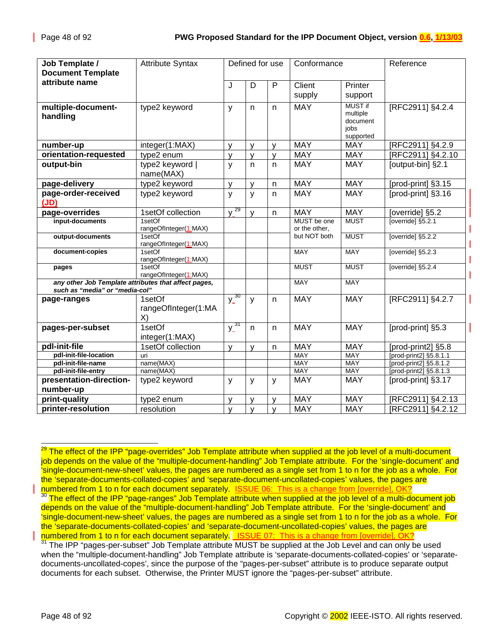| Job Template /                                                                         | <b>Attribute Syntax</b>             |              | Defined for use |              | Conformance                  |                                                             | Reference                           |
|----------------------------------------------------------------------------------------|-------------------------------------|--------------|-----------------|--------------|------------------------------|-------------------------------------------------------------|-------------------------------------|
| <b>Document Template</b>                                                               |                                     |              |                 |              |                              |                                                             |                                     |
| attribute name                                                                         |                                     | J            | D               | P            | Client                       | Printer                                                     |                                     |
|                                                                                        |                                     |              |                 |              | supply                       | support                                                     |                                     |
| multiple-document-<br>handling                                                         | type2 keyword                       | y            | n               | n            | <b>MAY</b>                   | <b>MUST if</b><br>multiple<br>document<br>jobs<br>supported | [RFC2911] §4.2.4                    |
| number-up                                                                              | integer(1:MAX)                      | v            | $\mathsf{v}$    | v            | <b>MAY</b>                   | <b>MAY</b>                                                  | [RFC2911] §4.2.9                    |
| orientation-requested                                                                  | type2 enum                          | v            | $\mathsf{V}$    | y            | <b>MAY</b>                   | <b>MAY</b>                                                  | [RFC2911] §4.2.10                   |
| output-bin                                                                             | type2 keyword<br>name(MAX)          | $\mathsf{y}$ | $\mathsf{n}$    | n.           | <b>MAY</b>                   | <b>MAY</b>                                                  | [output-bin] §2.1                   |
| page-delivery                                                                          | type2 keyword                       | y            | y               | n            | <b>MAY</b>                   | <b>MAY</b>                                                  | [prod-print] §3.15                  |
| page-order-received<br>(JD)                                                            | type2 keyword                       | y            | $\mathsf{y}$    | n            | <b>MAY</b>                   | <b>MAY</b>                                                  | [prod-print] §3.16                  |
| page-overrides                                                                         | 1setOf collection                   | $y^{29}$     | $\mathsf{y}$    | n            | <b>MAY</b>                   | <b>MAY</b>                                                  | [override] §5.2                     |
| input-documents                                                                        | 1setOf<br>rangeOfInteger(1:MAX)     |              |                 |              | MUST be one<br>or the other, | <b>MUST</b>                                                 | $\overline{\left[overright]$ §5.2.1 |
| output-documents                                                                       | 1setOf<br>rangeOfInteger(1:MAX)     |              |                 |              | but NOT both                 | <b>MUST</b>                                                 | [override] §5.2.2                   |
| document-copies                                                                        | 1setOf<br>rangeOfInteger(1:MAX)     |              |                 |              | <b>MAY</b>                   | <b>MAY</b>                                                  | [override] §5.2.3                   |
| pages                                                                                  | 1setOf<br>rangeOfInteger(1:MAX)     |              |                 |              | <b>MUST</b>                  | <b>MUST</b>                                                 | [override] §5.2.4                   |
| any other Job Template attributes that affect pages,<br>such as "media" or "media-col" |                                     |              |                 |              | MAY                          | <b>MAY</b>                                                  |                                     |
| page-ranges                                                                            | 1setOf<br>rangeOfInteger(1:MA<br>X) | $y_3^{\,30}$ | y               | n            | <b>MAY</b>                   | <b>MAY</b>                                                  | [RFC2911] §4.2.7                    |
| pages-per-subset                                                                       | 1setOf<br>integer(1:MAX)            | $y^{31}$     | $\mathsf{n}$    | n            | <b>MAY</b>                   | <b>MAY</b>                                                  | [prod-print] §5.3                   |
| pdl-init-file                                                                          | 1setOf collection                   | y            | v               | n            | <b>MAY</b>                   | <b>MAY</b>                                                  | [prod-print2] §5.8                  |
| pdl-init-file-location                                                                 | uri                                 |              |                 |              | <b>MAY</b>                   | <b>MAY</b>                                                  | [prod-print2] §5.8.1.1              |
| pdl-init-file-name                                                                     | name(MAX)                           |              |                 |              | MAY                          | MAY                                                         | [prod-print2] §5.8.1.2              |
| pdl-init-file-entry                                                                    | name(MAX)                           |              |                 |              | MAY                          | MAY                                                         | [prod-print2] §5.8.1.3              |
| presentation-direction-                                                                | type2 keyword                       | y            | y               | У            | <b>MAY</b>                   | <b>MAY</b>                                                  | [prod-print] §3.17                  |
| number-up                                                                              |                                     |              |                 |              |                              |                                                             |                                     |
| print-quality                                                                          | type2 enum                          | y            | y               | y            | <b>MAY</b>                   | <b>MAY</b>                                                  | RFC2911] §4.2.13                    |
| printer-resolution                                                                     | resolution                          | $\mathsf{v}$ | $\mathsf{V}$    | $\mathsf{V}$ | <b>MAY</b>                   | <b>MAY</b>                                                  | [RFC2911] §4.2.12                   |

 $^{29}$  The effect of the IPP "page-overrides" Job Template attribute when supplied at the job level of a multi-document job depends on the value of the "multiple-document-handling" Job Template attribute. For the 'single-document' and 'single-document-new-sheet' values, the pages are numbered as a single set from 1 to n for the job as a whole. For the 'separate-documents-collated-copies' and 'separate-document-uncollated-copies' values, the pages are numbe<br>numbered from 1 to n for each document separately. ISSUE 06: This is a change from [override], OK? <sup>30</sup> The effect of the IPP "page-ranges" Job Template attribute when supplied at the job level of a multi-document job depends on the value of the "multiple-document-handling" Job Template attribute. For the 'single-document' and 'single-document-new-sheet' values, the pages are numbered as a single set from 1 to n for the job as a whole. For the 'separate-documents-collated-copies' and 'separate-document-uncollated-copies' values, the pages are numbered from 1 to n for each document separately. **ISSUE 07: This is a change from [override], OK?** 31 The IPP "pages-per-subset" Job Template attribute MUST be supplied at the Job Level and can only be used

when the "multiple-document-handling" Job Template attribute is 'separate-documents-collated-copies' or 'separatedocuments-uncollated-copes', since the purpose of the "pages-per-subset" attribute is to produce separate output documents for each subset. Otherwise, the Printer MUST ignore the "pages-per-subset" attribute.

l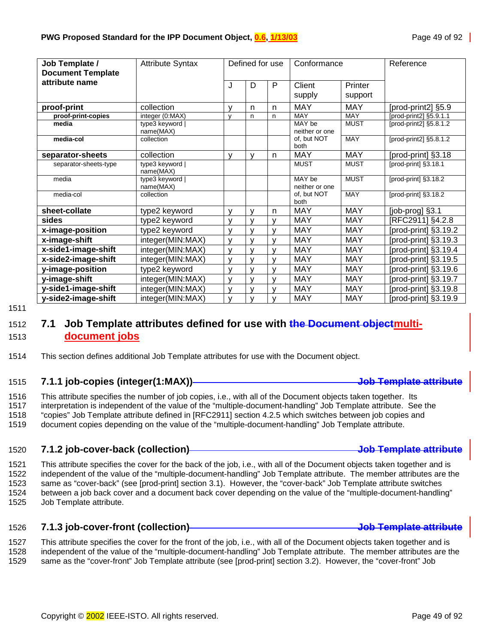<span id="page-48-0"></span>

| Job Template /           | <b>Attribute Syntax</b>      |              | Defined for use |              | Conformance              |             | Reference              |
|--------------------------|------------------------------|--------------|-----------------|--------------|--------------------------|-------------|------------------------|
| <b>Document Template</b> |                              |              |                 |              |                          |             |                        |
| attribute name           |                              | J            | D               | P            | Client                   | Printer     |                        |
|                          |                              |              |                 |              | supply                   | support     |                        |
|                          |                              |              |                 |              | <b>MAY</b>               |             |                        |
| proof-print              | collection                   | v            | n               | n            |                          | <b>MAY</b>  | [prod-print2] §5.9     |
| proof-print-copies       | integer (0:MAX)              | $\mathsf{v}$ | n               | n            | <b>MAY</b>               | MAY         | [prod-print2] §5.9.1.1 |
| media                    | type3 keyword  <br>name(MAX) |              |                 |              | MAY be<br>neither or one | <b>MUST</b> | [prod-print2] §5.8.1.2 |
| media-col                | collection                   |              |                 |              | of, but NOT<br>both      | <b>MAY</b>  | [prod-print2] §5.8.1.2 |
| separator-sheets         | collection                   | $\mathsf{v}$ | $\mathsf{V}$    | n            | <b>MAY</b>               | <b>MAY</b>  | [prod-print] §3.18     |
| separator-sheets-type    | type3 keyword<br>name(MAX)   |              |                 |              | <b>MUST</b>              | <b>MUST</b> | [prod-print] §3.18.1   |
| media                    | type3 keyword  <br>name(MAX) |              |                 |              | MAY be<br>neither or one | <b>MUST</b> | [prod-print] §3.18.2   |
| media-col                | collection                   |              |                 |              | of, but NOT<br>both      | <b>MAY</b>  | [prod-print] §3.18.2   |
| sheet-collate            | type2 keyword                | $\mathsf{V}$ | $\mathsf{V}$    | n            | <b>MAY</b>               | <b>MAY</b>  | [job-prog] §3.1        |
| sides                    | type2 keyword                | v            | $\mathsf{V}$    | $\vee$       | <b>MAY</b>               | <b>MAY</b>  | [RFC2911] §4.2.8       |
| x-image-position         | type2 keyword                | $\mathsf{v}$ | $\mathsf{V}$    | $\mathsf{v}$ | <b>MAY</b>               | <b>MAY</b>  | [prod-print] §3.19.2   |
| x-image-shift            | integer(MIN:MAX)             | $\mathsf{v}$ | $\mathsf{V}$    | $\mathsf{v}$ | <b>MAY</b>               | <b>MAY</b>  | [prod-print] §3.19.3   |
| x-side1-image-shift      | integer(MIN:MAX)             | $\mathsf{V}$ | $\mathsf{V}$    | $\vee$       | <b>MAY</b>               | <b>MAY</b>  | [prod-print] §3.19.4   |
| x-side2-image-shift      | integer(MIN:MAX)             | $\mathsf{v}$ | $\mathsf{V}$    | v            | <b>MAY</b>               | <b>MAY</b>  | [prod-print] §3.19.5   |
| y-image-position         | type2 keyword                | $\mathsf{V}$ | $\mathbf{V}$    | $\mathsf{v}$ | <b>MAY</b>               | MAY         | [prod-print] §3.19.6   |
| y-image-shift            | integer(MIN:MAX)             | $\mathsf{V}$ | $\mathbf{V}$    | $\mathsf{v}$ | <b>MAY</b>               | <b>MAY</b>  | [prod-print] §3.19.7   |
| y-side1-image-shift      | integer(MIN:MAX)             | $\mathsf{V}$ | $\mathsf{V}$    | $\vee$       | <b>MAY</b>               | <b>MAY</b>  | [prod-print] §3.19.8   |
| y-side2-image-shift      | integer(MIN:MAX)             | $\mathsf{V}$ | y               | v            | <b>MAY</b>               | <b>MAY</b>  | [prod-print] §3.19.9   |

1511

## 1512 **7.1 Job Template attributes defined for use with the Document objectmulti-**1513 **document jobs**

#### 1514 This section defines additional Job Template attributes for use with the Document object.

#### 1515 **7.1.1 job-copies (integer(1:MAX)) Job Template attribute**

1516 This attribute specifies the number of job copies, i.e., with all of the Document objects taken together. Its 1517 interpretation is independent of the value of the "multiple-document-handling" Job Template attribute. See the 1518 "copies" Job Template attribute defined in [RFC2911] section 4.2.5 which switches between job copies and

1519 document copies depending on the value of the "multiple-document-handling" Job Template attribute.

#### 1520 **7.1.2 job-cover-back (collection) Job Template attribute**

1521 This attribute specifies the cover for the back of the job, i.e., with all of the Document objects taken together and is 1522 independent of the value of the "multiple-document-handling" Job Template attribute. The member attributes are the 1523 same as "cover-back" (see [prod-print] section 3.1). However, the "cover-back" Job Template attribute switches 1524 between a job back cover and a document back cover depending on the value of the "multiple-document-handling" 1525 Job Template attribute.

#### 1526 **7.1.3 job-cover-front (collection) Job Template attribute**

1527 This attribute specifies the cover for the front of the job, i.e., with all of the Document objects taken together and is 1528 independent of the value of the "multiple-document-handling" Job Template attribute. The member attributes are the 1529 same as the "cover-front" Job Template attribute (see [prod-print] section 3.2). However, the "cover-front" Job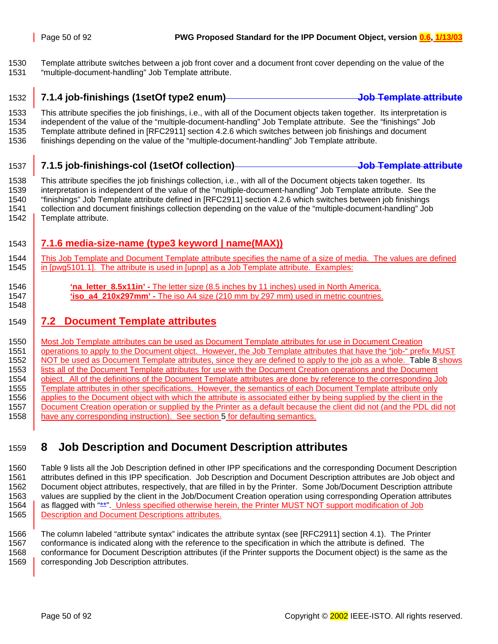<span id="page-49-0"></span>1530 Template attribute switches between a job front cover and a document front cover depending on the value of the 1531 "multiple-document-handling" Job Template attribute.

## 1532 **7.1.4 job-finishings (1setOf type2 enum) Job Template attribute**

1533 This attribute specifies the job finishings, i.e., with all of the Document objects taken together. Its interpretation is 1534 independent of the value of the "multiple-document-handling" Job Template attribute. See the "finishings" Job 1535 Template attribute defined in [RFC2911] section 4.2.6 which switches between job finishings and document 1536 finishings depending on the value of the "multiple-document-handling" Job Template attribute.

## 1537 **7.1.5 job-finishings-col (1setOf collection) Job Template attribute**

1538 This attribute specifies the job finishings collection, i.e., with all of the Document objects taken together. Its 1539 interpretation is independent of the value of the "multiple-document-handling" Job Template attribute. See the 1540 "finishings" Job Template attribute defined in [RFC2911] section 4.2.6 which switches between job finishings 1541 collection and document finishings collection depending on the value of the "multiple-document-handling" Job 1542 | Template attribute.

## 1543 **7.1.6 media-size-name (type3 keyword | name(MAX))**

1544 This Job Template and Document Template attribute specifies the name of a size of media. The values are defined 1545 in [pwg5101.1]. The attribute is used in [upnp] as a Job Template attribute. Examples:

1546 **'na\_letter\_8.5x11in' -** The letter size (8.5 inches by 11 inches) used in North America. 1547 **'iso\_a4\_210x297mm' -** The iso A4 size (210 mm by 297 mm) used in metric countries. 1548

## 1549 **7.2 Document Template attributes**

1550 Most Job Template attributes can be used as Document Template attributes for use in Document Creation 1551 operations to apply to the Document object. However, the Job Template attributes that have the "job-" prefix MUST 1552 NOT be used as Document Template attributes, since they are defined to apply to the job as a whole. [Table 8](#page-42-0) shows 1553 | lists all of the Document Template attributes for use with the Document Creation operations and the Document 1554 object. All of the definitions of the Document Template attributes are done by reference to the corresponding Job 1555 Template attributes in other specifications. However, the semantics of each Document Template attribute only 1556 applies to the Document object with which the attribute is associated either by being supplied by the client in the 1557 Document Creation operation or supplied by the Printer as a default because the client did not (and the PDL did not 1558 have any corresponding instruction). See section [5](#page-36-0) for defaulting semantics.

# 1559 **8 Job Description and Document Description attributes**

1560 [Table 9](#page-50-0) lists all the Job Description defined in other IPP specifications and the corresponding Document Description 1561 attributes defined in this IPP specification. Job Description and Document Description attributes are Job object and 1562 Document object attributes, respectively, that are filled in by the Printer. Some Job/Document Description attribute 1563 values are supplied by the client in the Job/Document Creation operation using corresponding Operation attributes 1564 as flagged with "\*\*". Unless specified otherwise herein, the Printer MUST NOT support modification of Job 1565 Bescription and Document Descriptions attributes.

1566 The column labeled "attribute syntax" indicates the attribute syntax (see [RFC2911] section 4.1). The Printer 1567 conformance is indicated along with the reference to the specification in which the attribute is defined. The 1568 conformance for Document Description attributes (if the Printer supports the Document object) is the same as the 1569 **corresponding Job Description attributes.**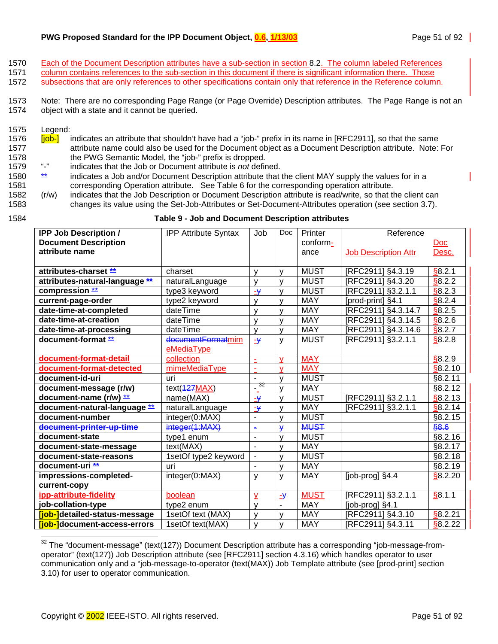#### <span id="page-50-0"></span>**PWG Proposed Standard for the IPP Document Object, 0.6, 1/13/03** Page 51 of 92

- 1570 Each of the Document Description attributes have a sub-section in section [8.2.](#page-53-0) The column labeled References
- 1571 column contains references to the sub-section in this document if there is significant information there. Those 1572 subsections that are only references to other specifications contain only that reference in the Reference column.

1573 Note: There are no corresponding Page Range (or Page Override) Description attributes. The Page Range is not an 1574 object with a state and it cannot be queried.

1575 Legend:

l

- 1576 **[job-]** indicates an attribute that shouldn't have had a "job-" prefix in its name in [RFC2911], so that the same 1577 attribute name could also be used for the Document object as a Document Description attribute. Note: For 1578 the PWG Semantic Model, the "job-" prefix is dropped.<br>1579 "-" indicates that the Job or Document attribute is not definition
- 1579 "-" indicates that the Job or Document attribute is *not* defined.
- 1580 **\*\*** indicates a Job and/or Document Description attribute that the client MAY supply the values for in a 1581 corresponding Operation attribute. See [Table 6](#page-39-0) for the corresponding operation attribute.
- 1582 (r/w) indicates that the Job Description or Document Description attribute is read/write, so that the client can 1583 changes its value using the Set-Job-Attributes or Set-Document-Attributes operation (see section [3.7\)](#page-25-0).

#### 1584 **Table 9 - Job and Document Description attributes**

| <b>IPP Job Description /</b>         | <b>IPP Attribute Syntax</b> | Job                     | Doc                      | Printer     | Reference                   |                         |
|--------------------------------------|-----------------------------|-------------------------|--------------------------|-------------|-----------------------------|-------------------------|
| <b>Document Description</b>          |                             |                         |                          | conform-    |                             | $\overline{\text{Doc}}$ |
| attribute name                       |                             |                         |                          | ance        | <b>Job Description Attr</b> | Desc.                   |
|                                      |                             |                         |                          |             |                             |                         |
| attributes-charset **                | charset                     | v                       | $\mathsf{V}$             | <b>MUST</b> | [RFC2911] §4.3.19           | \$8.2.1                 |
| attributes-natural-language **       | naturalLanguage             | v                       | V                        | <b>MUST</b> | [RFC2911] §4.3.20           | \$8.2.2                 |
| compression **                       | type3 keyword               | $\overline{\mathbf{y}}$ | V                        | <b>MUST</b> | [RFC2911] §3.2.1.1          | \$8.2.3                 |
| current-page-order                   | type2 keyword               | V                       | $\mathsf{V}$             | <b>MAY</b>  | [prod-print] §4.1           | \$8.2.4                 |
| date-time-at-completed               | dateTime                    | V                       | $\mathsf{V}$             | <b>MAY</b>  | [RFC2911] §4.3.14.7         | \$8.2.5                 |
| date-time-at-creation                | dateTime                    | V                       | $\mathsf{V}$             | <b>MAY</b>  | [RFC2911] §4.3.14.5         | \$8.2.6                 |
| date-time-at-processing              | dateTime                    | $\mathsf{V}$            | $\mathsf{V}$             | <b>MAY</b>  | [RFC2911] §4.3.14.6         | \$8.2.7                 |
| document-format **                   | documentFormatmim           | $\rightarrow$           | y                        | <b>MUST</b> | [RFC2911] §3.2.1.1          | \$8.2.8                 |
|                                      | eMediaType                  |                         |                          |             |                             |                         |
| document-format-detail               | collection                  | ÷                       | $\mathbf{V}$             | <b>MAY</b>  |                             | \$8.2.9                 |
| document-format-detected             | mimeMediaType               | ä,                      | $\mathbf v$              | <b>MAY</b>  |                             | \$8.2.10                |
| document-id-uri                      | uri                         | $\blacksquare$          | $\mathsf{V}$             | <b>MUST</b> |                             | §8.2.11                 |
| document-message (r/w)               | text(427MAX)                | -32                     | $\mathsf{V}$             | <b>MAY</b>  |                             | §8.2.12                 |
| document-name (r/w) **               | name(MAX)                   | $\rightarrow$           | $\mathsf{v}$             | <b>MUST</b> | [RFC2911] §3.2.1.1          | \$8.2.13                |
| document-natural-language **         | naturalLanguage             | $\rightarrow$           | $\mathsf{V}$             | <b>MAY</b>  | [RFC2911] §3.2.1.1          | \$8.2.14                |
| document-number                      | integer(0:MAX)              | $\blacksquare$          | $\mathsf{V}$             | <b>MUST</b> |                             | §8.2.15                 |
| document-printer-up-time             | integer(1:MAX)              | $\blacksquare$          | $\mathbf{\Psi}$          | <b>MUST</b> |                             | \$8.6                   |
| document-state                       | type1 enum                  | $\blacksquare$          | $\mathsf{V}$             | <b>MUST</b> |                             | §8.2.16                 |
| document-state-message               | text(MAX)                   | $\overline{a}$          | V                        | <b>MAY</b>  |                             | §8.2.17                 |
| document-state-reasons               | 1setOf type2 keyword        | $\blacksquare$          | $\mathsf{V}$             | <b>MUST</b> |                             | §8.2.18                 |
| document-uri **                      | uri                         | $\blacksquare$          | y                        | <b>MAY</b>  |                             | §8.2.19                 |
| impressions-completed-               | integer(0:MAX)              | y                       | y                        | <b>MAY</b>  | [job-prog] §4.4             | §8.2.20                 |
| current-copy                         |                             |                         |                          |             |                             |                         |
| ipp-attribute-fidelity               | boolean                     | V                       | $-\frac{1}{2}$           | <b>MUST</b> | [RFC2911] §3.2.1.1          | \$8.1.1                 |
| job-collation-type                   | type2 enum                  | V                       | $\overline{\phantom{a}}$ | <b>MAY</b>  | [job-prog] §4.1             |                         |
| [job-]detailed-status-message        | 1setOf text (MAX)           | $\mathsf{V}$            | $\mathsf{V}$             | <b>MAY</b>  | [RFC2911] §4.3.10           | §8.2.21                 |
| <b>[job-]</b> document-access-errors | 1setOf text(MAX)            | $\mathsf{V}$            | $\mathsf{V}$             | <b>MAY</b>  | [RFC2911] §4.3.11           | \$8.2.22                |

 $32$  The "document-message" (text(127)) Document Description attribute has a corresponding "job-message-fromoperator" (text(127)) Job Description attribute (see [RFC2911] section 4.3.16) which handles operator to user communication only and a "job-message-to-operator (text(MAX)) Job Template attribute (see [prod-print] section 3.10) for user to operator communication.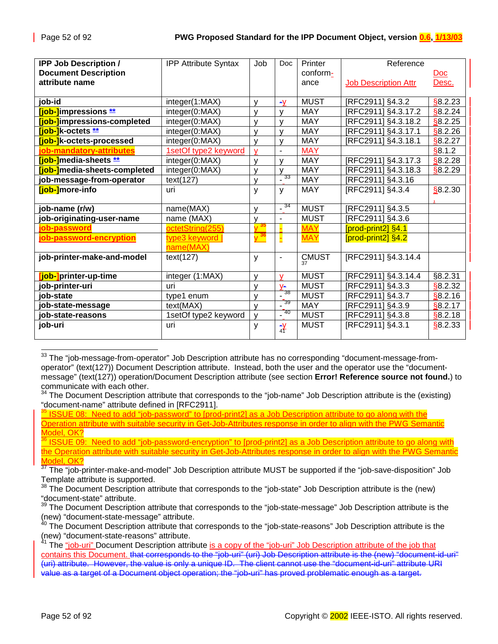| <b>IPP Job Description /</b>         | <b>IPP Attribute Syntax</b> | Job                          | <b>Doc</b>                      | Printer      | Reference                   |          |
|--------------------------------------|-----------------------------|------------------------------|---------------------------------|--------------|-----------------------------|----------|
| <b>Document Description</b>          |                             |                              |                                 | conform-     |                             | Doc      |
| attribute name                       |                             |                              |                                 | ance         | <b>Job Description Attr</b> | Desc.    |
|                                      |                             |                              |                                 |              |                             |          |
| job-id                               | integer(1:MAX)              | v                            | $-V$                            | <b>MUST</b>  | [RFC2911] §4.3.2            | §8.2.23  |
| [job-]impressions **                 | integer(0:MAX)              | ۷                            | V                               | <b>MAY</b>   | [RFC2911] §4.3.17.2         | \$8.2.24 |
| [job-]impressions-completed          | integer(0:MAX)              | ۷                            | $\mathsf{V}$                    | <b>MAY</b>   | [RFC2911] §4.3.18.2         | §8.2.25  |
| $[job-]$ k-octets $*$                | integer(0:MAX)              | v                            | V                               | <b>MAY</b>   | [RFC2911] §4.3.17.1         | §8.2.26  |
| [job-]k-octets-processed             | integer(0:MAX)              | y                            | y                               | <b>MAY</b>   | [RFC2911] §4.3.18.1         | §8.2.27  |
| job-mandatory-attributes             | 1setOf type2 keyword        | V                            | $\overline{\phantom{a}}$        | <b>MAY</b>   |                             | \$8.1.2  |
| <b>[job-]</b> media-sheets **        | integer(0:MAX)              | v                            | V                               | <b>MAY</b>   | [RFC2911] §4.3.17.3         | \$8.2.28 |
| <b>[job-]</b> media-sheets-completed | integer(0:MAX)              | ٧                            | $\mathsf{V}$                    | <b>MAY</b>   | RFC2911] §4.3.18.3          | \$8.2.29 |
| job-message-from-operator            | text(127)                   | $\mathsf{V}$                 | 33<br>$\blacksquare$            | <b>MAY</b>   | [RFC2911] §4.3.16           |          |
| [job-]more-info                      | uri                         | y                            | y                               | <b>MAY</b>   | [RFC2911] §4.3.4            | \$8.2.30 |
|                                      |                             |                              |                                 |              |                             |          |
| job-name (r/w)                       | name(MAX)                   | v                            | -34                             | <b>MUST</b>  | [RFC2911] §4.3.5            |          |
| job-originating-user-name            | name (MAX)                  | v                            | $\overline{\phantom{a}}$        | <b>MUST</b>  | [RFC2911] §4.3.6            |          |
| iob-password                         | octetString(255)            | 35                           |                                 | <b>MAY</b>   | [prod-print2] §4.1          |          |
| job-password-encryption              | type3 keyword               | <mark>y <sup>36</sup></mark> |                                 | <b>MAY</b>   | [prod-print2] §4.2          |          |
|                                      | name(MAX)                   |                              |                                 |              |                             |          |
| job-printer-make-and-model           | text(127)                   | y                            | $\blacksquare$                  | <b>CMUST</b> | [RFC2911] §4.3.14.4         |          |
|                                      |                             |                              |                                 | 37           |                             |          |
| <mark>job-]</mark> printer-up-time   | integer (1:MAX)             | ٧                            | $\mathsf{v}$                    | <b>MUST</b>  | [RFC2911] §4.3.14.4         | §8.2.31  |
| job-printer-uri                      | uri                         | v                            | $V -$                           | <b>MUST</b>  | [RFC2911] §4.3.3            | §8.2.32  |
| job-state                            | type1 enum                  | v                            | 38<br>$\blacksquare$            | <b>MUST</b>  | [RFC2911] §4.3.7            | \$8.2.16 |
| job-state-message                    | text(MAX)                   | V                            | $-39$                           | <b>MAY</b>   | [RFC2911] §4.3.9            | \$8.2.17 |
| job-state-reasons                    | 1setOf type2 keyword        | y                            | -40<br>$\overline{\phantom{a}}$ | <b>MUST</b>  | [RFC2911] §4.3.8            | §8.2.18  |
| job-uri                              | uri                         | У                            | $\frac{1}{4}$                   | <b>MUST</b>  | [RFC2911] §4.3.1            | \$8.2.33 |
|                                      |                             |                              |                                 |              |                             |          |

 $^{33}$  The "job-message-from-operator" Job Description attribute has no corresponding "document-message-fromoperator" (text(127)) Document Description attribute. Instead, both the user and the operator use the "documentmessage" (text(127)) operation/Document Description attribute (see section **Error! Reference source not found.**) to communicate with each other.

 $^{\circ}$  ISSUE 08: Need to add "job-password" to [prod-print2] as a Job Description attribute to go along with the Operation attribute with suitable security in Get-Job-Attributes response in order to align with the PWG Semantic Model, OK?

36 ISSUE 09: Need to add "job-password-encryption" to [prod-print2] as a Job Description attribute to go along with the Operation attribute with suitable security in Get-Job-Attributes response in order to align with the PWG Semantic Model, OK?

<sup>37</sup> The "job-printer-make-and-model" Job Description attribute MUST be supported if the "job-save-disposition" Job Template attribute is supported.

 $38$  The Document Description attribute that corresponds to the "job-state" Job Description attribute is the (new) "document-state" attribute.

The Document Description attribute that corresponds to the "job-state-message" Job Description attribute is the (new) "document-state-message" attribute.

40 The Document Description attribute that corresponds to the "job-state-reasons" Job Description attribute is the (new) "document-state-reasons" attribute.

<sup>41</sup> The "job-uri" Document Description attribute is a copy of the "job-uri" Job Description attribute of the job that contains this Document. that corresponds to the "job-uri" (uri) Job Description attribute is the (new) "document-id-uri" (uri) attribute. However, the value is only a unique ID. The client cannot use the "document-id-uri" attribute URI value as a target of a Document object operation; the "job-uri" has proved problematic enough as a target.

l

 $34$  The Document Description attribute that corresponds to the "job-name" Job Description attribute is the (existing) "document-name" attribute defined in [RFC2911].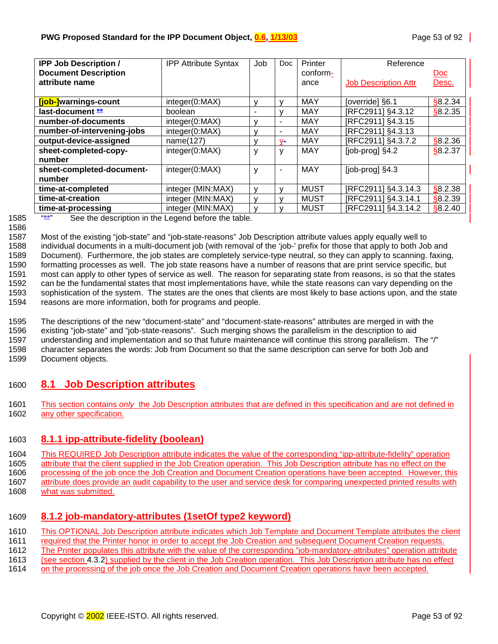<span id="page-52-0"></span>

| <b>IPP Job Description /</b> | <b>IPP Attribute Syntax</b> | Job          | <b>Doc</b>               | Printer     | Reference                   |            |
|------------------------------|-----------------------------|--------------|--------------------------|-------------|-----------------------------|------------|
| <b>Document Description</b>  |                             |              |                          | conform-    |                             | <u>Doc</u> |
| attribute name               |                             |              |                          | ance        | <b>Job Description Attr</b> | Desc.      |
|                              |                             |              |                          |             |                             |            |
| [job-]warnings-count         | integer(0:MAX)              | v            | $\mathsf{V}$             | <b>MAY</b>  | [override] §6.1             | \$8.2.34   |
| last-document **             | boolean                     |              | v                        | MAY         | [RFC2911] §4.3.12           | \$8.2.35   |
| number-of-documents          | integer(0:MAX)              | v            | $\overline{\phantom{a}}$ | <b>MAY</b>  | [RFC2911] §4.3.15           |            |
| number-of-intervening-jobs   | integer(0:MAX)              | v            | $\overline{\phantom{a}}$ | <b>MAY</b>  | [RFC2911] §4.3.13           |            |
| output-device-assigned       | name(127)                   | v            | $V -$                    | <b>MAY</b>  | [RFC2911] §4.3.7.2          | \$8.2.36   |
| sheet-completed-copy-        | integer(0:MAX)              | v            | y                        | <b>MAY</b>  | $[job$ -prog $]$ $§$ 4.2    | \$8.2.37   |
| number                       |                             |              |                          |             |                             |            |
| sheet-completed-document-    | integer(0:MAX)              | V            | ٠                        | <b>MAY</b>  | $[job$ -prog $]$ $§$ 4.3    |            |
| number                       |                             |              |                          |             |                             |            |
| time-at-completed            | integer (MIN:MAX)           | v            | v                        | <b>MUST</b> | [RFC2911] §4.3.14.3         | \$8.2.38   |
| time-at-creation             | integer (MIN:MAX)           | v            | v                        | MUST        | [RFC2911] §4.3.14.1         | \$8.2.39   |
| time-at-processing           | integer (MIN:MAX)           | $\mathbf{v}$ |                          | <b>MUST</b> | [RFC2911] §4.3.14.2         | \$8.2.40   |

1585 "\*\*" See the description in the Legend before the table.

1587 Most of the existing "job-state" and "job-state-reasons" Job Description attribute values apply equally well to 1588 individual documents in a multi-document job (with removal of the 'job-' prefix for those that apply to both Job and 1589 Document). Furthermore, the job states are completely service-type neutral, so they can apply to scanning. faxing, 1590 formatting processes as well. The job state reasons have a number of reasons that are print service specific, but 1591 most can apply to other types of service as well. The reason for separating state from reasons, is so that the states 1592 can be the fundamental states that most implementations have, while the state reasons can vary depending on the 1593 sophistication of the system. The states are the ones that clients are most likely to base actions upon, and the state 1594 reasons are more information, both for programs and people.

1595 The descriptions of the new "document-state" and "document-state-reasons" attributes are merged in with the 1596 existing "job-state" and "job-state-reasons". Such merging shows the parallelism in the description to aid 1597 understanding and implementation and so that future maintenance will continue this strong parallelism. The "/"

1598 character separates the words: Job from Document so that the same description can serve for both Job and 1599 Document objects.

# 1600 **8.1 Job Description attributes**

1601 This section contains *only* the Job Description attributes that are defined in this specification and are not defined in 1602 any other specification.

# 1603 **8.1.1 ipp-attribute-fidelity (boolean)**

1604 This REQUIRED Job Description attribute indicates the value of the corresponding "ipp-attribute-fidelity" operation 1605 attribute that the client supplied in the Job Creation operation. This Job Description attribute has no effect on the 1606 processing of the job once the Job Creation and Document Creation operations have been accepted. However, this

1607 attribute does provide an audit capability to the user and service desk for comparing unexpected printed results with 1608 what was submitted.

# 1609 **8.1.2 job-mandatory-attributes (1setOf type2 keyword)**

1610 This OPTIONAL Job Description attribute indicates which Job Template and Document Template attributes the client

1611 required that the Printer honor in order to accept the Job Creation and subsequent Document Creation requests.

1612 The Printer populates this attribute with the value of the corresponding "job-mandatory-attributes" operation attribute

- 1613 (see section [4.3.2\)](#page-33-0) supplied by the client in the Job Creation operation. This Job Description attribute has no effect
- 1614 on the processing of the job once the Job Creation and Document Creation operations have been accepted.

<sup>1586</sup>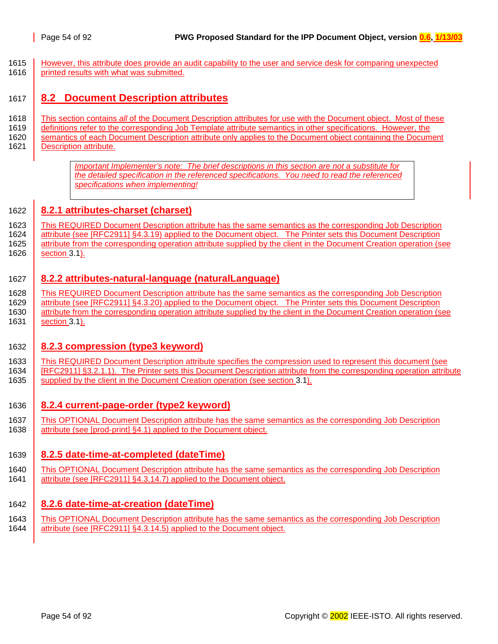<span id="page-53-0"></span>1615 However, this attribute does provide an audit capability to the user and service desk for comparing unexpected 1616 printed results with what was submitted.

## 1617 **8.2 Document Description attributes**

- 1618 This section contains *all* of the Document Description attributes for use with the Document object. Most of these
- 1619 definitions refer to the corresponding Job Template attribute semantics in other specifications. However, the 1620 Semantics of each Document Description attribute only applies to the Document object containing the Document
- 1621 | Description attribute.

*Important Implementer's note: The brief descriptions in this section are not a substitute for the detailed specification in the referenced specifications. You need to read the referenced specifications when implementing!*

### 1622 **8.2.1 attributes-charset (charset)**

1623 This REQUIRED Document Description attribute has the same semantics as the corresponding Job Description 1624 attribute (see [RFC2911] §4.3.19) applied to the Document object. The Printer sets this Document Description 1625 | attribute from the corresponding operation attribute supplied by the client in the Document Creation operation (see 1626 **section [3.1\)](#page-12-0).** 

### 1627 **8.2.2 attributes-natural-language (naturalLanguage)**

1628 This REQUIRED Document Description attribute has the same semantics as the corresponding Job Description 1629 attribute (see [RFC2911] §4.3.20) applied to the Document object. The Printer sets this Document Description 1630 attribute from the corresponding operation attribute supplied by the client in the Document Creation operation (see 1631 **section [3.1\)](#page-12-0).** 

### 1632 **8.2.3 compression (type3 keyword)**

- 1633 This REQUIRED Document Description attribute specifies the compression used to represent this document (see 1634 [RFC2911] §3.2.1.1). The Printer sets this Document Description attribute from the corresponding operation attribute 1635 supplied by the client in the Document Creation operation (see section [3.1\)](#page-12-0).
- 1636 **8.2.4 current-page-order (type2 keyword)**
- 1637 This OPTIONAL Document Description attribute has the same semantics as the corresponding Job Description 1638 attribute (see [prod-print] §4.1) applied to the Document object.

#### 1639 **8.2.5 date-time-at-completed (dateTime)**

1640 This OPTIONAL Document Description attribute has the same semantics as the corresponding Job Description 1641 attribute (see [RFC2911] §4.3.14.7) applied to the Document object.

#### 1642 **8.2.6 date-time-at-creation (dateTime)**

1643 This OPTIONAL Document Description attribute has the same semantics as the corresponding Job Description 1644 attribute (see [RFC2911] §4.3.14.5) applied to the Document object.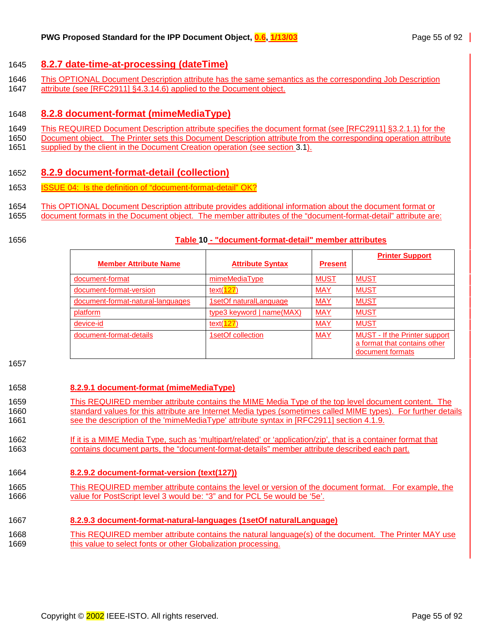### <span id="page-54-0"></span>1645 **8.2.7 date-time-at-processing (dateTime)**

- 1646 This OPTIONAL Document Description attribute has the same semantics as the corresponding Job Description
- 1647 attribute (see [RFC2911] §4.3.14.6) applied to the Document object.

#### 1648 **8.2.8 document-format (mimeMediaType)**

- 1649 This REQUIRED Document Description attribute specifies the document format (see [RFC2911] §3.2.1.1) for the
- 1650 Document object. The Printer sets this Document Description attribute from the corresponding operation attribute
- 1651 supplied by the client in the Document Creation operation (see section [3.1\)](#page-12-0).

### 1652 **8.2.9 document-format-detail (collection)**

- 1653 **ISSUE 04: Is the definition of "document-format-detail" OK?**
- 1654 This OPTIONAL Document Description attribute provides additional information about the document format or
- 1655 document formats in the Document object. The member attributes of the "document-format-detail" attribute are:
- 

#### 1656 **Table 10 - "document-format-detail" member attributes**

|                                   |                           |                | <b>Printer Support</b>                                                                   |
|-----------------------------------|---------------------------|----------------|------------------------------------------------------------------------------------------|
| <b>Member Attribute Name</b>      | <b>Attribute Syntax</b>   | <b>Present</b> |                                                                                          |
| document-format                   | mimeMediaType             | <b>MUST</b>    | <b>MUST</b>                                                                              |
| document-format-version           | text(127)                 | <b>MAY</b>     | <b>MUST</b>                                                                              |
| document-format-natural-languages | 1setOf naturalLanguage    | <b>MAY</b>     | <b>MUST</b>                                                                              |
| platform                          | type3 keyword   name(MAX) | <b>MAY</b>     | <b>MUST</b>                                                                              |
| device-id                         | text(127)                 | <b>MAY</b>     | <b>MUST</b>                                                                              |
| document-format-details           | 1setOf collection         | <b>MAY</b>     | <b>MUST - If the Printer support</b><br>a format that contains other<br>document formats |

1657

#### 1658 **8.2.9.1 document-format (mimeMediaType)**

- 1659 This REQUIRED member attribute contains the MIME Media Type of the top level document content. The 1660 standard values for this attribute are Internet Media types (sometimes called MIME types). For further details 1661 see the description of the 'mimeMediaType' attribute syntax in [RFC2911] section 4.1.9.
- 1662 If it is a MIME Media Type, such as 'multipart/related' or 'application/zip', that is a container format that 1663 contains document parts, the "document-format-details" member attribute described each part.

1664 **8.2.9.2 document-format-version (text(127))**

1665 This REQUIRED member attribute contains the level or version of the document format. For example, the 1666 value for PostScript level 3 would be: "3" and for PCL 5e would be '5e'.

#### 1667 **8.2.9.3 document-format-natural-languages (1setOf naturalLanguage)**

1668 This REQUIRED member attribute contains the natural language(s) of the document. The Printer MAY use 1669 this value to select fonts or other Globalization processing.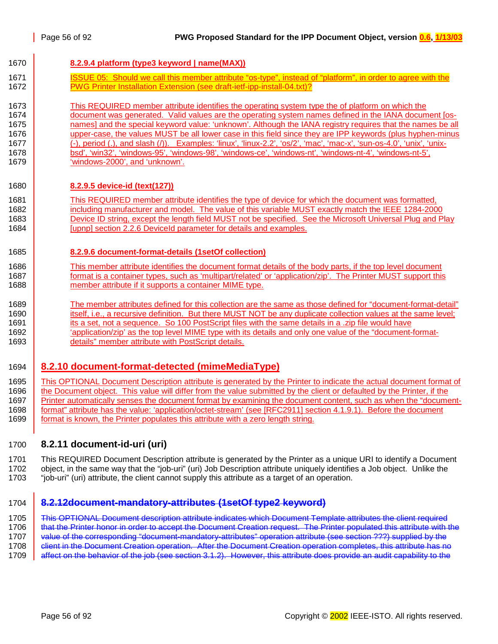<span id="page-55-0"></span>

| 1670 | 8.2.9.4 platform (type3 keyword   name(MAX))                                                                           |
|------|------------------------------------------------------------------------------------------------------------------------|
| 1671 | ISSUE 05: Should we call this member attribute "os-type", instead of "platform", in order to agree with the            |
| 1672 | PWG Printer Installation Extension (see draft-ietf-ipp-install-04.txt)?                                                |
| 1673 | This REQUIRED member attribute identifies the operating system type the of platform on which the                       |
| 1674 | document was generated. Valid values are the operating system names defined in the IANA document [os-                  |
| 1675 | names] and the special keyword value: 'unknown'. Although the IANA registry requires that the names be all             |
| 1676 | upper-case, the values MUST be all lower case in this field since they are IPP keywords (plus hyphen-minus             |
| 1677 | (-), period (.), and slash (/)). Examples: 'linux', 'linux-2.2', 'os/2', 'mac', 'mac-x', 'sun-os-4.0', 'unix', 'unix-  |
| 1678 | bsd', 'win32', 'windows-95', 'windows-98', 'windows-ce', 'windows-nt', 'windows-nt-4', 'windows-nt-5',                 |
| 1679 | 'windows-2000', and 'unknown'.                                                                                         |
| 1680 | 8.2.9.5 device-id (text(127))                                                                                          |
| 1681 | This REQUIRED member attribute identifies the type of device for which the document was formatted,                     |
| 1682 | including manufacturer and model. The value of this variable MUST exactly match the IEEE 1284-2000                     |
| 1683 | Device ID string, except the length field MUST not be specified. See the Microsoft Universal Plug and Play             |
| 1684 | [upnp] section 2.2.6 Deviceld parameter for details and examples.                                                      |
| 1685 | 8.2.9.6 document-format-details (1setOf collection)                                                                    |
| 1686 | This member attribute identifies the document format details of the body parts, if the top level document              |
| 1687 | format is a container types, such as 'multipart/related' or 'application/zip'. The Printer MUST support this           |
| 1688 | member attribute if it supports a container MIME type.                                                                 |
| 1689 | The member attributes defined for this collection are the same as those defined for "document-format-detail"           |
| 1690 | itself, i.e., a recursive definition. But there MUST NOT be any duplicate collection values at the same level;         |
| 1691 | its a set, not a sequence. So 100 PostScript files with the same details in a .zip file would have                     |
| 1692 | 'application/zip' as the top level MIME type with its details and only one value of the "document-format-              |
| 1693 | details" member attribute with PostScript details.                                                                     |
| 1694 | 8.2.10 document-format-detected (mimeMediaType)                                                                        |
| 1695 | This OPTIONAL Document Description attribute is generated by the Printer to indicate the actual document format of     |
| 1696 | the Document object. This value will differ from the value submitted by the client or defaulted by the Printer, if the |

1697 Printer automatically senses the document format by examining the document content, such as when the "document-1698 format" attribute has the value: 'application/octet-stream' (see [RFC2911] section 4.1.9.1). Before the document 1699 format is known, the Printer populates this attribute with a zero length string.

## 1700 **8.2.11 document-id-uri (uri)**

1701 This REQUIRED Document Description attribute is generated by the Printer as a unique URI to identify a Document 1702 object, in the same way that the "job-uri" (uri) Job Description attribute uniquely identifies a Job object. Unlike the 1703 "job-uri" (uri) attribute, the client cannot supply this attribute as a target of an operation.

#### 1704 **8.2.12document-mandatory-attributes (1setOf type2 keyword)**

1705 This OPTIONAL Document description attribute indicates which Document Template attributes the client required 1706 | that the Printer honor in order to accept the Document Creation request. The Printer populated this attribute with the 1707 value of the corresponding "document-mandatory-attributes" operation attribute (see section ???) supplied by the 1708 **client in the Document Creation operation.** After the Document Creation operation completes, this attribute has no 1709 affect on the behavior of the job (see section [3.1.2\)](#page-16-0). However, this attribute does provide an audit capability to the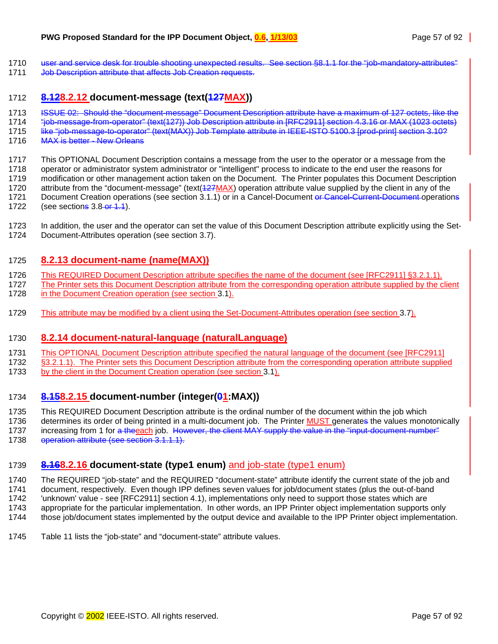- <span id="page-56-0"></span>1710 user and service desk for trouble shooting unexpected results. See section §[8.1.1](#page-52-0) for the "iob-mandatory-attributes"
- 1711 Job Description attribute that affects Job Creation requests.

#### 1712 **8.128.2.12 document-message (text(127MAX))**

- 1713 ISSUE 02: Should the "document-message" Document Description attribute have a maximum of 127 octets, like the
- 1714 "job-message-from-operator" (text(127)) Job Description attribute in [RFC2911] section 4.3.16 or MAX (1023 octets)
- 1715 like "job-message-to-operator" (text(MAX)) Job Template attribute in IEEE-ISTO 5100.3 [prod-print] section 3.10?
- 1716 MAX is better New Orleans
- 1717 This OPTIONAL Document Description contains a message from the user to the operator or a message from the
- 1718 operator or administrator system administrator or "intelligent" process to indicate to the end user the reasons for 1719 modification or other management action taken on the Document. The Printer populates this Document Description
- 1720 attribute from the "document-message" (text(427MAX) operation attribute value supplied by the client in any of the 1721 Document Creation operations (see section [3.1.1\)](#page-13-0) or in a Cancel-Document or Cancel-Current-Document operations
- 1722 (see sections 3.8-or [1.1\)](#page-31-0).
- 1723 In addition, the user and the operator can set the value of this Document Description attribute explicitly using the Set-1724 Document-Attributes operation (see section [3.7\)](#page-25-0).

### 1725 **8.2.13 document-name (name(MAX))**

- 1726 This REQUIRED Document Description attribute specifies the name of the document (see [RFC2911] §3.2.1.1).
- 1727 The Printer sets this Document Description attribute from the corresponding operation attribute supplied by the client 1728 in the Document Creation operation (see section [3.1\)](#page-12-0).
- 1729 This attribute may be modified by a client using the Set-Document-Attributes operation (see section [3.7\)](#page-25-0).

## 1730 **8.2.14 document-natural-language (naturalLanguage)**

- 1731 This OPTIONAL Document Description attribute specified the natural language of the document (see [RFC2911]
- 1732 §3.2.1.1). The Printer sets this Document Description attribute from the corresponding operation attribute supplied
- 1733 by the client in the Document Creation operation (see section [3.1\)](#page-12-0).

## 1734 **8.158.2.15 document-number (integer(01:MAX))**

- 1735 This REQUIRED Document Description attribute is the ordinal number of the document within the job which
- 1736 determines its order of being printed in a multi-document job. The Printer MUST generates the values monotonically 1737 increasing from 1 for a theeach job. However, the client MAY supply the value in the "input-document-number"
- 1738 operation attribute (see section [3.1.1.1\)](#page-14-0).

## 1739 **8.168.2.16 document-state (type1 enum)** and job-state (type1 enum)

- 1740 The REQUIRED "job-state" and the REQUIRED "document-state" attribute identify the current state of the job and 1741 document, respectively. Even though IPP defines seven values for job/document states (plus the out-of-band 1742 'unknown' value - see [RFC2911] section 4.1), implementations only need to support those states which are 1743 appropriate for the particular implementation. In other words, an IPP Printer object implementation supports only
- 1744 those job/document states implemented by the output device and available to the IPP Printer object implementation.
- 1745 [Table 11](#page-57-0) lists the "job-state" and "document-state" attribute values.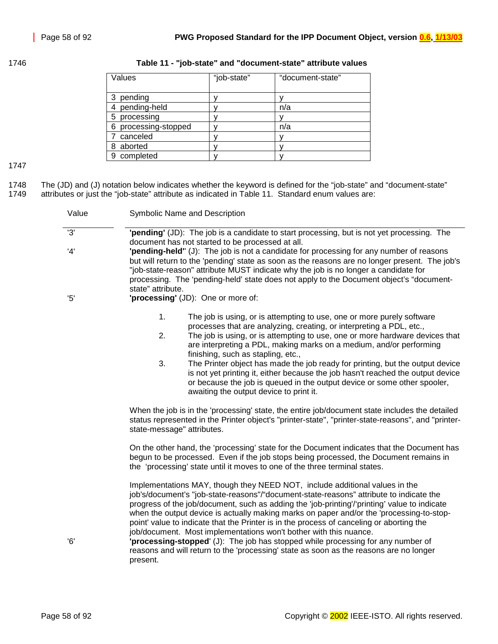<span id="page-57-0"></span>

| 1746 |  | Table 11 - "job-state" and "document-state" attribute values |  |
|------|--|--------------------------------------------------------------|--|
|      |  |                                                              |  |

| Values                  | "job-state" | "document-state" |
|-------------------------|-------------|------------------|
| pending<br>3            |             |                  |
| pending-held            |             | n/a              |
| processing<br>5         |             |                  |
| processing-stopped<br>6 |             | n/a              |
| canceled                |             |                  |
| aborted<br>8            |             |                  |
| completed<br>9          |             |                  |

1747

1748 The (JD) and (J) notation below indicates whether the keyword is defined for the "job-state" and "document-state"<br>1749 attributes or just the "job-state" attribute as indicated in Table 11. Standard enum values are: attributes or just the "job-state" attribute as indicated in Table 11. Standard enum values are:

| Value | Symbolic Name and Description                                                                                                                                                                                                                                                                                                                                                                                                                                                                                                                                                                                                                                                                                                 |
|-------|-------------------------------------------------------------------------------------------------------------------------------------------------------------------------------------------------------------------------------------------------------------------------------------------------------------------------------------------------------------------------------------------------------------------------------------------------------------------------------------------------------------------------------------------------------------------------------------------------------------------------------------------------------------------------------------------------------------------------------|
| 3'    | "pending" (JD): The job is a candidate to start processing, but is not yet processing. The<br>document has not started to be processed at all.                                                                                                                                                                                                                                                                                                                                                                                                                                                                                                                                                                                |
| '4'   | "pending-held" (J): The job is not a candidate for processing for any number of reasons<br>but will return to the 'pending' state as soon as the reasons are no longer present. The job's<br>"job-state-reason" attribute MUST indicate why the job is no longer a candidate for<br>processing. The 'pending-held' state does not apply to the Document object's "document-<br>state" attribute.                                                                                                                                                                                                                                                                                                                              |
| '5'   | 'processing' (JD): One or more of:                                                                                                                                                                                                                                                                                                                                                                                                                                                                                                                                                                                                                                                                                            |
|       | 1.<br>The job is using, or is attempting to use, one or more purely software<br>processes that are analyzing, creating, or interpreting a PDL, etc.,<br>2.<br>The job is using, or is attempting to use, one or more hardware devices that<br>are interpreting a PDL, making marks on a medium, and/or performing<br>finishing, such as stapling, etc.,<br>3.<br>The Printer object has made the job ready for printing, but the output device<br>is not yet printing it, either because the job hasn't reached the output device<br>or because the job is queued in the output device or some other spooler,<br>awaiting the output device to print it.                                                                      |
|       | When the job is in the 'processing' state, the entire job/document state includes the detailed<br>status represented in the Printer object's "printer-state", "printer-state-reasons", and "printer-<br>state-message" attributes.                                                                                                                                                                                                                                                                                                                                                                                                                                                                                            |
|       | On the other hand, the 'processing' state for the Document indicates that the Document has<br>begun to be processed. Even if the job stops being processed, the Document remains in<br>the 'processing' state until it moves to one of the three terminal states.                                                                                                                                                                                                                                                                                                                                                                                                                                                             |
| 6'    | Implementations MAY, though they NEED NOT, include additional values in the<br>job's/document's "job-state-reasons"/"document-state-reasons" attribute to indicate the<br>progress of the job/document, such as adding the 'job-printing'/'printing' value to indicate<br>when the output device is actually making marks on paper and/or the 'processing-to-stop-<br>point' value to indicate that the Printer is in the process of canceling or aborting the<br>job/document. Most implementations won't bother with this nuance.<br>"processing-stopped" (J): The job has stopped while processing for any number of<br>reasons and will return to the 'processing' state as soon as the reasons are no longer<br>present. |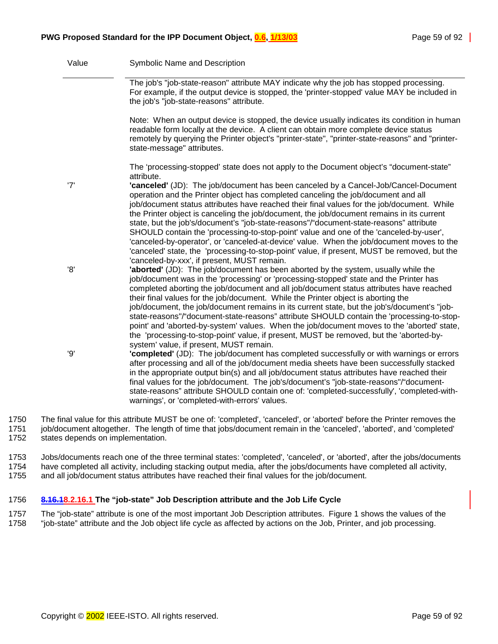| Value | Symbolic Name and Description                                                                                                                                                                                                                                                                                                                                                                                                                                                                                                                                                                                                                                                                                                                                                                       |
|-------|-----------------------------------------------------------------------------------------------------------------------------------------------------------------------------------------------------------------------------------------------------------------------------------------------------------------------------------------------------------------------------------------------------------------------------------------------------------------------------------------------------------------------------------------------------------------------------------------------------------------------------------------------------------------------------------------------------------------------------------------------------------------------------------------------------|
|       | The job's "job-state-reason" attribute MAY indicate why the job has stopped processing.<br>For example, if the output device is stopped, the 'printer-stopped' value MAY be included in<br>the job's "job-state-reasons" attribute.                                                                                                                                                                                                                                                                                                                                                                                                                                                                                                                                                                 |
|       | Note: When an output device is stopped, the device usually indicates its condition in human<br>readable form locally at the device. A client can obtain more complete device status<br>remotely by querying the Printer object's "printer-state", "printer-state-reasons" and "printer-<br>state-message" attributes.                                                                                                                                                                                                                                                                                                                                                                                                                                                                               |
|       | The 'processing-stopped' state does not apply to the Document object's "document-state"<br>attribute.                                                                                                                                                                                                                                                                                                                                                                                                                                                                                                                                                                                                                                                                                               |
| '7'   | 'canceled' (JD): The job/document has been canceled by a Cancel-Job/Cancel-Document<br>operation and the Printer object has completed canceling the job/document and all<br>job/document status attributes have reached their final values for the job/document. While<br>the Printer object is canceling the job/document, the job/document remains in its current<br>state, but the job's/document's "job-state-reasons"/"document-state-reasons" attribute<br>SHOULD contain the 'processing-to-stop-point' value and one of the 'canceled-by-user',<br>'canceled-by-operator', or 'canceled-at-device' value. When the job/document moves to the<br>'canceled' state, the 'processing-to-stop-point' value, if present, MUST be removed, but the<br>'canceled-by-xxx', if present, MUST remain. |
| '8'   | 'aborted' (JD): The job/document has been aborted by the system, usually while the<br>job/document was in the 'processing' or 'processing-stopped' state and the Printer has<br>completed aborting the job/document and all job/document status attributes have reached<br>their final values for the job/document. While the Printer object is aborting the<br>job/document, the job/document remains in its current state, but the job's/document's "job-<br>state-reasons"/"document-state-reasons" attribute SHOULD contain the 'processing-to-stop-<br>point' and 'aborted-by-system' values. When the job/document moves to the 'aborted' state,<br>the 'processing-to-stop-point' value, if present, MUST be removed, but the 'aborted-by-<br>system' value, if present, MUST remain.        |
| '9'   | 'completed' (JD): The job/document has completed successfully or with warnings or errors<br>after processing and all of the job/document media sheets have been successfully stacked<br>in the appropriate output bin(s) and all job/document status attributes have reached their<br>final values for the job/document. The job's/document's "job-state-reasons"/"document-<br>state-reasons" attribute SHOULD contain one of: 'completed-successfully', 'completed-with-<br>warnings', or 'completed-with-errors' values.                                                                                                                                                                                                                                                                         |
|       |                                                                                                                                                                                                                                                                                                                                                                                                                                                                                                                                                                                                                                                                                                                                                                                                     |

1750 The final value for this attribute MUST be one of: 'completed', 'canceled', or 'aborted' before the Printer removes the 1751 job/document altogether. The length of time that jobs/document remain in the 'canceled', 'aborted', and 'completed' 1752 states depends on implementation.

1753 Jobs/documents reach one of the three terminal states: 'completed', 'canceled', or 'aborted', after the jobs/documents 1754 have completed all activity, including stacking output media, after the jobs/documents have completed all activity,

1755 and all job/document status attributes have reached their final values for the job/document.

#### 1756 **8.16.18.2.16.1 The "job-state" Job Description attribute and the Job Life Cycle**

1757 The "job-state" attribute is one of the most important Job Description attributes. [Figure 1](#page-59-0) shows the values of the 1758 "job-state" attribute and the Job object life cycle as affected by actions on the Job, Printer, and job processing.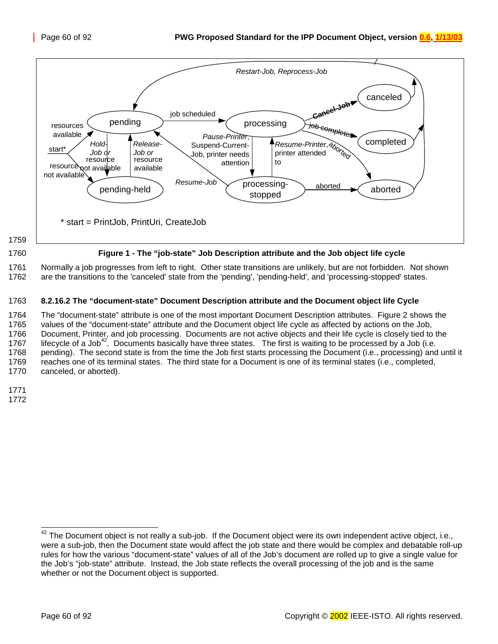<span id="page-59-0"></span>

1761 Normally a job progresses from left to right. Other state transitions are unlikely, but are not forbidden. Not shown 1762 are the transitions to the 'canceled' state from the 'pending', 'pending-held', and 'processing-stopped' states.

#### 1763 **8.2.16.2 The "document-state" Document Description attribute and the Document object life Cycle**

1764 The "document-state" attribute is one of the most important Document Description attributes. [Figure 2](#page-60-0) shows the 1765 values of the "document-state" attribute and the Document object life cycle as affected by actions on the Job, 1766 Document, Printer, and job processing. Documents are not active objects and their life cycle is closely tied to the 1767 lifecycle of a Job<sup>42</sup>. Documents basically have three states. The first is waiting to be processed by a Job (i.e. 1768 pending). The second state is from the time the Job first starts processing the Document (i.e., processing) and until it 1769 reaches one of its terminal states. The third state for a Document is one of its terminal states (i.e., completed, 1770 canceled, or aborted).

1771

1772

l

 $42$  The Document object is not really a sub-job. If the Document object were its own independent active object, i.e., were a sub-job, then the Document state would affect the job state and there would be complex and debatable roll-up rules for how the various "document-state" values of all of the Job's document are rolled up to give a single value for the Job's "job-state" attribute. Instead, the Job state reflects the overall processing of the job and is the same whether or not the Document object is supported.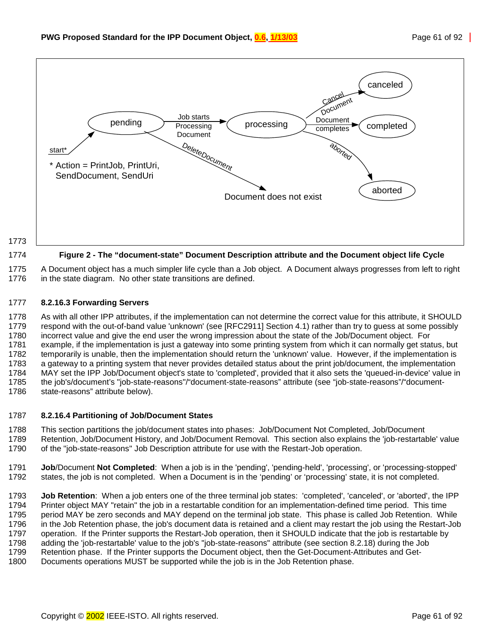<span id="page-60-0"></span>

1775 A Document object has a much simpler life cycle than a Job object. A Document always progresses from left to right 1776 in the state diagram. No other state transitions are defined.

#### 1777 **8.2.16.3 Forwarding Servers**

1778 As with all other IPP attributes, if the implementation can not determine the correct value for this attribute, it SHOULD 1779 respond with the out-of-band value 'unknown' (see [RFC2911] Section 4.1) rather than try to guess at some possibly 1780 incorrect value and give the end user the wrong impression about the state of the Job/Document object. For 1781 example, if the implementation is just a gateway into some printing system from which it can normally get status, but 1782 temporarily is unable, then the implementation should return the 'unknown' value. However, if the implementation is 1783 a gateway to a printing system that never provides detailed status about the print job/document, the implementation 1784 MAY set the IPP Job/Document object's state to 'completed', provided that it also sets the 'queued-in-device' value in 1785 the job's/document's "job-state-reasons"/"document-state-reasons" attribute (see "job-state-reasons"/"document-1786 state-reasons" attribute below).

#### 1787 **8.2.16.4 Partitioning of Job/Document States**

1788 This section partitions the job/document states into phases: Job/Document Not Completed, Job/Document 1789 Retention, Job/Document History, and Job/Document Removal. This section also explains the 'job-restartable' value 1790 of the "job-state-reasons" Job Description attribute for use with the Restart-Job operation.

1791 **Job**/Document **Not Completed**: When a job is in the 'pending', 'pending-held', 'processing', or 'processing-stopped' 1792 states, the job is not completed. When a Document is in the 'pending' or 'processing' state, it is not completed.

1793 **Job Retention**: When a job enters one of the three terminal job states: 'completed', 'canceled', or 'aborted', the IPP 1794 Printer object MAY "retain" the job in a restartable condition for an implementation-defined time period. This time 1795 period MAY be zero seconds and MAY depend on the terminal job state. This phase is called Job Retention. While 1796 in the Job Retention phase, the job's document data is retained and a client may restart the job using the Restart-Job 1797 operation. If the Printer supports the Restart-Job operation, then it SHOULD indicate that the job is restartable by 1798 adding the 'job-restartable' value to the job's "job-state-reasons" attribute (see section [8.2.18\)](#page-61-0) during the Job 1799 Retention phase. If the Printer supports the Document object, then the Get-Document-Attributes and Get-1800 Documents operations MUST be supported while the job is in the Job Retention phase.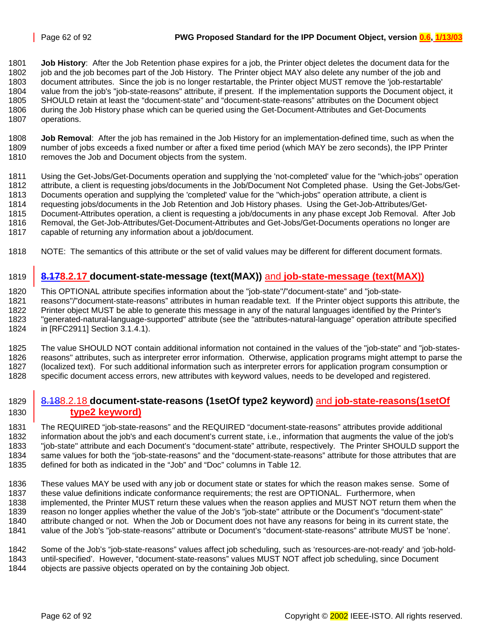<span id="page-61-0"></span>1801 **Job History**: After the Job Retention phase expires for a job, the Printer object deletes the document data for the 1802 job and the job becomes part of the Job History. The Printer object MAY also delete any number of the job and 1803 document attributes. Since the job is no longer restartable, the Printer object MUST remove the 'job-restartable' 1804 value from the job's "job-state-reasons" attribute, if present. If the implementation supports the Document object, it 1805 SHOULD retain at least the "document-state" and "document-state-reasons" attributes on the Document object 1806 during the Job History phase which can be queried using the Get-Document-Attributes and Get-Documents 1807 operations.

1808 **Job Removal**: After the job has remained in the Job History for an implementation-defined time, such as when the number of jobs exceeds a fixed number or after a fixed time period (which MAY be zero seconds), the IPP Printer 1810 removes the Job and Document objects from the system.

1811 Using the Get-Jobs/Get-Documents operation and supplying the 'not-completed' value for the "which-jobs" operation 1812 attribute, a client is requesting jobs/documents in the Job/Document Not Completed phase. Using the Get-Jobs/Get-1813 Documents operation and supplying the 'completed' value for the "which-jobs" operation attribute, a client is 1814 requesting jobs/documents in the Job Retention and Job History phases. Using the Get-Job-Attributes/Get-1815 Document-Attributes operation, a client is requesting a job/documents in any phase except Job Removal. After Job 1816 Removal, the Get-Job-Attributes/Get-Document-Attributes and Get-Jobs/Get-Documents operations no longer are 1817 capable of returning any information about a job/document.

1818 NOTE: The semantics of this attribute or the set of valid values may be different for different document formats.

### 1819 **8.178.2.17 document-state-message (text(MAX))** and **job-state-message (text(MAX))**

1820 This OPTIONAL attribute specifies information about the "job-state"/"document-state" and "job-state-1821 reasons"/"document-state-reasons" attributes in human readable text. If the Printer object supports this attribute, the 1822 Printer object MUST be able to generate this message in any of the natural languages identified by the Printer's 1823 "generated-natural-language-supported" attribute (see the "attributes-natural-language" operation attribute specified 1824 in [RFC2911] Section 3.1.4.1).

1825 The value SHOULD NOT contain additional information not contained in the values of the "job-state" and "job-states-1826 reasons" attributes, such as interpreter error information. Otherwise, application programs might attempt to parse the 1827 (localized text). For such additional information such as interpreter errors for application program consumption or 1828 specific document access errors, new attributes with keyword values, needs to be developed and registered.

#### 1829 8.188.2.18 **document-state-reasons (1setOf type2 keyword)** and **job-state-reasons(1setOf**  1830 **type2 keyword)**

1831 The REQUIRED "job-state-reasons" and the REQUIRED "document-state-reasons" attributes provide additional 1832 information about the job's and each document's current state, i.e., information that augments the value of the job's 1833 "job-state" attribute and each Document's "document-state" attribute, respectively. The Printer SHOULD support the 1834 same values for both the "job-state-reasons" and the "document-state-reasons" attribute for those attributes that are 1835 defined for both as indicated in the "Job" and "Doc" columns in [Table 12.](#page-62-0)

1836 These values MAY be used with any job or document state or states for which the reason makes sense. Some of 1837 these value definitions indicate conformance requirements; the rest are OPTIONAL. Furthermore, when 1838 implemented, the Printer MUST return these values when the reason applies and MUST NOT return them when the 1839 reason no longer applies whether the value of the Job's "job-state" attribute or the Document's "document-state" 1840 attribute changed or not. When the Job or Document does not have any reasons for being in its current state, the 1841 value of the Job's "job-state-reasons" attribute or Document's "document-state-reasons" attribute MUST be 'none'.

1842 Some of the Job's "job-state-reasons" values affect job scheduling, such as 'resources-are-not-ready' and 'job-hold-1843 until-specified'. However, "document-state-reasons" values MUST NOT affect job scheduling, since Document

1844 objects are passive objects operated on by the containing Job object.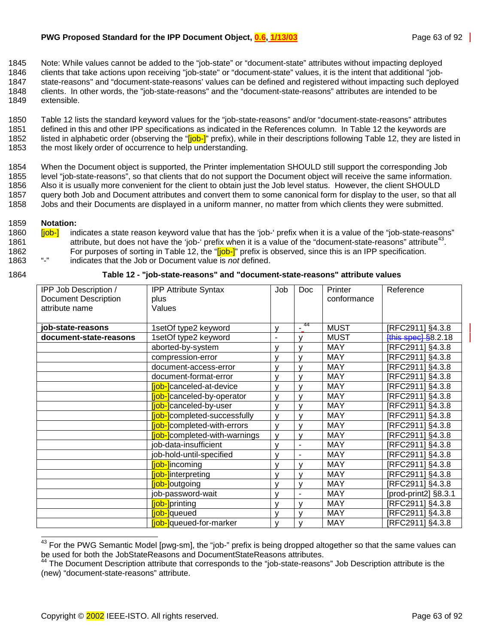<span id="page-62-0"></span>1845 Note: While values cannot be added to the "job-state" or "document-state" attributes without impacting deployed

1846 clients that take actions upon receiving "job-state" or "document-state" values, it is the intent that additional "job-1847 state-reasons" and "document-state-reasons' values can be defined and registered without impacting such deployed 1848 clients. In other words, the "job-state-reasons" and the "document-state-reasons" attributes are intended to be 1849 extensible.

1850 Table 12 lists the standard keyword values for the "job-state-reasons" and/or "document-state-reasons" attributes 1851 defined in this and other IPP specifications as indicated in the References column. In Table 12 the keywords are 1852 listed in alphabetic order (observing the "[job-]" prefix), while in their descriptions following Table 12, they are listed in 1853 the most likely order of occurrence to help understanding.

1854 When the Document object is supported, the Printer implementation SHOULD still support the corresponding Job 1855 level "job-state-reasons", so that clients that do not support the Document object will receive the same information. 1856 Also it is usually more convenient for the client to obtain just the Job level status. However, the client SHOULD 1857 query both Job and Document attributes and convert them to some canonical form for display to the user, so that all 1858 Jobs and their Documents are displayed in a uniform manner, no matter from which clients they were submitted.

#### 1859 **Notation:**

1860 **[job-]** indicates a state reason keyword value that has the 'job-' prefix when it is a value of the "job-state-reasons" 1861 attribute, but does not have the 'job-' prefix when it is a value of the "document-state-reasons" attribute<sup>43</sup>. 1862 For purposes of sorting in Table 12, the "[job-]" prefix is observed, since this is an IPP specification.<br>1863 "-" indicates that the Job or Document value is not defined 1863 "-" indicates that the Job or Document value is *not* defined.

| 1864 | Table 12 - "job-state-reasons" and "document-state-reasons" attribute values |  |  |  |  |
|------|------------------------------------------------------------------------------|--|--|--|--|
|      |                                                                              |  |  |  |  |

| IPP Job Description /       | <b>IPP Attribute Syntax</b>          | Job            | Doc            | Printer     | Reference                 |
|-----------------------------|--------------------------------------|----------------|----------------|-------------|---------------------------|
| <b>Document Description</b> | plus                                 |                |                | conformance |                           |
| attribute name              | Values                               |                |                |             |                           |
|                             |                                      |                |                |             |                           |
| job-state-reasons           | 1setOf type2 keyword                 | v              | $-44$          | <b>MUST</b> | [RFC2911] §4.3.8          |
| document-state-reasons      | 1setOf type2 keyword                 | $\blacksquare$ | $\mathsf{V}$   | <b>MUST</b> | $[$ this spec $]$ §8.2.18 |
|                             | aborted-by-system                    | v              | v              | <b>MAY</b>  | [RFC2911] §4.3.8          |
|                             | compression-error                    | v              | v              | <b>MAY</b>  | [RFC2911] §4.3.8          |
|                             | document-access-error                | v              | $\mathsf{V}$   | <b>MAY</b>  | [RFC2911] §4.3.8          |
|                             | document-format-error                | v              | $\mathsf{V}$   | <b>MAY</b>  | [RFC2911] §4.3.8          |
|                             | <b>[job-]</b> canceled-at-device     | v              | $\mathsf{V}$   | <b>MAY</b>  | [RFC2911] §4.3.8          |
|                             | <b>liob-l</b> canceled-by-operator   | v              | v              | <b>MAY</b>  | [RFC2911] §4.3.8          |
|                             | <b>fjob-l</b> canceled-by-user       | v              | v              | <b>MAY</b>  | [RFC2911] §4.3.8          |
|                             | <b>[job-]</b> completed-successfully | v              | v              | <b>MAY</b>  | [RFC2911] §4.3.8          |
|                             | <b>[job-]</b> completed-with-errors  | v              | v              | <b>MAY</b>  | [RFC2911] §4.3.8          |
|                             | <b>fjob-</b> completed-with-warnings | v              | $\mathsf{v}$   | <b>MAY</b>  | [RFC2911] §4.3.8          |
|                             | job-data-insufficient                | v              | ۰              | <b>MAY</b>  | [RFC2911] §4.3.8          |
|                             | job-hold-until-specified             | v              | -              | <b>MAY</b>  | [RFC2911] §4.3.8          |
|                             | [job-]incoming                       | v              | v              | <b>MAY</b>  | [RFC2911] §4.3.8          |
|                             | <b>iob-linterpreting</b>             | v              | v              | <b>MAY</b>  | [RFC2911] §4.3.8          |
|                             | [job-]outgoing                       | v              | v              | <b>MAY</b>  | [RFC2911] §4.3.8          |
|                             | job-password-wait                    | v              | $\blacksquare$ | <b>MAY</b>  | [prod-print2] §8.3.1      |
|                             | [job-]printing                       | v              | v              | <b>MAY</b>  | [RFC2911] §4.3.8          |
|                             | <b>fjob-</b> queued                  | v              | v              | <b>MAY</b>  | [RFC2911] §4.3.8          |
|                             | <b>fjob-</b> queued-for-marker       | v              | v              | <b>MAY</b>  | [RFC2911] §4.3.8          |

l  $^{43}$  For the PWG Semantic Model [pwg-sm], the "job-" prefix is being dropped altogether so that the same values can be used for both the JobStateReasons and DocumentStateReasons attributes.

<sup>&</sup>lt;sup>44</sup> The Document Description attribute that corresponds to the "job-state-reasons" Job Description attribute is the (new) "document-state-reasons" attribute.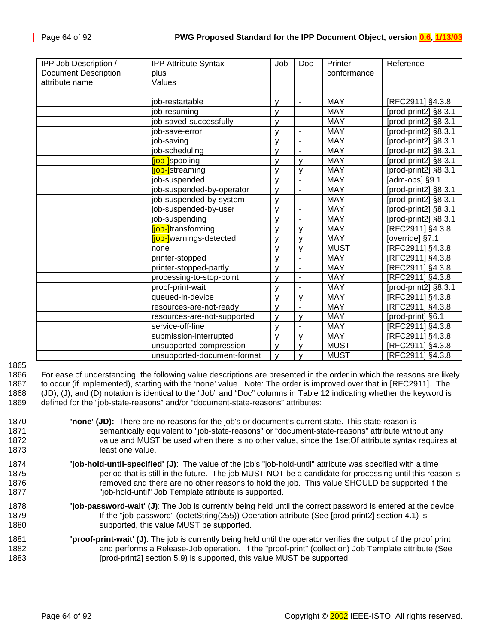| IPP Job Description /       | <b>IPP Attribute Syntax</b> | Job          | <b>Doc</b>               | Printer     | Reference                     |
|-----------------------------|-----------------------------|--------------|--------------------------|-------------|-------------------------------|
| <b>Document Description</b> | plus                        |              |                          | conformance |                               |
| attribute name              | Values                      |              |                          |             |                               |
|                             |                             |              |                          |             |                               |
|                             | job-restartable             | y            | $\blacksquare$           | <b>MAY</b>  | [RFC2911] §4.3.8              |
|                             | job-resuming                | V            | L,                       | <b>MAY</b>  | [prod-print2] §8.3.1          |
|                             | job-saved-successfully      | $\mathsf{V}$ | $\blacksquare$           | <b>MAY</b>  | [prod-print2] §8.3.1          |
|                             | job-save-error              | $\mathsf{V}$ | $\blacksquare$           | <b>MAY</b>  | [prod-print2] §8.3.1          |
|                             | job-saving                  | V            | $\overline{\phantom{a}}$ | <b>MAY</b>  | [prod-print2] §8.3.1          |
|                             | job-scheduling              | v            | $\blacksquare$           | <b>MAY</b>  | [prod-print2] §8.3.1          |
|                             | [job-]spooling              | V            | V                        | <b>MAY</b>  | [prod-print2] §8.3.1          |
|                             | [job-]streaming             | y            | y                        | <b>MAY</b>  | [prod-print2] §8.3.1          |
|                             | job-suspended               | $\mathsf{V}$ | L,                       | <b>MAY</b>  | [adm-ops] §9.1                |
|                             | job-suspended-by-operator   | $\mathsf{V}$ | $\blacksquare$           | <b>MAY</b>  | [prod-print2] §8.3.1          |
|                             | job-suspended-by-system     | y            | $\blacksquare$           | <b>MAY</b>  | [ $prod-$ prod-print2] §8.3.1 |
|                             | job-suspended-by-user       | V            | $\blacksquare$           | <b>MAY</b>  | [prod-print2] §8.3.1          |
|                             | job-suspending              | V            | $\blacksquare$           | <b>MAY</b>  | [prod-print2] §8.3.1          |
|                             | [job-]transforming          | y            | y                        | <b>MAY</b>  | [RFC2911] §4.3.8              |
|                             | [job-]warnings-detected     | $\mathsf{V}$ | $\mathsf{V}$             | <b>MAY</b>  | [override] §7.1               |
|                             | none                        | V            | y                        | <b>MUST</b> | [RFC2911] §4.3.8              |
|                             | printer-stopped             | v            | $\overline{\phantom{a}}$ | <b>MAY</b>  | [RFC2911] §4.3.8              |
|                             | printer-stopped-partly      | y            | Ĭ.                       | <b>MAY</b>  | [RFC2911] §4.3.8              |
|                             | processing-to-stop-point    | V            | $\overline{\phantom{a}}$ | <b>MAY</b>  | [RFC2911] §4.3.8              |
|                             | proof-print-wait            | $\mathsf{V}$ | $\blacksquare$           | <b>MAY</b>  | [prod-print2] §8.3.1          |
|                             | queued-in-device            | y            | y                        | <b>MAY</b>  | [RFC2911] §4.3.8              |
|                             | resources-are-not-ready     | V            | $\blacksquare$           | <b>MAY</b>  | [RFC2911] §4.3.8              |
|                             | resources-are-not-supported | V            | y                        | <b>MAY</b>  | [prod-print] §6.1             |
|                             | service-off-line            | V            |                          | <b>MAY</b>  | [RFC2911] §4.3.8              |
|                             | submission-interrupted      | y            | y                        | <b>MAY</b>  | [RFC2911] §4.3.8              |
|                             | unsupported-compression     | $\mathsf{V}$ | V                        | <b>MUST</b> | [RFC2911] §4.3.8              |
|                             | unsupported-document-format | $\mathsf{V}$ | V                        | <b>MUST</b> | [RFC2911] §4.3.8              |

1865

1866 For ease of understanding, the following value descriptions are presented in the order in which the reasons are likely 1867 to occur (if implemented), starting with the 'none' value. Note: The order is improved over that in [RFC2911]. The 1868 (JD), (J), and (D) notation is identical to the "Job" and "Doc" columns in [Table 12](#page-62-0) indicating whether the keyword is 1869 defined for the "job-state-reasons" and/or "document-state-reasons" attributes:

- 1870 **'none' (JD):** There are no reasons for the job's or document's current state. This state reason is 1871 semantically equivalent to "job-state-reasons" or "document-state-reasons" attribute without any 1872 value and MUST be used when there is no other value, since the 1setOf attribute syntax requires at 1873 least one value.
- 1874 **'job-hold-until-specified' (J)**: The value of the job's "job-hold-until" attribute was specified with a time 1875 **period that is still in the future.** The job MUST NOT be a candidate for processing until this reason is 1876 removed and there are no other reasons to hold the job. This value SHOULD be supported if the 1877 "job-hold-until" Job Template attribute is supported.
- 1878 **'job-password-wait' (J)**: The Job is currently being held until the correct password is entered at the device. 1879 **If the "job-password" (octetString(255)) Operation attribute (See [prod-print2] section 4.1) is** 1880 supported, this value MUST be supported.
- 1881 **'proof-print-wait' (J)**: The job is currently being held until the operator verifies the output of the proof print 1882 and performs a Release-Job operation. If the "proof-print" (collection) Job Template attribute (See 1883 *prod-print2]* section 5.9) is supported, this value MUST be supported.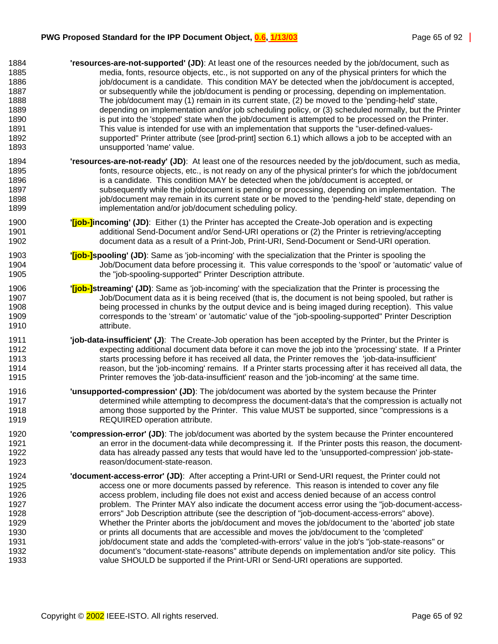| 1884 | 'resources-are-not-supported' (JD): At least one of the resources needed by the job/document, such as              |
|------|--------------------------------------------------------------------------------------------------------------------|
| 1885 | media, fonts, resource objects, etc., is not supported on any of the physical printers for which the               |
| 1886 | job/document is a candidate. This condition MAY be detected when the job/document is accepted,                     |
| 1887 | or subsequently while the job/document is pending or processing, depending on implementation.                      |
| 1888 | The job/document may (1) remain in its current state, (2) be moved to the 'pending-held' state,                    |
| 1889 | depending on implementation and/or job scheduling policy, or (3) scheduled normally, but the Printer               |
| 1890 | is put into the 'stopped' state when the job/document is attempted to be processed on the Printer.                 |
| 1891 | This value is intended for use with an implementation that supports the "user-defined-values-                      |
| 1892 | supported" Printer attribute (see [prod-print] section 6.1) which allows a job to be accepted with an              |
| 1893 | unsupported 'name' value.                                                                                          |
| 1894 | 'resources-are-not-ready' (JD): At least one of the resources needed by the job/document, such as media,           |
| 1895 | fonts, resource objects, etc., is not ready on any of the physical printer's for which the job/document            |
| 1896 | is a candidate. This condition MAY be detected when the job/document is accepted, or                               |
| 1897 | subsequently while the job/document is pending or processing, depending on implementation. The                     |
| 1898 | job/document may remain in its current state or be moved to the 'pending-held' state, depending on                 |
| 1899 | implementation and/or job/document scheduling policy.                                                              |
| 1900 | " <b>[job-]incoming' (JD)</b> : Either (1) the Printer has accepted the Create-Job operation and is expecting      |
| 1901 | additional Send-Document and/or Send-URI operations or (2) the Printer is retrieving/accepting                     |
| 1902 | document data as a result of a Print-Job, Print-URI, Send-Document or Send-URI operation.                          |
| 1903 | " <b>[job-]spooling' (JD)</b> : Same as 'job-incoming' with the specialization that the Printer is spooling the    |
| 1904 | Job/Document data before processing it. This value corresponds to the 'spool' or 'automatic' value of              |
| 1905 | the "job-spooling-supported" Printer Description attribute.                                                        |
| 1906 | " <b>[job-]streaming' (JD)</b> : Same as 'job-incoming' with the specialization that the Printer is processing the |
| 1907 | Job/Document data as it is being received (that is, the document is not being spooled, but rather is               |
| 1908 | being processed in chunks by the output device and is being imaged during reception). This value                   |
| 1909 | corresponds to the 'stream' or 'automatic' value of the "job-spooling-supported" Printer Description               |
| 1910 | attribute.                                                                                                         |
| 1911 | 'job-data-insufficient' (J): The Create-Job operation has been accepted by the Printer, but the Printer is         |
| 1912 | expecting additional document data before it can move the job into the 'processing' state. If a Printer            |
| 1913 | starts processing before it has received all data, the Printer removes the 'job-data-insufficient'                 |
| 1914 | reason, but the 'job-incoming' remains. If a Printer starts processing after it has received all data, the         |
| 1915 | Printer removes the 'job-data-insufficient' reason and the 'job-incoming' at the same time.                        |
| 1916 | 'unsupported-compression' (JD): The job/document was aborted by the system because the Printer                     |
| 1917 | determined while attempting to decompress the document-data's that the compression is actually not                 |
| 1918 | among those supported by the Printer. This value MUST be supported, since "compressions is a                       |
| 1919 | REQUIRED operation attribute.                                                                                      |
| 1920 | "compression-error" (JD): The job/document was aborted by the system because the Printer encountered               |
| 1921 | an error in the document-data while decompressing it. If the Printer posts this reason, the document-              |
| 1922 | data has already passed any tests that would have led to the 'unsupported-compression' job-state-                  |
| 1923 | reason/document-state-reason.                                                                                      |
| 1924 | "document-access-error" (JD): After accepting a Print-URI or Send-URI request, the Printer could not               |
| 1925 | access one or more documents passed by reference. This reason is intended to cover any file                        |
| 1926 | access problem, including file does not exist and access denied because of an access control                       |
| 1927 | problem. The Printer MAY also indicate the document access error using the "job-document-access-                   |
| 1928 | errors" Job Description attribute (see the description of "job-document-access-errors" above).                     |
| 1929 | Whether the Printer aborts the job/document and moves the job/document to the 'aborted' job state                  |
| 1930 | or prints all documents that are accessible and moves the job/document to the 'completed'                          |
| 1931 | job/document state and adds the 'completed-with-errors' value in the job's "job-state-reasons" or                  |
| 1932 | document's "document-state-reasons" attribute depends on implementation and/or site policy. This                   |
| 1933 | value SHOULD be supported if the Print-URI or Send-URI operations are supported.                                   |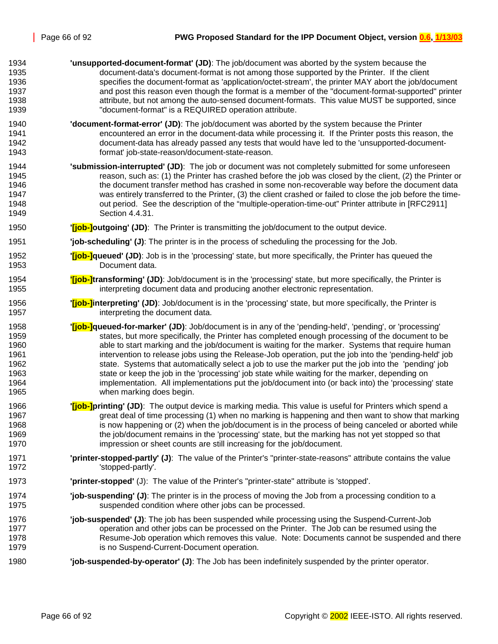- 1934 **'unsupported-document-format' (JD)**: The job/document was aborted by the system because the 1935 document-data's document-format is not among those supported by the Printer. If the client 1936 specifies the document-format as 'application/octet-stream', the printer MAY abort the job/document 1937 and post this reason even though the format is a member of the "document-format-supported" printer 1938 attribute, but not among the auto-sensed document-formats. This value MUST be supported, since 1939 "document-format" is a REQUIRED operation attribute. 1940 **'document-format-error' (JD)**: The job/document was aborted by the system because the Printer 1941 encountered an error in the document-data while processing it. If the Printer posts this reason, the 1942 document-data has already passed any tests that would have led to the 'unsupported-document-1943 format' job-state-reason/document-state-reason. 1944 **'submission-interrupted' (JD)**: The job or document was not completely submitted for some unforeseen 1945 reason, such as: (1) the Printer has crashed before the job was closed by the client, (2) the Printer or 1946 the document transfer method has crashed in some non-recoverable way before the document data 1947 was entirely transferred to the Printer, (3) the client crashed or failed to close the job before the time-1948 out period. See the description of the "multiple-operation-time-out" Printer attribute in [RFC2911] 1949 Section 4.4.31. 1950 **'[job-]outgoing' (JD)**: The Printer is transmitting the job/document to the output device. 1951 **'job-scheduling' (J)**: The printer is in the process of scheduling the processing for the Job. 1952 **'[job-]queued' (JD)**: Job is in the 'processing' state, but more specifically, the Printer has queued the 1953 Document data. 1954 **'[job-]transforming' (JD)**: Job/document is in the 'processing' state, but more specifically, the Printer is 1955 interpreting document data and producing another electronic representation. 1956 **'[job-]interpreting' (JD)**: Job/document is in the 'processing' state, but more specifically, the Printer is 1957 **interpreting the document data.** 1958 **'[job-]queued-for-marker' (JD)**: Job/document is in any of the 'pending-held', 'pending', or 'processing' 1959 states, but more specifically, the Printer has completed enough processing of the document to be 1960 able to start marking and the job/document is waiting for the marker. Systems that require human 1961 intervention to release jobs using the Release-Job operation, put the job into the 'pending-held' job 1962 state. Systems that automatically select a job to use the marker put the job into the 'pending' job 1963 state or keep the job in the 'processing' job state while waiting for the marker, depending on 1964 implementation. All implementations put the job/document into (or back into) the 'processing' state 1965 when marking does begin. 1966 **'[job-]printing' (JD)**: The output device is marking media. This value is useful for Printers which spend a 1967 great deal of time processing (1) when no marking is happening and then want to show that marking 1968 is now happening or (2) when the job/document is in the process of being canceled or aborted while 1969 the job/document remains in the 'processing' state, but the marking has not yet stopped so that 1970 impression or sheet counts are still increasing for the job/document. 1971 **'printer-stopped-partly' (J)**: The value of the Printer's "printer-state-reasons" attribute contains the value 1972 **buyier in the Stopped-partly'.** 1973 **'printer-stopped'** (J): The value of the Printer's "printer-state" attribute is 'stopped'. 1974 **'job-suspending' (J)**: The printer is in the process of moving the Job from a processing condition to a 1975 suspended condition where other jobs can be processed. 1976 **'job-suspended' (J)**: The job has been suspended while processing using the Suspend-Current-Job 1977 operation and other jobs can be processed on the Printer. The Job can be resumed using the 1978 Resume-Job operation which removes this value. Note: Documents cannot be suspended and there 1979 is no Suspend-Current-Document operation.
- 1980 **'job-suspended-by-operator' (J)**: The Job has been indefinitely suspended by the printer operator.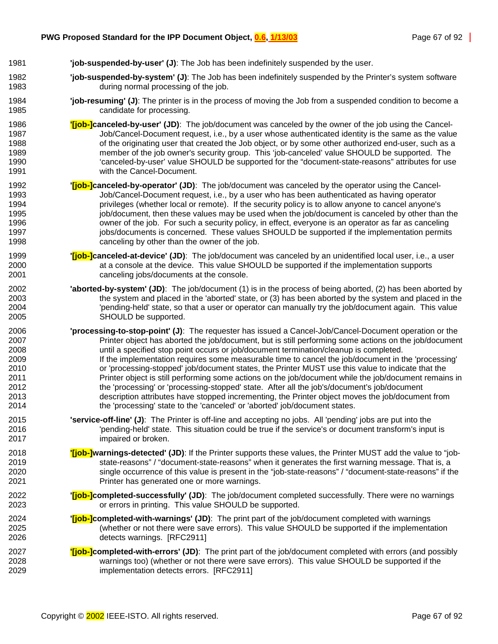- 1981 **'job-suspended-by-user' (J)**: The Job has been indefinitely suspended by the user.
- 1982 **'job-suspended-by-system' (J)**: The Job has been indefinitely suspended by the Printer's system software 1983 during normal processing of the job.
- 1984 **'job-resuming' (J)**: The printer is in the process of moving the Job from a suspended condition to become a 1985 candidate for processing.
- 1986 **'[job-]canceled-by-user' (JD)**: The job/document was canceled by the owner of the job using the Cancel-1987 Job/Cancel-Document request, i.e., by a user whose authenticated identity is the same as the value 1988 of the originating user that created the Job object, or by some other authorized end-user, such as a 1989 member of the job owner's security group. This 'job-canceled' value SHOULD be supported. The 1990 'canceled-by-user' value SHOULD be supported for the "document-state-reasons" attributes for use 1991 with the Cancel-Document.
- 1992 **'[job-]canceled-by-operator' (JD)**: The job/document was canceled by the operator using the Cancel-1993 Job/Cancel-Document request, i.e., by a user who has been authenticated as having operator 1994 **privileges (whether local or remote).** If the security policy is to allow anyone to cancel anyone's 1995 job/document, then these values may be used when the job/document is canceled by other than the 1996 owner of the job. For such a security policy, in effect, everyone is an operator as far as canceling 1997 jobs/documents is concerned. These values SHOULD be supported if the implementation permits 1998 canceling by other than the owner of the job.
- 1999 **'[job-]canceled-at-device' (JD)**: The job/document was canceled by an unidentified local user, i.e., a user 2000 at a console at the device. This value SHOULD be supported if the implementation supports 2001 canceling jobs/documents at the console.
- 2002 **'aborted-by-system' (JD)**: The job/document (1) is in the process of being aborted, (2) has been aborted by 2003 the system and placed in the 'aborted' state, or (3) has been aborted by the system and placed in the 2004 'pending-held' state, so that a user or operator can manually try the job/document again. This value 2005 SHOULD be supported.
- 2006 **'processing-to-stop-point' (J)**: The requester has issued a Cancel-Job/Cancel-Document operation or the 2007 Printer object has aborted the job/document, but is still performing some actions on the job/document 2008 until a specified stop point occurs or job/document termination/cleanup is completed. 2009 If the implementation requires some measurable time to cancel the job/document in the 'processing' 2010 or 'processing-stopped' job/document states, the Printer MUST use this value to indicate that the 2011 Printer object is still performing some actions on the job/document while the job/document remains in 2012 the 'processing' or 'processing-stopped' state. After all the job's/document's job/document 2013 description attributes have stopped incrementing, the Printer object moves the job/document from 2014 the 'processing' state to the 'canceled' or 'aborted' job/document states.
- 2015 **'service-off-line' (J)**: The Printer is off-line and accepting no jobs. All 'pending' jobs are put into the 2016 'pending-held' state. This situation could be true if the service's or document transform's input is 2017 impaired or broken.
- 2018 **'[job-]warnings-detected' (JD)**: If the Printer supports these values, the Printer MUST add the value to "job-2019 state-reasons" / "document-state-reasons" when it generates the first warning message. That is, a 2020 single occurrence of this value is present in the "job-state-reasons" / "document-state-reasons" if the 2021 Printer has generated one or more warnings.
- 2022 **'[job-]completed-successfully' (JD)**: The job/document completed successfully. There were no warnings 2023 or errors in printing. This value SHOULD be supported.
- 2024 **'[job-]completed-with-warnings' (JD)**: The print part of the job/document completed with warnings 2025 (whether or not there were save errors). This value SHOULD be supported if the implementation 2026 detects warnings. [RFC2911]
- 2027 **'[job-]completed-with-errors' (JD)**: The print part of the job/document completed with errors (and possibly 2028 warnings too) (whether or not there were save errors). This value SHOULD be supported if the 2029 implementation detects errors. [RFC2911]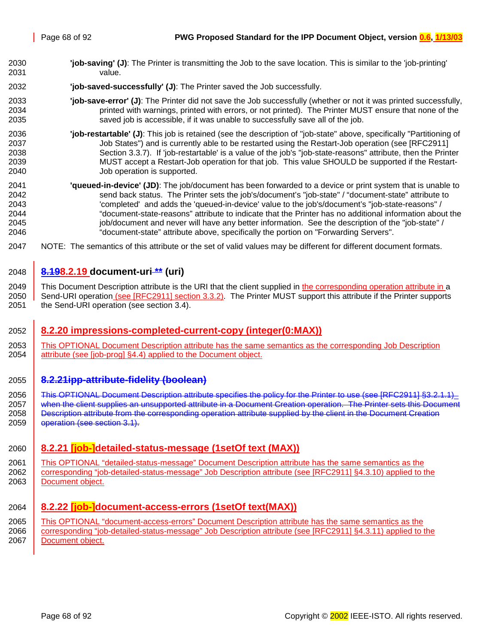- <span id="page-67-0"></span>2030 **'job-saving' (J)**: The Printer is transmitting the Job to the save location. This is similar to the 'job-printing' 2031 value.
- 2032 **'job-saved-successfully' (J)**: The Printer saved the Job successfully.
- 2033 **'job-save-error' (J)**: The Printer did not save the Job successfully (whether or not it was printed successfully, 2034 printed with warnings, printed with errors, or not printed). The Printer MUST ensure that none of the 2035 saved job is accessible, if it was unable to successfully save all of the job.
- 2036 **'job-restartable' (J)**: This job is retained (see the description of "job-state" above, specifically "Partitioning of 2037 Job States") and is currently able to be restarted using the Restart-Job operation (see [RFC2911] 2038 Section 3.3.7). If 'job-restartable' is a value of the job's "job-state-reasons" attribute, then the Printer 2039 MUST accept a Restart-Job operation for that job. This value SHOULD be supported if the Restart-2040 Job operation is supported.
- 2041 **'queued-in-device' (JD)**: The job/document has been forwarded to a device or print system that is unable to 2042 send back status. The Printer sets the job's/document's "job-state" / "document-state" attribute to 2043 'completed' and adds the 'queued-in-device' value to the job's/document's "job-state-reasons" / 2044 "document-state-reasons" attribute to indicate that the Printer has no additional information about the 2045 job/document and never will have any better information. See the description of the "job-state" / 2046 "document-state" attribute above, specifically the portion on "Forwarding Servers".
- 2047 NOTE: The semantics of this attribute or the set of valid values may be different for different document formats.

### 2048 **8.198.2.19 document-uri \*\* (uri)**

2049 This Document Description attribute is the URI that the client supplied in the corresponding operation attribute in a 2050 Send-URI operation (see [RFC2911] section 3.3.2). The Printer MUST support this attribute if the Printer supports 2051 the Send-URI operation (see section [3.4\)](#page-20-0).

#### 2052 **8.2.20 impressions-completed-current-copy (integer(0:MAX))**

2053 This OPTIONAL Document Description attribute has the same semantics as the corresponding Job Description 2054 attribute (see [job-prog] §4.4) applied to the Document object.

#### 2055 **8.2.21ipp-attribute-fidelity (boolean)**

2056 This OPTIONAL Document Description attribute specifies the policy for the Printer to use (see IRFC2911I §3.2.1.1) 2057 when the client supplies an unsupported attribute in a Document Creation operation. The Printer sets this Document 2058 **Description attribute from the corresponding operation attribute supplied by the client in the Document Creation** 2059 **operation (see section [3.1\)](#page-12-0).** 

#### 2060 **8.2.21 [job-]detailed-status-message (1setOf text (MAX))**

2061 This OPTIONAL "detailed-status-message" Document Description attribute has the same semantics as the 2062 corresponding "job-detailed-status-message" Job Description attribute (see [RFC2911] §4.3.10) applied to the 2063 | Document object.

## 2064 **8.2.22 [job-]document-access-errors (1setOf text(MAX))**

2065 This OPTIONAL "document-access-errors" Document Description attribute has the same semantics as the 2066 corresponding "job-detailed-status-message" Job Description attribute (see [RFC2911] §4.3.11) applied to the 2067 | Document object.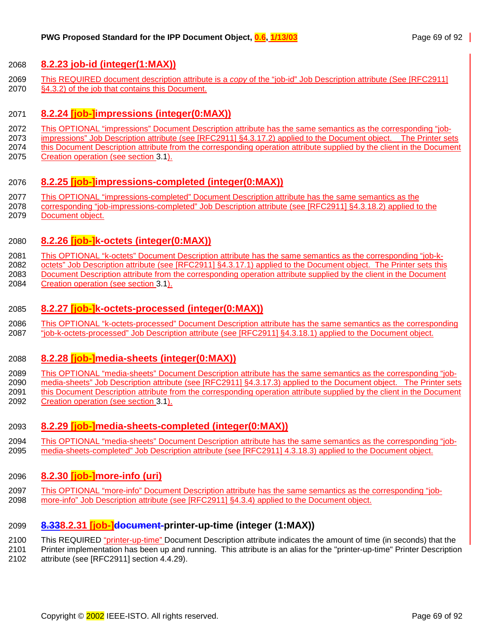#### <span id="page-68-0"></span>2068 **8.2.23 job-id (integer(1:MAX))**

2069 This REQUIRED document description attribute is a *copy* of the "job-id" Job Description attribute (See [RFC2911] 2070 §4.3.2) of the job that contains this Document.

#### 2071 **8.2.24 [job-]impressions (integer(0:MAX))**

- 2072 This OPTIONAL "impressions" Document Description attribute has the same semantics as the corresponding "job-
- 2073 impressions" Job Description attribute (see [RFC2911] §4.3.17.2) applied to the Document object. The Printer sets
- 2074 this Document Description attribute from the corresponding operation attribute supplied by the client in the Document 2075 Creation operation (see section [3.1\)](#page-12-0).

## 2076 **8.2.25 [job-]impressions-completed (integer(0:MAX))**

- 2077 This OPTIONAL "impressions-completed" Document Description attribute has the same semantics as the
- 2078 corresponding "job-impressions-completed" Job Description attribute (see [RFC2911] §4.3.18.2) applied to the 2079 Document object.

# 2080 **8.2.26 [job-]k-octets (integer(0:MAX))**

2081 This OPTIONAL "k-octets" Document Description attribute has the same semantics as the corresponding "job-k-

2082 octets" Job Description attribute (see [RFC2911] §4.3.17.1) applied to the Document object. The Printer sets this

2083 Document Description attribute from the corresponding operation attribute supplied by the client in the Document 2084 Creation operation (see section [3.1\)](#page-12-0).

## 2085 **8.2.27 [job-]k-octets-processed (integer(0:MAX))**

2086 This OPTIONAL "k-octets-processed" Document Description attribute has the same semantics as the corresponding 2087 "job-k-octets-processed" Job Description attribute (see [RFC2911] §4.3.18.1) applied to the Document object.

## 2088 **8.2.28 [job-]media-sheets (integer(0:MAX))**

2089 This OPTIONAL "media-sheets" Document Description attribute has the same semantics as the corresponding "job-2090 media-sheets" Job Description attribute (see [RFC2911] §4.3.17.3) applied to the Document object. The Printer sets 2091 this Document Description attribute from the corresponding operation attribute supplied by the client in the Document 2092 Creation operation (see section [3.1\)](#page-12-0).

# 2093 **8.2.29 [job-]media-sheets-completed (integer(0:MAX))**

2094 This OPTIONAL "media-sheets" Document Description attribute has the same semantics as the corresponding "job-2095 media-sheets-completed" Job Description attribute (see [RFC2911] 4.3.18.3) applied to the Document object.

# 2096 **8.2.30 [job-]more-info (uri)**

2097 This OPTIONAL "more-info" Document Description attribute has the same semantics as the corresponding "job-2098 more-info" Job Description attribute (see [RFC2911] §4.3.4) applied to the Document object.

# 2099 **8.338.2.31 [job-]document-printer-up-time (integer (1:MAX))**

- 2100 This REQUIRED "printer-up-time" Document Description attribute indicates the amount of time (in seconds) that the
- 2101 Printer implementation has been up and running. This attribute is an alias for the "printer-up-time" Printer Description 2102 attribute (see [RFC2911] section 4.4.29).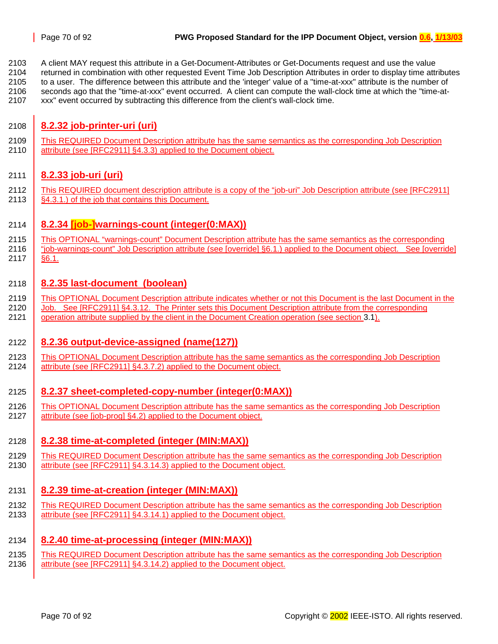<span id="page-69-0"></span>2103 A client MAY request this attribute in a Get-Document-Attributes or Get-Documents request and use the value

2104 returned in combination with other requested Event Time Job Description Attributes in order to display time attributes 2105 to a user. The difference between this attribute and the 'integer' value of a "time-at-xxx" attribute is the number of

2106 seconds ago that the "time-at-xxx" event occurred. A client can compute the wall-clock time at which the "time-at-

2107 xxx" event occurred by subtracting this difference from the client's wall-clock time.

# 2108 **8.2.32 job-printer-uri (uri)**

2109 This REQUIRED Document Description attribute has the same semantics as the corresponding Job Description 2110 attribute (see [RFC2911] §4.3.3) applied to the Document object.

# 2111 **8.2.33 job-uri (uri)**

2112 This REQUIRED document description attribute is a copy of the "job-uri" Job Description attribute (see [RFC2911] 2113 **SA.3.1.**) of the job that contains this Document.

## 2114 **8.2.34 [job-]warnings-count (integer(0:MAX))**

2115 This OPTIONAL "warnings-count" Document Description attribute has the same semantics as the corresponding 2116 "job-warnings-count" Job Description attribute (see [override] §6.1.) applied to the Document object. See [override]

2117 §6.1.

## 2118 **8.2.35 last-document (boolean)**

- 2119 This OPTIONAL Document Description attribute indicates whether or not this Document is the last Document in the 2120 Job. See [RFC2911] §4.3.12. The Printer sets this Document Description attribute from the corresponding 2121 operation attribute supplied by the client in the Document Creation operation (see section [3.1\)](#page-12-0).
- 

## 2122 **8.2.36 output-device-assigned (name(127))**

2123 This OPTIONAL Document Description attribute has the same semantics as the corresponding Job Description 2124 attribute (see [RFC2911] §4.3.7.2) applied to the Document object.

## 2125 **8.2.37 sheet-completed-copy-number (integer(0:MAX))**

2126 This OPTIONAL Document Description attribute has the same semantics as the corresponding Job Description 2127 attribute (see [job-prog] §4.2) applied to the Document object.

## 2128 **8.2.38 time-at-completed (integer (MIN:MAX))**

2129 This REQUIRED Document Description attribute has the same semantics as the corresponding Job Description 2130 attribute (see [RFC2911] §4.3.14.3) applied to the Document object.

## 2131 **8.2.39 time-at-creation (integer (MIN:MAX))**

2132 This REQUIRED Document Description attribute has the same semantics as the corresponding Job Description 2133 attribute (see [RFC2911] §4.3.14.1) applied to the Document object.

## 2134 **8.2.40 time-at-processing (integer (MIN:MAX))**

2135 This REQUIRED Document Description attribute has the same semantics as the corresponding Job Description 2136 attribute (see [RFC2911] §4.3.14.2) applied to the Document object.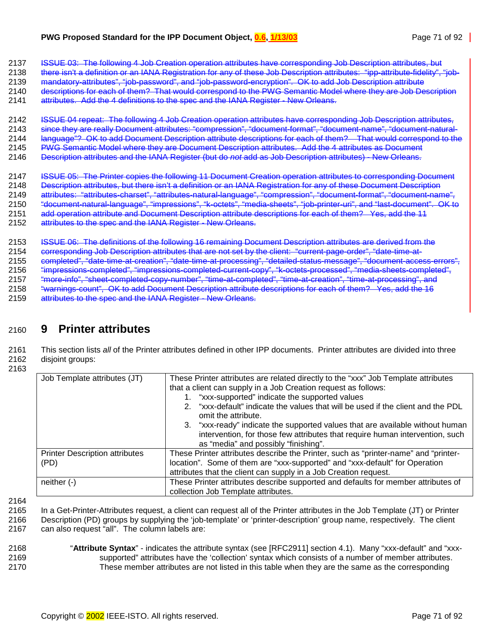2137 ISSUE 03: The following 4 Job Creation operation attributes have corresponding Job Description attributes, but

2138 there isn't a definition or an IANA Registration for any of these Job Description attributes: "ipp-attribute-fidelity", "job-2139 mandatory-attributes", "job-password", and "job-password-encryption". OK to add Job Description attribute

2140 descriptions for each of them? That would correspond to the PWG Semantic Model where they are Job Description

2141 attributes. Add the 4 definitions to the spec and the IANA Register - New Orleans.

2142 ISSUE 04 repeat: The following 4 Job Creation operation attributes have corresponding Job Description attributes, 2143 since they are really Document attributes: "compression", "document-format", "document-name", "document-natural-2144 language"? OK to add Document Description attribute descriptions for each of them? That would correspond to the 2145 PWG Semantic Model where they are Document Description attributes. Add the 4 attributes as Document

2146 Description attributes and the IANA Register (but do *not* add as Job Description attributes) - New Orleans.

2147 ISSUE 05: The Printer copies the following 11 Document Creation operation attributes to corresponding Document

2148 Description attributes, but there isn't a definition or an IANA Registration for any of these Document Description

2149 attributes: "attributes-charset", "attributes-natural-language", "compression", "document-format", "document-name",

2150 "document-natural-language", "impressions", "k-octets", "media-sheets", "job-printer-uri", and "last-document". OK to

- 2151 add operation attribute and Document Description attribute descriptions for each of them? Yes, add the 11
- 2152 attributes to the spec and the IANA Register New Orleans.

2153 ISSUE 06: The definitions of the following 16 remaining Document Description attributes are derived from the

2154 corresponding Job Description attributes that are not set by the client: "current-page-order", "date-time-at-

2155 completed", "date-time-at-creation", "date-time-at-processing", "detailed-status-message", "document-access-errors",

2156 "impressions-completed", "impressions-completed-current-copy", "k-octets-processed", "media-sheets-completed",

2157 "more-info", "sheet-completed-copy-number", "time-at-completed", "time-at-creation", "time-at-processing", and

2158 "warnings-count", OK to add Document Description attribute descriptions for each of them? Yes, add the 16

2159 attributes to the spec and the IANA Register - New Orleans.

# 2160 **9 Printer attributes**

2161 This section lists *all* of the Printer attributes defined in other IPP documents. Printer attributes are divided into three 2162 disjoint groups:

2163

| Job Template attributes (JT)          | These Printer attributes are related directly to the "xxx" Job Template attributes                        |  |  |  |
|---------------------------------------|-----------------------------------------------------------------------------------------------------------|--|--|--|
|                                       | that a client can supply in a Job Creation request as follows:                                            |  |  |  |
|                                       | 1. "xxx-supported" indicate the supported values                                                          |  |  |  |
|                                       | "xxx-default" indicate the values that will be used if the client and the PDL<br>2<br>omit the attribute. |  |  |  |
|                                       | 3. "xxx-ready" indicate the supported values that are available without human                             |  |  |  |
|                                       | intervention, for those few attributes that require human intervention, such                              |  |  |  |
|                                       | as "media" and possibly "finishing".                                                                      |  |  |  |
| <b>Printer Description attributes</b> | These Printer attributes describe the Printer, such as "printer-name" and "printer-                       |  |  |  |
| (PD)                                  | location". Some of them are "xxx-supported" and "xxx-default" for Operation                               |  |  |  |
|                                       | attributes that the client can supply in a Job Creation request.                                          |  |  |  |
| $neither (-)$                         | These Printer attributes describe supported and defaults for member attributes of                         |  |  |  |
|                                       | collection Job Template attributes.                                                                       |  |  |  |

2164

- 2165 In a Get-Printer-Attributes request, a client can request all of the Printer attributes in the Job Template (JT) or Printer 2166 Description (PD) groups by supplying the 'job-template' or 'printer-description' group name, respectively. The client
- 2167 can also request "all". The column labels are:
- 2168 "**Attribute Syntax**" indicates the attribute syntax (see [RFC2911] section 4.1). Many "xxx-default" and "xxx-2169 supported" attributes have the 'collection' syntax which consists of a number of member attributes. 2170 These member attributes are not listed in this table when they are the same as the corresponding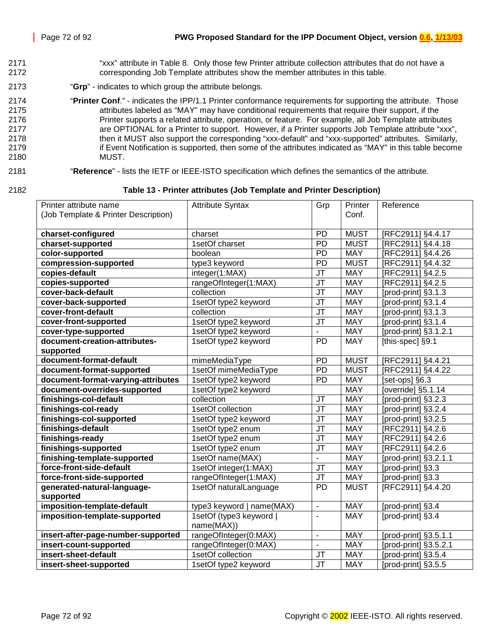- 2171 "xxx" attribute in [Table 8.](#page-42-0) Only those few Printer attribute collection attributes that do not have a 2172 corresponding Job Template attributes show the member attributes in this table.
- 2173 "**Grp**" indicates to which group the attribute belongs.
- 2174 "**Printer Conf**." indicates the IPP/1.1 Printer conformance requirements for supporting the attribute. Those 2175 attributes labeled as "MAY" may have conditional requirements that require their support, if the 2176 Printer supports a related attribute, operation, or feature. For example, all Job Template attributes 2177 are OPTIONAL for a Printer to support. However, if a Printer supports Job Template attribute "xxx", 2178 then it MUST also support the corresponding "xxx-default" and "xxx-supported" attributes. Similarly, 2179 if Event Notification is supported, then some of the attributes indicated as "MAY" in this table become 2180 MUST.
- 2181 "**Reference**" lists the IETF or IEEE-ISTO specification which defines the semantics of the attribute.
- 

2182 **Table 13 - Printer attributes (Job Template and Printer Description)** 

| Printer attribute name               | <b>Attribute Syntax</b>               | Grp                               | Printer     | Reference                                       |
|--------------------------------------|---------------------------------------|-----------------------------------|-------------|-------------------------------------------------|
| (Job Template & Printer Description) |                                       |                                   | Conf.       |                                                 |
|                                      |                                       |                                   |             |                                                 |
| charset-configured                   | charset                               | PD                                | <b>MUST</b> | [RFC2911] §4.4.17                               |
| charset-supported                    | 1setOf charset                        | PD                                | <b>MUST</b> | [RFC2911] §4.4.18                               |
| color-supported                      | boolean                               | PD                                | <b>MAY</b>  | [RFC2911] §4.4.26                               |
| compression-supported                | type3 keyword                         | <b>PD</b>                         | <b>MUST</b> | [RFC2911] §4.4.32                               |
| copies-default                       | integer(1:MAX)                        | JT                                | MAY         | [RFC2911] §4.2.5                                |
| copies-supported                     | rangeOfInteger(1:MAX)                 | J <sub>T</sub>                    | <b>MAY</b>  | [RFC2911] §4.2.5                                |
| cover-back-default                   | collection                            | JT                                | MAY         | [prod-print] §3.1.3                             |
| cover-back-supported                 | 1setOf type2 keyword                  | J <sub>T</sub>                    | <b>MAY</b>  | [prod-print] §3.1.4                             |
| cover-front-default                  | collection                            | JT                                | MAY         | [prod-print] §3.1.3                             |
| cover-front-supported                | 1setOf type2 keyword                  | <b>JT</b>                         | <b>MAY</b>  | [prod-print] §3.1.4                             |
| cover-type-supported                 | 1setOf type2 keyword                  |                                   | <b>MAY</b>  | [prod-print] §3.1.2.1                           |
| document-creation-attributes-        | 1setOf type2 keyword                  | <b>PD</b>                         | <b>MAY</b>  | [this-spec] §9.1                                |
| supported                            |                                       |                                   |             |                                                 |
| document-format-default              | mimeMediaType                         | PD                                | <b>MUST</b> | [RFC2911] §4.4.21                               |
| document-format-supported            | 1setOf mimeMediaType                  | $\overline{PD}$                   | <b>MUST</b> | [RFC2911] §4.4.22                               |
| document-format-varying-attributes   | 1setOf type2 keyword                  | <b>PD</b>                         | <b>MAY</b>  | $\overline{\left[ \text{set-ops} \right]}$ §6.3 |
| document-overrides-supported         | 1setOf type2 keyword                  |                                   | <b>MAY</b>  | Toverride] §5.1.14                              |
| finishings-col-default               | collection                            | <b>JT</b>                         | MAY         | [prod-print] §3.2.3                             |
| finishings-col-ready                 | 1setOf collection                     | <b>JT</b>                         | <b>MAY</b>  | [prod-print] §3.2.4                             |
| finishings-col-supported             | 1setOf type2 keyword                  | <b>JT</b>                         | <b>MAY</b>  | [prod-print] §3.2.5                             |
| finishings-default                   | 1setOf type2 enum                     | JT                                | <b>MAY</b>  | [RFC2911] §4.2.6                                |
| finishings-ready                     | 1setOf type2 enum                     | <b>JT</b>                         | <b>MAY</b>  | [RFC2911] §4.2.6                                |
| finishings-supported                 | 1setOf type2 enum                     | <b>JT</b>                         | <b>MAY</b>  | [RFC2911] §4.2.6                                |
| finishing-template-supported         | 1setOf name(MAX)                      | $\overline{\phantom{a}}$          | <b>MAY</b>  | [prod-print] §3.2.1.1                           |
| force-front-side-default             | 1setOf integer(1:MAX)                 | <b>JT</b>                         | <b>MAY</b>  | [prod-print] §3.3                               |
| force-front-side-supported           | rangeOfInteger(1:MAX)                 | <b>JT</b>                         | <b>MAY</b>  | [prod-print] §3.3                               |
| generated-natural-language-          | 1setOf naturalLanguage                | <b>PD</b>                         | <b>MUST</b> | [RFC2911] §4.4.20                               |
| supported                            |                                       |                                   |             |                                                 |
| imposition-template-default          | type3 keyword   name(MAX)             | $\blacksquare$                    | <b>MAY</b>  | [prod-print] §3.4                               |
| imposition-template-supported        | 1setOf (type3 keyword  <br>name(MAX)) | $\blacksquare$                    | <b>MAY</b>  | [prod-print] §3.4                               |
| insert-after-page-number-supported   | rangeOfInteger(0:MAX)                 | $\blacksquare$                    | <b>MAY</b>  | [prod-print] §3.5.1.1                           |
| insert-count-supported               | rangeOfInteger(0:MAX)                 | $\overline{\phantom{a}}$          | <b>MAY</b>  | [prod-print] §3.5.2.1                           |
| insert-sheet-default                 | 1setOf collection                     | <b>JT</b>                         | MAY         | [prod-print] §3.5.4                             |
| insert-sheet-supported               | 1setOf type2 keyword                  | $\overline{\mathsf{J}\mathsf{T}}$ | <b>MAY</b>  | [prod-print] §3.5.5                             |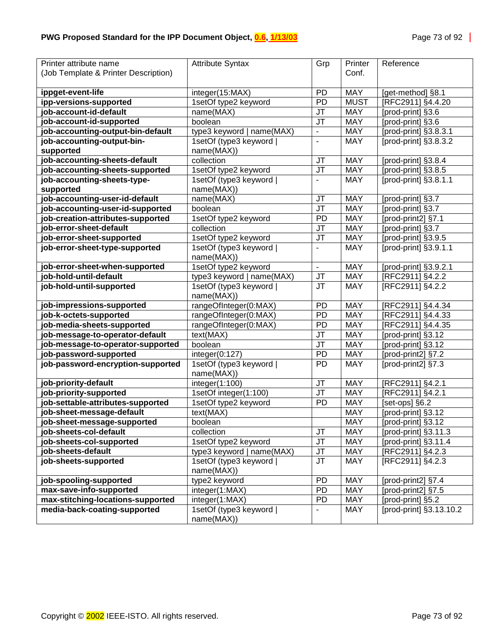| Printer attribute name               | <b>Attribute Syntax</b>               | Grp                      | Printer     | Reference                   |
|--------------------------------------|---------------------------------------|--------------------------|-------------|-----------------------------|
| (Job Template & Printer Description) |                                       |                          | Conf.       |                             |
| ippget-event-life                    | integer(15:MAX)                       | <b>PD</b>                | <b>MAY</b>  | [get-method] §8.1           |
| ipp-versions-supported               | 1setOf type2 keyword                  | <b>PD</b>                | <b>MUST</b> | [RFC2911] §4.4.20           |
| job-account-id-default               | name(MAX)                             | JT                       | <b>MAY</b>  | [prod-print] §3.6           |
| job-account-id-supported             | boolean                               | <b>JT</b>                | <b>MAY</b>  | [prod-print] §3.6           |
| job-accounting-output-bin-default    | type3 keyword   name(MAX)             | $\overline{\phantom{a}}$ | <b>MAY</b>  | [prod-print] §3.8.3.1       |
| job-accounting-output-bin-           | 1setOf (type3 keyword                 | $\blacksquare$           | <b>MAY</b>  | [prod-print] §3.8.3.2       |
| supported                            | name(MAX))                            |                          |             |                             |
| job-accounting-sheets-default        | collection                            | JT                       | <b>MAY</b>  | [prod-print] §3.8.4         |
| job-accounting-sheets-supported      | 1setOf type2 keyword                  | <b>JT</b>                | <b>MAY</b>  | [prod-print] §3.8.5         |
| job-accounting-sheets-type-          | 1setOf (type3 keyword                 | $\blacksquare$           | <b>MAY</b>  | $\overline{[prod]$ §3.8.1.1 |
| supported                            | name(MAX))                            |                          |             |                             |
| job-accounting-user-id-default       | name(MAX)                             | JT                       | <b>MAY</b>  | [prod-print] §3.7           |
| job-accounting-user-id-supported     | boolean                               | JT                       | <b>MAY</b>  | [prod-print] §3.7           |
| job-creation-attributes-supported    | 1setOf type2 keyword                  | <b>PD</b>                | <b>MAY</b>  | [prod-print2] §7.1          |
| job-error-sheet-default              | collection                            | JT                       | <b>MAY</b>  | [prod-print] §3.7           |
| job-error-sheet-supported            | 1setOf type2 keyword                  | JT                       | <b>MAY</b>  | [prod-print] §3.9.5         |
| job-error-sheet-type-supported       | 1setOf (type3 keyword                 | $\blacksquare$           | <b>MAY</b>  | [prod-print] §3.9.1.1       |
|                                      | name(MAX))                            | $\blacksquare$           | <b>MAY</b>  | [prod-print] §3.9.2.1       |
| job-error-sheet-when-supported       | 1setOf type2 keyword                  |                          |             |                             |
| job-hold-until-default               | type3 keyword   name(MAX)             | <b>JT</b>                | <b>MAY</b>  | [RFC2911] §4.2.2            |
| job-hold-until-supported             | 1setOf (type3 keyword  <br>name(MAX)) | <b>JT</b>                | <b>MAY</b>  | [RFC2911] §4.2.2            |
| job-impressions-supported            | rangeOfInteger(0:MAX)                 | PD                       | <b>MAY</b>  | [RFC2911] §4.4.34           |
| job-k-octets-supported               | rangeOfInteger(0:MAX)                 | PD                       | <b>MAY</b>  | [RFC2911] §4.4.33           |
| job-media-sheets-supported           | rangeOfInteger(0:MAX)                 | PD                       | <b>MAY</b>  | [RFC2911] §4.4.35           |
| job-message-to-operator-default      | text(MAX)                             | JT                       | <b>MAY</b>  | [prod-print] §3.12          |
| job-message-to-operator-supported    | boolean                               | JT                       | <b>MAY</b>  | [prod-print] §3.12          |
| job-password-supported               | integer(0:127)                        | PD                       | <b>MAY</b>  | [prod-print2] §7.2          |
| job-password-encryption-supported    | 1setOf (type3 keyword  <br>name(MAX)) | PD                       | <b>MAY</b>  | [prod-print2] §7.3          |
| job-priority-default                 | integer(1:100)                        | <b>JT</b>                | <b>MAY</b>  | [RFC2911] §4.2.1            |
| job-priority-supported               | 1setOf integer(1:100)                 | JT                       | <b>MAY</b>  | [RFC2911] §4.2.1            |
| iob-settable-attributes-supported    | 1setOf type2 keyword                  | <b>PD</b>                | <b>MAY</b>  | [set-ops] §6.2              |
| job-sheet-message-default            | text(MAX)                             |                          | <b>MAY</b>  | [prod-print] §3.12          |
| job-sheet-message-supported          | boolean                               |                          | <b>MAY</b>  | [prod-print] §3.12          |
| job-sheets-col-default               | collection                            | JT                       | <b>MAY</b>  | [prod-print] §3.11.3        |
| job-sheets-col-supported             | 1setOf type2 keyword                  | <b>JT</b>                | MAY         | [prod-print] §3.11.4        |
| job-sheets-default                   | type3 keyword   name(MAX)             | JT                       | MAY         | [RFC2911] §4.2.3            |
| job-sheets-supported                 | 1setOf (type3 keyword                 | <b>JT</b>                | <b>MAY</b>  | [RFC2911] §4.2.3            |
|                                      | name(MAX))                            |                          |             |                             |
| job-spooling-supported               | type2 keyword                         | <b>PD</b>                | <b>MAY</b>  | [prod-print2] §7.4          |
| max-save-info-supported              | integer(1:MAX)                        | <b>PD</b>                | <b>MAY</b>  | [prod-print2] §7.5          |
| max-stitching-locations-supported    | integer(1:MAX)                        | <b>PD</b>                | <b>MAY</b>  | [prod-print] §5.2           |
| media-back-coating-supported         | 1setOf (type3 keyword  <br>name(MAX)) |                          | <b>MAY</b>  | [prod-print] §3.13.10.2     |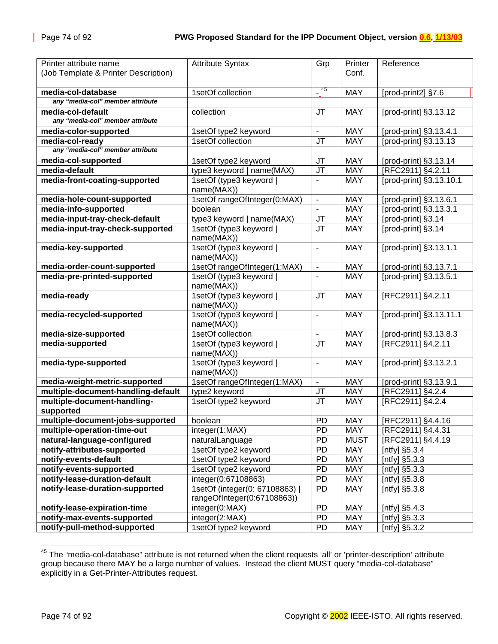| Printer attribute name<br>(Job Template & Printer Description) | <b>Attribute Syntax</b>                                     | Grp                      | Printer<br>Conf. | Reference               |
|----------------------------------------------------------------|-------------------------------------------------------------|--------------------------|------------------|-------------------------|
|                                                                |                                                             |                          |                  |                         |
| media-col-database                                             | 1setOf collection                                           | -45                      | <b>MAY</b>       | [prod-print2] §7.6      |
| any "media-col" member attribute                               |                                                             |                          |                  |                         |
| media-col-default                                              | collection                                                  | <b>JT</b>                | <b>MAY</b>       | [prod-print] §3.13.12   |
| any "media-col" member attribute                               |                                                             |                          |                  |                         |
| media-color-supported                                          | 1setOf type2 keyword                                        | $\blacksquare$           | <b>MAY</b>       | [prod-print] §3.13.4.1  |
| media-col-ready                                                | 1setOf collection                                           | <b>JT</b>                | <b>MAY</b>       | [prod-print] §3.13.13   |
| any "media-col" member attribute                               |                                                             |                          |                  |                         |
| media-col-supported                                            | 1setOf type2 keyword                                        | JT                       | <b>MAY</b>       | [prod-print] §3.13.14   |
| media-default                                                  | type3 keyword   name(MAX)                                   | JT                       | <b>MAY</b>       | [RFC2911] §4.2.11       |
| media-front-coating-supported                                  | 1setOf (type3 keyword  <br>name(MAX))                       | $\overline{\phantom{a}}$ | <b>MAY</b>       | [prod-print] §3.13.10.1 |
| media-hole-count-supported                                     | 1setOf rangeOfInteger(0:MAX)                                | $\blacksquare$           | <b>MAY</b>       | [prod-print] §3.13.6.1  |
| media-info-supported                                           | boolean                                                     |                          | <b>MAY</b>       | [prod-print] §3.13.3.1  |
| media-input-tray-check-default                                 | type3 keyword   name(MAX)                                   | <b>JT</b>                | <b>MAY</b>       | [prod-print] §3.14      |
| media-input-tray-check-supported                               | 1setOf (type3 keyword  <br>name(MAX))                       | <b>JT</b>                | <b>MAY</b>       | [prod-print] §3.14      |
| media-key-supported                                            | 1setOf (type3 keyword  <br>name(MAX))                       | $\overline{\phantom{a}}$ | <b>MAY</b>       | [prod-print] §3.13.1.1  |
| media-order-count-supported                                    | 1setOf rangeOfInteger(1:MAX)                                | $\blacksquare$           | <b>MAY</b>       | [prod-print] §3.13.7.1  |
| media-pre-printed-supported                                    | 1setOf (type3 keyword)<br>name(MAX))                        |                          | <b>MAY</b>       | [prod-print] §3.13.5.1  |
| media-ready                                                    | 1setOf (type3 keyword<br>name(MAX))                         | <b>JT</b>                | <b>MAY</b>       | [RFC2911] §4.2.11       |
| media-recycled-supported                                       | 1setOf (type3 keyword<br>name(MAX))                         | $\mathbf{u}$             | <b>MAY</b>       | [prod-print] §3.13.11.1 |
| media-size-supported                                           | 1setOf collection                                           | $\mathbf{r}$             | <b>MAY</b>       | [prod-print] §3.13.8.3  |
| media-supported                                                | 1setOf (type3 keyword  <br>name(MAX))                       | <b>JT</b>                | <b>MAY</b>       | [RFC2911] §4.2.11       |
| media-type-supported                                           | 1setOf (type3 keyword  <br>name(MAX))                       | $\blacksquare$           | <b>MAY</b>       | [prod-print] §3.13.2.1  |
| media-weight-metric-supported                                  | 1setOf rangeOfInteger(1:MAX)                                | $\blacksquare$           | <b>MAY</b>       | [prod-print] §3.13.9.1  |
| multiple-document-handling-default                             | type2 keyword                                               | JT                       | <b>MAY</b>       | [RFC2911] §4.2.4        |
| multiple-document-handling-<br>supported                       | 1setOf type2 keyword                                        | <b>JT</b>                | <b>MAY</b>       | [RFC2911] §4.2.4        |
| multiple-document-jobs-supported                               | boolean                                                     | <b>PD</b>                | <b>MAY</b>       | [RFC2911] §4.4.16       |
| multiple-operation-time-out                                    | integer(1:MAX)                                              | <b>PD</b>                | <b>MAY</b>       | [RFC2911] §4.4.31       |
| natural-language-configured                                    | naturalLanguage                                             | PD                       | <b>MUST</b>      | [RFC2911] §4.4.19       |
| notify-attributes-supported                                    | 1setOf type2 keyword                                        | <b>PD</b>                | MAY              | [ntfy] §5.3.4           |
| notify-events-default                                          | 1setOf type2 keyword                                        | <b>PD</b>                | MAY              | [ntfy] $\S5.3.3$        |
| notify-events-supported                                        | 1setOf type2 keyword                                        | PD                       | MAY              | [ntfy] $§5.3.3$         |
| notify-lease-duration-default                                  | integer(0:67108863)                                         | <b>PD</b>                | MAY              | [ntfy] §5.3.8           |
| notify-lease-duration-supported                                | 1setOf (integer(0: 67108863)<br>rangeOfInteger(0:67108863)) | PD                       | MAY              | [ntfy] §5.3.8           |
| notify-lease-expiration-time                                   | integer(0:MAX)                                              | <b>PD</b>                | <b>MAY</b>       | [ntfy] §5.4.3           |
| notify-max-events-supported                                    | integer(2:MAX)                                              | <b>PD</b>                | <b>MAY</b>       | [ntfy] $§5.3.3$         |
| notify-pull-method-supported                                   | 1setOf type2 keyword                                        | <b>PD</b>                | <b>MAY</b>       | [ntfy] $§5.3.2$         |

<sup>&</sup>lt;sup>45</sup> The "media-col-database" attribute is not returned when the client requests 'all' or 'printer-description' attribute group because there MAY be a large number of values. Instead the client MUST query "media-col-database" explicitly in a Get-Printer-Attributes request.

l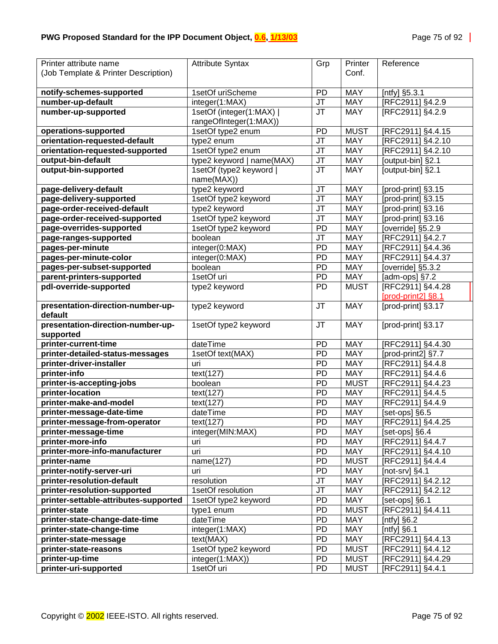| Printer attribute name                | <b>Attribute Syntax</b>   | Grp             | Printer     | Reference          |
|---------------------------------------|---------------------------|-----------------|-------------|--------------------|
| (Job Template & Printer Description)  |                           |                 | Conf.       |                    |
|                                       |                           |                 |             |                    |
| notify-schemes-supported              | 1setOf uriScheme          | PD              | <b>MAY</b>  | [ntfy] §5.3.1      |
| number-up-default                     | integer(1:MAX)            | <b>JT</b>       | <b>MAY</b>  | [RFC2911] §4.2.9   |
| number-up-supported                   | 1setOf (integer(1:MAX)    | <b>JT</b>       | <b>MAY</b>  | [RFC2911] §4.2.9   |
|                                       | rangeOfInteger(1:MAX))    |                 |             |                    |
| operations-supported                  | 1setOf type2 enum         | <b>PD</b>       | <b>MUST</b> | [RFC2911] §4.4.15  |
| orientation-requested-default         | type2 enum                | <b>JT</b>       | <b>MAY</b>  | [RFC2911] §4.2.10  |
| orientation-requested-supported       | 1setOf type2 enum         | <b>JT</b>       | <b>MAY</b>  | [RFC2911] §4.2.10  |
| output-bin-default                    | type2 keyword   name(MAX) | JT              | <b>MAY</b>  | [output-bin] §2.1  |
| output-bin-supported                  | 1setOf (type2 keyword     | <b>JT</b>       | <b>MAY</b>  | [output-bin] §2.1  |
|                                       | name(MAX))                |                 |             |                    |
| page-delivery-default                 | type2 keyword             | JT              | <b>MAY</b>  | [prod-print] §3.15 |
| page-delivery-supported               | 1setOf type2 keyword      | <b>JT</b>       | <b>MAY</b>  | [prod-print] §3.15 |
| page-order-received-default           | type2 keyword             | <b>JT</b>       | <b>MAY</b>  | [prod-print] §3.16 |
| page-order-received-supported         | 1setOf type2 keyword      | JT              | <b>MAY</b>  | [prod-print] §3.16 |
| page-overrides-supported              | 1setOf type2 keyword      | <b>PD</b>       | <b>MAY</b>  | [override] §5.2.9  |
| page-ranges-supported                 | boolean                   | JT              | <b>MAY</b>  | [RFC2911] §4.2.7   |
| pages-per-minute                      | integer(0:MAX)            | <b>PD</b>       | <b>MAY</b>  | [RFC2911] §4.4.36  |
| pages-per-minute-color                | integer(0:MAX)            | <b>PD</b>       | <b>MAY</b>  | [RFC2911] §4.4.37  |
| pages-per-subset-supported            | boolean                   | PD              | <b>MAY</b>  | [override] §5.3.2  |
| parent-printers-supported             | 1setOf uri                | PD              | <b>MAY</b>  | [adm-ops] §7.2     |
| pdl-override-supported                | type2 keyword             | <b>PD</b>       | <b>MUST</b> | [RFC2911] §4.4.28  |
|                                       |                           |                 |             | [prod-print2] §8.1 |
| presentation-direction-number-up-     | type2 keyword             | <b>JT</b>       | <b>MAY</b>  | [prod-print] §3.17 |
| default                               |                           |                 |             |                    |
| presentation-direction-number-up-     | 1setOf type2 keyword      | <b>JT</b>       | <b>MAY</b>  | [prod-print] §3.17 |
| supported                             |                           |                 |             |                    |
| printer-current-time                  | dateTime                  | PD              | <b>MAY</b>  | [RFC2911] §4.4.30  |
| printer-detailed-status-messages      | 1setOf text(MAX)          | <b>PD</b>       | <b>MAY</b>  | [prod-print2] §7.7 |
| printer-driver-installer              | uri                       | PD              | <b>MAY</b>  | [RFC2911] §4.4.8   |
| printer-info                          | text(127)                 | <b>PD</b>       | <b>MAY</b>  | [RFC2911] §4.4.6   |
| printer-is-accepting-jobs             | boolean                   | <b>PD</b>       | <b>MUST</b> | [RFC2911] §4.4.23  |
| printer-location                      | text(127)                 | <b>PD</b>       | <b>MAY</b>  | [RFC2911] §4.4.5   |
| printer-make-and-model                | text(127)                 | <b>PD</b>       | <b>MAY</b>  | [RFC2911] §4.4.9   |
| printer-message-date-time             | dateTime                  | <b>PD</b>       | <b>MAY</b>  | [set-ops] §6.5     |
| printer-message-from-operator         | text(127)                 | $\overline{PD}$ | <b>MAY</b>  | [RFC2911] §4.4.25  |
| printer-message-time                  | integer(MIN:MAX)          | <b>PD</b>       | <b>MAY</b>  | [set-ops] $§6.4$   |
| printer-more-info                     | uri                       | PD.             | <b>MAY</b>  | [RFC2911] §4.4.7   |
| printer-more-info-manufacturer        | uri                       | <b>PD</b>       | <b>MAY</b>  | [RFC2911] §4.4.10  |
| printer-name                          | name(127)                 | <b>PD</b>       | <b>MUST</b> | [RFC2911] §4.4.4   |
| printer-notify-server-uri             | uri                       | <b>PD</b>       | MAY         | [not-srv] $§4.1$   |
| printer-resolution-default            | resolution                | JT              | MAY         | [RFC2911] §4.2.12  |
| printer-resolution-supported          | 1setOf resolution         | <b>JT</b>       | MAY         | [RFC2911] §4.2.12  |
| printer-settable-attributes-supported | 1setOf type2 keyword      | <b>PD</b>       | <b>MAY</b>  | [set-ops] §6.1     |
| printer-state                         | type1 enum                | <b>PD</b>       | <b>MUST</b> | [RFC2911] §4.4.11  |
| printer-state-change-date-time        | dateTime                  | <b>PD</b>       | MAY         | [ntfy] $§6.2$      |
| printer-state-change-time             | integer(1:MAX)            | <b>PD</b>       | MAY         | [ $n$ tfy] $§6.1$  |
| printer-state-message                 | text(MAX)                 | <b>PD</b>       | MAY         | [RFC2911] §4.4.13  |
| printer-state-reasons                 | 1setOf type2 keyword      | <b>PD</b>       | <b>MUST</b> | [RFC2911] §4.4.12  |
| printer-up-time                       | integer(1:MAX))           | PD              | <b>MUST</b> | [RFC2911] §4.4.29  |
| printer-uri-supported                 | 1setOf uri                | PD              | <b>MUST</b> | [RFC2911] §4.4.1   |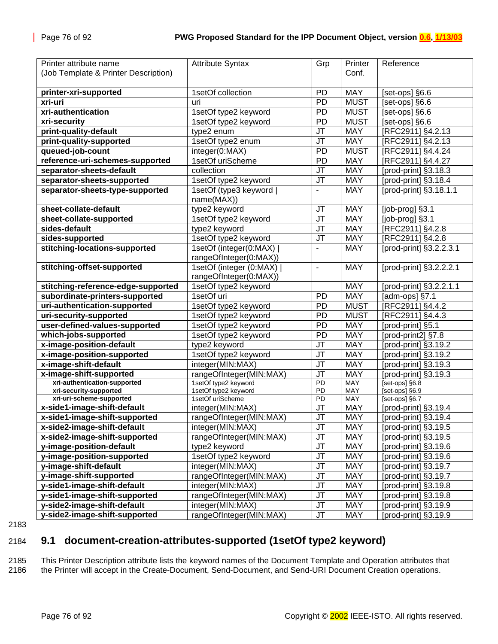<span id="page-75-0"></span>

| Printer attribute name               | <b>Attribute Syntax</b> | Grp                               | Printer     | Reference                         |
|--------------------------------------|-------------------------|-----------------------------------|-------------|-----------------------------------|
| (Job Template & Printer Description) |                         |                                   | Conf.       |                                   |
|                                      |                         |                                   |             |                                   |
| printer-xri-supported                | 1setOf collection       | PD                                | <b>MAY</b>  | [set-ops] §6.6                    |
| xri-uri                              | uri                     | PD                                | <b>MUST</b> | [set-ops] §6.6                    |
| xri-authentication                   | 1setOf type2 keyword    | PD                                | <b>MUST</b> | [set-ops] $§6.6$                  |
| xri-security                         | 1setOf type2 keyword    | PD                                | <b>MUST</b> | [set-ops] $§6.6$                  |
| print-quality-default                | type2 enum              | JT                                | <b>MAY</b>  | [RFC2911] §4.2.13                 |
| print-quality-supported              | 1setOf type2 enum       | JT                                | <b>MAY</b>  | [RFC2911] §4.2.13                 |
| queued-job-count                     | integer(0:MAX)          | PD                                | <b>MUST</b> | [RFC2911] §4.4.24                 |
| reference-uri-schemes-supported      | 1setOf uriScheme        | PD                                | <b>MAY</b>  | [RFC2911] §4.4.27                 |
| separator-sheets-default             | collection              | JT                                | <b>MAY</b>  | [prod-print] §3.18.3              |
| separator-sheets-supported           | 1setOf type2 keyword    | JT                                | <b>MAY</b>  | [prod-print] §3.18.4              |
| separator-sheets-type-supported      | 1setOf (type3 keyword   | $\blacksquare$                    | <b>MAY</b>  | [prod-print] §3.18.1.1            |
|                                      | name(MAX))              |                                   |             |                                   |
| sheet-collate-default                | type2 keyword           | JT                                | MAY         | [job-prog] §3.1                   |
| sheet-collate-supported              | 1setOf type2 keyword    | $\overline{\mathsf{J}\mathsf{T}}$ | <b>MAY</b>  | [job-prog] §3.1                   |
| sides-default                        | type2 keyword           | $\overline{\mathsf{J}\mathsf{T}}$ | MAY         | [RFC2911] §4.2.8                  |
| sides-supported                      | 1setOf type2 keyword    | $\overline{\mathsf{J}\mathsf{T}}$ | MAY         | [RFC2911] §4.2.8                  |
| stitching-locations-supported        | 1setOf (integer(0:MAX)  | $\blacksquare$                    | <b>MAY</b>  | [prod-print] §3.2.2.3.1           |
|                                      | rangeOfInteger(0:MAX))  |                                   |             |                                   |
| stitching-offset-supported           | 1setOf (integer (0:MAX) | $\overline{a}$                    | <b>MAY</b>  | [prod-print] §3.2.2.2.1           |
|                                      | rangeOfInteger(0:MAX))  |                                   |             |                                   |
| stitching-reference-edge-supported   | 1setOf type2 keyword    |                                   | <b>MAY</b>  | [prod-print] §3.2.2.1.1           |
| subordinate-printers-supported       | 1setOf uri              | PD                                | <b>MAY</b>  | [ $adm$ -ops] $§7.1$              |
| uri-authentication-supported         | 1setOf type2 keyword    | PD                                | <b>MUST</b> | [RFC2911] §4.4.2                  |
| uri-security-supported               | 1setOf type2 keyword    | PD                                | <b>MUST</b> | [RFC2911] §4.4.3                  |
| user-defined-values-supported        | 1setOf type2 keyword    | PD                                | <b>MAY</b>  | [prod-print] §5.1                 |
| which-jobs-supported                 | 1setOf type2 keyword    | PD                                | <b>MAY</b>  | [prod-print2] §7.8                |
| x-image-position-default             | type2 keyword           | JT                                | <b>MAY</b>  | [prod-print] §3.19.2              |
| x-image-position-supported           | 1setOf type2 keyword    | JT                                | <b>MAY</b>  | [prod-print] §3.19.2              |
| x-image-shift-default                | integer(MIN:MAX)        | JT                                | <b>MAY</b>  | [prod-print] §3.19.3              |
| x-image-shift-supported              | rangeOfInteger(MIN:MAX) | JT                                | <b>MAY</b>  | [prod-print] §3.19.3              |
| xri-authentication-supported         | 1setOf type2 keyword    | $\overline{PD}$                   | <b>MAY</b>  | [set-ops] §6.8                    |
| xri-security-supported               | 1setOf type2 keyword    | $\overline{PD}$                   | <b>MAY</b>  | [set-ops] §6.9                    |
| xri-uri-scheme-supported             | 1setOf uriScheme        | PD                                | MAY         | [set-ops] §6.7                    |
| x-side1-image-shift-default          | integer(MIN:MAX)        | <b>JT</b>                         | <b>MAY</b>  | [prod-print] §3.19.4              |
| x-side1-image-shift-supported        | rangeOfInteger(MIN:MAX) | JT                                | <b>MAY</b>  | [prod-print] §3.19.4              |
| x-side2-image-shift-default          | integer(MIN:MAX)        | JT                                | <b>MAY</b>  | [prod-print] $§3.1\overline{9.5}$ |
| x-side2-image-shift-supported        | rangeOfInteger(MIN:MAX) | JT                                | <b>MAY</b>  | [prod-print] §3.19.5              |
| y-image-position-default             | type2 keyword           | JT                                | MAY         | [prod-print] §3.19.6              |
| y-image-position-supported           | 1setOf type2 keyword    | JT                                | <b>MAY</b>  | [prod-print] §3.19.6              |
| y-image-shift-default                | integer(MIN:MAX)        | JT                                | MAY         | [prod-print] §3.19.7              |
| y-image-shift-supported              | rangeOfInteger(MIN:MAX) | <b>JT</b>                         | <b>MAY</b>  | [prod-print] §3.19.7              |
| y-side1-image-shift-default          | integer(MIN:MAX)        | JT                                | MAY         | [prod-print] §3.19.8              |
| y-side1-image-shift-supported        | rangeOfInteger(MIN:MAX) | <b>JT</b>                         | <b>MAY</b>  | [prod-print] §3.19.8              |
| y-side2-image-shift-default          | integer(MIN:MAX)        | JT                                | MAY         | [prod-print] §3.19.9              |
| y-side2-image-shift-supported        | rangeOfInteger(MIN:MAX) | <b>JT</b>                         | MAY         | [prod-print] §3.19.9              |

### 2184 **9.1 document-creation-attributes-supported (1setOf type2 keyword)**

2185 This Printer Description attribute lists the keyword names of the Document Template and Operation attributes that 2186 the Printer will accept in the Create-Document, Send-Document, and Send-URI Document Creation operations.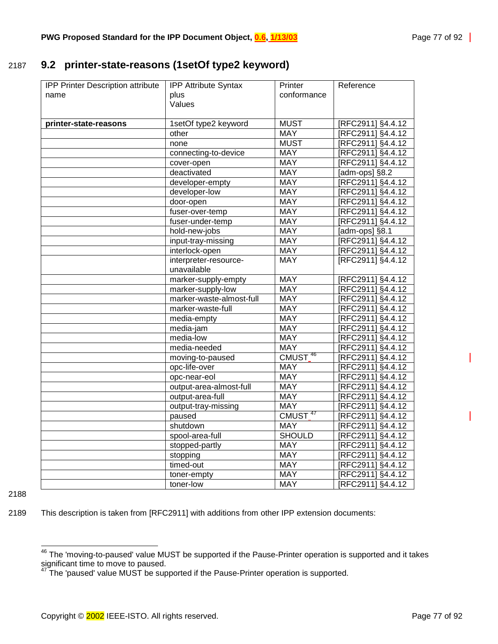### 2187 **9.2 printer-state-reasons (1setOf type2 keyword)**

| IPP Printer Description attribute | <b>IPP Attribute Syntax</b> | Printer             | Reference         |
|-----------------------------------|-----------------------------|---------------------|-------------------|
| name                              | plus                        | conformance         |                   |
|                                   | Values                      |                     |                   |
|                                   |                             |                     |                   |
| printer-state-reasons             | 1setOf type2 keyword        | <b>MUST</b>         | [RFC2911] §4.4.12 |
|                                   | other                       | <b>MAY</b>          | [RFC2911] §4.4.12 |
|                                   | none                        | <b>MUST</b>         | [RFC2911] §4.4.12 |
|                                   | connecting-to-device        | <b>MAY</b>          | [RFC2911] §4.4.12 |
|                                   | cover-open                  | <b>MAY</b>          | [RFC2911] §4.4.12 |
|                                   | deactivated                 | <b>MAY</b>          | [adm-ops] §8.2    |
|                                   | developer-empty             | <b>MAY</b>          | [RFC2911] §4.4.12 |
|                                   | developer-low               | <b>MAY</b>          | [RFC2911] §4.4.12 |
|                                   | door-open                   | <b>MAY</b>          | [RFC2911] §4.4.12 |
|                                   | fuser-over-temp             | <b>MAY</b>          | [RFC2911] §4.4.12 |
|                                   | fuser-under-temp            | <b>MAY</b>          | [RFC2911] §4.4.12 |
|                                   | hold-new-jobs               | <b>MAY</b>          | [adm-ops] §8.1    |
|                                   | input-tray-missing          | <b>MAY</b>          | [RFC2911] §4.4.12 |
|                                   | interlock-open              | <b>MAY</b>          | [RFC2911] §4.4.12 |
|                                   | interpreter-resource-       | <b>MAY</b>          | [RFC2911] §4.4.12 |
|                                   | unavailable                 |                     |                   |
|                                   | marker-supply-empty         | <b>MAY</b>          | [RFC2911] §4.4.12 |
|                                   | marker-supply-low           | <b>MAY</b>          | [RFC2911] §4.4.12 |
|                                   | marker-waste-almost-full    | <b>MAY</b>          | [RFC2911] §4.4.12 |
|                                   | marker-waste-full           | <b>MAY</b>          | [RFC2911] §4.4.12 |
|                                   | media-empty                 | <b>MAY</b>          | [RFC2911] §4.4.12 |
|                                   | media-jam                   | <b>MAY</b>          | [RFC2911] §4.4.12 |
|                                   | media-low                   | <b>MAY</b>          | [RFC2911] §4.4.12 |
|                                   | media-needed                | <b>MAY</b>          | [RFC2911] §4.4.12 |
|                                   | moving-to-paused            | CMUST <sup>46</sup> | [RFC2911] §4.4.12 |
|                                   | opc-life-over               | <b>MAY</b>          | RFC2911] §4.4.12  |
|                                   | opc-near-eol                | MAY                 | [RFC2911] §4.4.12 |
|                                   | output-area-almost-full     | <b>MAY</b>          | RFC2911] §4.4.12  |
|                                   | output-area-full            | <b>MAY</b>          | [RFC2911] §4.4.12 |
|                                   | output-tray-missing         | <b>MAY</b>          | [RFC2911] §4.4.12 |
|                                   | paused                      | CMUST <sup>47</sup> | [RFC2911] §4.4.12 |
|                                   | shutdown                    | <b>MAY</b>          | [RFC2911] §4.4.12 |
|                                   | spool-area-full             | <b>SHOULD</b>       | [RFC2911] §4.4.12 |
|                                   | stopped-partly              | <b>MAY</b>          | [RFC2911] §4.4.12 |
|                                   | stopping                    | <b>MAY</b>          | [RFC2911] §4.4.12 |
|                                   | timed-out                   | <b>MAY</b>          | [RFC2911] §4.4.12 |
|                                   | toner-empty                 | <b>MAY</b>          | [RFC2911] §4.4.12 |
|                                   | toner-low                   | <b>MAY</b>          | [RFC2911] §4.4.12 |

2188

l

2189 This description is taken from [RFC2911] with additions from other IPP extension documents:

 $^{46}$  The 'moving-to-paused' value MUST be supported if the Pause-Printer operation is supported and it takes significant time to move to paused.

 $47$  The 'paused' value MUST be supported if the Pause-Printer operation is supported.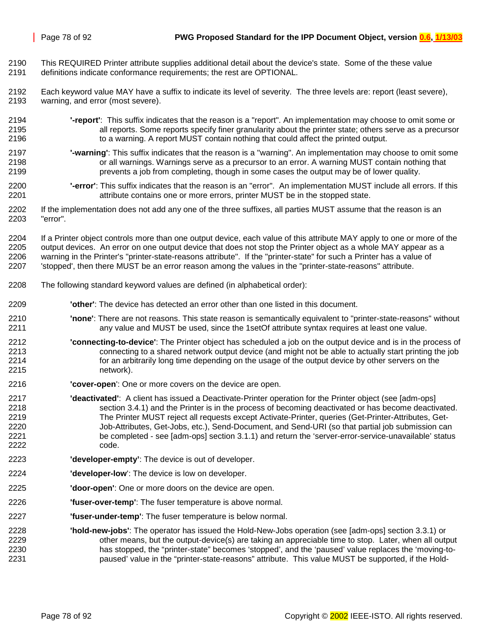- 2190 This REQUIRED Printer attribute supplies additional detail about the device's state. Some of the these value 2191 definitions indicate conformance requirements; the rest are OPTIONAL.
- 2192 Each keyword value MAY have a suffix to indicate its level of severity. The three levels are: report (least severe), 2193 warning, and error (most severe).
- 2194 **'-report'**: This suffix indicates that the reason is a "report". An implementation may choose to omit some or 2195 all reports. Some reports specify finer granularity about the printer state; others serve as a precursor 2196 to a warning. A report MUST contain nothing that could affect the printed output.
- 2197 **'-warning'**: This suffix indicates that the reason is a "warning". An implementation may choose to omit some or all warnings. Warnings serve as a precursor to an error. A warning MUST contain nothing that 2199 prevents a job from completing, though in some cases the output may be of lower quality.
- 2200 **'-error'**: This suffix indicates that the reason is an "error". An implementation MUST include all errors. If this 2201 attribute contains one or more errors, printer MUST be in the stopped state.
- 2202 If the implementation does not add any one of the three suffixes, all parties MUST assume that the reason is an 2203 "error".

2204 If a Printer object controls more than one output device, each value of this attribute MAY apply to one or more of the 2205 output devices. An error on one output device that does not stop the Printer object as a whole MAY appear as a 2206 warning in the Printer's "printer-state-reasons attribute". If the "printer-state" for such a Printer has a value of 2207 'stopped', then there MUST be an error reason among the values in the "printer-state-reasons" attribute.

- 2208 The following standard keyword values are defined (in alphabetical order):
- 2209 **'other'**: The device has detected an error other than one listed in this document.
- 2210 **'none'**: There are not reasons. This state reason is semantically equivalent to "printer-state-reasons" without 2211 any value and MUST be used, since the 1setOf attribute syntax requires at least one value.
- 2212 **'connecting-to-device'**: The Printer object has scheduled a job on the output device and is in the process of 2213 connecting to a shared network output device (and might not be able to actually start printing the job 2214 for an arbitrarily long time depending on the usage of the output device by other servers on the 2215 network).
- 2216 **'cover-open**': One or more covers on the device are open.
- 2217 **'deactivated'**: A client has issued a Deactivate-Printer operation for the Printer object (see [adm-ops] 2218 section 3.4.1) and the Printer is in the process of becoming deactivated or has become deactivated. 2219 The Printer MUST reject all requests except Activate-Printer, queries (Get-Printer-Attributes, Get-2220 Job-Attributes, Get-Jobs, etc.), Send-Document, and Send-URI (so that partial job submission can 2221 be completed - see [adm-ops] section 3.1.1) and return the 'server-error-service-unavailable' status 2222 code.
- 2223 **'developer-empty'**: The device is out of developer.
- 2224 **'developer-low**': The device is low on developer.
- 2225 **'door-open'**: One or more doors on the device are open.
- 2226 **'fuser-over-temp'**: The fuser temperature is above normal.
- 2227 **'fuser-under-temp'**: The fuser temperature is below normal.
- 2228 **'hold-new-jobs'**: The operator has issued the Hold-New-Jobs operation (see [adm-ops] section 3.3.1) or 2229 other means, but the output-device(s) are taking an appreciable time to stop. Later, when all output 2230 has stopped, the "printer-state" becomes 'stopped', and the 'paused' value replaces the 'moving-to-2231 paused' value in the "printer-state-reasons" attribute. This value MUST be supported, if the Hold-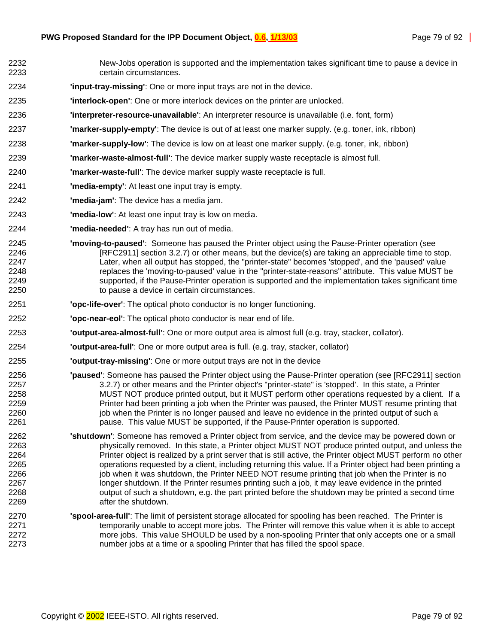- 2232 New-Jobs operation is supported and the implementation takes significant time to pause a device in 2233 certain circumstances. 2234 **'input-tray-missing'**: One or more input trays are not in the device. 2235 **'interlock-open'**: One or more interlock devices on the printer are unlocked.
- 2236 **'interpreter-resource-unavailable'**: An interpreter resource is unavailable (i.e. font, form)
- 2237 **'marker-supply-empty'**: The device is out of at least one marker supply. (e.g. toner, ink, ribbon)
- 2238 **'marker-supply-low'**: The device is low on at least one marker supply. (e.g. toner, ink, ribbon)
- 2239 **'marker-waste-almost-full'**: The device marker supply waste receptacle is almost full.
- 2240 **'marker-waste-full'**: The device marker supply waste receptacle is full.
- 2241 **'media-empty'**: At least one input tray is empty.
- 2242 **'media-jam'**: The device has a media jam.
- 2243 **'media-low'**: At least one input tray is low on media.
- 2244 **'media-needed'**: A tray has run out of media.
- 2245 **'moving-to-paused'**: Someone has paused the Printer object using the Pause-Printer operation (see 2246 [RFC2911] section 3.2.7) or other means, but the device(s) are taking an appreciable time to stop. 2247 Later, when all output has stopped, the "printer-state" becomes 'stopped', and the 'paused' value 2248 replaces the 'moving-to-paused' value in the "printer-state-reasons" attribute. This value MUST be 2249 supported, if the Pause-Printer operation is supported and the implementation takes significant time 2250 to pause a device in certain circumstances.
- 2251 **'opc-life-over'**: The optical photo conductor is no longer functioning.
- 2252 **'opc-near-eol'**: The optical photo conductor is near end of life.
- 2253 **'output-area-almost-full'**: One or more output area is almost full (e.g. tray, stacker, collator).
- 2254 **'output-area-full'**: One or more output area is full. (e.g. tray, stacker, collator)
- 2255 **'output-tray-missing'**: One or more output trays are not in the device
- 2256 **'paused'**: Someone has paused the Printer object using the Pause-Printer operation (see [RFC2911] section 2257 3.2.7) or other means and the Printer object's "printer-state" is 'stopped'. In this state, a Printer<br>2258 MUST NOT produce printed output, but it MUST perform other operations requested by a client MUST NOT produce printed output, but it MUST perform other operations requested by a client. If a 2259 Printer had been printing a job when the Printer was paused, the Printer MUST resume printing that 2260 in inter is no longer paused and leave no evidence in the printed output of such a 2261 pause. This value MUST be supported, if the Pause-Printer operation is supported.
- 2262 **'shutdown'**: Someone has removed a Printer object from service, and the device may be powered down or 2263 physically removed. In this state, a Printer object MUST NOT produce printed output, and unless the 2264 Printer object is realized by a print server that is still active, the Printer object MUST perform no other 2265 operations requested by a client, including returning this value. If a Printer object had been printing a 2266 interest in the Shutdown, the Printer NEED NOT resume printing that job when the Printer is no 2267 longer shutdown. If the Printer resumes printing such a job, it may leave evidence in the printed 2268 output of such a shutdown, e.g. the part printed before the shutdown may be printed a second time 2269 after the shutdown.
- 2270 **'spool-area-full'**: The limit of persistent storage allocated for spooling has been reached. The Printer is 2271 **temporarily unable to accept more jobs.** The Printer will remove this value when it is able to accept 2272 more jobs. This value SHOULD be used by a non-spooling Printer that only accepts one or a small 2273 number jobs at a time or a spooling Printer that has filled the spool space.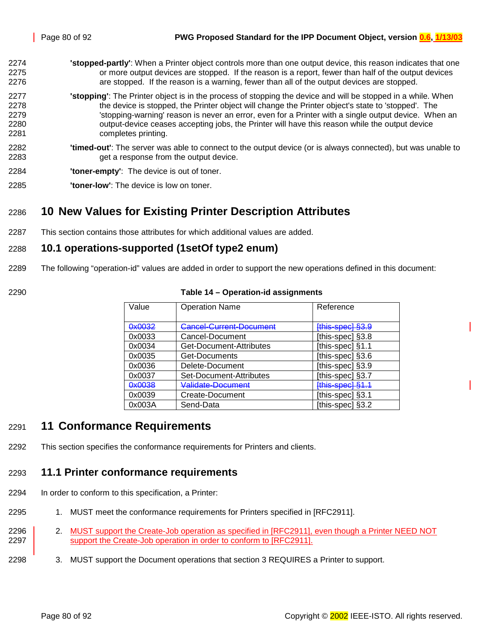- <span id="page-79-0"></span>2274 **'stopped-partly'**: When a Printer object controls more than one output device, this reason indicates that one 2275 or more output devices are stopped. If the reason is a report, fewer than half of the output devices 2276 are stopped. If the reason is a warning, fewer than all of the output devices are stopped. 2277 **'stopping'**: The Printer object is in the process of stopping the device and will be stopped in a while. When 2278 the device is stopped, the Printer object will change the Printer object's state to 'stopped'. The
- 2279 **Stopping-warning' reason is never an error**, even for a Printer with a single output device. When an 2280 output-device ceases accepting jobs, the Printer will have this reason while the output device 2281 completes printing.
- 2282 **'timed-out'**: The server was able to connect to the output device (or is always connected), but was unable to 2283 get a response from the output device.
- 2284 **'toner-empty'**: The device is out of toner.
- 2285 **'toner-low'**: The device is low on toner.

## 2286 **10 New Values for Existing Printer Description Attributes**

2287 This section contains those attributes for which additional values are added.

#### 2288 **10.1 operations-supported (1setOf type2 enum)**

- 2289 The following "operation-id" values are added in order to support the new operations defined in this document:
- 

#### 2290 **Table 14 – Operation-id assignments**

| Value  | <b>Operation Name</b>   | Reference        |
|--------|-------------------------|------------------|
|        |                         |                  |
| 0x0032 | Cancel-Current-Document | [this-spec] §3.9 |
| 0x0033 | Cancel-Document         | [this-spec] §3.8 |
| 0x0034 | Get-Document-Attributes | [this-spec] §1.1 |
| 0x0035 | Get-Documents           | [this-spec] §3.6 |
| 0x0036 | Delete-Document         | [this-spec] §3.9 |
| 0x0037 | Set-Document-Attributes | [this-spec] §3.7 |
| 0x0038 | Validate-Document       | [this-spec] §1.1 |
| 0x0039 | Create-Document         | [this-spec] §3.1 |
| 0x003A | Send-Data               | [this-spec] §3.2 |

### 2291 **11 Conformance Requirements**

2292 This section specifies the conformance requirements for Printers and clients.

#### 2293 **11.1 Printer conformance requirements**

- 2294 In order to conform to this specification, a Printer:
- 2295 1. MUST meet the conformance requirements for Printers specified in [RFC2911].
- 2296 2. MUST support the Create-Job operation as specified in [RFC2911], even though a Printer NEED NOT 2297 support the Create-Job operation in order to conform to [RFC2911].
- 2298 3. MUST support the Document operations that section [3](#page-11-0) REQUIRES a Printer to support.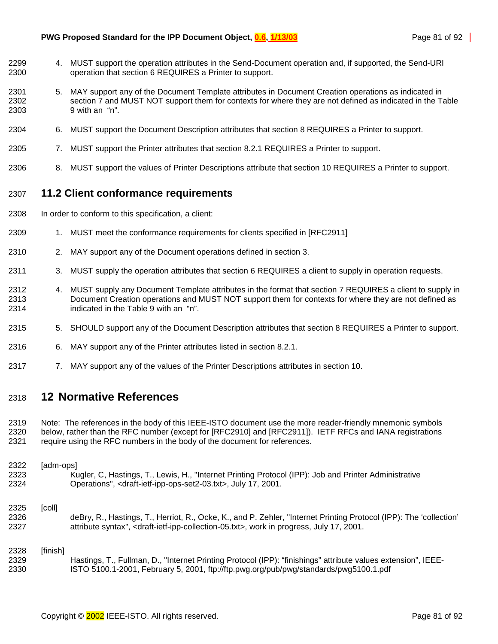- 2299 4. MUST support the operation attributes in the Send-Document operation and, if supported, the Send-URI 2300 operation that section [6](#page-38-0) REQUIRES a Printer to support.
- 2301 5. MAY support any of the Document Template attributes in Document Creation operations as indicated in 2302 section [7](#page-41-0) and MUST NOT support them for contexts for where they are not defined as indicated in the [Table](#page-50-0)  2303 [9](#page-50-0) with an "n".
- 2304 6. MUST support the Document Description attributes that section [8](#page-49-0) REQUIRES a Printer to support.
- 2305 7. MUST support the Printer attributes that section [8.2.1](#page-70-0) REQUIRES a Printer to support.
- 2306 8. MUST support the values of Printer Descriptions attribute that section [10](#page-79-0) REQUIRES a Printer to support.

#### 2307 **11.2 Client conformance requirements**

- 2308 In order to conform to this specification, a client:
- 2309 1. MUST meet the conformance requirements for clients specified in [RFC2911]
- 2310 2. MAY support any of the Document operations defined in section [3.](#page-11-0)
- 2311 3. MUST supply the operation attributes that section [6](#page-38-0) REQUIRES a client to supply in operation requests.
- 2312 4. MUST supply any Document Template attributes in the format that section [7](#page-41-0) REQUIRES a client to supply in 2313 Document Creation operations and MUST NOT support them for contexts for where they are not defined as 2314 indicated in the [Table 9](#page-50-0) with an "n".
- 2315 5. SHOULD support any of the Document Description attributes that section [8](#page-49-0) REQUIRES a Printer to support.
- 2316 6. MAY support any of the Printer attributes listed in section [8.2.1.](#page-70-0)
- 2317 7. MAY support any of the values of the Printer Descriptions attributes in section [10.](#page-79-0)

#### 2318 **12 Normative References**

2319 Note: The references in the body of this IEEE-ISTO document use the more reader-friendly mnemonic symbols 2320 below, rather than the RFC number (except for [RFC2910] and [RFC2911]). IETF RFCs and IANA registrations 2321 require using the RFC numbers in the body of the document for references.

#### 2322 [adm-ops] 2323 Kugler, C, Hastings, T., Lewis, H., "Internet Printing Protocol (IPP): Job and Printer Administrative 2324 Operations", <draft-ietf-ipp-ops-set2-03.txt>, July 17, 2001.

#### 2325 [coll]

2326 deBry, R., Hastings, T., Herriot, R., Ocke, K., and P. Zehler, "Internet Printing Protocol (IPP): The 'collection' 2327 attribute syntax", <draft-ietf-ipp-collection-05.txt>, work in progress, July 17, 2001.

#### 2328 [finish] 2329 Hastings, T., Fullman, D., "Internet Printing Protocol (IPP): "finishings" attribute values extension", IEEE-2330 ISTO 5100.1-2001, February 5, 2001, ftp://ftp.pwg.org/pub/pwg/standards/pwg5100.1.pdf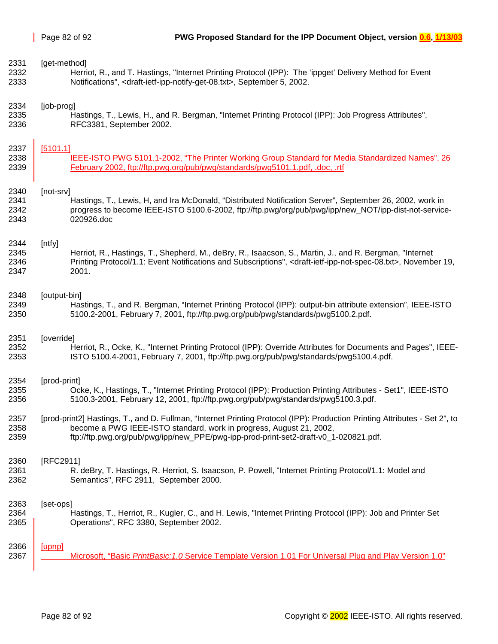| 2331 | [get-method]                                                                                                                                   |
|------|------------------------------------------------------------------------------------------------------------------------------------------------|
| 2332 | Herriot, R., and T. Hastings, "Internet Printing Protocol (IPP): The 'ippget' Delivery Method for Event                                        |
| 2333 | Notifications", <draft-ietf-ipp-notify-get-08.txt>, September 5, 2002.</draft-ietf-ipp-notify-get-08.txt>                                      |
| 2334 | [job-prog]                                                                                                                                     |
| 2335 | Hastings, T., Lewis, H., and R. Bergman, "Internet Printing Protocol (IPP): Job Progress Attributes",                                          |
| 2336 | RFC3381, September 2002.                                                                                                                       |
| 2337 | [5101.1]                                                                                                                                       |
| 2338 | IEEE-ISTO PWG 5101.1-2002, "The Printer Working Group Standard for Media Standardized Names", 26                                               |
| 2339 | February 2002, ftp://ftp.pwg.org/pub/pwg/standards/pwg5101.1.pdf, .doc, .rtf                                                                   |
| 2340 | [not-srv]                                                                                                                                      |
| 2341 | Hastings, T., Lewis, H, and Ira McDonald, "Distributed Notification Server", September 26, 2002, work in                                       |
| 2342 | progress to become IEEE-ISTO 5100.6-2002, ftp://ftp.pwg/org/pub/pwg/ipp/new_NOT/ipp-dist-not-service-                                          |
| 2343 | 020926.doc                                                                                                                                     |
| 2344 | [ntfy]                                                                                                                                         |
| 2345 | Herriot, R., Hastings, T., Shepherd, M., deBry, R., Isaacson, S., Martin, J., and R. Bergman, "Internet                                        |
| 2346 | Printing Protocol/1.1: Event Notifications and Subscriptions", <draft-ietf-ipp-not-spec-08.txt>, November 19,</draft-ietf-ipp-not-spec-08.txt> |
| 2347 | 2001.                                                                                                                                          |
| 2348 | [output-bin]                                                                                                                                   |
| 2349 | Hastings, T., and R. Bergman, "Internet Printing Protocol (IPP): output-bin attribute extension", IEEE-ISTO                                    |
| 2350 | 5100.2-2001, February 7, 2001, ftp://ftp.pwg.org/pub/pwg/standards/pwg5100.2.pdf.                                                              |
| 2351 | [override]                                                                                                                                     |
| 2352 | Herriot, R., Ocke, K., "Internet Printing Protocol (IPP): Override Attributes for Documents and Pages", IEEE-                                  |
| 2353 | ISTO 5100.4-2001, February 7, 2001, ftp://ftp.pwg.org/pub/pwg/standards/pwg5100.4.pdf.                                                         |
| 2354 | [prod-print]                                                                                                                                   |
| 2355 | Ocke, K., Hastings, T., "Internet Printing Protocol (IPP): Production Printing Attributes - Set1", IEEE-ISTO                                   |
| 2356 | 5100.3-2001, February 12, 2001, ftp://ftp.pwg.org/pub/pwg/standards/pwg5100.3.pdf.                                                             |
| 2357 | [prod-print2] Hastings, T., and D. Fullman, "Internet Printing Protocol (IPP): Production Printing Attributes - Set 2", to                     |
| 2358 | become a PWG IEEE-ISTO standard, work in progress, August 21, 2002,                                                                            |
| 2359 | ftp://ftp.pwg.org/pub/pwg/ipp/new PPE/pwg-ipp-prod-print-set2-draft-v0 1-020821.pdf.                                                           |
| 2360 | [RFC2911]                                                                                                                                      |
| 2361 | R. deBry, T. Hastings, R. Herriot, S. Isaacson, P. Powell, "Internet Printing Protocol/1.1: Model and                                          |
| 2362 | Semantics", RFC 2911, September 2000.                                                                                                          |
| 2363 | [set-ops]                                                                                                                                      |
| 2364 | Hastings, T., Herriot, R., Kugler, C., and H. Lewis, "Internet Printing Protocol (IPP): Job and Printer Set                                    |
| 2365 | Operations", RFC 3380, September 2002.                                                                                                         |
| 2366 | [upnp]                                                                                                                                         |
| 2367 | Microsoft, "Basic PrintBasic: 1.0 Service Template Version 1.01 For Universal Plug and Play Version 1.0"                                       |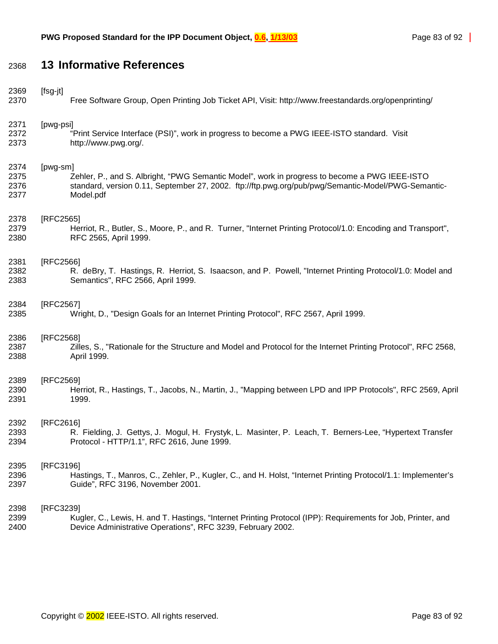# 2368 **13 Informative References**

| 2369 | [fsg-jt]                                                                                                       |
|------|----------------------------------------------------------------------------------------------------------------|
| 2370 | Free Software Group, Open Printing Job Ticket API, Visit: http://www.freestandards.org/openprinting/           |
| 2371 | [pwg-psi]                                                                                                      |
| 2372 | "Print Service Interface (PSI)", work in progress to become a PWG IEEE-ISTO standard. Visit                    |
| 2373 | http://www.pwg.org/.                                                                                           |
| 2374 | [pwg-sm]                                                                                                       |
| 2375 | Zehler, P., and S. Albright, "PWG Semantic Model", work in progress to become a PWG IEEE-ISTO                  |
| 2376 | standard, version 0.11, September 27, 2002. ftp://ftp.pwg.org/pub/pwg/Semantic-Model/PWG-Semantic-             |
| 2377 | Model.pdf                                                                                                      |
| 2378 | [RFC2565]                                                                                                      |
| 2379 | Herriot, R., Butler, S., Moore, P., and R. Turner, "Internet Printing Protocol/1.0: Encoding and Transport",   |
| 2380 | RFC 2565, April 1999.                                                                                          |
| 2381 | [RFC2566]                                                                                                      |
| 2382 | R. deBry, T. Hastings, R. Herriot, S. Isaacson, and P. Powell, "Internet Printing Protocol/1.0: Model and      |
| 2383 | Semantics", RFC 2566, April 1999.                                                                              |
| 2384 | [RFC2567]                                                                                                      |
| 2385 | Wright, D., "Design Goals for an Internet Printing Protocol", RFC 2567, April 1999.                            |
| 2386 | [RFC2568]                                                                                                      |
| 2387 | Zilles, S., "Rationale for the Structure and Model and Protocol for the Internet Printing Protocol", RFC 2568, |
| 2388 | April 1999.                                                                                                    |
| 2389 | [RFC2569]                                                                                                      |
| 2390 | Herriot, R., Hastings, T., Jacobs, N., Martin, J., "Mapping between LPD and IPP Protocols", RFC 2569, April    |
| 2391 | 1999.                                                                                                          |
| 2392 | [RFC2616]                                                                                                      |
| 2393 | R. Fielding, J. Gettys, J. Mogul, H. Frystyk, L. Masinter, P. Leach, T. Berners-Lee, "Hypertext Transfer       |
| 2394 | Protocol - HTTP/1.1", RFC 2616, June 1999.                                                                     |
| 2395 | [RFC3196]                                                                                                      |
| 2396 | Hastings, T., Manros, C., Zehler, P., Kugler, C., and H. Holst, "Internet Printing Protocol/1.1: Implementer's |
| 2397 | Guide", RFC 3196, November 2001.                                                                               |
| 2398 | [RFC3239]                                                                                                      |
| 2399 | Kugler, C., Lewis, H. and T. Hastings, "Internet Printing Protocol (IPP): Requirements for Job, Printer, and   |
| 2400 | Device Administrative Operations", RFC 3239, February 2002.                                                    |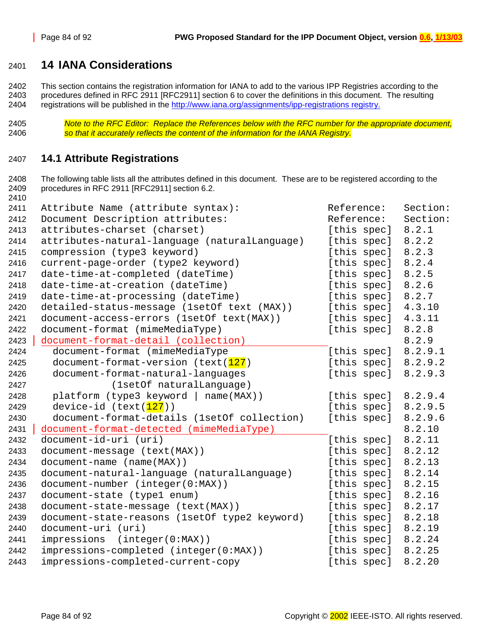### <span id="page-83-0"></span>**14 IANA Considerations**

2402 This section contains the registration information for IANA to add to the various IPP Registries according to the 2403 procedures defined in RFC 2911 [RFC2911] section 6 to cover the definitions in this document. The resulting 2404 registrations will be published in the http://www.iana.org/assignments/ipp-registrations registry.

*Note to the RFC Editor: Replace the References below with the RFC number for the appropriate document, so that it accurately reflects the content of the information for the IANA Registry.* 

#### **14.1 Attribute Registrations**

2408 The following table lists all the attributes defined in this document. These are to be registered according to the 2409 procedures in RFC 2911 [RFC2911] section 6.2. 

| 2411 | Attribute Name (attribute syntax):            | Reference:  | Section: |
|------|-----------------------------------------------|-------------|----------|
| 2412 | Document Description attributes:              | Reference:  | Section: |
| 2413 | attributes-charset (charset)                  | [this spec] | 8.2.1    |
| 2414 | attributes-natural-language (naturalLanguage) | [this spec] | 8.2.2    |
| 2415 | compression (type3 keyword)                   | [this spec] | 8.2.3    |
| 2416 | current-page-order (type2 keyword)            | [this spec] | 8.2.4    |
| 2417 | date-time-at-completed (dateTime)             | [this spec] | 8.2.5    |
| 2418 | date-time-at-creation (dateTime)              | [this spec] | 8.2.6    |
| 2419 | date-time-at-processing (dateTime)            | [this spec] | 8.2.7    |
| 2420 | detailed-status-message (1setOf text (MAX))   | [this spec] | 4.3.10   |
| 2421 | document-access-errors (1setOf text(MAX))     | [this spec] | 4.3.11   |
| 2422 | document-format (mimeMediaType)               | [this spec] | 8.2.8    |
| 2423 | document-format-detail (collection)           |             | 8.2.9    |
| 2424 | document-format (mimeMediaType                | [this spec] | 8.2.9.1  |
| 2425 | document-format-version (text(127)            | [this spec] | 8.2.9.2  |
| 2426 | document-format-natural-languages             | [this spec] | 8.2.9.3  |
| 2427 | (1setOf naturalLanguage)                      |             |          |
| 2428 | $plateform$ (type3 keyword   name(MAX))       | [this spec] | 8.2.9.4  |
| 2429 | device-id (text(127))                         | [this spec] | 8.2.9.5  |
| 2430 | document-format-details (1setOf collection)   | [this spec] | 8.2.9.6  |
| 2431 | document-format-detected (mimeMediaType)      |             | 8.2.10   |
| 2432 | document-id-uri (uri)                         | [this spec] | 8.2.11   |
| 2433 | document-message (text(MAX))                  | [this spec] | 8.2.12   |
| 2434 | document-name (name(MAX))                     | [this spec] | 8.2.13   |
| 2435 | document-natural-language (naturalLanguage)   | [this spec] | 8.2.14   |
| 2436 | document-number (integer(0:MAX))              | [this spec] | 8.2.15   |
| 2437 | document-state (type1 enum)                   | [this spec] | 8.2.16   |
| 2438 | document-state-message (text(MAX))            | [this spec] | 8.2.17   |
| 2439 | document-state-reasons (1setOf type2 keyword) | [this spec] | 8.2.18   |
| 2440 | document-uri (uri)                            | [this spec] | 8.2.19   |
| 2441 | (integer(0:MAX))<br>impressions               | [this spec] | 8.2.24   |
| 2442 | impressions-completed (integer(0:MAX))        | [this spec] | 8.2.25   |
| 2443 | impressions-completed-current-copy            | [this spec] | 8.2.20   |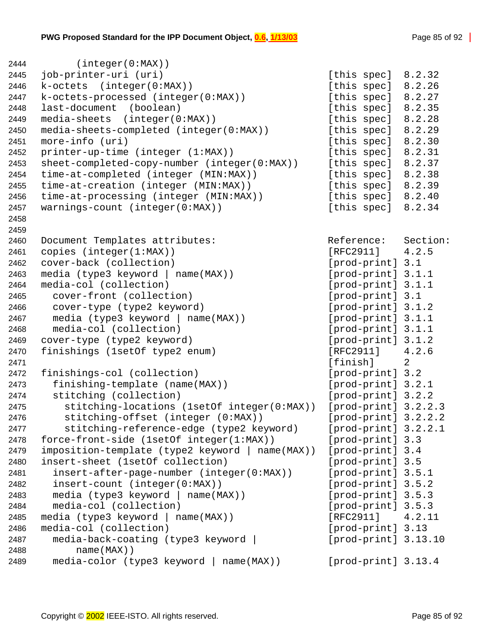| 2444 | (integer(0:MAX))                                |                        |        |
|------|-------------------------------------------------|------------------------|--------|
| 2445 | job-printer-uri (uri)                           | [this spec]            | 8.2.32 |
| 2446 | k-octets (integer(0:MAX))                       | [this spec] 8.2.26     |        |
| 2447 | k-octets-processed (integer(0:MAX))             | [this spec] 8.2.27     |        |
| 2448 | last-document<br>(boolean)                      | [this spec]            | 8.2.35 |
| 2449 | $media-sheets$ (integer( $0:MAX$ ))             | [this spec]            | 8.2.28 |
| 2450 | media-sheets-completed (integer(0:MAX))         | [this spec]            | 8.2.29 |
| 2451 | more-info (uri)                                 | [this spec]            | 8.2.30 |
| 2452 | printer-up-time (integer (1:MAX))               | [this spec]            | 8.2.31 |
| 2453 | sheet-completed-copy-number (integer(0:MAX))    | [this spec] 8.2.37     |        |
| 2454 | time-at-completed (integer (MIN:MAX))           | [this spec] 8.2.38     |        |
| 2455 | time-at-creation (integer (MIN:MAX))            | [this spec] 8.2.39     |        |
| 2456 | time-at-processing (integer (MIN:MAX))          | [this spec] 8.2.40     |        |
| 2457 | warnings-count (integer(0:MAX))                 | [this spec]            | 8.2.34 |
| 2458 |                                                 |                        |        |
| 2459 |                                                 |                        |        |
| 2460 | Document Templates attributes:                  | Reference: Section:    |        |
| 2461 | copies $(integer(1:MAX))$                       | $[RFC2911]$ 4.2.5      |        |
| 2462 | cover-back (collection)                         | [prod-print] 3.1       |        |
| 2463 | media (type3 keyword   name(MAX))               | [prod-print] 3.1.1     |        |
| 2464 | media-col (collection)                          | [prod-print] 3.1.1     |        |
| 2465 | cover-front (collection)                        | [prod-print] 3.1       |        |
| 2466 | cover-type (type2 keyword)                      | [prod-print] 3.1.2     |        |
| 2467 | media $(type3 keyword   name(MAX))$             | [prod-print] 3.1.1     |        |
| 2468 | media-col (collection)                          | [prod-print] 3.1.1     |        |
| 2469 | cover-type (type2 keyword)                      | [prod-print] 3.1.2     |        |
| 2470 | finishings (1setOf type2 enum)                  | [RFC2911]              | 4.2.6  |
| 2471 |                                                 | [finish]               | 2      |
| 2472 | finishings-col (collection)                     | [prod-print] 3.2       |        |
| 2473 | finishing-template (name(MAX))                  | [prod-print] 3.2.1     |        |
| 2474 | stitching (collection)                          | [prod-print] 3.2.2     |        |
| 2475 | stitching-locations (1setOf integer(0:MAX))     | $[prod-print]$ 3.2.2.3 |        |
| 2476 | stitching-offset (integer (0:MAX))              | $[prod-print]$ 3.2.2.2 |        |
| 2477 | stitching-reference-edge (type2 keyword)        | $[prod-print]$ 3.2.2.1 |        |
| 2478 | force-front-side (1setOf integer(1:MAX))        | [prod-print] 3.3       |        |
| 2479 | imposition-template (type2 keyword   name(MAX)) | [prod-print] 3.4       |        |
| 2480 | insert-sheet (1setOf collection)                | [prod-print] 3.5       |        |
| 2481 | insert-after-page-number (integer(0:MAX))       | [prod-print] 3.5.1     |        |
| 2482 | insert-count (integer(0:MAX))                   | [prod-print] 3.5.2     |        |
| 2483 | media (type3 keyword   name(MAX))               | [prod-print] 3.5.3     |        |
| 2484 | media-col (collection)                          | [prod-print] 3.5.3     |        |
| 2485 | media (type3 keyword   name(MAX))               | [RFC2911]              | 4.2.11 |
| 2486 | media-col (collection)                          | [prod-print] 3.13      |        |
| 2487 | media-back-coating (type3 keyword               | $[prod-print]$ 3.13.10 |        |
| 2488 | $name(MAX)$ )                                   |                        |        |
| 2489 | media-color (type3 keyword  <br>$name(MAX)$ )   | [prod-print] 3.13.4    |        |
|      |                                                 |                        |        |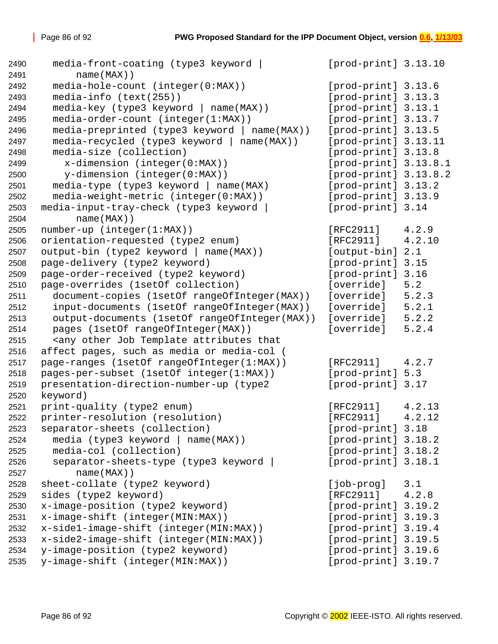```
2490 media-front-coating (type3 keyword | [prod-print] 3.13.10
2491 name(MAX))
2492 media-hole-count (integer(0:MAX)) [prod-print] 3.13.6
2493 media-info (text(255)) [prod-print] 3.13.3
2494 media-key (type3 keyword | name(MAX)) [prod-print] 3.13.1
2495 media-order-count (integer(1:MAX)) [prod-print] 3.13.7
2496 media-preprinted (type3 keyword | name(MAX)) [prod-print] 3.13.5
2497 media-recycled (type3 keyword | name(MAX)) [prod-print] 3.13.11
2498 media-size (collection) [prod-print] 3.13.8
2499 x-dimension (integer(0:MAX)) [prod-print] 3.13.8.1
2500 y-dimension (integer(0:MAX)) [prod-print] 3.13.8.2
2501 media-type (type3 keyword | name(MAX) [prod-print] 3.13.2
2502 media-weight-metric (integer(0:MAX)) [prod-print] 3.13.9
2503 media-input-tray-check (type3 keyword | [prod-print] 3.14
2504 name(MAX))
2505 number-up (integer(1:MAX)) [RFC2911] 4.2.9
2506 orientation-requested (type2 enum) [RFC2911] 4.2.10
2507 output-bin (type2 keyword | name(MAX)) [output-bin] 2.1
2508 page-delivery (type2 keyword) [prod-print] 3.15
2509 page-order-received (type2 keyword) [prod-print] 3.16
2510 page-overrides (1setOf collection) [override] 5.2
2511 document-copies (1setOf rangeOfInteger(MAX)) [override] 5.2.3
2512 input-documents (1setOf rangeOfInteger(MAX)) [override] 5.2.1
2513 output-documents (1setOf rangeOfInteger(MAX)) [override] 5.2.2
2514 pages (1setOf rangeOfInteger(MAX)) [override] 5.2.4
2515 <any other Job Template attributes that
2516 affect pages, such as media or media-col (
2517 page-ranges (1setOf rangeOfInteger(1:MAX)) [RFC2911] 4.2.7
2518 pages-per-subset (1setOf integer(1:MAX)) [prod-print] 5.3
2519 presentation-direction-number-up (type2 [prod-print] 3.17
2520 keyword)
2521 print-quality (type2 enum) [RFC2911] 4.2.13
2522 printer-resolution (resolution) [RFC2911] 4.2.12
2523 separator-sheets (collection) [prod-print] 3.18
2524 media (type3 keyword | name(MAX)) [prod-print] 3.18.2
2525 media-col (collection) [prod-print] 3.18.2
2526 separator-sheets-type (type3 keyword | [prod-print] 3.18.1
2527 name(MAX))
2528 sheet-collate (type2 keyword) [job-prog] 3.1
2529 sides (type2 keyword) [RFC2911] 4.2.8
2530 x-image-position (type2 keyword) [prod-print] 3.19.2
2531 x-image-shift (integer(MIN:MAX)) [prod-print] 3.19.3
2532 x-side1-image-shift (integer(MIN:MAX)) [prod-print] 3.19.4
2533 x-side2-image-shift (integer(MIN:MAX)) [prod-print] 3.19.5
2534 y-image-position (type2 keyword) [prod-print] 3.19.6
2535 y-image-shift (integer(MIN:MAX)) [prod-print] 3.19.7
```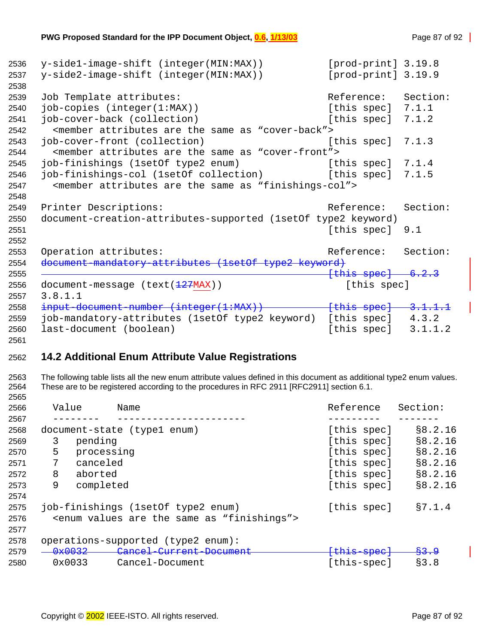```
2536 y-side1-image-shift (integer(MIN:MAX)) [prod-print] 3.19.8
2537 y-side2-image-shift (integer(MIN:MAX)) [prod-print] 3.19.9
2538 
2539 Job Template attributes: \overline{\phantom{a}} Reference: Section:
2540 job-copies (integer(1:MAX)) [this spec] 7.1.1
2541 job-cover-back (collection) [this spec] 7.1.2
2542 <member attributes are the same as "cover-back">
2543 job-cover-front (collection) [this spec] 7.1.3
2544 <member attributes are the same as "cover-front">
2545 job-finishings (1setOf type2 enum) [this spec] 7.1.4
2546 job-finishings-col (1setOf collection) [this spec] 7.1.5
2547 <member attributes are the same as "finishings-col">
2548 
2549 Printer Descriptions: The Reference: Section:
2550 document-creation-attributes-supported (1setOf type2 keyword)
2551 [this spec] 9.1
2552 
2553 Operation attributes: \qquad \qquad Reference: Section:
2554 document-mandatory-attributes (1setOf type2 keyword)
2555 [this spec] 6.2.3
2556 document-message (text(127MAX)) [this spec]
2557 3.8.1.1
3.1.1.1
2559 job-mandatory-attributes (1setOf type2 keyword) [this spec] 4.3.2
2560 last-document (boolean) [this spec] 3.1.1.2
2561
```
# **14.2 Additional Enum Attribute Value Registrations**

2563 The following table lists all the new enum attribute values defined in this document as additional type2 enum values. 2564 These are to be registered according to the procedures in RFC 2911 [RFC2911] section 6.1.

| 2565 |   |                                                                     |                        |                 |
|------|---|---------------------------------------------------------------------|------------------------|-----------------|
| 2566 |   | Value<br>Name                                                       | Reference              | Section:        |
| 2567 |   |                                                                     |                        |                 |
| 2568 |   | document-state (type1 enum)                                         | [this spec]            | \$8.2.16        |
| 2569 | 3 | pending                                                             | [this spec]            | \$8.2.16        |
| 2570 | 5 | processing                                                          | [this spec]            | \$8.2.16        |
| 2571 |   | canceled                                                            | [this spec]            | \$8.2.16        |
| 2572 | 8 | aborted                                                             | [this spec]            | \$8.2.16        |
| 2573 | 9 | completed                                                           | [this spec]            | \$8.2.16        |
| 2574 |   |                                                                     |                        |                 |
| 2575 |   | job-finishings (1set of type 2 enum)                                | [this spec]            | $\S7.1.4$       |
| 2576 |   | <enum "finishings"="" are="" as="" same="" the="" values=""></enum> |                        |                 |
| 2577 |   |                                                                     |                        |                 |
| 2578 |   | operations-supported (type2 enum):                                  |                        |                 |
| 2579 |   | 0x0032<br>Cancel Current Document                                   | <del>[this spec]</del> | <del>83.9</del> |
| 2580 |   | $0 \times 0033$<br>Cancel-Document                                  | [this-spec]            | \$3.8           |
|      |   |                                                                     |                        |                 |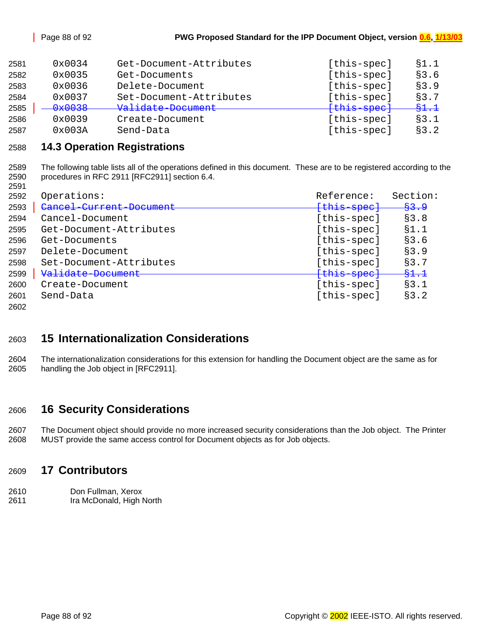| 2581 | 0x0034 | Get-Document-Attributes | [this-spec] | \$1.1 |
|------|--------|-------------------------|-------------|-------|
| 2582 | 0x0035 | Get-Documents           | [this-spec] | \$3.6 |
| 2583 | 0x0036 | Delete-Document         | [this-spec] | \$3.9 |
| 2584 | 0x0037 | Set-Document-Attributes | [this-spec] | \$3.7 |
| 2585 | 0x0038 | Validate-Document       | {this-spec} | 81.1  |
| 2586 | 0x0039 | Create-Document         | [this-spec] | \$3.1 |
| 2587 | 0x003A | Send-Data               | [this-spec] | §3.2  |

#### **14.3 Operation Registrations**

2589 The following table lists all of the operations defined in this document. These are to be registered according to the 2590 procedures in RFC 2911 [RFC2911] section 6.4. 

| 2592 | Operations:             | Reference:  | Section: |
|------|-------------------------|-------------|----------|
| 2593 | Cancel Current Document | {this spec} | 83.9     |
| 2594 | Cancel-Document         | [this-spec] | \$3.8    |
| 2595 | Get-Document-Attributes | [this-spec] | \$1.1    |
| 2596 | Get-Documents           | [this-spec] | \$3.6    |
| 2597 | Delete-Document         | [this-spec] | \$3.9    |
| 2598 | Set-Document-Attributes | [this-spec] | §3.7     |
| 2599 | Validate-Document       | {this-spec} | 81.1     |
| 2600 | Create-Document         | [this-spec] | \$3.1    |
| 2601 | Send-Data               | [this-spec] | §3.2     |
| 2602 |                         |             |          |

## **15 Internationalization Considerations**

2604 The internationalization considerations for this extension for handling the Document object are the same as for 2605 handling the Job object in [RFC2911].

### **16 Security Considerations**

2607 The Document object should provide no more increased security considerations than the Job object. The Printer 2608 MUST provide the same access control for Document objects as for Job objects.

#### **17 Contributors**

- 2610 Don Fullman, Xerox
- 2611 Ira McDonald, High North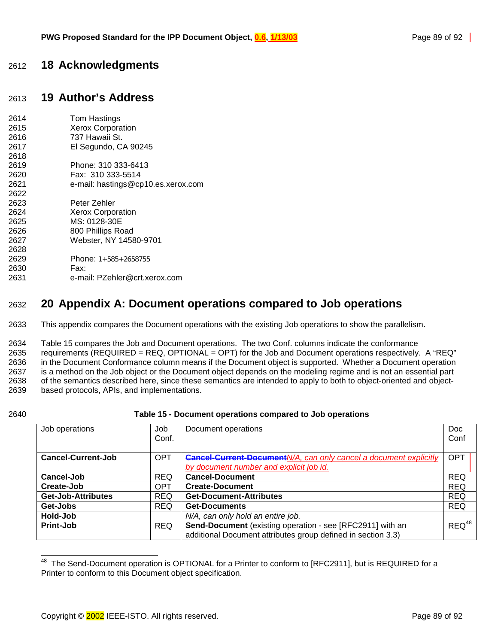### 2612 **18 Acknowledgments**

# 2613 **19 Author's Address**

| 2614 | Tom Hastings                       |
|------|------------------------------------|
| 2615 | <b>Xerox Corporation</b>           |
| 2616 | 737 Hawaii St.                     |
| 2617 | El Segundo, CA 90245               |
| 2618 |                                    |
| 2619 | Phone: 310 333-6413                |
| 2620 | Fax: 310 333-5514                  |
| 2621 | e-mail: hastings@cp10.es.xerox.com |
| 2622 |                                    |
| 2623 | Peter Zehler                       |
| 2624 | <b>Xerox Corporation</b>           |
| 2625 | MS: 0128-30E                       |
| 2626 | 800 Phillips Road                  |
| 2627 | Webster, NY 14580-9701             |
| 2628 |                                    |
| 2629 | Phone: $1+585+2658755$             |
| 2630 | Fax:                               |
| 2631 | e-mail: PZehler@crt.xerox.com      |

## 2632 **20 Appendix A: Document operations compared to Job operations**

2633 This appendix compares the Document operations with the existing Job operations to show the parallelism.

2634 Table 15 compares the Job and Document operations. The two Conf. columns indicate the conformance 2635 requirements (REQUIRED = REQ, OPTIONAL = OPT) for the Job and Document operations respectively. A "REQ" 2636 in the Document Conformance column means if the Document object is supported. Whether a Document operation 2637 is a method on the Job object or the Document object depends on the modeling regime and is not an essential part 2638 of the semantics described here, since these semantics are intended to apply to both to object-oriented and object-2639 based protocols, APIs, and implementations.

#### 2640 **Table 15 - Document operations compared to Job operations**

| Job operations            | Job<br>Conf. | Document operations                                                                                                       | <b>Doc</b><br>Conf |
|---------------------------|--------------|---------------------------------------------------------------------------------------------------------------------------|--------------------|
| <b>Cancel-Current-Job</b> | <b>OPT</b>   | <b>Cancel-Current-Document N/A, can only cancel a document explicitly</b><br>by document number and explicit job id.      | <b>OPT</b>         |
| Cancel-Job                | <b>REQ</b>   | <b>Cancel-Document</b>                                                                                                    | <b>REQ</b>         |
| Create-Job                | <b>OPT</b>   | <b>Create-Document</b>                                                                                                    | <b>REQ</b>         |
| <b>Get-Job-Attributes</b> | <b>REQ</b>   | <b>Get-Document-Attributes</b>                                                                                            | <b>REQ</b>         |
| Get-Jobs                  | <b>REQ</b>   | <b>Get-Documents</b>                                                                                                      | <b>REQ</b>         |
| Hold-Job                  |              | N/A, can only hold an entire job.                                                                                         |                    |
| Print-Job                 | <b>REQ</b>   | Send-Document (existing operation - see [RFC2911] with an<br>additional Document attributes group defined in section 3.3) | $REQ^{48}$         |

<sup>48</sup> The Send-Document operation is OPTIONAL for a Printer to conform to [RFC2911], but is REQUIRED for a Printer to conform to this Document object specification.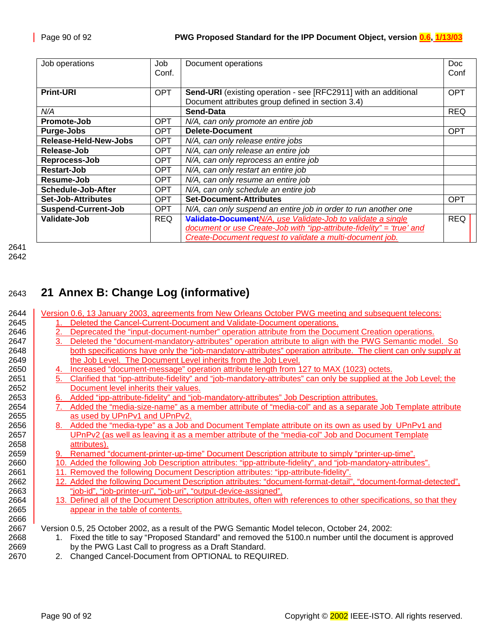| Job operations             | Job<br>Conf. | Document operations                                                   | Doc<br>Conf |
|----------------------------|--------------|-----------------------------------------------------------------------|-------------|
|                            |              |                                                                       |             |
| <b>Print-URI</b>           | <b>OPT</b>   | Send-URI (existing operation - see [RFC2911] with an additional       | <b>OPT</b>  |
|                            |              | Document attributes group defined in section 3.4)                     |             |
| N/A                        |              | Send-Data                                                             | <b>REQ</b>  |
| Promote-Job                | <b>OPT</b>   | N/A, can only promote an entire job                                   |             |
| <b>Purge-Jobs</b>          | <b>OPT</b>   | <b>Delete-Document</b>                                                | <b>OPT</b>  |
| Release-Held-New-Jobs      | <b>OPT</b>   | N/A, can only release entire jobs                                     |             |
| Release-Job                | OPT.         | N/A, can only release an entire job                                   |             |
| Reprocess-Job              | OPT.         | N/A, can only reprocess an entire job                                 |             |
| Restart-Job                | <b>OPT</b>   | N/A, can only restart an entire job                                   |             |
| Resume-Job                 | <b>OPT</b>   | N/A, can only resume an entire job                                    |             |
| <b>Schedule-Job-After</b>  | <b>OPT</b>   | N/A, can only schedule an entire job                                  |             |
| <b>Set-Job-Attributes</b>  | <b>OPT</b>   | <b>Set-Document-Attributes</b>                                        | <b>OPT</b>  |
| <b>Suspend-Current-Job</b> | <b>OPT</b>   | N/A, can only suspend an entire job in order to run another one       |             |
| Validate-Job               | <b>REQ</b>   | Validate-Document N/A, use Validate-Job to validate a single          | <b>REQ</b>  |
|                            |              | document or use Create-Job with "ipp-attribute-fidelity" = 'true' and |             |
|                            |              | Create-Document request to validate a multi-document job.             |             |

# 2643 **21 Annex B: Change Log (informative)**

| 2644 |    | Version 0.6, 13 January 2003, agreements from New Orleans October PWG meeting and subsequent telecons:              |
|------|----|---------------------------------------------------------------------------------------------------------------------|
| 2645 |    | Deleted the Cancel-Current-Document and Validate-Document operations.                                               |
| 2646 | 2. | Deprecated the "input-document-number" operation attribute from the Document Creation operations.                   |
| 2647 | 3. | Deleted the "document-mandatory-attributes" operation attribute to align with the PWG Semantic model. So            |
| 2648 |    | both specifications have only the "job-mandatory-attributes" operation attribute. The client can only supply at     |
| 2649 |    | the Job Level. The Document Level inherits from the Job Level.                                                      |
| 2650 |    | 4. Increased "document-message" operation attribute length from 127 to MAX (1023) octets.                           |
| 2651 | 5. | Clarified that "ipp-attribute-fidelity" and "job-mandatory-attributes" can only be supplied at the Job Level; the   |
| 2652 |    | Document level inherits their values.                                                                               |
| 2653 |    | 6. Added "ipp-attribute-fidelity" and "job-mandatory-attributes" Job Description attributes.                        |
| 2654 |    | Added the "media-size-name" as a member attribute of "media-col" and as a separate Job Template attribute           |
| 2655 |    | as used by UPnPv1 and UPnPv2.                                                                                       |
| 2656 |    | 8. Added the "media-type" as a Job and Document Template attribute on its own as used by UPnPv1 and                 |
| 2657 |    | UPnPv2 (as well as leaving it as a member attribute of the "media-col" Job and Document Template                    |
| 2658 |    | attributes).                                                                                                        |
| 2659 |    | 9. Renamed "document-printer-up-time" Document Description attribute to simply "printer-up-time".                   |
| 2660 |    | 10. Added the following Job Description attributes: "ipp-attribute-fidelity", and "job-mandatory-attributes".       |
| 2661 |    | 11. Removed the following Document Description attributes: "ipp-attribute-fidelity".                                |
| 2662 |    | 12. Added the following Document Description attributes: "document-format-detail", "document-format-detected",      |
| 2663 |    | "job-id", "job-printer-uri", "job-uri", "output-device-assigned".                                                   |
| 2664 |    | 13. Defined all of the Document Description attributes, often with references to other specifications, so that they |
| 2665 |    | appear in the table of contents.                                                                                    |
| 2666 |    |                                                                                                                     |
| 2667 |    | Version 0.5, 25 October 2002, as a result of the PWG Semantic Model telecon, October 24, 2002:                      |
| 2668 |    | 1. Fixed the title to say "Proposed Standard" and removed the 5100.n number until the document is approved          |
| 2669 |    | by the PWG Last Call to progress as a Draft Standard.                                                               |
| 2670 |    | 2. Changed Cancel-Document from OPTIONAL to REQUIRED.                                                               |
|      |    |                                                                                                                     |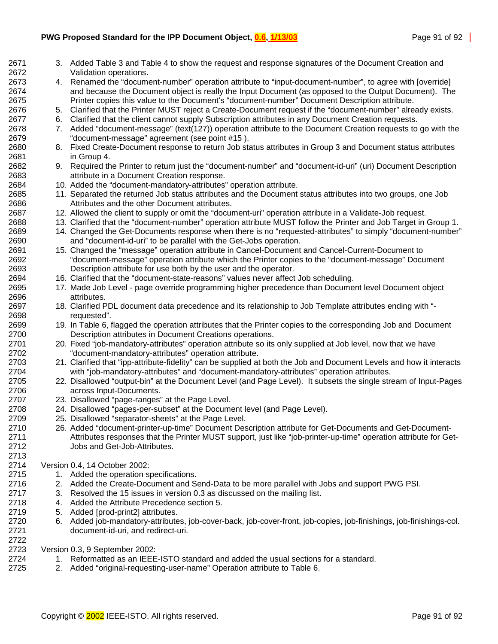- 2671 3. Added [Table 3](#page-12-0) and [Table 4](#page-12-0) to show the request and response signatures of the Document Creation and 2672 Validation operations.
- 2673 4. Renamed the "document-number" operation attribute to "input-document-number", to agree with [override] 2674 and because the Document object is really the Input Document (as opposed to the Output Document). The 2675 Printer copies this value to the Document's "document-number" Document Description attribute.
- 2676 5. Clarified that the Printer MUST reject a Create-Document request if the "document-number" already exists.
- 2677 6. Clarified that the client cannot supply Subscription attributes in any Document Creation requests.
- 2678 7. Added "document-message" (text(127)) operation attribute to the Document Creation requests to go with the 2679 "document-message" agreement (see point #15 ).
- 2680 8. Fixed Create-Document response to return Job status attributes in Group 3 and Document status attributes 2681 in Group 4.
- 2682 9. Required the Printer to return just the "document-number" and "document-id-uri" (uri) Document Description 2683 attribute in a Document Creation response.
- 2684 10. Added the "document-mandatory-attributes" operation attribute.
- 2685 11. Separated the returned Job status attributes and the Document status attributes into two groups, one Job 2686 Attributes and the other Document attributes.
- 2687 12. Allowed the client to supply or omit the "document-uri" operation attribute in a Validate-Job request.
- 2688 13. Clarified that the "document-number" operation attribute MUST follow the Printer and Job Target in Group 1.
- 2689 14. Changed the Get-Documents response when there is no "requested-attributes" to simply "document-number" 2690 and "document-id-uri" to be parallel with the Get-Jobs operation.
- 2691 15. Changed the "message" operation attribute in Cancel-Document and Cancel-Current-Document to 2692 "document-message" operation attribute which the Printer copies to the "document-message" Document 2693 Description attribute for use both by the user and the operator.
- 2694 16. Clarified that the "document-state-reasons" values never affect Job scheduling.
- 2695 17. Made Job Level page override programming higher precedence than Document level Document object 2696 attributes.
- 2697 18. Clarified PDL document data precedence and its relationship to Job Template attributes ending with "- 2698 requested".
- 2699 19. In [Table 6,](#page-39-0) flagged the operation attributes that the Printer copies to the corresponding Job and Document 2700 Description attributes in Document Creations operations.
- 2701 20. Fixed "job-mandatory-attributes" operation attribute so its only supplied at Job level, now that we have 2702 "document-mandatory-attributes" operation attribute.
- 2703 21. Clarified that "ipp-attribute-fidelity" can be supplied at both the Job and Document Levels and how it interacts 2704 with "job-mandatory-attributes" and "document-mandatory-attributes" operation attributes.
- 2705 22. Disallowed "output-bin" at the Document Level (and Page Level). It subsets the single stream of Input-Pages 2706 across Input-Documents.
- 2707 23. Disallowed "page-ranges" at the Page Level.
- 2708 24. Disallowed "pages-per-subset" at the Document level (and Page Level).
- 2709 25. Disallowed "separator-sheets" at the Page Level.
- 2710 26. Added "document-printer-up-time" Document Description attribute for Get-Documents and Get-Document-2711 Attributes responses that the Printer MUST support, just like "job-printer-up-time" operation attribute for Get-2712 Jobs and Get-Job-Attributes.
- 2714 Version 0.4, 14 October 2002:

2722

- 2715 1. Added the operation specifications.
- 2716 2. Added the Create-Document and Send-Data to be more parallel with Jobs and support PWG PSI.
- 2717 3. Resolved the 15 issues in version 0.3 as discussed on the mailing list.
- 2718 4. Added the Attribute Precedence section [5.](#page-36-0)
- 2719 5. Added [prod-print2] attributes.
- 2720 6. Added job-mandatory-attributes, job-cover-back, job-cover-front, job-copies, job-finishings, job-finishings-col. 2721 document-id-uri, and redirect-uri.

2723 Version 0.3, 9 September 2002:

- 2724 1. Reformatted as an IEEE-ISTO standard and added the usual sections for a standard.
- 2725 2. Added "original-requesting-user-name" Operation attribute to [Table 6.](#page-39-0)